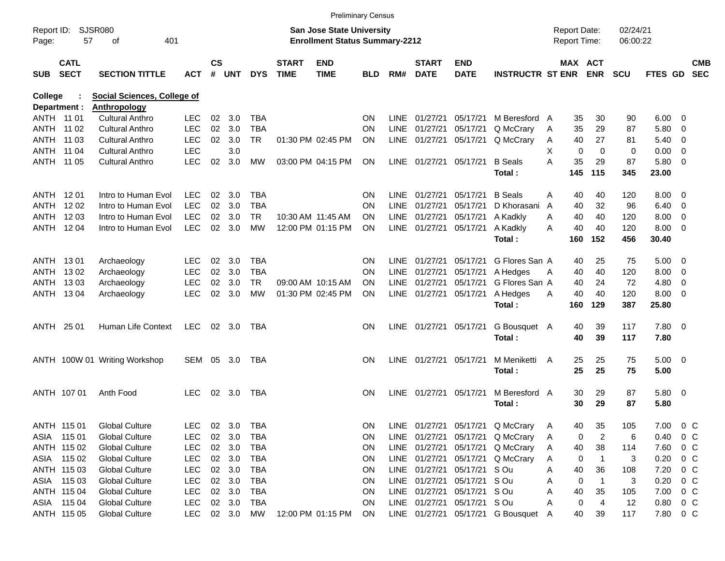|                     |                            |                                    |            |                    |                |            |                             | <b>Preliminary Census</b>                                                 |            |             |                             |                           |                                   |   |                                     |                |                      |                |                |                          |
|---------------------|----------------------------|------------------------------------|------------|--------------------|----------------|------------|-----------------------------|---------------------------------------------------------------------------|------------|-------------|-----------------------------|---------------------------|-----------------------------------|---|-------------------------------------|----------------|----------------------|----------------|----------------|--------------------------|
| Report ID:<br>Page: | 57                         | <b>SJSR080</b><br>401<br>οf        |            |                    |                |            |                             | <b>San Jose State University</b><br><b>Enrollment Status Summary-2212</b> |            |             |                             |                           |                                   |   | <b>Report Date:</b><br>Report Time: |                | 02/24/21<br>06:00:22 |                |                |                          |
| <b>SUB</b>          | <b>CATL</b><br><b>SECT</b> | <b>SECTION TITTLE</b>              | <b>ACT</b> | $\mathsf{cs}$<br># | <b>UNT</b>     | <b>DYS</b> | <b>START</b><br><b>TIME</b> | <b>END</b><br><b>TIME</b>                                                 | <b>BLD</b> | RM#         | <b>START</b><br><b>DATE</b> | <b>END</b><br><b>DATE</b> | <b>INSTRUCTR ST ENR</b>           |   | <b>MAX ACT</b>                      | <b>ENR</b>     | <b>SCU</b>           | <b>FTES GD</b> |                | <b>CMB</b><br><b>SEC</b> |
| <b>College</b>      |                            | <b>Social Sciences, College of</b> |            |                    |                |            |                             |                                                                           |            |             |                             |                           |                                   |   |                                     |                |                      |                |                |                          |
|                     | Department :               | <b>Anthropology</b>                |            |                    |                |            |                             |                                                                           |            |             |                             |                           |                                   |   |                                     |                |                      |                |                |                          |
|                     | ANTH 11 01                 | <b>Cultural Anthro</b>             | <b>LEC</b> | 02                 | 3.0            | <b>TBA</b> |                             |                                                                           | <b>ON</b>  | LINE        | 01/27/21                    | 05/17/21                  | M Beresford A                     |   | 35                                  | 30             | 90                   | 6.00           | - 0            |                          |
|                     | ANTH 11 02                 | <b>Cultural Anthro</b>             | <b>LEC</b> | 02                 | 3.0            | <b>TBA</b> |                             |                                                                           | <b>ON</b>  | <b>LINE</b> | 01/27/21                    | 05/17/21                  | Q McCrary                         | A | 35                                  | 29             | 87                   | 5.80           | 0              |                          |
|                     | ANTH 11 03                 | <b>Cultural Anthro</b>             | <b>LEC</b> | 02                 | 3.0            | <b>TR</b>  |                             | 01:30 PM 02:45 PM                                                         | <b>ON</b>  | <b>LINE</b> | 01/27/21                    | 05/17/21                  | Q McCrary                         | A | 40                                  | 27             | 81                   | 5.40           | 0              |                          |
|                     | ANTH 11 04                 | <b>Cultural Anthro</b>             | <b>LEC</b> |                    | 3.0            |            |                             |                                                                           |            |             |                             |                           |                                   | X | 0                                   | $\mathbf 0$    | 0                    | 0.00           | 0              |                          |
|                     | ANTH 11 05                 | <b>Cultural Anthro</b>             | <b>LEC</b> | 02                 | 3.0            | MW         |                             | 03:00 PM 04:15 PM                                                         | <b>ON</b>  |             | LINE 01/27/21               | 05/17/21                  | <b>B</b> Seals                    | A | 35                                  | 29             | 87                   | 5.80           | - 0            |                          |
|                     |                            |                                    |            |                    |                |            |                             |                                                                           |            |             |                             |                           | Total:                            |   | 145                                 | 115            | 345                  | 23.00          |                |                          |
|                     | ANTH 1201                  | Intro to Human Evol                | <b>LEC</b> | 02                 | 3.0            | TBA        |                             |                                                                           | <b>ON</b>  | LINE        | 01/27/21                    | 05/17/21                  | <b>B</b> Seals                    | A | 40                                  | 40             | 120                  | 8.00           | - 0            |                          |
| ANTH                | 12 02                      | Intro to Human Evol                | <b>LEC</b> | 02                 | 3.0            | <b>TBA</b> |                             |                                                                           | <b>ON</b>  | LINE        | 01/27/21                    | 05/17/21                  | D Khorasani                       | A | 40                                  | 32             | 96                   | 6.40           | 0              |                          |
| ANTH                | 12 03                      | Intro to Human Evol                | <b>LEC</b> | 02                 | 3.0            | <b>TR</b>  |                             | 10:30 AM 11:45 AM                                                         | <b>ON</b>  | <b>LINE</b> | 01/27/21                    | 05/17/21                  | A Kadkly                          | A | 40                                  | 40             | 120                  | 8.00           | 0              |                          |
|                     | ANTH 1204                  | Intro to Human Evol                | <b>LEC</b> | 02                 | 3.0            | <b>MW</b>  |                             | 12:00 PM 01:15 PM                                                         | <b>ON</b>  |             | LINE 01/27/21               | 05/17/21                  | A Kadkly                          | A | 40                                  | 40             | 120                  | 8.00           | - 0            |                          |
|                     |                            |                                    |            |                    |                |            |                             |                                                                           |            |             |                             |                           | Total:                            |   | 160                                 | 152            | 456                  | 30.40          |                |                          |
|                     | ANTH 1301                  | Archaeology                        | LEC        | 02                 | 3.0            | <b>TBA</b> |                             |                                                                           | <b>ON</b>  | LINE        | 01/27/21                    | 05/17/21                  | G Flores San A                    |   | 40                                  | 25             | 75                   | 5.00           | - 0            |                          |
| ANTH                | 1302                       | Archaeology                        | <b>LEC</b> | 02                 | 3.0            | <b>TBA</b> |                             |                                                                           | <b>ON</b>  | <b>LINE</b> | 01/27/21                    | 05/17/21                  | A Hedges                          | A | 40                                  | 40             | 120                  | 8.00           | 0              |                          |
| ANTH                | 1303                       | Archaeology                        | <b>LEC</b> | 02                 | 3.0            | <b>TR</b>  |                             | 09:00 AM 10:15 AM                                                         | <b>ON</b>  | LINE        | 01/27/21                    | 05/17/21                  | G Flores San A                    |   | 40                                  | 24             | 72                   | 4.80           | 0              |                          |
|                     | ANTH 1304                  | Archaeology                        | <b>LEC</b> | 02                 | 3.0            | <b>MW</b>  |                             | 01:30 PM 02:45 PM                                                         | ON         |             | LINE 01/27/21               | 05/17/21                  | A Hedges                          | A | 40                                  | 40             | 120                  | 8.00           | - 0            |                          |
|                     |                            |                                    |            |                    |                |            |                             |                                                                           |            |             |                             |                           | Total:                            |   | 160                                 | 129            | 387                  | 25.80          |                |                          |
|                     | ANTH 25 01                 | Human Life Context                 | LEC        |                    | $02 \quad 3.0$ | TBA        |                             |                                                                           | <b>ON</b>  |             | LINE 01/27/21               | 05/17/21                  | G Bousquet A                      |   | 40                                  | 39             | 117                  | 7.80 0         |                |                          |
|                     |                            |                                    |            |                    |                |            |                             |                                                                           |            |             |                             |                           | Total:                            |   | 40                                  | 39             | 117                  | 7.80           |                |                          |
|                     |                            | ANTH 100W 01 Writing Workshop      | SEM        |                    | 05 3.0         | TBA        |                             |                                                                           | <b>ON</b>  |             | LINE 01/27/21               | 05/17/21                  | M Meniketti                       | A | 25                                  | 25             | 75                   | $5.00 \t 0$    |                |                          |
|                     |                            |                                    |            |                    |                |            |                             |                                                                           |            |             |                             |                           | Total:                            |   | 25                                  | 25             | 75                   | 5.00           |                |                          |
|                     | ANTH 107 01                | Anth Food                          | <b>LEC</b> |                    | 02 3.0         | TBA        |                             |                                                                           | <b>ON</b>  |             | LINE 01/27/21               | 05/17/21                  | M Beresford A                     |   | 30                                  | 29             | 87                   | 5.80 0         |                |                          |
|                     |                            |                                    |            |                    |                |            |                             |                                                                           |            |             |                             |                           | Total:                            |   | 30                                  | 29             | 87                   | 5.80           |                |                          |
|                     | ANTH 115 01                | <b>Global Culture</b>              | <b>LEC</b> |                    | 02 3.0         | <b>TBA</b> |                             |                                                                           | ON         |             |                             |                           | LINE 01/27/21 05/17/21 Q McCrary  | Α | 40                                  | 35             | 105                  | 7.00           | $0\,C$         |                          |
|                     | ASIA 115 01                | <b>Global Culture</b>              | LEC        |                    | 02 3.0         | <b>TBA</b> |                             |                                                                           | <b>ON</b>  |             | LINE 01/27/21               | 05/17/21                  | Q McCrary                         | A | 0                                   | $\overline{c}$ | 6                    | 0.40           | 0 <sup>C</sup> |                          |
|                     | ANTH 115 02                | <b>Global Culture</b>              | <b>LEC</b> |                    | 02 3.0         | TBA        |                             |                                                                           | <b>ON</b>  |             | LINE 01/27/21               | 05/17/21                  | Q McCrary                         | A | 40                                  | 38             | 114                  | 7.60           | 0 C            |                          |
|                     | ASIA 115 02                | <b>Global Culture</b>              | <b>LEC</b> |                    | 02 3.0         | TBA        |                             |                                                                           | <b>ON</b>  |             | LINE 01/27/21               | 05/17/21                  | Q McCrary                         | A | 0                                   | $\overline{1}$ | 3                    | 0.20           | $0\,C$         |                          |
|                     | ANTH 115 03                | <b>Global Culture</b>              | <b>LEC</b> |                    | 02 3.0         | TBA        |                             |                                                                           | <b>ON</b>  |             | LINE 01/27/21               | 05/17/21 S Ou             |                                   | A | 40                                  | 36             | 108                  | 7.20           | 0 C            |                          |
|                     | ASIA 115 03                | <b>Global Culture</b>              | <b>LEC</b> |                    | 02 3.0         | TBA        |                             |                                                                           | <b>ON</b>  |             | LINE 01/27/21               | 05/17/21 S Ou             |                                   | A | 0                                   | $\overline{1}$ | 3                    | 0.20           | 0 C            |                          |
|                     | ANTH 115 04                | <b>Global Culture</b>              | <b>LEC</b> |                    | 02 3.0         | TBA        |                             |                                                                           | <b>ON</b>  |             | LINE 01/27/21               | 05/17/21 S Ou             |                                   | Α | 40                                  | 35             | 105                  | 7.00           | 0 C            |                          |
|                     | ASIA 115 04                | <b>Global Culture</b>              | LEC        |                    | 02 3.0         | TBA        |                             |                                                                           | <b>ON</b>  |             | LINE 01/27/21               | 05/17/21 S Ou             |                                   | A | 0                                   | 4              | 12                   | 0.80           | $0\,C$         |                          |
|                     | ANTH 115 05                | <b>Global Culture</b>              | LEC        |                    | 02 3.0         | МW         |                             | 12:00 PM 01:15 PM                                                         | ON         |             |                             |                           | LINE 01/27/21 05/17/21 G Bousquet | A | 40                                  | 39             | 117                  | 7.80 0 C       |                |                          |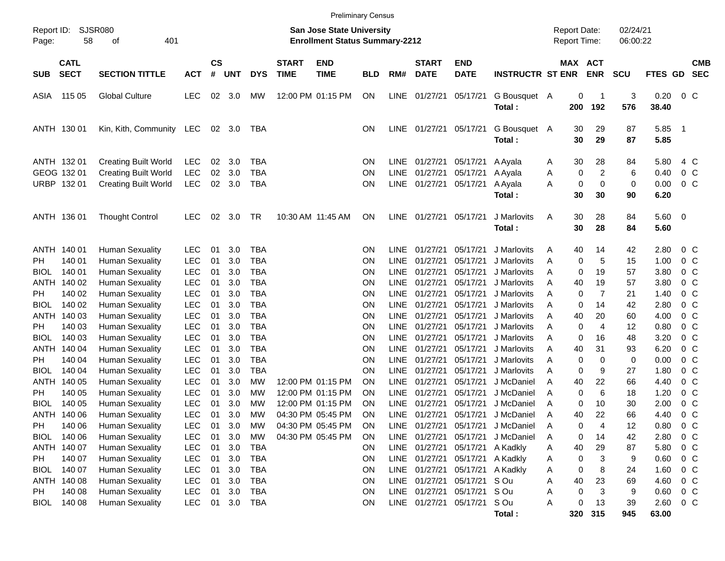|                                                 |                                      |                                                                                                      |                                                      |                      |                          |                                                      |                             |                                                                                  | <b>Preliminary Census</b>    |                                            |                                                   |                                                 |                                                                                               |                  |                                     |                     |                      |                              |                                                              |                          |
|-------------------------------------------------|--------------------------------------|------------------------------------------------------------------------------------------------------|------------------------------------------------------|----------------------|--------------------------|------------------------------------------------------|-----------------------------|----------------------------------------------------------------------------------|------------------------------|--------------------------------------------|---------------------------------------------------|-------------------------------------------------|-----------------------------------------------------------------------------------------------|------------------|-------------------------------------|---------------------|----------------------|------------------------------|--------------------------------------------------------------|--------------------------|
| Report ID:<br>Page:                             | 58                                   | SJSR080<br>401<br>οf                                                                                 |                                                      |                      |                          |                                                      |                             | <b>San Jose State University</b><br><b>Enrollment Status Summary-2212</b>        |                              |                                            |                                                   |                                                 |                                                                                               |                  | <b>Report Date:</b><br>Report Time: |                     | 02/24/21<br>06:00:22 |                              |                                                              |                          |
| <b>SUB</b>                                      | <b>CATL</b><br><b>SECT</b>           | <b>SECTION TITTLE</b>                                                                                | <b>ACT</b>                                           | $\mathsf{cs}$<br>#   | <b>UNT</b>               | <b>DYS</b>                                           | <b>START</b><br><b>TIME</b> | <b>END</b><br><b>TIME</b>                                                        | <b>BLD</b>                   | RM#                                        | <b>START</b><br><b>DATE</b>                       | <b>END</b><br><b>DATE</b>                       | <b>INSTRUCTR ST ENR</b>                                                                       |                  | MAX ACT                             | <b>ENR</b>          | <b>SCU</b>           | <b>FTES GD</b>               |                                                              | <b>CMB</b><br><b>SEC</b> |
| ASIA                                            | 115 05                               | <b>Global Culture</b>                                                                                | <b>LEC</b>                                           | 02                   | 3.0                      | МW                                                   |                             | 12:00 PM 01:15 PM                                                                | ON                           | LINE                                       | 01/27/21                                          | 05/17/21                                        | G Bousquet A<br>Total:                                                                        |                  | 0<br>200                            | $\mathbf 1$<br>192  | 3<br>576             | 0.20<br>38.40                | $0\,C$                                                       |                          |
| ANTH 130 01                                     |                                      | Kin, Kith, Community                                                                                 | LEC                                                  |                      | 02 3.0                   | TBA                                                  |                             |                                                                                  | <b>ON</b>                    | <b>LINE</b>                                | 01/27/21                                          | 05/17/21                                        | G Bousquet A<br>Total:                                                                        |                  | 30<br>30                            | 29<br>29            | 87<br>87             | 5.85<br>5.85                 | - 1                                                          |                          |
| ANTH 132 01<br>GEOG 132 01<br>URBP 132 01       |                                      | <b>Creating Built World</b><br><b>Creating Built World</b><br><b>Creating Built World</b>            | LEC<br><b>LEC</b><br><b>LEC</b>                      | 02<br>02<br>$02\,$   | 3.0<br>3.0<br>3.0        | <b>TBA</b><br><b>TBA</b><br><b>TBA</b>               |                             |                                                                                  | <b>ON</b><br><b>ON</b><br>ON | <b>LINE</b><br>LINE<br><b>LINE</b>         | 01/27/21<br>01/27/21<br>01/27/21                  | 05/17/21<br>05/17/21<br>05/17/21                | A Ayala<br>A Ayala<br>A Ayala                                                                 | A<br>A<br>A      | 30<br>0<br>0<br>30                  | 28<br>2<br>0<br>30  | 84<br>6<br>0<br>90   | 5.80<br>0.40<br>0.00<br>6.20 | 4 C<br>0 <sup>C</sup><br>0 <sup>C</sup>                      |                          |
| ANTH 136 01                                     |                                      | <b>Thought Control</b>                                                                               | <b>LEC</b>                                           | 02                   | 3.0                      | TR                                                   |                             | 10:30 AM 11:45 AM                                                                | ON                           | <b>LINE</b>                                | 01/27/21                                          | 05/17/21                                        | Total:<br>J Marlovits<br>Total:                                                               | A                | 30<br>30                            | 28<br>28            | 84<br>84             | 5.60 0<br>5.60               |                                                              |                          |
| ANTH 140 01<br>PH.<br><b>BIOL</b><br>ANTH       | 140 01<br>140 01<br>140 02           | <b>Human Sexuality</b><br><b>Human Sexuality</b><br><b>Human Sexuality</b><br><b>Human Sexuality</b> | <b>LEC</b><br><b>LEC</b><br><b>LEC</b><br><b>LEC</b> | 01<br>01<br>01<br>01 | 3.0<br>3.0<br>3.0<br>3.0 | <b>TBA</b><br><b>TBA</b><br><b>TBA</b><br><b>TBA</b> |                             |                                                                                  | <b>ON</b><br>ΟN<br>ΟN<br>ΟN  | LINE<br><b>LINE</b><br>LINE<br>LINE        | 01/27/21<br>01/27/21<br>01/27/21<br>01/27/21      | 05/17/21<br>05/17/21<br>05/17/21<br>05/17/21    | J Marlovits<br>J Marlovits<br>J Marlovits<br>J Marlovits                                      | A<br>Α<br>Α<br>A | 40<br>0<br>0<br>40                  | 14<br>5<br>19<br>19 | 42<br>15<br>57<br>57 | 2.80<br>1.00<br>3.80<br>3.80 | $0\,C$<br>$0\,C$<br>$0\,C$<br>$0\,C$                         |                          |
| PH.<br><b>BIOL</b><br>ANTH<br>PH.               | 140 02<br>140 02<br>140 03<br>140 03 | <b>Human Sexuality</b><br><b>Human Sexuality</b><br><b>Human Sexuality</b><br><b>Human Sexuality</b> | <b>LEC</b><br><b>LEC</b><br><b>LEC</b><br><b>LEC</b> | 01<br>01<br>01<br>01 | 3.0<br>3.0<br>3.0<br>3.0 | <b>TBA</b><br><b>TBA</b><br><b>TBA</b><br><b>TBA</b> |                             |                                                                                  | ΟN<br>ΟN<br>ΟN<br>ΟN         | LINE<br>LINE<br>LINE<br>LINE               | 01/27/21<br>01/27/21<br>01/27/21<br>01/27/21      | 05/17/21<br>05/17/21<br>05/17/21<br>05/17/21    | J Marlovits<br>J Marlovits<br>J Marlovits<br>J Marlovits                                      | A<br>A<br>A<br>A | 0<br>0<br>40<br>0                   | 7<br>14<br>20<br>4  | 21<br>42<br>60<br>12 | 1.40<br>2.80<br>4.00<br>0.80 | $0\,C$<br>$0\,C$<br>$0\,C$<br>$0\,C$                         |                          |
| <b>BIOL</b><br>ANTH<br>PH.<br><b>BIOL</b>       | 140 03<br>140 04<br>140 04<br>140 04 | <b>Human Sexuality</b><br><b>Human Sexuality</b><br><b>Human Sexuality</b><br><b>Human Sexuality</b> | <b>LEC</b><br><b>LEC</b><br><b>LEC</b><br><b>LEC</b> | 01<br>01<br>01<br>01 | 3.0<br>3.0<br>3.0<br>3.0 | <b>TBA</b><br><b>TBA</b><br><b>TBA</b><br><b>TBA</b> |                             |                                                                                  | ΟN<br>ΟN<br>ΟN<br><b>ON</b>  | LINE<br>LINE<br>LINE<br>LINE               | 01/27/21<br>01/27/21<br>01/27/21<br>01/27/21      | 05/17/21<br>05/17/21<br>05/17/21<br>05/17/21    | J Marlovits<br>J Marlovits<br>J Marlovits<br>J Marlovits                                      | A<br>A<br>A<br>A | 0<br>40<br>0<br>0                   | 16<br>31<br>0<br>9  | 48<br>93<br>0<br>27  | 3.20<br>6.20<br>0.00<br>1.80 | $0\,C$<br>$0\,C$<br>$0\,C$<br>$0\,C$                         |                          |
| ANTH<br>PH.<br><b>BIOL</b><br>ANTH 140 06       | 140 05<br>140 05<br>140 05           | <b>Human Sexuality</b><br><b>Human Sexuality</b><br><b>Human Sexuality</b><br><b>Human Sexuality</b> | <b>LEC</b><br><b>LEC</b><br><b>LEC</b><br><b>LEC</b> | 01<br>01<br>01<br>01 | 3.0<br>3.0<br>3.0<br>3.0 | MW<br>MW<br>MW<br><b>MW</b>                          |                             | 12:00 PM 01:15 PM<br>12:00 PM 01:15 PM<br>12:00 PM 01:15 PM<br>04:30 PM 05:45 PM | ΟN<br>ON<br>OΝ<br>ON         | LINE<br><b>LINE</b><br>LINE<br><b>LINE</b> | 01/27/21<br>01/27/21<br>01/27/21<br>01/27/21      | 05/17/21<br>05/17/21<br>05/17/21<br>05/17/21    | J McDaniel<br>J McDaniel<br>J McDaniel<br>J McDaniel                                          | A<br>A<br>A<br>A | 40<br>0<br>0<br>40                  | 22<br>6<br>10<br>22 | 66<br>18<br>30<br>66 | 4.40<br>1.20<br>2.00<br>4.40 | 0 <sup>C</sup><br>$0\,C$<br>0 <sup>C</sup><br>0 <sub>c</sub> |                          |
| PH<br><b>BIOL</b><br>ANTH 140 07<br>PH          | 140 06<br>140 06<br>140 07           | <b>Human Sexuality</b><br><b>Human Sexuality</b><br><b>Human Sexuality</b><br><b>Human Sexuality</b> | <b>LEC</b><br>LEC<br><b>LEC</b><br><b>LEC</b>        | 01<br>01<br>01<br>01 | 3.0<br>3.0<br>3.0<br>3.0 | MW<br>МW<br>TBA<br>TBA                               |                             | 04:30 PM 05:45 PM<br>04:30 PM 05:45 PM                                           | ON<br>ΟN<br>ΟN<br>ON         | <b>LINE</b><br>LINE                        | 01/27/21<br>LINE 01/27/21<br>LINE 01/27/21        |                                                 | 01/27/21 05/17/21 J McDaniel<br>05/17/21 J McDaniel<br>05/17/21 A Kadkly<br>05/17/21 A Kadkly | A<br>Α<br>A<br>A | 0<br>0<br>40<br>0                   | 4<br>14<br>29<br>3  | 12<br>42<br>87<br>9  | 0.80<br>2.80<br>5.80<br>0.60 | $0\,C$<br>$0\,C$<br>0 <sup>C</sup><br>0 <sup>C</sup>         |                          |
| <b>BIOL</b><br>ANTH 140 08<br>PH<br><b>BIOL</b> | 140 07<br>140 08<br>140 08           | <b>Human Sexuality</b><br><b>Human Sexuality</b><br><b>Human Sexuality</b><br><b>Human Sexuality</b> | <b>LEC</b><br><b>LEC</b><br><b>LEC</b><br><b>LEC</b> | 01<br>01<br>01<br>01 | 3.0<br>3.0<br>3.0<br>3.0 | TBA<br>TBA<br>TBA<br>TBA                             |                             |                                                                                  | ON<br>ON<br>ON<br>ON         | LINE<br><b>LINE</b><br>LINE                | 01/27/21<br>01/27/21<br>01/27/21<br>LINE 01/27/21 | 05/17/21 S Ou<br>05/17/21 S Ou<br>05/17/21 S Ou | 05/17/21 A Kadkly                                                                             | Α<br>Α<br>Α<br>Α | 0<br>40<br>0<br>0                   | 8<br>23<br>3<br>13  | 24<br>69<br>9<br>39  | 1.60<br>4.60<br>0.60<br>2.60 | 0 C<br>0 C<br>$0\,C$<br>0 C                                  |                          |
|                                                 |                                      |                                                                                                      |                                                      |                      |                          |                                                      |                             |                                                                                  |                              |                                            |                                                   |                                                 | Total:                                                                                        |                  | 320                                 | 315                 | 945                  | 63.00                        |                                                              |                          |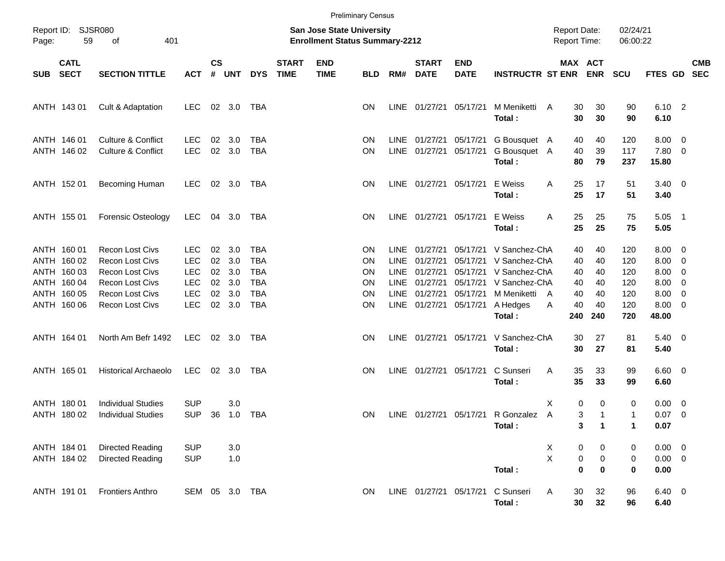|            |                            |                                                                |                          |                |            |                          |                             | <b>Preliminary Census</b>                                                 |                        |             |                                |                           |                                        |   |                                     |                |                      |                       |                                           |            |
|------------|----------------------------|----------------------------------------------------------------|--------------------------|----------------|------------|--------------------------|-----------------------------|---------------------------------------------------------------------------|------------------------|-------------|--------------------------------|---------------------------|----------------------------------------|---|-------------------------------------|----------------|----------------------|-----------------------|-------------------------------------------|------------|
| Page:      | Report ID: SJSR080<br>59   | 401<br>of                                                      |                          |                |            |                          |                             | <b>San Jose State University</b><br><b>Enrollment Status Summary-2212</b> |                        |             |                                |                           |                                        |   | <b>Report Date:</b><br>Report Time: |                | 02/24/21<br>06:00:22 |                       |                                           |            |
| <b>SUB</b> | <b>CATL</b><br><b>SECT</b> | <b>SECTION TITTLE</b>                                          | <b>ACT</b>               | <b>CS</b><br># | <b>UNT</b> | <b>DYS</b>               | <b>START</b><br><b>TIME</b> | <b>END</b><br><b>TIME</b>                                                 | <b>BLD</b>             | RM#         | <b>START</b><br><b>DATE</b>    | <b>END</b><br><b>DATE</b> | <b>INSTRUCTR ST ENR</b>                |   | MAX ACT                             | <b>ENR</b>     | <b>SCU</b>           | FTES GD SEC           |                                           | <b>CMB</b> |
|            | ANTH 143 01                | Cult & Adaptation                                              | <b>LEC</b>               |                | 02 3.0     | TBA                      |                             |                                                                           | <b>ON</b>              |             | LINE 01/27/21                  | 05/17/21                  | M Meniketti<br>Total:                  | A | 30<br>30                            | 30<br>30       | 90<br>90             | $6.10$ 2<br>6.10      |                                           |            |
|            | ANTH 146 01<br>ANTH 146 02 | <b>Culture &amp; Conflict</b><br><b>Culture &amp; Conflict</b> | <b>LEC</b><br><b>LEC</b> | 02<br>02       | 3.0<br>3.0 | <b>TBA</b><br><b>TBA</b> |                             |                                                                           | <b>ON</b><br><b>ON</b> |             | LINE 01/27/21<br>LINE 01/27/21 | 05/17/21<br>05/17/21      | G Bousquet A<br>G Bousquet A<br>Total: |   | 40<br>40<br>80                      | 40<br>39<br>79 | 120<br>117<br>237    | 8.00<br>7.80<br>15.80 | $\overline{0}$<br>$\overline{\mathbf{0}}$ |            |
|            | ANTH 152 01                | Becoming Human                                                 | <b>LEC</b>               |                | 02 3.0     | TBA                      |                             |                                                                           | <b>ON</b>              |             | LINE 01/27/21 05/17/21         |                           | E Weiss<br>Total:                      | A | 25<br>25                            | 17<br>17       | 51<br>51             | $3.40 \ 0$<br>3.40    |                                           |            |
|            | ANTH 155 01                | <b>Forensic Osteology</b>                                      | <b>LEC</b>               | 04             | 3.0        | TBA                      |                             |                                                                           | <b>ON</b>              |             | LINE 01/27/21 05/17/21         |                           | E Weiss<br>Total:                      | A | 25<br>25                            | 25<br>25       | 75<br>75             | 5.05<br>5.05          | $\overline{\phantom{1}}$                  |            |
|            | ANTH 160 01                | <b>Recon Lost Civs</b>                                         | <b>LEC</b>               | 02             | 3.0        | <b>TBA</b>               |                             |                                                                           | <b>ON</b>              | LINE        | 01/27/21                       | 05/17/21                  | V Sanchez-ChA                          |   | 40                                  | 40             | 120                  | 8.00                  | $\overline{0}$                            |            |
|            | ANTH 160 02                | <b>Recon Lost Civs</b>                                         | <b>LEC</b>               | 02             | 3.0        | <b>TBA</b>               |                             |                                                                           | <b>ON</b>              | <b>LINE</b> | 01/27/21                       | 05/17/21                  | V Sanchez-ChA                          |   | 40                                  | 40             | 120                  | 8.00                  | $\overline{0}$                            |            |
|            | ANTH 160 03                | <b>Recon Lost Civs</b>                                         | <b>LEC</b>               | $02\,$         | 3.0        | <b>TBA</b>               |                             |                                                                           | <b>ON</b>              | LINE        | 01/27/21                       | 05/17/21                  | V Sanchez-ChA                          |   | 40                                  | 40             | 120                  | 8.00                  | $\overline{0}$                            |            |
|            | ANTH 160 04                | <b>Recon Lost Civs</b>                                         | <b>LEC</b>               | 02             | 3.0        | <b>TBA</b>               |                             |                                                                           | ON                     |             | LINE 01/27/21                  | 05/17/21                  | V Sanchez-ChA                          |   | 40                                  | 40             | 120                  | 8.00                  | $\overline{0}$                            |            |
|            | ANTH 160 05                | <b>Recon Lost Civs</b>                                         | <b>LEC</b>               | 02             | 3.0        | <b>TBA</b>               |                             |                                                                           | ON                     |             | LINE 01/27/21                  | 05/17/21                  | M Meniketti                            | A | 40                                  | 40             | 120                  | 8.00                  | $\overline{0}$                            |            |
|            | ANTH 160 06                | <b>Recon Lost Civs</b>                                         | <b>LEC</b>               | $02\,$         | 3.0        | <b>TBA</b>               |                             |                                                                           | ON                     |             | LINE 01/27/21                  | 05/17/21                  | A Hedges<br>Total:                     | A | 40<br>240                           | 40<br>240      | 120<br>720           | 8.00<br>48.00         | $\overline{0}$                            |            |
|            | ANTH 164 01                | North Am Befr 1492                                             | LEC                      |                | 02 3.0     | TBA                      |                             |                                                                           | <b>ON</b>              |             | LINE 01/27/21                  | 05/17/21                  | V Sanchez-ChA<br>Total:                |   | 30<br>30                            | 27<br>27       | 81<br>81             | $5.40 \ 0$<br>5.40    |                                           |            |
|            | ANTH 165 01                | <b>Historical Archaeolo</b>                                    | LEC                      | 02             | 3.0        | TBA                      |                             |                                                                           | <b>ON</b>              |             | LINE 01/27/21                  | 05/17/21                  | C Sunseri<br>Total:                    | A | 35<br>35                            | 33<br>33       | 99<br>99             | $6.60$ 0<br>6.60      |                                           |            |
|            | ANTH 180 01                | <b>Individual Studies</b>                                      | <b>SUP</b>               |                | 3.0        |                          |                             |                                                                           |                        |             |                                |                           |                                        | X | 0                                   | 0              | 0                    | 0.00                  | $\overline{0}$                            |            |
|            | ANTH 180 02                | <b>Individual Studies</b>                                      | <b>SUP</b>               | 36             | 1.0        | <b>TBA</b>               |                             |                                                                           | <b>ON</b>              |             | LINE 01/27/21 05/17/21         |                           | R Gonzalez A                           |   | 3                                   | $\mathbf{1}$   | $\mathbf{1}$         | 0.07                  | $\overline{0}$                            |            |
|            |                            |                                                                |                          |                |            |                          |                             |                                                                           |                        |             |                                |                           | Total:                                 |   | 3                                   | $\mathbf{1}$   | $\mathbf{1}$         | 0.07                  |                                           |            |
|            | ANTH 184 01                | <b>Directed Reading</b>                                        | <b>SUP</b>               |                | 3.0        |                          |                             |                                                                           |                        |             |                                |                           |                                        | X | 0                                   | 0              | 0                    | $0.00 \t 0$           |                                           |            |
|            | ANTH 184 02                | <b>Directed Reading</b>                                        | <b>SUP</b>               |                | 1.0        |                          |                             |                                                                           |                        |             |                                |                           |                                        | X | $\pmb{0}$                           | $\pmb{0}$      | 0                    | $0.00 \t 0$           |                                           |            |
|            |                            |                                                                |                          |                |            |                          |                             |                                                                           |                        |             |                                |                           | Total:                                 |   | $\bf{0}$                            | $\bf{0}$       | $\pmb{0}$            | 0.00                  |                                           |            |
|            | ANTH 191 01                | <b>Frontiers Anthro</b>                                        | SEM 05 3.0 TBA           |                |            |                          |                             |                                                                           | ON                     |             | LINE 01/27/21 05/17/21         |                           | C Sunseri<br>Total:                    | Α | 30<br>30                            | 32<br>32       | 96<br>96             | 6.40 0<br>6.40        |                                           |            |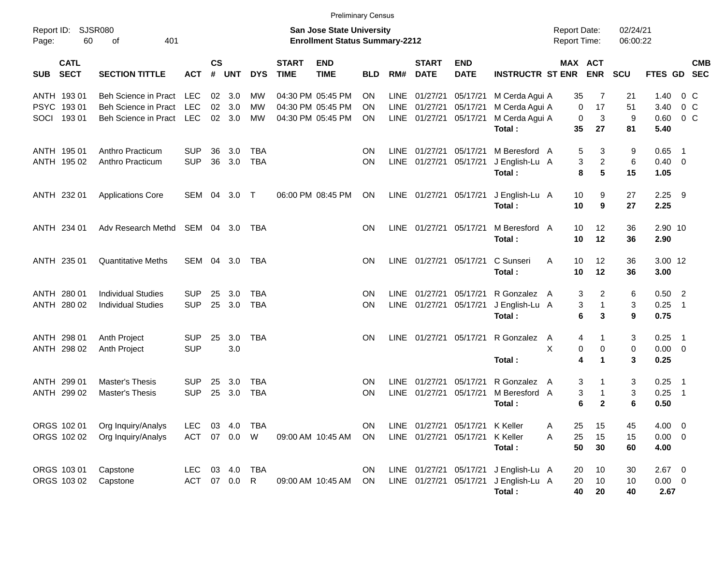|                                          |                                                        |                          |                |               |                          |                             | <b>Preliminary Census</b>                                                 |            |                            |                             |                           |                                                 |                                            |                                                         |                      |                          |                          |            |
|------------------------------------------|--------------------------------------------------------|--------------------------|----------------|---------------|--------------------------|-----------------------------|---------------------------------------------------------------------------|------------|----------------------------|-----------------------------|---------------------------|-------------------------------------------------|--------------------------------------------|---------------------------------------------------------|----------------------|--------------------------|--------------------------|------------|
| Report ID: SJSR080<br>60<br>Page:        | 401<br>οf                                              |                          |                |               |                          |                             | <b>San Jose State University</b><br><b>Enrollment Status Summary-2212</b> |            |                            |                             |                           |                                                 | <b>Report Date:</b><br><b>Report Time:</b> |                                                         | 02/24/21<br>06:00:22 |                          |                          |            |
| <b>CATL</b><br><b>SECT</b><br><b>SUB</b> | <b>SECTION TITTLE</b>                                  | <b>ACT</b>               | <b>CS</b><br># | <b>UNT</b>    | <b>DYS</b>               | <b>START</b><br><b>TIME</b> | <b>END</b><br><b>TIME</b>                                                 | <b>BLD</b> | RM#                        | <b>START</b><br><b>DATE</b> | <b>END</b><br><b>DATE</b> | <b>INSTRUCTR ST ENR</b>                         |                                            | MAX ACT<br><b>ENR</b>                                   | <b>SCU</b>           | FTES GD SEC              |                          | <b>CMB</b> |
| ANTH 193 01                              | Beh Science in Pract LEC                               |                          |                | 02 3.0        | <b>MW</b>                |                             | 04:30 PM 05:45 PM                                                         | ΟN         | <b>LINE</b>                | 01/27/21                    | 05/17/21                  | M Cerda Agui A                                  | 35                                         | 7                                                       | 21                   | 1.40                     |                          | $0\,$ C    |
| PSYC 19301<br>19301<br>SOCI              | Beh Science in Pract<br>Beh Science in Pract LEC       | <b>LEC</b>               | 02             | 3.0<br>02 3.0 | MW<br>MW                 |                             | 04:30 PM 05:45 PM<br>04:30 PM 05:45 PM                                    | ΟN<br>ΟN   | LINE                       | 01/27/21<br>LINE 01/27/21   | 05/17/21<br>05/17/21      | M Cerda Agui A<br>M Cerda Agui A<br>Total:      | 35                                         | 17<br>0<br>0<br>3<br>27                                 | 51<br>9<br>81        | 3.40<br>0.60<br>5.40     | 0 <sup>o</sup>           | $0\,$ C    |
| ANTH 195 01                              | Anthro Practicum                                       | SUP                      | 36             | 3.0           | TBA                      |                             |                                                                           | ON         | <b>LINE</b>                | 01/27/21                    | 05/17/21                  | M Beresford A                                   |                                            | 5<br>3                                                  | 9                    | 0.65                     | $\blacksquare$ 1         |            |
| ANTH 195 02                              | Anthro Practicum                                       | <b>SUP</b>               | 36             | 3.0           | <b>TBA</b>               |                             |                                                                           | ON         | LINE                       | 01/27/21                    | 05/17/21                  | J English-Lu A<br>Total:                        | 8                                          | $\overline{c}$<br>3<br>5                                | 6<br>15              | $0.40 \quad 0$<br>1.05   |                          |            |
| ANTH 232 01                              | <b>Applications Core</b>                               | SEM 04 3.0 T             |                |               |                          |                             | 06:00 PM 08:45 PM                                                         | ON         |                            | LINE 01/27/21 05/17/21      |                           | J English-Lu A                                  | 10                                         | 9                                                       | 27                   | $2.25$ 9                 |                          |            |
|                                          |                                                        |                          |                |               |                          |                             |                                                                           |            |                            |                             |                           | Total:                                          | 10                                         | 9                                                       | 27                   | 2.25                     |                          |            |
| ANTH 234 01                              | Adv Research Methd                                     | SEM 04 3.0               |                |               | TBA                      |                             |                                                                           | ON         |                            | LINE 01/27/21 05/17/21      |                           | M Beresford A<br>Total:                         | 10<br>10                                   | 12<br>12                                                | 36<br>36             | 2.90 10<br>2.90          |                          |            |
| ANTH 235 01                              | <b>Quantitative Meths</b>                              | SEM 04 3.0               |                |               | TBA                      |                             |                                                                           | ΟN         |                            | LINE 01/27/21 05/17/21      |                           | C Sunseri<br>Total:                             | A<br>10<br>10                              | 12<br>12                                                | 36<br>36             | 3.00 12<br>3.00          |                          |            |
| ANTH 280 01<br>ANTH 280 02               | <b>Individual Studies</b><br><b>Individual Studies</b> | SUP<br><b>SUP</b>        | 25<br>25       | 3.0<br>3.0    | <b>TBA</b><br><b>TBA</b> |                             |                                                                           | ΟN<br>ΟN   | <b>LINE</b>                | 01/27/21<br>LINE 01/27/21   | 05/17/21<br>05/17/21      | R Gonzalez A<br>J English-Lu A                  |                                            | $\overline{2}$<br>3<br>3<br>$\mathbf{1}$                | 6<br>3               | $0.50$ 2<br>0.25         | $\overline{\phantom{0}}$ |            |
|                                          |                                                        |                          |                |               |                          |                             |                                                                           |            |                            |                             |                           | Total:                                          | 6                                          | 3                                                       | 9                    | 0.75                     |                          |            |
| ANTH 298 01<br>ANTH 298 02               | Anth Project<br>Anth Project                           | <b>SUP</b><br><b>SUP</b> | 25             | 3.0<br>3.0    | <b>TBA</b>               |                             |                                                                           | ΟN         | LINE                       | 01/27/21 05/17/21           |                           | R Gonzalez                                      | A<br>X                                     | 4<br>1<br>$\mathbf 0$<br>0<br>4<br>$\blacktriangleleft$ | 3<br>0               | $0.25$ 1<br>$0.00 \t 0$  |                          |            |
|                                          |                                                        |                          |                |               |                          |                             |                                                                           |            |                            |                             |                           | Total:                                          |                                            |                                                         | 3                    | 0.25                     |                          |            |
| ANTH 299 01<br>ANTH 299 02               | <b>Master's Thesis</b><br><b>Master's Thesis</b>       | SUP<br><b>SUP</b>        | 25<br>25       | 3.0<br>3.0    | <b>TBA</b><br><b>TBA</b> |                             |                                                                           | ΟN<br>ΟN   | <b>LINE</b><br><b>LINE</b> | 01/27/21<br>01/27/21        | 05/17/21<br>05/17/21      | R Gonzalez<br>M Beresford A<br>Total:           | A                                          | 3<br>1<br>3<br>$\mathbf{1}$<br>6<br>$\mathbf{2}$        | 3<br>3<br>6          | $0.25$ 1<br>0.25<br>0.50 | $\overline{\phantom{0}}$ |            |
| ORGS 102 01                              | Org Inquiry/Analys                                     | LEC                      |                | 03 4.0        | TBA                      |                             |                                                                           | ON         |                            |                             | LINE 01/27/21 05/17/21    | K Keller                                        | 25<br>Α                                    | 15                                                      | 45                   | 4.00 0                   |                          |            |
| ORGS 102 02                              | Org Inquiry/Analys                                     |                          |                | ACT 07 0.0 W  |                          |                             | 09:00 AM 10:45 AM                                                         | ON         |                            | LINE 01/27/21 05/17/21      |                           | K Keller<br>Total:                              | 25<br>Α<br>50                              | 15<br>30                                                | 15<br>60             | $0.00 \t 0$<br>4.00      |                          |            |
| ORGS 103 01                              | Capstone                                               | LEC 03 4.0 TBA           |                |               |                          |                             |                                                                           | ON         |                            |                             |                           | LINE 01/27/21 05/17/21 J English-Lu A           | 20                                         | 10                                                      | 30                   | $2.67$ 0                 |                          |            |
| ORGS 103 02                              | Capstone                                               | ACT 07 0.0 R             |                |               |                          |                             | 09:00 AM 10:45 AM                                                         | ON         |                            |                             |                           | LINE 01/27/21 05/17/21 J English-Lu A<br>Total: | 20<br>40                                   | 10<br>20                                                | 10<br>40             | $0.00 \t 0$<br>2.67      |                          |            |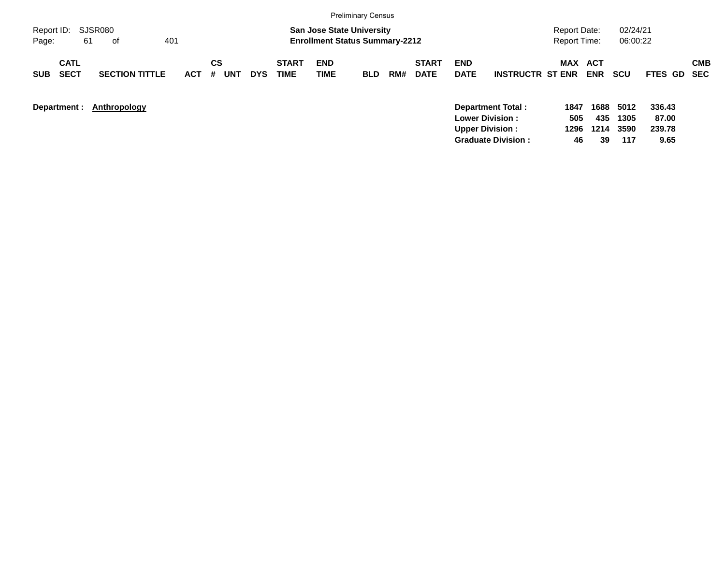|                                          |                       |                       |                          |                      |                                                                           | <b>Preliminary Census</b> |     |                             |                           |                         |                                            |             |                      |                 |            |
|------------------------------------------|-----------------------|-----------------------|--------------------------|----------------------|---------------------------------------------------------------------------|---------------------------|-----|-----------------------------|---------------------------|-------------------------|--------------------------------------------|-------------|----------------------|-----------------|------------|
| Report ID: SJSR080<br>61<br>Page:        | 401<br>of             |                       |                          |                      | <b>San Jose State University</b><br><b>Enrollment Status Summary-2212</b> |                           |     |                             |                           |                         | <b>Report Date:</b><br><b>Report Time:</b> |             | 02/24/21<br>06:00:22 |                 |            |
| <b>CATL</b><br><b>SECT</b><br><b>SUB</b> | <b>SECTION TITTLE</b> | СS<br><b>ACT</b><br># | <b>UNT</b><br><b>DYS</b> | <b>START</b><br>TIME | <b>END</b><br><b>TIME</b>                                                 | <b>BLD</b>                | RM# | <b>START</b><br><b>DATE</b> | <b>END</b><br><b>DATE</b> | <b>INSTRUCTR ST ENR</b> | MAX ACT                                    | <b>ENR</b>  | <b>SCU</b>           | FTES GD SEC     | <b>CMB</b> |
| Department :                             | Anthropology          |                       |                          |                      |                                                                           |                           |     |                             | <b>Lower Division:</b>    | Department Total:       | 1847<br>505                                | 1688<br>435 | 5012<br>1305         | 336.43<br>87.00 |            |

**Upper Division : 1296 1214 3590 239.78 Graduate Division : 46 39 117 9.65**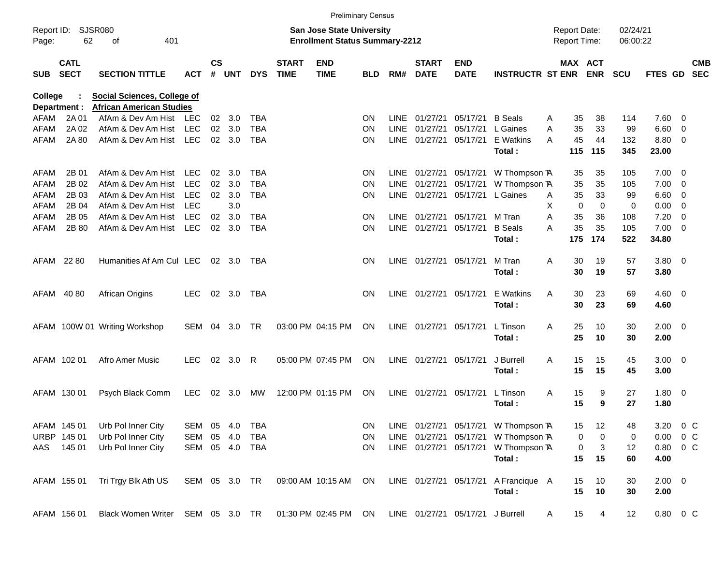|                |                            |                                    |               |                    |                |            |                             | <b>Preliminary Census</b>                                                 |            |             |                             |                                  |                                      |   |                                     |                |                      |                        |                          |                          |
|----------------|----------------------------|------------------------------------|---------------|--------------------|----------------|------------|-----------------------------|---------------------------------------------------------------------------|------------|-------------|-----------------------------|----------------------------------|--------------------------------------|---|-------------------------------------|----------------|----------------------|------------------------|--------------------------|--------------------------|
| Page:          | Report ID: SJSR080<br>62   | 401<br>οf                          |               |                    |                |            |                             | <b>San Jose State University</b><br><b>Enrollment Status Summary-2212</b> |            |             |                             |                                  |                                      |   | <b>Report Date:</b><br>Report Time: |                | 02/24/21<br>06:00:22 |                        |                          |                          |
| <b>SUB</b>     | <b>CATL</b><br><b>SECT</b> | <b>SECTION TITTLE</b>              | <b>ACT</b>    | $\mathsf{cs}$<br># | <b>UNT</b>     | <b>DYS</b> | <b>START</b><br><b>TIME</b> | <b>END</b><br><b>TIME</b>                                                 | <b>BLD</b> | RM#         | <b>START</b><br><b>DATE</b> | <b>END</b><br><b>DATE</b>        | <b>INSTRUCTR ST ENR</b>              |   | MAX ACT                             | <b>ENR</b>     | <b>SCU</b>           | FTES GD                |                          | <b>CMB</b><br><b>SEC</b> |
| <b>College</b> |                            | <b>Social Sciences, College of</b> |               |                    |                |            |                             |                                                                           |            |             |                             |                                  |                                      |   |                                     |                |                      |                        |                          |                          |
| Department :   |                            | <b>African American Studies</b>    |               |                    |                |            |                             |                                                                           |            |             |                             |                                  |                                      |   |                                     |                |                      |                        |                          |                          |
| AFAM           | 2A 01                      | AfAm & Dev Am Hist                 | LEC           | 02 <sub>2</sub>    | 3.0            | TBA        |                             |                                                                           | <b>ON</b>  | LINE        | 01/27/21                    | 05/17/21                         | <b>B</b> Seals                       | A | 35                                  | 38             | 114                  | 7.60                   | - 0                      |                          |
| <b>AFAM</b>    | 2A 02                      | AfAm & Dev Am Hist                 | <b>LEC</b>    | 02                 | 3.0            | <b>TBA</b> |                             |                                                                           | <b>ON</b>  | <b>LINE</b> | 01/27/21                    | 05/17/21                         | L Gaines                             | A | 35                                  | 33             | 99                   | 6.60                   | - 0                      |                          |
| AFAM           | 2A 80                      | AfAm & Dev Am Hist                 | <b>LEC</b>    | 02                 | 3.0            | <b>TBA</b> |                             |                                                                           | <b>ON</b>  | <b>LINE</b> | 01/27/21                    | 05/17/21                         | E Watkins<br>Total:                  | A | 45<br>115                           | 44<br>115      | 132<br>345           | 8.80<br>23.00          | $\overline{\phantom{0}}$ |                          |
| AFAM           | 2B 01                      | AfAm & Dev Am Hist                 | LEC           | 02                 | 3.0            | TBA        |                             |                                                                           | <b>ON</b>  | LINE        | 01/27/21                    | 05/17/21                         | W Thompson TA                        |   | 35                                  | 35             | 105                  | 7.00                   | $\overline{\phantom{0}}$ |                          |
| <b>AFAM</b>    | 2B 02                      | AfAm & Dev Am Hist                 | <b>LEC</b>    | 02                 | 3.0            | <b>TBA</b> |                             |                                                                           | <b>ON</b>  | <b>LINE</b> | 01/27/21                    | 05/17/21                         | W Thompson TA                        |   | 35                                  | 35             | 105                  | 7.00                   | - 0                      |                          |
| <b>AFAM</b>    | 2B 03                      | AfAm & Dev Am Hist                 | <b>LEC</b>    | 02                 | 3.0            | <b>TBA</b> |                             |                                                                           | ON         | <b>LINE</b> | 01/27/21                    | 05/17/21                         | L Gaines                             | A | 35                                  | 33             | 99                   | 6.60                   | - 0                      |                          |
| AFAM           | 2B 04                      | AfAm & Dev Am Hist                 | <b>LEC</b>    |                    | 3.0            |            |                             |                                                                           |            |             |                             |                                  |                                      | X | $\mathbf 0$                         | $\mathbf 0$    | 0                    | 0.00                   | 0                        |                          |
| <b>AFAM</b>    | 2B 05                      | AfAm & Dev Am Hist                 | <b>LEC</b>    | 02                 | 3.0            | <b>TBA</b> |                             |                                                                           | <b>ON</b>  | <b>LINE</b> | 01/27/21                    | 05/17/21                         | M Tran                               | A | 35                                  | 36             | 108                  | 7.20                   | - 0                      |                          |
| AFAM           | 2B 80                      | AfAm & Dev Am Hist                 | <b>LEC</b>    | 02 <sub>o</sub>    | 3.0            | <b>TBA</b> |                             |                                                                           | <b>ON</b>  |             | LINE 01/27/21               | 05/17/21                         | <b>B</b> Seals                       | A | 35                                  | 35             | 105                  | 7.00                   | - 0                      |                          |
|                |                            |                                    |               |                    |                |            |                             |                                                                           |            |             |                             |                                  | Total:                               |   | 175                                 | 174            | 522                  | 34.80                  |                          |                          |
| AFAM 22 80     |                            | Humanities Af Am Cul LEC           |               |                    | $02 \quad 3.0$ | TBA        |                             |                                                                           | <b>ON</b>  |             | LINE 01/27/21 05/17/21      |                                  | M Tran                               | A | 30                                  | 19             | 57                   | 3.80 0                 |                          |                          |
|                |                            |                                    |               |                    |                |            |                             |                                                                           |            |             |                             |                                  | Total:                               |   | 30                                  | 19             | 57                   | 3.80                   |                          |                          |
| AFAM           | 40 80                      | African Origins                    | <b>LEC</b>    |                    | 02 3.0         | TBA        |                             |                                                                           | <b>ON</b>  |             | LINE 01/27/21 05/17/21      |                                  | E Watkins                            | A | 30                                  | 23             | 69                   | $4.60$ 0               |                          |                          |
|                |                            |                                    |               |                    |                |            |                             |                                                                           |            |             |                             |                                  | Total:                               |   | 30                                  | 23             | 69                   | 4.60                   |                          |                          |
|                |                            | AFAM 100W 01 Writing Workshop      | SEM 04        |                    | 3.0            | <b>TR</b>  |                             | 03:00 PM 04:15 PM                                                         | ON         |             | LINE 01/27/21               | 05/17/21                         | L Tinson                             | A | 25                                  | 10             | 30                   | $2.00 \t 0$            |                          |                          |
|                |                            |                                    |               |                    |                |            |                             |                                                                           |            |             |                             |                                  | Total:                               |   | 25                                  | 10             | 30                   | 2.00                   |                          |                          |
|                | AFAM 102 01                | Afro Amer Music                    | <b>LEC</b>    |                    | 02 3.0         | R          |                             | 05:00 PM 07:45 PM                                                         | ON         |             | LINE 01/27/21               | 05/17/21                         | J Burrell                            | A | 15                                  | 15             | 45                   | $3.00 \ 0$             |                          |                          |
|                |                            |                                    |               |                    |                |            |                             |                                                                           |            |             |                             |                                  | Total:                               |   | 15                                  | 15             | 45                   | 3.00                   |                          |                          |
|                | AFAM 130 01                | Psych Black Comm                   | <b>LEC</b>    |                    | 02 3.0         | МW         |                             | 12:00 PM 01:15 PM                                                         | ON         |             | LINE 01/27/21               | 05/17/21                         | L Tinson                             | Α | 15                                  | 9              | 27                   | 1.80 0                 |                          |                          |
|                |                            |                                    |               |                    |                |            |                             |                                                                           |            |             |                             |                                  | Total:                               |   | 15                                  | 9              | 27                   | 1.80                   |                          |                          |
|                | AFAM 145 01                | Urb Pol Inner City                 | SEM 05 4.0    |                    |                | TBA        |                             |                                                                           | ON         |             |                             |                                  | LINE 01/27/21 05/17/21 W Thompson TA |   | 15                                  | 12             | 48                   | 3.20 0 C               |                          |                          |
|                | URBP 145 01                | Urb Pol Inner City                 | SEM 05 4.0    |                    |                | TBA        |                             |                                                                           | ON         |             | LINE 01/27/21 05/17/21      |                                  | W Thompson TA                        |   | 0                                   | 0              | 0                    | $0.00 \t 0 C$          |                          |                          |
|                | AAS 145 01                 | Urb Pol Inner City                 | SEM 05 4.0    |                    |                | TBA        |                             |                                                                           | ON         |             | LINE 01/27/21 05/17/21      |                                  | W Thompson TA                        |   | 0                                   | 3              | 12                   | $0.80 \t 0 C$          |                          |                          |
|                |                            |                                    |               |                    |                |            |                             |                                                                           |            |             |                             |                                  | Total:                               |   | 15                                  | 15             | 60                   | 4.00                   |                          |                          |
|                | AFAM 155 01                | Tri Trgy Blk Ath US                | SEM 05 3.0 TR |                    |                |            |                             | 09:00 AM 10:15 AM ON                                                      |            |             |                             |                                  | LINE 01/27/21 05/17/21 A Francique A |   | 15                                  | 10             | 30                   | $2.00 \t 0$            |                          |                          |
|                |                            |                                    |               |                    |                |            |                             |                                                                           |            |             |                             |                                  | Total:                               |   | 15                                  | 10             | 30                   | 2.00                   |                          |                          |
|                | AFAM 156 01                | Black Women Writer SEM 05 3.0 TR   |               |                    |                |            |                             | 01:30 PM 02:45 PM ON                                                      |            |             |                             | LINE 01/27/21 05/17/21 J Burrell |                                      | A | 15                                  | $\overline{4}$ | 12                   | $0.80 \quad 0 \quad C$ |                          |                          |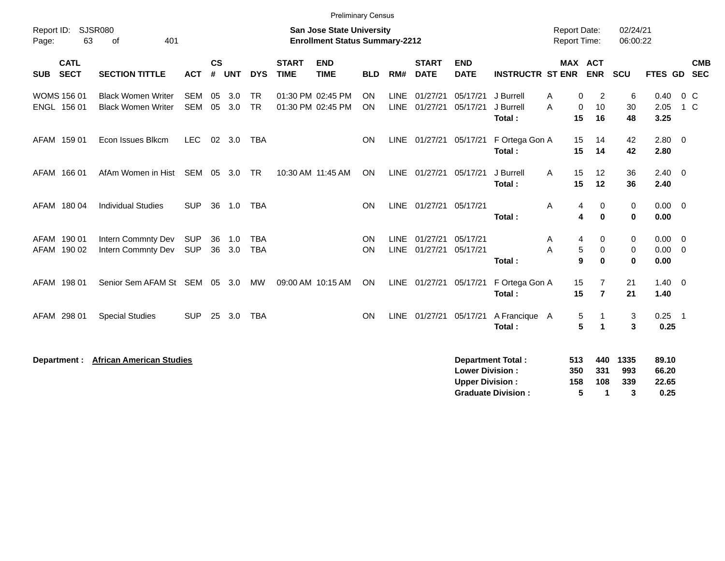| Report ID:<br>63<br>Page:                | <b>SJSR080</b><br>401<br>of                            |                          |                    |            |                          |                             | <b>Preliminary Census</b><br><b>San Jose State University</b><br><b>Enrollment Status Summary-2212</b> |                 |                     |                             |                                                  |                                                       | <b>Report Date:</b><br><b>Report Time:</b> |                                  | 02/24/21<br>06:00:22    |                                 |                          |
|------------------------------------------|--------------------------------------------------------|--------------------------|--------------------|------------|--------------------------|-----------------------------|--------------------------------------------------------------------------------------------------------|-----------------|---------------------|-----------------------------|--------------------------------------------------|-------------------------------------------------------|--------------------------------------------|----------------------------------|-------------------------|---------------------------------|--------------------------|
| <b>CATL</b><br><b>SECT</b><br><b>SUB</b> | <b>SECTION TITTLE</b>                                  | <b>ACT</b>               | $\mathsf{cs}$<br># | <b>UNT</b> | <b>DYS</b>               | <b>START</b><br><b>TIME</b> | <b>END</b><br><b>TIME</b>                                                                              | <b>BLD</b>      | RM#                 | <b>START</b><br><b>DATE</b> | <b>END</b><br><b>DATE</b>                        | <b>INSTRUCTR ST ENR</b>                               |                                            | MAX ACT<br><b>ENR</b>            | SCU                     | <b>FTES GD</b>                  | <b>CMB</b><br><b>SEC</b> |
| <b>WOMS 156 01</b><br>ENGL 156 01        | <b>Black Women Writer</b><br><b>Black Women Writer</b> | <b>SEM</b><br><b>SEM</b> | 05<br>05           | 3.0<br>3.0 | TR<br><b>TR</b>          |                             | 01:30 PM 02:45 PM<br>01:30 PM 02:45 PM                                                                 | ON<br><b>ON</b> | LINE<br><b>LINE</b> | 01/27/21<br>01/27/21        | 05/17/21<br>05/17/21                             | J Burrell<br>J Burrell<br>Total:                      | 0<br>A<br>A<br>$\mathbf 0$<br>15           | 2<br>10<br>16                    | 6<br>30<br>48           | 0.40<br>2.05<br>3.25            | 0 <sup>C</sup><br>$1\,C$ |
| AFAM 159 01                              | Econ Issues Blkcm                                      | <b>LEC</b>               | 02                 | 3.0        | <b>TBA</b>               |                             |                                                                                                        | <b>ON</b>       | <b>LINE</b>         | 01/27/21                    | 05/17/21                                         | F Ortega Gon A<br>Total:                              | 15<br>15                                   | 14<br>14                         | 42<br>42                | 2.80 0<br>2.80                  |                          |
| AFAM 166 01                              | AfAm Women in Hist                                     | SEM                      |                    | 05 3.0     | TR                       |                             | 10:30 AM 11:45 AM                                                                                      | <b>ON</b>       | <b>LINE</b>         | 01/27/21                    | 05/17/21                                         | J Burrell<br>Total:                                   | 15<br>A<br>15                              | 12<br>12                         | 36<br>36                | 2.40<br>2.40                    | $\overline{\mathbf{0}}$  |
| AFAM 180 04                              | <b>Individual Studies</b>                              | <b>SUP</b>               | 36                 | 1.0        | TBA                      |                             |                                                                                                        | <b>ON</b>       |                     | LINE 01/27/21 05/17/21      |                                                  | Total:                                                | Α<br>4<br>4                                | 0<br>$\bf{0}$                    | 0<br>$\bf{0}$           | $0.00 \t 0$<br>0.00             |                          |
| AFAM 190 01<br>AFAM 190 02               | Intern Commnty Dev<br>Intern Commnty Dev               | <b>SUP</b><br><b>SUP</b> | 36<br>36           | 1.0<br>3.0 | <b>TBA</b><br><b>TBA</b> |                             |                                                                                                        | ON<br>ON        | LINE<br><b>LINE</b> | 01/27/21<br>01/27/21        | 05/17/21<br>05/17/21                             | Total:                                                | A<br>4<br>5<br>A<br>9                      | 0<br>0<br>$\bf{0}$               | 0<br>0<br>$\bf{0}$      | $0.00 \t 0$<br>0.00<br>0.00     | $\overline{0}$           |
| AFAM 198 01                              | Senior Sem AFAM St SEM 05                              |                          |                    | 3.0        | <b>MW</b>                |                             | 09:00 AM 10:15 AM                                                                                      | <b>ON</b>       | <b>LINE</b>         | 01/27/21                    | 05/17/21                                         | F Ortega Gon A<br>Total:                              | 15<br>15                                   | $\overline{7}$<br>$\overline{7}$ | 21<br>21                | $1.40 \ 0$<br>1.40              |                          |
| AFAM 298 01                              | <b>Special Studies</b>                                 | <b>SUP</b>               | 25                 | 3.0        | <b>TBA</b>               |                             |                                                                                                        | <b>ON</b>       | LINE                | 01/27/21                    | 05/17/21                                         | A Francique A<br>Total:                               | 5<br>5                                     | 1                                | 3<br>3                  | $0.25$ 1<br>0.25                |                          |
| Department :                             | <b>African American Studies</b>                        |                          |                    |            |                          |                             |                                                                                                        |                 |                     |                             | <b>Lower Division:</b><br><b>Upper Division:</b> | <b>Department Total:</b><br><b>Graduate Division:</b> | 513<br>350<br>158<br>5                     | 440<br>331<br>108<br>1           | 1335<br>993<br>339<br>3 | 89.10<br>66.20<br>22.65<br>0.25 |                          |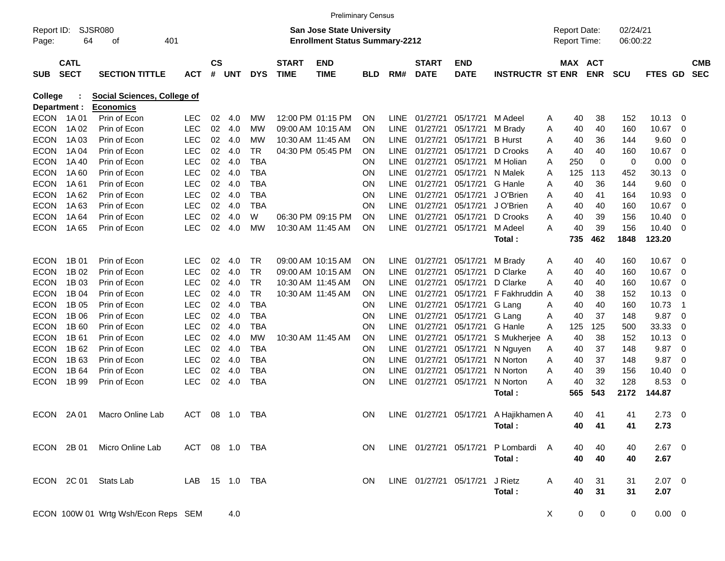| <b>SJSR080</b><br>02/24/21<br>San Jose State University<br><b>Report Date:</b><br>Report ID:<br><b>Enrollment Status Summary-2212</b><br>64<br>401<br><b>Report Time:</b><br>06:00:22<br>Page:<br>οf<br><b>CATL</b><br><b>CS</b><br><b>END</b><br>MAX ACT<br><b>START</b><br><b>START</b><br>END<br><b>CMB</b><br><b>SECT</b><br>#<br><b>DYS</b><br><b>TIME</b><br><b>DATE</b><br><b>ENR</b><br><b>SEC</b><br><b>SUB</b><br><b>SECTION TITTLE</b><br><b>ACT</b><br>UNT<br><b>TIME</b><br>RM#<br><b>DATE</b><br><b>INSTRUCTR ST ENR</b><br><b>SCU</b><br>FTES<br>GD.<br><b>BLD</b><br><b>Social Sciences, College of</b><br>College<br>Department :<br><b>Economics</b><br>12:00 PM 01:15 PM<br>10.13<br><b>ECON</b><br>1A 01<br>Prin of Econ<br>LEC<br>02<br>4.0<br>МW<br><b>LINE</b><br>01/27/21<br>05/17/21<br>40<br>38<br>152<br>0<br><b>ON</b><br>M Adeel<br>Α<br>LEC<br>02<br>10.67<br><b>ECON</b><br>1A 02<br>Prin of Econ<br>4.0<br>09:00 AM 10:15 AM<br><b>LINE</b><br>01/27/21<br>05/17/21<br>M Brady<br>40<br>40<br>160<br>МW<br>ΟN<br>0<br>Α<br>02<br>9.60<br><b>ECON</b><br>1A03<br>Prin of Econ<br>LEC<br>4.0<br>10:30 AM 11:45 AM<br>01/27/21<br>05/17/21<br><b>B</b> Hurst<br>МW<br>ON<br>LINE.<br>40<br>36<br>144<br>0<br>Α<br><b>LEC</b><br>02<br><b>ECON</b><br>1A 04<br>Prin of Econ<br>4.0<br>TR<br>04:30 PM 05:45 PM<br><b>LINE</b><br>01/27/21<br>05/17/21<br>D Crooks<br>10.67<br>ΟN<br>40<br>40<br>160<br>0<br>Α<br><b>LEC</b><br>02<br><b>ECON</b><br>Prin of Econ<br>4.0<br>TBA<br><b>LINE</b><br>01/27/21<br>05/17/21<br>250<br>0<br>0<br>0.00<br>0<br>1A 40<br>ΟN<br>M Holian<br>Α<br><b>LEC</b><br>02<br><b>ECON</b><br>1A60<br>Prin of Econ<br>4.0<br><b>TBA</b><br><b>LINE</b><br>01/27/21<br>05/17/21<br>125<br>113<br>452<br>30.13<br>0<br>ΟN<br>N Malek<br>Α<br><b>LEC</b><br>02<br>9.60<br><b>ECON</b><br>1A61<br>Prin of Econ<br>4.0<br><b>TBA</b><br>ΟN<br><b>LINE</b><br>01/27/21<br>05/17/21<br>G Hanle<br>40<br>36<br>144<br>0<br>Α<br><b>LEC</b><br>02<br>10.93<br><b>ECON</b><br>1A62<br>Prin of Econ<br>4.0<br>TBA<br><b>LINE</b><br>01/27/21<br>05/17/21<br>J O'Brien<br>ΟN<br>40<br>164<br>0<br>Α<br>41<br>02<br>10.67<br><b>ECON</b><br>1A63<br>Prin of Econ<br><b>LEC</b><br>4.0<br>TBA<br><b>LINE</b><br>01/27/21<br>05/17/21<br>J O'Brien<br>0<br>ΟN<br>Α<br>40<br>40<br>160<br><b>LEC</b><br>02<br><b>ECON</b><br>1A 64<br>Prin of Econ<br>4.0<br>w<br>06:30 PM 09:15 PM<br><b>LINE</b><br>01/27/21<br>05/17/21<br>D Crooks<br>40<br>39<br>10.40<br>0<br>ON<br>Α<br>156<br>LEC<br>02<br><b>ECON</b><br>1A 65<br>Prin of Econ<br>4.0<br>МW<br>10:30 AM 11:45 AM<br><b>LINE</b><br>01/27/21<br>05/17/21<br>M Adeel<br>40<br>39<br>156<br>10.40<br>0<br>ON<br>A<br>462<br>1848<br>123.20<br>735<br>Total:<br><b>ECON</b><br>1B 01<br>Prin of Econ<br>LEC<br>02<br>4.0<br>TR<br>09:00 AM 10:15 AM<br>01/27/21<br>05/17/21<br>M Brady<br>40<br>10.67<br>0<br><b>ON</b><br><b>LINE</b><br>40<br>160<br>A<br>02<br>10.67<br><b>ECON</b><br>1B 02<br>Prin of Econ<br>LEC<br>4.0<br>TR<br>09:00 AM 10:15 AM<br><b>LINE</b><br>01/27/21<br>05/17/21<br>ΟN<br>D Clarke<br>40<br>40<br>160<br>0<br>Α<br>02<br>10.67<br><b>ECON</b><br>1B 03<br>Prin of Econ<br>LEC<br>4.0<br>TR<br>10:30 AM 11:45 AM<br><b>LINE</b><br>01/27/21<br>05/17/21<br>D Clarke<br>ΟN<br>40<br>40<br>160<br>0<br>Α<br><b>LEC</b><br>02<br><b>ECON</b><br>1B 04<br>Prin of Econ<br>4.0<br>TR<br>10:30 AM 11:45 AM<br><b>LINE</b><br>01/27/21<br>05/17/21<br>F Fakhruddin A<br>38<br>152<br>10.13<br>ΟN<br>40<br>0<br><b>LEC</b><br>02<br><b>ECON</b><br>1B 05<br>Prin of Econ<br>4.0<br>TBA<br>LINE<br>01/27/21<br>05/17/21<br>40<br>160<br>10.73<br>ΟN<br>G Lang<br>40<br>Α<br>-1<br><b>LEC</b><br>02<br>9.87<br><b>ECON</b><br>1B 06<br>Prin of Econ<br>4.0<br><b>TBA</b><br><b>LINE</b><br>01/27/21<br>05/17/21<br>40<br>37<br>148<br>0<br>ΟN<br>G Lang<br>A<br><b>LEC</b><br>02<br>33.33<br><b>ECON</b><br>1B 60<br>Prin of Econ<br>4.0<br>TBA<br><b>LINE</b><br>01/27/21<br>05/17/21<br>125<br>125<br>ΟN<br>G Hanle<br>500<br>0<br>Α<br>02<br>10.13<br><b>ECON</b><br>1B 61<br>Prin of Econ<br>LEC<br>4.0<br>10:30 AM 11:45 AM<br><b>LINE</b><br>01/27/21<br>05/17/21<br>S Mukherjee<br>40<br>38<br>МW<br>0N<br>152<br>0<br>A<br>02<br>9.87<br><b>ECON</b><br>1B 62<br>Prin of Econ<br>LEC<br>4.0<br><b>TBA</b><br><b>LINE</b><br>01/27/21<br>05/17/21<br>37<br>148<br>0<br>ΟN<br>N Nguyen<br>40<br>A |
|-------------------------------------------------------------------------------------------------------------------------------------------------------------------------------------------------------------------------------------------------------------------------------------------------------------------------------------------------------------------------------------------------------------------------------------------------------------------------------------------------------------------------------------------------------------------------------------------------------------------------------------------------------------------------------------------------------------------------------------------------------------------------------------------------------------------------------------------------------------------------------------------------------------------------------------------------------------------------------------------------------------------------------------------------------------------------------------------------------------------------------------------------------------------------------------------------------------------------------------------------------------------------------------------------------------------------------------------------------------------------------------------------------------------------------------------------------------------------------------------------------------------------------------------------------------------------------------------------------------------------------------------------------------------------------------------------------------------------------------------------------------------------------------------------------------------------------------------------------------------------------------------------------------------------------------------------------------------------------------------------------------------------------------------------------------------------------------------------------------------------------------------------------------------------------------------------------------------------------------------------------------------------------------------------------------------------------------------------------------------------------------------------------------------------------------------------------------------------------------------------------------------------------------------------------------------------------------------------------------------------------------------------------------------------------------------------------------------------------------------------------------------------------------------------------------------------------------------------------------------------------------------------------------------------------------------------------------------------------------------------------------------------------------------------------------------------------------------------------------------------------------------------------------------------------------------------------------------------------------------------------------------------------------------------------------------------------------------------------------------------------------------------------------------------------------------------------------------------------------------------------------------------------------------------------------------------------------------------------------------------------------------------------------------------------------------------------------------------------------------------------------------------------------------------------------------------------------------------------------------------------------------------------------------------------------------------------------------------------------------------------------------------------------------------------------------------------------------------------------------------------------------------------------------------------------------------------------------------------------------------------------------------------------------------------------------------------------------------------------------------------------------------------------------------|
|                                                                                                                                                                                                                                                                                                                                                                                                                                                                                                                                                                                                                                                                                                                                                                                                                                                                                                                                                                                                                                                                                                                                                                                                                                                                                                                                                                                                                                                                                                                                                                                                                                                                                                                                                                                                                                                                                                                                                                                                                                                                                                                                                                                                                                                                                                                                                                                                                                                                                                                                                                                                                                                                                                                                                                                                                                                                                                                                                                                                                                                                                                                                                                                                                                                                                                                                                                                                                                                                                                                                                                                                                                                                                                                                                                                                                                                                                                                                                                                                                                                                                                                                                                                                                                                                                                                                                                                                                         |
|                                                                                                                                                                                                                                                                                                                                                                                                                                                                                                                                                                                                                                                                                                                                                                                                                                                                                                                                                                                                                                                                                                                                                                                                                                                                                                                                                                                                                                                                                                                                                                                                                                                                                                                                                                                                                                                                                                                                                                                                                                                                                                                                                                                                                                                                                                                                                                                                                                                                                                                                                                                                                                                                                                                                                                                                                                                                                                                                                                                                                                                                                                                                                                                                                                                                                                                                                                                                                                                                                                                                                                                                                                                                                                                                                                                                                                                                                                                                                                                                                                                                                                                                                                                                                                                                                                                                                                                                                         |
|                                                                                                                                                                                                                                                                                                                                                                                                                                                                                                                                                                                                                                                                                                                                                                                                                                                                                                                                                                                                                                                                                                                                                                                                                                                                                                                                                                                                                                                                                                                                                                                                                                                                                                                                                                                                                                                                                                                                                                                                                                                                                                                                                                                                                                                                                                                                                                                                                                                                                                                                                                                                                                                                                                                                                                                                                                                                                                                                                                                                                                                                                                                                                                                                                                                                                                                                                                                                                                                                                                                                                                                                                                                                                                                                                                                                                                                                                                                                                                                                                                                                                                                                                                                                                                                                                                                                                                                                                         |
|                                                                                                                                                                                                                                                                                                                                                                                                                                                                                                                                                                                                                                                                                                                                                                                                                                                                                                                                                                                                                                                                                                                                                                                                                                                                                                                                                                                                                                                                                                                                                                                                                                                                                                                                                                                                                                                                                                                                                                                                                                                                                                                                                                                                                                                                                                                                                                                                                                                                                                                                                                                                                                                                                                                                                                                                                                                                                                                                                                                                                                                                                                                                                                                                                                                                                                                                                                                                                                                                                                                                                                                                                                                                                                                                                                                                                                                                                                                                                                                                                                                                                                                                                                                                                                                                                                                                                                                                                         |
|                                                                                                                                                                                                                                                                                                                                                                                                                                                                                                                                                                                                                                                                                                                                                                                                                                                                                                                                                                                                                                                                                                                                                                                                                                                                                                                                                                                                                                                                                                                                                                                                                                                                                                                                                                                                                                                                                                                                                                                                                                                                                                                                                                                                                                                                                                                                                                                                                                                                                                                                                                                                                                                                                                                                                                                                                                                                                                                                                                                                                                                                                                                                                                                                                                                                                                                                                                                                                                                                                                                                                                                                                                                                                                                                                                                                                                                                                                                                                                                                                                                                                                                                                                                                                                                                                                                                                                                                                         |
|                                                                                                                                                                                                                                                                                                                                                                                                                                                                                                                                                                                                                                                                                                                                                                                                                                                                                                                                                                                                                                                                                                                                                                                                                                                                                                                                                                                                                                                                                                                                                                                                                                                                                                                                                                                                                                                                                                                                                                                                                                                                                                                                                                                                                                                                                                                                                                                                                                                                                                                                                                                                                                                                                                                                                                                                                                                                                                                                                                                                                                                                                                                                                                                                                                                                                                                                                                                                                                                                                                                                                                                                                                                                                                                                                                                                                                                                                                                                                                                                                                                                                                                                                                                                                                                                                                                                                                                                                         |
|                                                                                                                                                                                                                                                                                                                                                                                                                                                                                                                                                                                                                                                                                                                                                                                                                                                                                                                                                                                                                                                                                                                                                                                                                                                                                                                                                                                                                                                                                                                                                                                                                                                                                                                                                                                                                                                                                                                                                                                                                                                                                                                                                                                                                                                                                                                                                                                                                                                                                                                                                                                                                                                                                                                                                                                                                                                                                                                                                                                                                                                                                                                                                                                                                                                                                                                                                                                                                                                                                                                                                                                                                                                                                                                                                                                                                                                                                                                                                                                                                                                                                                                                                                                                                                                                                                                                                                                                                         |
|                                                                                                                                                                                                                                                                                                                                                                                                                                                                                                                                                                                                                                                                                                                                                                                                                                                                                                                                                                                                                                                                                                                                                                                                                                                                                                                                                                                                                                                                                                                                                                                                                                                                                                                                                                                                                                                                                                                                                                                                                                                                                                                                                                                                                                                                                                                                                                                                                                                                                                                                                                                                                                                                                                                                                                                                                                                                                                                                                                                                                                                                                                                                                                                                                                                                                                                                                                                                                                                                                                                                                                                                                                                                                                                                                                                                                                                                                                                                                                                                                                                                                                                                                                                                                                                                                                                                                                                                                         |
|                                                                                                                                                                                                                                                                                                                                                                                                                                                                                                                                                                                                                                                                                                                                                                                                                                                                                                                                                                                                                                                                                                                                                                                                                                                                                                                                                                                                                                                                                                                                                                                                                                                                                                                                                                                                                                                                                                                                                                                                                                                                                                                                                                                                                                                                                                                                                                                                                                                                                                                                                                                                                                                                                                                                                                                                                                                                                                                                                                                                                                                                                                                                                                                                                                                                                                                                                                                                                                                                                                                                                                                                                                                                                                                                                                                                                                                                                                                                                                                                                                                                                                                                                                                                                                                                                                                                                                                                                         |
|                                                                                                                                                                                                                                                                                                                                                                                                                                                                                                                                                                                                                                                                                                                                                                                                                                                                                                                                                                                                                                                                                                                                                                                                                                                                                                                                                                                                                                                                                                                                                                                                                                                                                                                                                                                                                                                                                                                                                                                                                                                                                                                                                                                                                                                                                                                                                                                                                                                                                                                                                                                                                                                                                                                                                                                                                                                                                                                                                                                                                                                                                                                                                                                                                                                                                                                                                                                                                                                                                                                                                                                                                                                                                                                                                                                                                                                                                                                                                                                                                                                                                                                                                                                                                                                                                                                                                                                                                         |
|                                                                                                                                                                                                                                                                                                                                                                                                                                                                                                                                                                                                                                                                                                                                                                                                                                                                                                                                                                                                                                                                                                                                                                                                                                                                                                                                                                                                                                                                                                                                                                                                                                                                                                                                                                                                                                                                                                                                                                                                                                                                                                                                                                                                                                                                                                                                                                                                                                                                                                                                                                                                                                                                                                                                                                                                                                                                                                                                                                                                                                                                                                                                                                                                                                                                                                                                                                                                                                                                                                                                                                                                                                                                                                                                                                                                                                                                                                                                                                                                                                                                                                                                                                                                                                                                                                                                                                                                                         |
|                                                                                                                                                                                                                                                                                                                                                                                                                                                                                                                                                                                                                                                                                                                                                                                                                                                                                                                                                                                                                                                                                                                                                                                                                                                                                                                                                                                                                                                                                                                                                                                                                                                                                                                                                                                                                                                                                                                                                                                                                                                                                                                                                                                                                                                                                                                                                                                                                                                                                                                                                                                                                                                                                                                                                                                                                                                                                                                                                                                                                                                                                                                                                                                                                                                                                                                                                                                                                                                                                                                                                                                                                                                                                                                                                                                                                                                                                                                                                                                                                                                                                                                                                                                                                                                                                                                                                                                                                         |
|                                                                                                                                                                                                                                                                                                                                                                                                                                                                                                                                                                                                                                                                                                                                                                                                                                                                                                                                                                                                                                                                                                                                                                                                                                                                                                                                                                                                                                                                                                                                                                                                                                                                                                                                                                                                                                                                                                                                                                                                                                                                                                                                                                                                                                                                                                                                                                                                                                                                                                                                                                                                                                                                                                                                                                                                                                                                                                                                                                                                                                                                                                                                                                                                                                                                                                                                                                                                                                                                                                                                                                                                                                                                                                                                                                                                                                                                                                                                                                                                                                                                                                                                                                                                                                                                                                                                                                                                                         |
|                                                                                                                                                                                                                                                                                                                                                                                                                                                                                                                                                                                                                                                                                                                                                                                                                                                                                                                                                                                                                                                                                                                                                                                                                                                                                                                                                                                                                                                                                                                                                                                                                                                                                                                                                                                                                                                                                                                                                                                                                                                                                                                                                                                                                                                                                                                                                                                                                                                                                                                                                                                                                                                                                                                                                                                                                                                                                                                                                                                                                                                                                                                                                                                                                                                                                                                                                                                                                                                                                                                                                                                                                                                                                                                                                                                                                                                                                                                                                                                                                                                                                                                                                                                                                                                                                                                                                                                                                         |
|                                                                                                                                                                                                                                                                                                                                                                                                                                                                                                                                                                                                                                                                                                                                                                                                                                                                                                                                                                                                                                                                                                                                                                                                                                                                                                                                                                                                                                                                                                                                                                                                                                                                                                                                                                                                                                                                                                                                                                                                                                                                                                                                                                                                                                                                                                                                                                                                                                                                                                                                                                                                                                                                                                                                                                                                                                                                                                                                                                                                                                                                                                                                                                                                                                                                                                                                                                                                                                                                                                                                                                                                                                                                                                                                                                                                                                                                                                                                                                                                                                                                                                                                                                                                                                                                                                                                                                                                                         |
|                                                                                                                                                                                                                                                                                                                                                                                                                                                                                                                                                                                                                                                                                                                                                                                                                                                                                                                                                                                                                                                                                                                                                                                                                                                                                                                                                                                                                                                                                                                                                                                                                                                                                                                                                                                                                                                                                                                                                                                                                                                                                                                                                                                                                                                                                                                                                                                                                                                                                                                                                                                                                                                                                                                                                                                                                                                                                                                                                                                                                                                                                                                                                                                                                                                                                                                                                                                                                                                                                                                                                                                                                                                                                                                                                                                                                                                                                                                                                                                                                                                                                                                                                                                                                                                                                                                                                                                                                         |
|                                                                                                                                                                                                                                                                                                                                                                                                                                                                                                                                                                                                                                                                                                                                                                                                                                                                                                                                                                                                                                                                                                                                                                                                                                                                                                                                                                                                                                                                                                                                                                                                                                                                                                                                                                                                                                                                                                                                                                                                                                                                                                                                                                                                                                                                                                                                                                                                                                                                                                                                                                                                                                                                                                                                                                                                                                                                                                                                                                                                                                                                                                                                                                                                                                                                                                                                                                                                                                                                                                                                                                                                                                                                                                                                                                                                                                                                                                                                                                                                                                                                                                                                                                                                                                                                                                                                                                                                                         |
|                                                                                                                                                                                                                                                                                                                                                                                                                                                                                                                                                                                                                                                                                                                                                                                                                                                                                                                                                                                                                                                                                                                                                                                                                                                                                                                                                                                                                                                                                                                                                                                                                                                                                                                                                                                                                                                                                                                                                                                                                                                                                                                                                                                                                                                                                                                                                                                                                                                                                                                                                                                                                                                                                                                                                                                                                                                                                                                                                                                                                                                                                                                                                                                                                                                                                                                                                                                                                                                                                                                                                                                                                                                                                                                                                                                                                                                                                                                                                                                                                                                                                                                                                                                                                                                                                                                                                                                                                         |
|                                                                                                                                                                                                                                                                                                                                                                                                                                                                                                                                                                                                                                                                                                                                                                                                                                                                                                                                                                                                                                                                                                                                                                                                                                                                                                                                                                                                                                                                                                                                                                                                                                                                                                                                                                                                                                                                                                                                                                                                                                                                                                                                                                                                                                                                                                                                                                                                                                                                                                                                                                                                                                                                                                                                                                                                                                                                                                                                                                                                                                                                                                                                                                                                                                                                                                                                                                                                                                                                                                                                                                                                                                                                                                                                                                                                                                                                                                                                                                                                                                                                                                                                                                                                                                                                                                                                                                                                                         |
|                                                                                                                                                                                                                                                                                                                                                                                                                                                                                                                                                                                                                                                                                                                                                                                                                                                                                                                                                                                                                                                                                                                                                                                                                                                                                                                                                                                                                                                                                                                                                                                                                                                                                                                                                                                                                                                                                                                                                                                                                                                                                                                                                                                                                                                                                                                                                                                                                                                                                                                                                                                                                                                                                                                                                                                                                                                                                                                                                                                                                                                                                                                                                                                                                                                                                                                                                                                                                                                                                                                                                                                                                                                                                                                                                                                                                                                                                                                                                                                                                                                                                                                                                                                                                                                                                                                                                                                                                         |
|                                                                                                                                                                                                                                                                                                                                                                                                                                                                                                                                                                                                                                                                                                                                                                                                                                                                                                                                                                                                                                                                                                                                                                                                                                                                                                                                                                                                                                                                                                                                                                                                                                                                                                                                                                                                                                                                                                                                                                                                                                                                                                                                                                                                                                                                                                                                                                                                                                                                                                                                                                                                                                                                                                                                                                                                                                                                                                                                                                                                                                                                                                                                                                                                                                                                                                                                                                                                                                                                                                                                                                                                                                                                                                                                                                                                                                                                                                                                                                                                                                                                                                                                                                                                                                                                                                                                                                                                                         |
|                                                                                                                                                                                                                                                                                                                                                                                                                                                                                                                                                                                                                                                                                                                                                                                                                                                                                                                                                                                                                                                                                                                                                                                                                                                                                                                                                                                                                                                                                                                                                                                                                                                                                                                                                                                                                                                                                                                                                                                                                                                                                                                                                                                                                                                                                                                                                                                                                                                                                                                                                                                                                                                                                                                                                                                                                                                                                                                                                                                                                                                                                                                                                                                                                                                                                                                                                                                                                                                                                                                                                                                                                                                                                                                                                                                                                                                                                                                                                                                                                                                                                                                                                                                                                                                                                                                                                                                                                         |
|                                                                                                                                                                                                                                                                                                                                                                                                                                                                                                                                                                                                                                                                                                                                                                                                                                                                                                                                                                                                                                                                                                                                                                                                                                                                                                                                                                                                                                                                                                                                                                                                                                                                                                                                                                                                                                                                                                                                                                                                                                                                                                                                                                                                                                                                                                                                                                                                                                                                                                                                                                                                                                                                                                                                                                                                                                                                                                                                                                                                                                                                                                                                                                                                                                                                                                                                                                                                                                                                                                                                                                                                                                                                                                                                                                                                                                                                                                                                                                                                                                                                                                                                                                                                                                                                                                                                                                                                                         |
|                                                                                                                                                                                                                                                                                                                                                                                                                                                                                                                                                                                                                                                                                                                                                                                                                                                                                                                                                                                                                                                                                                                                                                                                                                                                                                                                                                                                                                                                                                                                                                                                                                                                                                                                                                                                                                                                                                                                                                                                                                                                                                                                                                                                                                                                                                                                                                                                                                                                                                                                                                                                                                                                                                                                                                                                                                                                                                                                                                                                                                                                                                                                                                                                                                                                                                                                                                                                                                                                                                                                                                                                                                                                                                                                                                                                                                                                                                                                                                                                                                                                                                                                                                                                                                                                                                                                                                                                                         |
|                                                                                                                                                                                                                                                                                                                                                                                                                                                                                                                                                                                                                                                                                                                                                                                                                                                                                                                                                                                                                                                                                                                                                                                                                                                                                                                                                                                                                                                                                                                                                                                                                                                                                                                                                                                                                                                                                                                                                                                                                                                                                                                                                                                                                                                                                                                                                                                                                                                                                                                                                                                                                                                                                                                                                                                                                                                                                                                                                                                                                                                                                                                                                                                                                                                                                                                                                                                                                                                                                                                                                                                                                                                                                                                                                                                                                                                                                                                                                                                                                                                                                                                                                                                                                                                                                                                                                                                                                         |
| 02<br><b>ECON</b><br>1B 63<br>Prin of Econ<br>LEC<br>4.0<br><b>TBA</b><br><b>LINE</b><br>01/27/21<br>05/17/21<br>N Norton<br>37<br>148<br>9.87<br>ΟN<br>40<br>0<br>Α                                                                                                                                                                                                                                                                                                                                                                                                                                                                                                                                                                                                                                                                                                                                                                                                                                                                                                                                                                                                                                                                                                                                                                                                                                                                                                                                                                                                                                                                                                                                                                                                                                                                                                                                                                                                                                                                                                                                                                                                                                                                                                                                                                                                                                                                                                                                                                                                                                                                                                                                                                                                                                                                                                                                                                                                                                                                                                                                                                                                                                                                                                                                                                                                                                                                                                                                                                                                                                                                                                                                                                                                                                                                                                                                                                                                                                                                                                                                                                                                                                                                                                                                                                                                                                                    |
| 02<br><b>ECON</b><br>1B 64<br>Prin of Econ<br>LEC<br>4.0<br><b>TBA</b><br><b>LINE</b><br>01/27/21<br>05/17/21<br>N Norton<br>39<br>156<br>10.40<br>ΟN<br>40<br>0<br>Α                                                                                                                                                                                                                                                                                                                                                                                                                                                                                                                                                                                                                                                                                                                                                                                                                                                                                                                                                                                                                                                                                                                                                                                                                                                                                                                                                                                                                                                                                                                                                                                                                                                                                                                                                                                                                                                                                                                                                                                                                                                                                                                                                                                                                                                                                                                                                                                                                                                                                                                                                                                                                                                                                                                                                                                                                                                                                                                                                                                                                                                                                                                                                                                                                                                                                                                                                                                                                                                                                                                                                                                                                                                                                                                                                                                                                                                                                                                                                                                                                                                                                                                                                                                                                                                   |
| 02<br>128<br>8.53<br><b>ECON</b><br>1B 99<br>LEC<br>4.0<br>TBA<br>ON<br><b>LINE</b><br>01/27/21<br>05/17/21<br>N Norton<br>40<br>32<br>0<br>Prin of Econ<br>A                                                                                                                                                                                                                                                                                                                                                                                                                                                                                                                                                                                                                                                                                                                                                                                                                                                                                                                                                                                                                                                                                                                                                                                                                                                                                                                                                                                                                                                                                                                                                                                                                                                                                                                                                                                                                                                                                                                                                                                                                                                                                                                                                                                                                                                                                                                                                                                                                                                                                                                                                                                                                                                                                                                                                                                                                                                                                                                                                                                                                                                                                                                                                                                                                                                                                                                                                                                                                                                                                                                                                                                                                                                                                                                                                                                                                                                                                                                                                                                                                                                                                                                                                                                                                                                           |
| 543<br>565<br>2172<br>144.87<br>Total:                                                                                                                                                                                                                                                                                                                                                                                                                                                                                                                                                                                                                                                                                                                                                                                                                                                                                                                                                                                                                                                                                                                                                                                                                                                                                                                                                                                                                                                                                                                                                                                                                                                                                                                                                                                                                                                                                                                                                                                                                                                                                                                                                                                                                                                                                                                                                                                                                                                                                                                                                                                                                                                                                                                                                                                                                                                                                                                                                                                                                                                                                                                                                                                                                                                                                                                                                                                                                                                                                                                                                                                                                                                                                                                                                                                                                                                                                                                                                                                                                                                                                                                                                                                                                                                                                                                                                                                  |
| <b>ECON</b><br>2A 01<br>Macro Online Lab<br>ACT<br>08<br>TBA<br>LINE 01/27/21<br>05/17/21<br>40<br>2.73<br>0<br>1.0<br><b>ON</b><br>A Hajikhamen A<br>41<br>41                                                                                                                                                                                                                                                                                                                                                                                                                                                                                                                                                                                                                                                                                                                                                                                                                                                                                                                                                                                                                                                                                                                                                                                                                                                                                                                                                                                                                                                                                                                                                                                                                                                                                                                                                                                                                                                                                                                                                                                                                                                                                                                                                                                                                                                                                                                                                                                                                                                                                                                                                                                                                                                                                                                                                                                                                                                                                                                                                                                                                                                                                                                                                                                                                                                                                                                                                                                                                                                                                                                                                                                                                                                                                                                                                                                                                                                                                                                                                                                                                                                                                                                                                                                                                                                          |
| Total:<br>40<br>2.73<br>41<br>41                                                                                                                                                                                                                                                                                                                                                                                                                                                                                                                                                                                                                                                                                                                                                                                                                                                                                                                                                                                                                                                                                                                                                                                                                                                                                                                                                                                                                                                                                                                                                                                                                                                                                                                                                                                                                                                                                                                                                                                                                                                                                                                                                                                                                                                                                                                                                                                                                                                                                                                                                                                                                                                                                                                                                                                                                                                                                                                                                                                                                                                                                                                                                                                                                                                                                                                                                                                                                                                                                                                                                                                                                                                                                                                                                                                                                                                                                                                                                                                                                                                                                                                                                                                                                                                                                                                                                                                        |
| ECON 2B 01 Micro Online Lab<br>ACT 08 1.0 TBA<br>LINE 01/27/21 05/17/21<br>P Lombardi A<br>$2.67$ 0<br>40<br>40<br>ON.<br>40                                                                                                                                                                                                                                                                                                                                                                                                                                                                                                                                                                                                                                                                                                                                                                                                                                                                                                                                                                                                                                                                                                                                                                                                                                                                                                                                                                                                                                                                                                                                                                                                                                                                                                                                                                                                                                                                                                                                                                                                                                                                                                                                                                                                                                                                                                                                                                                                                                                                                                                                                                                                                                                                                                                                                                                                                                                                                                                                                                                                                                                                                                                                                                                                                                                                                                                                                                                                                                                                                                                                                                                                                                                                                                                                                                                                                                                                                                                                                                                                                                                                                                                                                                                                                                                                                            |
| Total:<br>40<br>2.67<br>40<br>40                                                                                                                                                                                                                                                                                                                                                                                                                                                                                                                                                                                                                                                                                                                                                                                                                                                                                                                                                                                                                                                                                                                                                                                                                                                                                                                                                                                                                                                                                                                                                                                                                                                                                                                                                                                                                                                                                                                                                                                                                                                                                                                                                                                                                                                                                                                                                                                                                                                                                                                                                                                                                                                                                                                                                                                                                                                                                                                                                                                                                                                                                                                                                                                                                                                                                                                                                                                                                                                                                                                                                                                                                                                                                                                                                                                                                                                                                                                                                                                                                                                                                                                                                                                                                                                                                                                                                                                        |
|                                                                                                                                                                                                                                                                                                                                                                                                                                                                                                                                                                                                                                                                                                                                                                                                                                                                                                                                                                                                                                                                                                                                                                                                                                                                                                                                                                                                                                                                                                                                                                                                                                                                                                                                                                                                                                                                                                                                                                                                                                                                                                                                                                                                                                                                                                                                                                                                                                                                                                                                                                                                                                                                                                                                                                                                                                                                                                                                                                                                                                                                                                                                                                                                                                                                                                                                                                                                                                                                                                                                                                                                                                                                                                                                                                                                                                                                                                                                                                                                                                                                                                                                                                                                                                                                                                                                                                                                                         |
| ECON 2C 01 Stats Lab<br>LINE 01/27/21 05/17/21<br>J Rietz<br>$2.07$ 0<br>LAB<br>40<br>31<br><b>ON</b><br>A<br>31                                                                                                                                                                                                                                                                                                                                                                                                                                                                                                                                                                                                                                                                                                                                                                                                                                                                                                                                                                                                                                                                                                                                                                                                                                                                                                                                                                                                                                                                                                                                                                                                                                                                                                                                                                                                                                                                                                                                                                                                                                                                                                                                                                                                                                                                                                                                                                                                                                                                                                                                                                                                                                                                                                                                                                                                                                                                                                                                                                                                                                                                                                                                                                                                                                                                                                                                                                                                                                                                                                                                                                                                                                                                                                                                                                                                                                                                                                                                                                                                                                                                                                                                                                                                                                                                                                        |
| Total:<br>40<br>31<br>31<br>2.07                                                                                                                                                                                                                                                                                                                                                                                                                                                                                                                                                                                                                                                                                                                                                                                                                                                                                                                                                                                                                                                                                                                                                                                                                                                                                                                                                                                                                                                                                                                                                                                                                                                                                                                                                                                                                                                                                                                                                                                                                                                                                                                                                                                                                                                                                                                                                                                                                                                                                                                                                                                                                                                                                                                                                                                                                                                                                                                                                                                                                                                                                                                                                                                                                                                                                                                                                                                                                                                                                                                                                                                                                                                                                                                                                                                                                                                                                                                                                                                                                                                                                                                                                                                                                                                                                                                                                                                        |
| ECON 100W 01 Wrtg Wsh/Econ Reps SEM<br>X<br>0<br>$0.00 \t 0$<br>4.0<br>0<br>0                                                                                                                                                                                                                                                                                                                                                                                                                                                                                                                                                                                                                                                                                                                                                                                                                                                                                                                                                                                                                                                                                                                                                                                                                                                                                                                                                                                                                                                                                                                                                                                                                                                                                                                                                                                                                                                                                                                                                                                                                                                                                                                                                                                                                                                                                                                                                                                                                                                                                                                                                                                                                                                                                                                                                                                                                                                                                                                                                                                                                                                                                                                                                                                                                                                                                                                                                                                                                                                                                                                                                                                                                                                                                                                                                                                                                                                                                                                                                                                                                                                                                                                                                                                                                                                                                                                                           |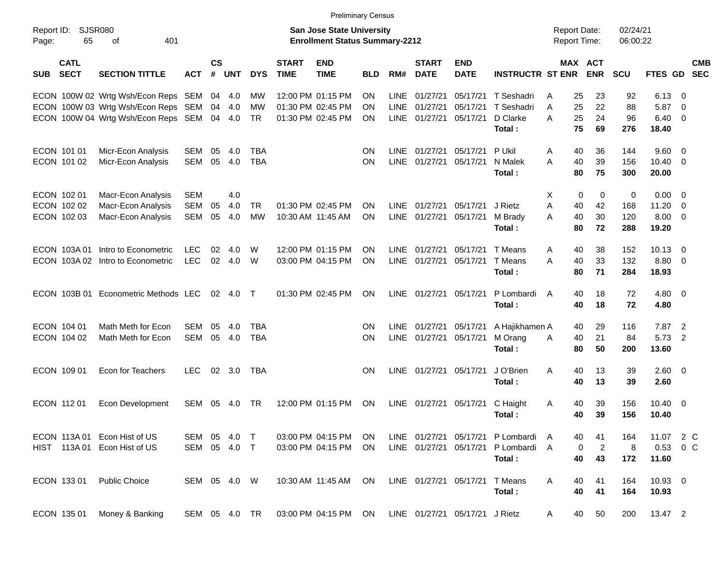|                     |                            |                                            |               |                    |            |            |                             | <b>Preliminary Census</b>                                                 |            |             |                             |                                |                         |                |                     |                              |                      |                 |                          |                          |
|---------------------|----------------------------|--------------------------------------------|---------------|--------------------|------------|------------|-----------------------------|---------------------------------------------------------------------------|------------|-------------|-----------------------------|--------------------------------|-------------------------|----------------|---------------------|------------------------------|----------------------|-----------------|--------------------------|--------------------------|
| Report ID:<br>Page: | SJSR080<br>65              | 401<br>οf                                  |               |                    |            |            |                             | <b>San Jose State University</b><br><b>Enrollment Status Summary-2212</b> |            |             |                             |                                |                         |                | <b>Report Date:</b> | <b>Report Time:</b>          | 02/24/21<br>06:00:22 |                 |                          |                          |
| <b>SUB</b>          | <b>CATL</b><br><b>SECT</b> | <b>SECTION TITTLE</b>                      | ACT           | $\mathsf{cs}$<br># | <b>UNT</b> | <b>DYS</b> | <b>START</b><br><b>TIME</b> | <b>END</b><br><b>TIME</b>                                                 | <b>BLD</b> | RM#         | <b>START</b><br><b>DATE</b> | <b>END</b><br><b>DATE</b>      | <b>INSTRUCTR ST ENR</b> |                |                     | <b>MAX ACT</b><br><b>ENR</b> | <b>SCU</b>           | FTES GD         |                          | <b>CMB</b><br><b>SEC</b> |
|                     |                            | ECON 100W 02 Wrtg Wsh/Econ Reps SEM 04 4.0 |               |                    |            | MW         |                             | 12:00 PM 01:15 PM                                                         | <b>ON</b>  | <b>LINE</b> | 01/27/21                    | 05/17/21                       | T Seshadri              | A              | 25                  | 23                           | 92                   | 6.13            | - 0                      |                          |
|                     |                            | ECON 100W 03 Wrtg Wsh/Econ Reps SEM 04 4.0 |               |                    |            | MW         |                             | 01:30 PM 02:45 PM                                                         | <b>ON</b>  | <b>LINE</b> | 01/27/21                    | 05/17/21                       | T Seshadri              | A              | 25                  | 22                           | 88                   | 5.87            | - 0                      |                          |
|                     |                            | ECON 100W 04 Wrtg Wsh/Econ Reps SEM 04 4.0 |               |                    |            | TR         |                             | 01:30 PM 02:45 PM                                                         | <b>ON</b>  | <b>LINE</b> | 01/27/21                    | 05/17/21                       | D Clarke                | A              | 25                  | 24                           | 96                   | 6.40            | - 0                      |                          |
|                     |                            |                                            |               |                    |            |            |                             |                                                                           |            |             |                             |                                | Total:                  |                | 75                  | 69                           | 276                  | 18.40           |                          |                          |
| ECON 101 01         |                            | Micr-Econ Analysis                         | SEM           | 05                 | 4.0        | <b>TBA</b> |                             |                                                                           | ON.        | <b>LINE</b> | 01/27/21                    | 05/17/21                       | P Ukil                  | Α              | 40                  | 36                           | 144                  | $9.60 \quad 0$  |                          |                          |
| ECON 101 02         |                            | Micr-Econ Analysis                         | SEM           | 05                 | 4.0        | <b>TBA</b> |                             |                                                                           | <b>ON</b>  | <b>LINE</b> | 01/27/21                    | 05/17/21                       | N Malek                 | A              | 40                  | 39                           | 156                  | 10.40           | - 0                      |                          |
|                     |                            |                                            |               |                    |            |            |                             |                                                                           |            |             |                             |                                | Total:                  |                | 80                  | 75                           | 300                  | 20.00           |                          |                          |
| ECON 102 01         |                            | Macr-Econ Analysis                         | <b>SEM</b>    |                    | 4.0        |            |                             |                                                                           |            |             |                             |                                |                         | X              | $\mathbf 0$         | 0                            | 0                    | 0.00            | - 0                      |                          |
|                     | ECON 102 02                | Macr-Econ Analysis                         | SEM           | 05                 | 4.0        | <b>TR</b>  |                             | 01:30 PM 02:45 PM                                                         | <b>ON</b>  | <b>LINE</b> | 01/27/21                    | 05/17/21                       | J Rietz                 | A              | 40                  | 42                           | 168                  | 11.20           | - 0                      |                          |
|                     | ECON 102 03                | Macr-Econ Analysis                         | SEM           | 05                 | 4.0        | <b>MW</b>  |                             | 10:30 AM 11:45 AM                                                         | <b>ON</b>  | LINE        | 01/27/21                    | 05/17/21                       | M Brady                 | A              | 40                  | 30                           | 120                  | 8.00            | - 0                      |                          |
|                     |                            |                                            |               |                    |            |            |                             |                                                                           |            |             |                             |                                | Total:                  |                | 80                  | 72                           | 288                  | 19.20           |                          |                          |
|                     |                            |                                            |               |                    |            |            |                             |                                                                           |            |             |                             |                                |                         |                |                     |                              |                      |                 |                          |                          |
|                     | ECON 103A01                | Intro to Econometric                       | <b>LEC</b>    | 02                 | 4.0        | W          |                             | 12:00 PM 01:15 PM                                                         | ON         | <b>LINE</b> | 01/27/21                    | 05/17/21                       | T Means                 | A              | 40                  | 38                           | 152                  | $10.13 \quad 0$ |                          |                          |
|                     | ECON 103A02                | Intro to Econometric                       | <b>LEC</b>    | 02                 | 4.0        | W          |                             | 03:00 PM 04:15 PM                                                         | ON         | <b>LINE</b> | 01/27/21                    | 05/17/21                       | T Means                 | A              | 40                  | 33                           | 132                  | 8.80            | $\overline{\phantom{0}}$ |                          |
|                     |                            |                                            |               |                    |            |            |                             |                                                                           |            |             |                             |                                | Total:                  |                | 80                  | 71                           | 284                  | 18.93           |                          |                          |
|                     | ECON 103B 01               | Econometric Methods LEC                    |               | 02                 | 4.0        | $\top$     |                             | 01:30 PM 02:45 PM                                                         | ON         | <b>LINE</b> | 01/27/21                    | 05/17/21                       | P Lombardi              | $\overline{A}$ | 40                  | 18                           | 72                   | $4.80$ 0        |                          |                          |
|                     |                            |                                            |               |                    |            |            |                             |                                                                           |            |             |                             |                                | Total:                  |                | 40                  | 18                           | 72                   | 4.80            |                          |                          |
|                     |                            |                                            |               |                    |            |            |                             |                                                                           |            |             |                             |                                |                         |                |                     |                              |                      |                 |                          |                          |
| ECON 104 01         |                            | Math Meth for Econ                         | SEM           | 05                 | 4.0        | TBA        |                             |                                                                           | <b>ON</b>  | <b>LINE</b> | 01/27/21                    | 05/17/21                       | A Hajikhamen A          |                | 40                  | 29                           | 116                  | 7.87            | $\overline{2}$           |                          |
|                     | ECON 104 02                | Math Meth for Econ                         | SEM           | 05                 | 4.0        | <b>TBA</b> |                             |                                                                           | ON         | <b>LINE</b> | 01/27/21                    | 05/17/21                       | M Orang                 | A              | 40                  | 21                           | 84                   | 5.73            | $\overline{2}$           |                          |
|                     |                            |                                            |               |                    |            |            |                             |                                                                           |            |             |                             |                                | Total:                  |                | 80                  | 50                           | 200                  | 13.60           |                          |                          |
| ECON 109 01         |                            | Econ for Teachers                          | <b>LEC</b>    | 02                 | 3.0        | <b>TBA</b> |                             |                                                                           | <b>ON</b>  | <b>LINE</b> | 01/27/21                    | 05/17/21                       | J O'Brien               | A              | 40                  | 13                           | 39                   | $2.60 \t 0$     |                          |                          |
|                     |                            |                                            |               |                    |            |            |                             |                                                                           |            |             |                             |                                | Total:                  |                | 40                  | 13                           | 39                   | 2.60            |                          |                          |
|                     |                            |                                            |               |                    |            |            |                             |                                                                           |            |             |                             |                                |                         |                |                     |                              |                      |                 |                          |                          |
| ECON 112 01         |                            | <b>Econ Development</b>                    | SEM           | 05                 | 4.0        | TR.        |                             | 12:00 PM 01:15 PM                                                         | <b>ON</b>  | <b>LINE</b> | 01/27/21                    | 05/17/21                       | C Haight                | A              | 40                  | 39                           | 156                  | $10.40 \quad 0$ |                          |                          |
|                     |                            |                                            |               |                    |            |            |                             |                                                                           |            |             |                             |                                | Total:                  |                | 40                  | 39                           | 156                  | 10.40           |                          |                          |
|                     | ECON 113A01                | Econ Hist of US                            | SEM 05        |                    | 4.0        | $\top$     |                             | 03:00 PM 04:15 PM                                                         | ON.        |             | LINE 01/27/21               |                                | 05/17/21 P Lombardi     | A              | 40                  | 41                           | 164                  | 11.07           | 2 C                      |                          |
|                     |                            | HIST 113A 01 Econ Hist of US               | SEM 05 4.0 T  |                    |            |            |                             | 03:00 PM 04:15 PM                                                         | <b>ON</b>  |             | LINE 01/27/21               |                                | 05/17/21 P Lombardi     | A              | 0                   | $\overline{c}$               | 8                    | 0.53 0 C        |                          |                          |
|                     |                            |                                            |               |                    |            |            |                             |                                                                           |            |             |                             |                                | Total:                  |                | 40                  | 43                           | 172                  | 11.60           |                          |                          |
|                     |                            |                                            |               |                    |            |            |                             |                                                                           |            |             |                             |                                |                         |                |                     |                              |                      |                 |                          |                          |
| ECON 133 01         |                            | <b>Public Choice</b>                       | SEM 05 4.0 W  |                    |            |            |                             | 10:30 AM 11:45 AM                                                         | ON         |             | LINE 01/27/21 05/17/21      |                                | T Means                 | A              | 40                  | 41                           | 164                  | 10.93 0         |                          |                          |
|                     |                            |                                            |               |                    |            |            |                             |                                                                           |            |             |                             |                                | Total:                  |                | 40                  | 41                           | 164                  | 10.93           |                          |                          |
| ECON 135 01         |                            | Money & Banking                            | SEM 05 4.0 TR |                    |            |            |                             | 03:00 PM 04:15 PM ON                                                      |            |             |                             | LINE 01/27/21 05/17/21 J Rietz |                         | A              | 40                  | 50                           | 200                  | 13.47 2         |                          |                          |
|                     |                            |                                            |               |                    |            |            |                             |                                                                           |            |             |                             |                                |                         |                |                     |                              |                      |                 |                          |                          |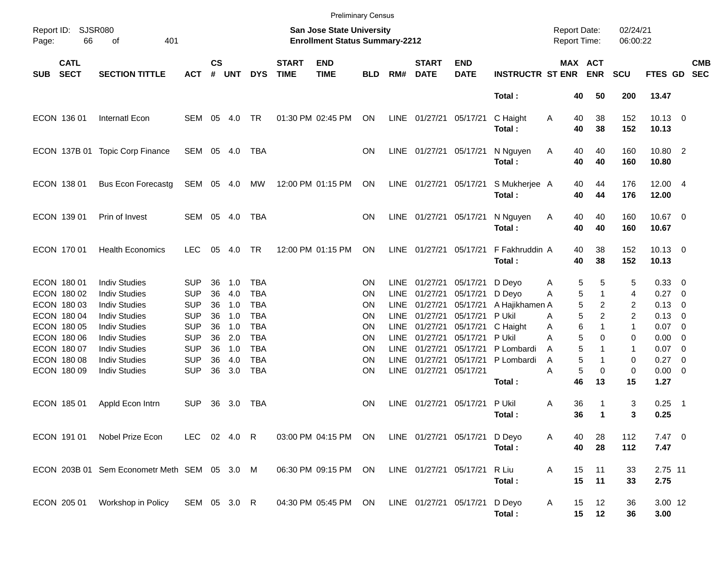|                            |                            |                                              |                          |                    |            |                   |                             | <b>Preliminary Census</b>                                                 |            |                            |                             |                               |                          |                                     |                              |                      |                       |                          |                          |
|----------------------------|----------------------------|----------------------------------------------|--------------------------|--------------------|------------|-------------------|-----------------------------|---------------------------------------------------------------------------|------------|----------------------------|-----------------------------|-------------------------------|--------------------------|-------------------------------------|------------------------------|----------------------|-----------------------|--------------------------|--------------------------|
| Report ID:<br>Page:        | <b>SJSR080</b><br>66       | 401<br>οf                                    |                          |                    |            |                   |                             | <b>San Jose State University</b><br><b>Enrollment Status Summary-2212</b> |            |                            |                             |                               |                          | <b>Report Date:</b><br>Report Time: |                              | 02/24/21<br>06:00:22 |                       |                          |                          |
| <b>SUB</b>                 | <b>CATL</b><br><b>SECT</b> | <b>SECTION TITTLE</b>                        | <b>ACT</b>               | $\mathsf{cs}$<br># | <b>UNT</b> | <b>DYS</b>        | <b>START</b><br><b>TIME</b> | <b>END</b><br><b>TIME</b>                                                 | <b>BLD</b> | RM#                        | <b>START</b><br><b>DATE</b> | <b>END</b><br><b>DATE</b>     | <b>INSTRUCTR ST ENR</b>  |                                     | <b>MAX ACT</b><br><b>ENR</b> | <b>SCU</b>           | FTES GD               |                          | <b>CMB</b><br><b>SEC</b> |
|                            |                            |                                              |                          |                    |            |                   |                             |                                                                           |            |                            |                             |                               | Total:                   |                                     | 50<br>40                     | 200                  | 13.47                 |                          |                          |
| ECON 136 01                |                            | Internatl Econ                               | SEM                      | 05                 | 4.0        | TR                |                             | 01:30 PM 02:45 PM                                                         | ON         | LINE                       | 01/27/21 05/17/21           |                               | C Haight<br>Total:       | Α                                   | 38<br>40<br>40<br>38         | 152<br>152           | $10.13 \t 0$<br>10.13 |                          |                          |
|                            | ECON 137B 01               | <b>Topic Corp Finance</b>                    | SEM 05 4.0               |                    |            | TBA               |                             |                                                                           | ΟN         | LINE                       | 01/27/21 05/17/21           |                               | N Nguyen<br>Total:       | Α                                   | 40<br>40<br>40<br>40         | 160<br>160           | 10.80 2<br>10.80      |                          |                          |
| ECON 138 01                |                            | <b>Bus Econ Forecastg</b>                    | SEM 05 4.0               |                    |            | МW                |                             | 12:00 PM 01:15 PM                                                         | ON         | LINE                       | 01/27/21 05/17/21           |                               | S Mukherjee A<br>Total:  |                                     | 40<br>44<br>40<br>44         | 176<br>176           | 12.00 4<br>12.00      |                          |                          |
| ECON 139 01                |                            | Prin of Invest                               | SEM                      |                    | 05 4.0     | TBA               |                             |                                                                           | ΟN         | LINE                       | 01/27/21 05/17/21           |                               | N Nguyen<br>Total:       | Α                                   | 40<br>40<br>40<br>40         | 160<br>160           | 10.67 0<br>10.67      |                          |                          |
| ECON 170 01                |                            | <b>Health Economics</b>                      | <b>LEC</b>               | 05                 | 4.0        | TR                |                             | 12:00 PM 01:15 PM                                                         | <b>ON</b>  | <b>LINE</b>                | 01/27/21 05/17/21           |                               | F Fakhruddin A<br>Total: |                                     | 38<br>40<br>40<br>38         | 152<br>152           | $10.13 \t 0$<br>10.13 |                          |                          |
| ECON 180 01<br>ECON 180 02 |                            | <b>Indiv Studies</b><br><b>Indiv Studies</b> | <b>SUP</b><br><b>SUP</b> | 36<br>36           | 1.0<br>4.0 | TBA<br><b>TBA</b> |                             |                                                                           | ΟN<br>ΟN   | <b>LINE</b><br><b>LINE</b> | 01/27/21<br>01/27/21        | 05/17/21<br>05/17/21          | D Deyo<br>D Deyo         | Α<br>A                              | 5<br>5<br>1                  | 5<br>5<br>4          | 0.33 0<br>0.27        | $\overline{\phantom{0}}$ |                          |
| ECON 180 03                |                            | <b>Indiv Studies</b>                         | <b>SUP</b>               | 36                 | 1.0        | <b>TBA</b>        |                             |                                                                           | ΟN         | <b>LINE</b>                | 01/27/21                    | 05/17/21                      | A Hajikhamen A           |                                     | 5                            | 2<br>2               | $0.13 \quad 0$        |                          |                          |
| ECON 180 04                |                            | <b>Indiv Studies</b>                         | <b>SUP</b>               | 36                 | 1.0        | <b>TBA</b>        |                             |                                                                           | ΟN         | <b>LINE</b>                | 01/27/21                    | 05/17/21                      | P Ukil                   | A                                   | 5                            | 2<br>2               | 0.13                  | $\overline{\phantom{0}}$ |                          |
| ECON 180 05                |                            | <b>Indiv Studies</b>                         | <b>SUP</b>               | 36                 | 1.0        | <b>TBA</b>        |                             |                                                                           | ΟN         | <b>LINE</b>                | 01/27/21                    | 05/17/21                      | C Haight                 | Α                                   | 6<br>1                       | 1                    | 0.07                  | $\overline{\phantom{0}}$ |                          |
| ECON 180 06                |                            | <b>Indiv Studies</b>                         | <b>SUP</b>               | 36                 | 2.0        | <b>TBA</b>        |                             |                                                                           | ΟN         | <b>LINE</b>                | 01/27/21                    | 05/17/21                      | P Ukil                   | Α                                   | 5                            | $\Omega$<br>0        | 0.00                  | $\overline{0}$           |                          |
| ECON 180 07                |                            | <b>Indiv Studies</b>                         | <b>SUP</b>               | 36                 | 1.0        | <b>TBA</b>        |                             |                                                                           | ΟN         | <b>LINE</b>                | 01/27/21                    | 05/17/21                      | P Lombardi               | A                                   | 5                            | 1                    | 0.07                  | $\overline{\phantom{0}}$ |                          |
| ECON 180 08                |                            | <b>Indiv Studies</b>                         | <b>SUP</b>               | 36                 | 4.0        | <b>TBA</b>        |                             |                                                                           | ΟN         | <b>LINE</b>                | 01/27/21                    | 05/17/21                      | P Lombardi               | Α                                   | 5                            | 0                    | 0.27                  | $\overline{\phantom{0}}$ |                          |
| ECON 180 09                |                            | <b>Indiv Studies</b>                         | <b>SUP</b>               | 36                 | 3.0        | <b>TBA</b>        |                             |                                                                           | ΟN         | LINE                       | 01/27/21 05/17/21           |                               |                          | Α                                   | 5                            | 0<br>0               | $0.00 \t 0$           |                          |                          |
|                            |                            |                                              |                          |                    |            |                   |                             |                                                                           |            |                            |                             |                               | Total:                   |                                     | 46<br>13                     | 15                   | 1.27                  |                          |                          |
| ECON 185 01                |                            | Appld Econ Intrn                             | <b>SUP</b>               | 36                 | 3.0        | TBA               |                             |                                                                           | ON         | LINE                       | 01/27/21 05/17/21           |                               | P Ukil                   | Α                                   | 36                           | 3                    | $0.25$ 1              |                          |                          |
|                            |                            |                                              |                          |                    |            |                   |                             |                                                                           |            |                            |                             |                               | Total:                   |                                     | 36<br>1                      | 3                    | 0.25                  |                          |                          |
| ECON 191 01                |                            | Nobel Prize Econ                             | LEC 02 4.0 R             |                    |            |                   |                             | 03:00 PM 04:15 PM ON                                                      |            |                            |                             | LINE 01/27/21 05/17/21 D Deyo | Total:                   | A                                   | 28<br>40<br>40<br>28         | 112<br>112           | $7.47$ 0<br>7.47      |                          |                          |
|                            |                            | ECON 203B 01 Sem Econometr Meth SEM 05 3.0 M |                          |                    |            |                   |                             | 06:30 PM 09:15 PM                                                         | ON         |                            | LINE 01/27/21 05/17/21      |                               | R Liu<br>Total:          | Α                                   | 15<br>11<br>15<br>11         | 33<br>33             | 2.75 11<br>2.75       |                          |                          |
| ECON 205 01                |                            | Workshop in Policy                           | SEM 05 3.0 R             |                    |            |                   |                             | 04:30 PM 05:45 PM ON                                                      |            |                            | LINE 01/27/21 05/17/21      |                               | D Deyo<br>Total:         | Α                                   | 12<br>15<br>15<br>12         | 36<br>36             | 3.00 12<br>3.00       |                          |                          |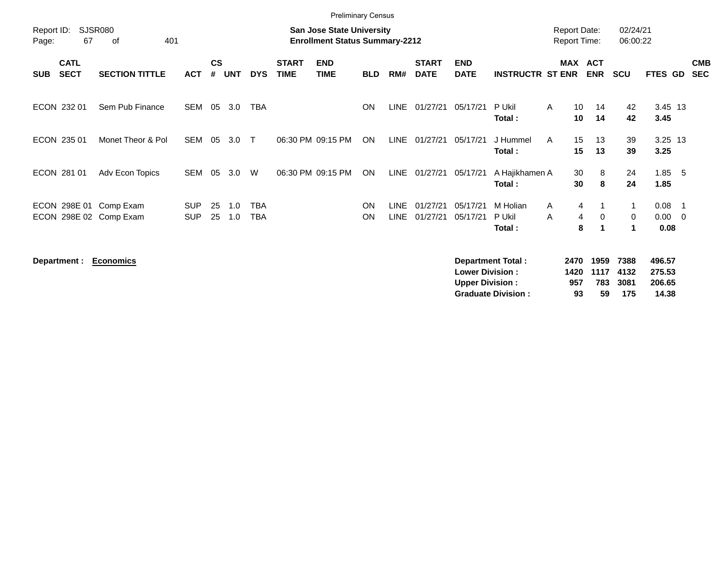|                     |                            |                                                  |                          |                    |            |                   |                             | <b>Preliminary Census</b>                                                 |                        |                            |                             |                           |                              |                                     |                          |                          |                                |                          |                          |
|---------------------|----------------------------|--------------------------------------------------|--------------------------|--------------------|------------|-------------------|-----------------------------|---------------------------------------------------------------------------|------------------------|----------------------------|-----------------------------|---------------------------|------------------------------|-------------------------------------|--------------------------|--------------------------|--------------------------------|--------------------------|--------------------------|
| Report ID:<br>Page: | 67                         | <b>SJSR080</b><br>of<br>401                      |                          |                    |            |                   |                             | <b>San Jose State University</b><br><b>Enrollment Status Summary-2212</b> |                        |                            |                             |                           |                              | <b>Report Date:</b><br>Report Time: |                          | 02/24/21<br>06:00:22     |                                |                          |                          |
| <b>SUB</b>          | <b>CATL</b><br><b>SECT</b> | <b>SECTION TITTLE</b>                            | <b>ACT</b>               | $\mathsf{cs}$<br># | <b>UNT</b> | <b>DYS</b>        | <b>START</b><br><b>TIME</b> | <b>END</b><br><b>TIME</b>                                                 | <b>BLD</b>             | RM#                        | <b>START</b><br><b>DATE</b> | <b>END</b><br><b>DATE</b> | <b>INSTRUCTR ST ENR</b>      | <b>MAX</b>                          | <b>ACT</b><br><b>ENR</b> | <b>SCU</b>               | FTES GD                        |                          | <b>CMB</b><br><b>SEC</b> |
|                     | ECON 232 01                | Sem Pub Finance                                  | <b>SEM</b>               | 05                 | 3.0        | TBA               |                             |                                                                           | <b>ON</b>              | <b>LINE</b>                | 01/27/21                    | 05/17/21                  | P Ukil<br>Total:             | 10<br>A<br>10                       | 14<br>14                 | 42<br>42                 | 3.45 13<br>3.45                |                          |                          |
|                     | ECON 235 01                | Monet Theor & Pol                                | <b>SEM</b>               | 05                 | 3.0        | $\top$            | 06:30 PM 09:15 PM           |                                                                           | ON                     | LINE                       | 01/27/21                    | 05/17/21                  | J Hummel<br>Total:           | 15<br>A<br>15                       | 13<br>13                 | 39<br>39                 | 3.25 13<br>3.25                |                          |                          |
|                     | ECON 281 01                | Adv Econ Topics                                  | SEM                      | 05                 | 3.0        | W                 |                             | 06:30 PM 09:15 PM                                                         | ON                     | LINE                       | 01/27/21                    | 05/17/21                  | A Hajikhamen A<br>Total:     | 30<br>30                            | 8<br>8                   | 24<br>24                 | $1.85$ 5<br>1.85               |                          |                          |
|                     |                            | ECON 298E 01 Comp Exam<br>ECON 298E 02 Comp Exam | <b>SUP</b><br><b>SUP</b> | 25<br>25           | 1.0<br>1.0 | <b>TBA</b><br>TBA |                             |                                                                           | <b>ON</b><br><b>ON</b> | <b>LINE</b><br><b>LINE</b> | 01/27/21<br>01/27/21        | 05/17/21<br>05/17/21      | M Holian<br>P Ukil<br>Total: | 4<br>A<br>4<br>A<br>8               | $\mathbf 0$<br>1         | $\overline{1}$<br>0<br>1 | 0.08<br>$0.00 \quad 0$<br>0.08 | $\overline{\phantom{1}}$ |                          |

**Department : Economics Department Total : 2470 1959 7388 496.57 Lower Division : 1420 1117 4132 275.53 Upper Division : 957 783 3081 206.65 Graduate Division : 93 59 175 14.38**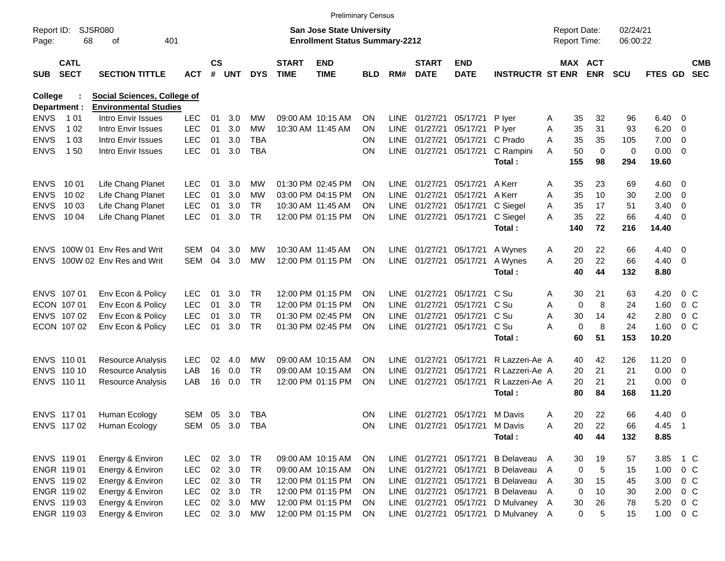|                     |                            |                               |                |               |        |            |                             | <b>Preliminary Census</b>                                                 |            |             |                             |                                |                                     |   |                                     |                   |                      |                |                          |                          |
|---------------------|----------------------------|-------------------------------|----------------|---------------|--------|------------|-----------------------------|---------------------------------------------------------------------------|------------|-------------|-----------------------------|--------------------------------|-------------------------------------|---|-------------------------------------|-------------------|----------------------|----------------|--------------------------|--------------------------|
| Report ID:<br>Page: | 68                         | <b>SJSR080</b><br>οf          | 401            |               |        |            |                             | <b>San Jose State University</b><br><b>Enrollment Status Summary-2212</b> |            |             |                             |                                |                                     |   | <b>Report Date:</b><br>Report Time: |                   | 02/24/21<br>06:00:22 |                |                          |                          |
| <b>SUB</b>          | <b>CATL</b><br><b>SECT</b> | <b>SECTION TITTLE</b>         | <b>ACT</b>     | $\mathsf{cs}$ | # UNT  | <b>DYS</b> | <b>START</b><br><b>TIME</b> | <b>END</b><br><b>TIME</b>                                                 | <b>BLD</b> | RM#         | <b>START</b><br><b>DATE</b> | <b>END</b><br><b>DATE</b>      | <b>INSTRUCTR ST ENR</b>             |   | MAX ACT                             | <b>ENR</b>        | <b>SCU</b>           | <b>FTES GD</b> |                          | <b>CMB</b><br><b>SEC</b> |
| <b>College</b>      |                            | Social Sciences, College of   |                |               |        |            |                             |                                                                           |            |             |                             |                                |                                     |   |                                     |                   |                      |                |                          |                          |
|                     | Department :               | <b>Environmental Studies</b>  |                |               |        |            |                             |                                                                           |            |             |                             |                                |                                     |   |                                     |                   |                      |                |                          |                          |
| <b>ENVS</b>         | 1 0 1                      | Intro Envir Issues            | <b>LEC</b>     | 01            | 3.0    | МW         | 09:00 AM 10:15 AM           |                                                                           | <b>ON</b>  | <b>LINE</b> | 01/27/21                    | 05/17/21                       | P lyer                              | A | 35                                  | 32                | 96                   | 6.40           | - 0                      |                          |
| <b>ENVS</b>         | 1 0 2                      | Intro Envir Issues            | <b>LEC</b>     | 01            | 3.0    | <b>MW</b>  |                             | 10:30 AM 11:45 AM                                                         | <b>ON</b>  | <b>LINE</b> | 01/27/21                    | 05/17/21                       | P lyer                              | Α | 35                                  | 31                | 93                   | 6.20           | 0                        |                          |
| <b>ENVS</b>         | 1 0 3                      | Intro Envir Issues            | <b>LEC</b>     | 01            | 3.0    | TBA        |                             |                                                                           | <b>ON</b>  | <b>LINE</b> | 01/27/21                    | 05/17/21                       | C Prado                             | A | 35                                  | 35                | 105                  | 7.00           | 0                        |                          |
| <b>ENVS</b>         | 150                        | Intro Envir Issues            | <b>LEC</b>     | 01            | 3.0    | <b>TBA</b> |                             |                                                                           | <b>ON</b>  |             | LINE 01/27/21               | 05/17/21                       | C Rampini<br>Total:                 | A | 50<br>155                           | $\mathbf 0$<br>98 | $\mathbf 0$<br>294   | 0.00<br>19.60  | - 0                      |                          |
| <b>ENVS</b>         | 10 01                      | Life Chang Planet             | <b>LEC</b>     | 01            | 3.0    | МW         |                             | 01:30 PM 02:45 PM                                                         | <b>ON</b>  | LINE        | 01/27/21                    | 05/17/21                       | A Kerr                              | A | 35                                  | 23                | 69                   | 4.60           | - 0                      |                          |
| <b>ENVS</b>         | 10 02                      | Life Chang Planet             | <b>LEC</b>     | 01            | 3.0    | МW         |                             | 03:00 PM 04:15 PM                                                         | <b>ON</b>  | LINE        | 01/27/21                    | 05/17/21                       | A Kerr                              | A | 35                                  | 10                | 30                   | 2.00           | - 0                      |                          |
| <b>ENVS</b>         | 10 03                      | Life Chang Planet             | <b>LEC</b>     | 01            | 3.0    | TR         | 10:30 AM 11:45 AM           |                                                                           | <b>ON</b>  | <b>LINE</b> | 01/27/21                    | 05/17/21                       | C Siegel                            | Α | 35                                  | 17                | 51                   | 3.40           | 0                        |                          |
| <b>ENVS</b>         | 10 04                      | Life Chang Planet             | <b>LEC</b>     | 01            | 3.0    | <b>TR</b>  |                             | 12:00 PM 01:15 PM                                                         | ON         |             | LINE 01/27/21               | 05/17/21                       | C Siegel                            | A | 35                                  | 22                | 66                   | 4.40           | - 0                      |                          |
|                     |                            |                               |                |               |        |            |                             |                                                                           |            |             |                             |                                | Total:                              |   | 140                                 | 72                | 216                  | 14.40          |                          |                          |
|                     |                            | ENVS 100W 01 Env Res and Writ | SEM            | 04            | 3.0    | МW         |                             | 10:30 AM 11:45 AM                                                         | <b>ON</b>  |             | LINE 01/27/21               | 05/17/21                       | A Wynes                             | A | 20                                  | 22                | 66                   | 4.40           | - 0                      |                          |
| <b>ENVS</b>         |                            | 100W 02 Env Res and Writ      | SEM            | 04            | 3.0    | <b>MW</b>  |                             | 12:00 PM 01:15 PM                                                         | <b>ON</b>  |             | LINE 01/27/21               | 05/17/21                       | A Wynes                             | A | 20                                  | 22                | 66                   | 4.40           | - 0                      |                          |
|                     |                            |                               |                |               |        |            |                             |                                                                           |            |             |                             |                                | Total:                              |   | 40                                  | 44                | 132                  | 8.80           |                          |                          |
|                     | ENVS 107 01                | Env Econ & Policy             | <b>LEC</b>     | 01            | 3.0    | <b>TR</b>  |                             | 12:00 PM 01:15 PM                                                         | <b>ON</b>  | LINE        | 01/27/21                    | 05/17/21                       | C Su                                | A | 30                                  | 21                | 63                   | 4.20           | $0\,$ C                  |                          |
|                     | ECON 107 01                | Env Econ & Policy             | <b>LEC</b>     | 01            | 3.0    | TR         |                             | 12:00 PM 01:15 PM                                                         | <b>ON</b>  | LINE        | 01/27/21                    | 05/17/21                       | C Su                                | Α | 0                                   | 8                 | 24                   | 1.60           | 0 <sup>C</sup>           |                          |
|                     | ENVS 107 02                | Env Econ & Policy             | <b>LEC</b>     | 01            | 3.0    | TR         |                             | 01:30 PM 02:45 PM                                                         | <b>ON</b>  | LINE        | 01/27/21                    | 05/17/21                       | C Su                                | A | 30                                  | 14                | 42                   | 2.80           | 0 <sup>C</sup>           |                          |
|                     | ECON 107 02                | Env Econ & Policy             | <b>LEC</b>     | 01            | 3.0    | <b>TR</b>  |                             | 01:30 PM 02:45 PM                                                         | ON         |             | LINE 01/27/21               | 05/17/21                       | C Su                                | А | $\mathbf 0$                         | 8                 | 24                   | 1.60           | $0\,$ C                  |                          |
|                     |                            |                               |                |               |        |            |                             |                                                                           |            |             |                             |                                | Total:                              |   | 60                                  | 51                | 153                  | 10.20          |                          |                          |
|                     | ENVS 110 01                | Resource Analysis             | <b>LEC</b>     | 02            | 4.0    | МW         | 09:00 AM 10:15 AM           |                                                                           | <b>ON</b>  | LINE        | 01/27/21                    | 05/17/21                       | R Lazzeri-Ae A                      |   | 40                                  | 42                | 126                  | 11.20          | - 0                      |                          |
|                     | ENVS 110 10                | <b>Resource Analysis</b>      | LAB            | 16            | 0.0    | TR         | 09:00 AM 10:15 AM           |                                                                           | <b>ON</b>  | LINE        | 01/27/21                    | 05/17/21                       | R Lazzeri-Ae A                      |   | 20                                  | 21                | 21                   | 0.00           | - 0                      |                          |
|                     | ENVS 110 11                | <b>Resource Analysis</b>      | LAB            | 16            | 0.0    | TR         |                             | 12:00 PM 01:15 PM                                                         | ON         | <b>LINE</b> | 01/27/21                    | 05/17/21                       | R Lazzeri-Ae A                      |   | 20                                  | 21                | 21                   | 0.00           | - 0                      |                          |
|                     |                            |                               |                |               |        |            |                             |                                                                           |            |             |                             |                                | Total:                              |   | 80                                  | 84                | 168                  | 11.20          |                          |                          |
|                     | ENVS 117 01                | Human Ecology                 | SEM 05         |               | 3.0    | TBA        |                             |                                                                           | <b>ON</b>  |             | LINE 01/27/21               | 05/17/21 M Davis               |                                     | A | 20                                  | 22                | 66                   | 4.40           | $\overline{\phantom{0}}$ |                          |
|                     | ENVS 117 02                | Human Ecology                 | SEM 05 3.0 TBA |               |        |            |                             |                                                                           | ON         |             |                             | LINE 01/27/21 05/17/21 M Davis |                                     | Α | 20                                  | 22                | 66                   | 4.45 1         |                          |                          |
|                     |                            |                               |                |               |        |            |                             |                                                                           |            |             |                             |                                | Total:                              |   | 40                                  | 44                | 132                  | 8.85           |                          |                          |
|                     | ENVS 119 01                | Energy & Environ              | LEC.           |               | 02 3.0 | TR         |                             | 09:00 AM 10:15 AM                                                         | <b>ON</b>  |             | LINE 01/27/21 05/17/21      |                                | B Delaveau A                        |   | 30                                  | 19                | 57                   | 3.85           | 1 C                      |                          |
|                     | ENGR 119 01                | Energy & Environ              | <b>LEC</b>     |               | 02 3.0 | <b>TR</b>  |                             | 09:00 AM 10:15 AM                                                         | <b>ON</b>  |             | LINE 01/27/21               | 05/17/21                       | B Delaveau A                        |   | 0                                   | 5                 | 15                   | 1.00           | $0\,C$                   |                          |
|                     | ENVS 119 02                | Energy & Environ              | <b>LEC</b>     |               | 02 3.0 | TR         |                             | 12:00 PM 01:15 PM                                                         | <b>ON</b>  |             | LINE 01/27/21               | 05/17/21                       | B Delaveau A                        |   | 30                                  | 15                | 45                   | 3.00           | 0 C                      |                          |
|                     | ENGR 119 02                | Energy & Environ              | <b>LEC</b>     |               | 02 3.0 | TR         |                             | 12:00 PM 01:15 PM                                                         | <b>ON</b>  |             | LINE 01/27/21               | 05/17/21                       | B Delaveau A                        |   | 0                                   | 10                | 30                   | 2.00           | $0\,C$                   |                          |
|                     | ENVS 119 03                | Energy & Environ              | <b>LEC</b>     |               | 02 3.0 | MW         |                             | 12:00 PM 01:15 PM                                                         | ON         |             | LINE 01/27/21               | 05/17/21                       | D Mulvaney A                        |   | 30                                  | 26                | 78                   | 5.20           | $0\,C$                   |                          |
|                     | ENGR 119 03                | Energy & Environ              | <b>LEC</b>     |               | 02 3.0 | MW         |                             | 12:00 PM 01:15 PM                                                         | ON         |             |                             |                                | LINE 01/27/21 05/17/21 D Mulvaney A |   | $\mathbf 0$                         | 5                 | 15                   | 1.00           | $0\,C$                   |                          |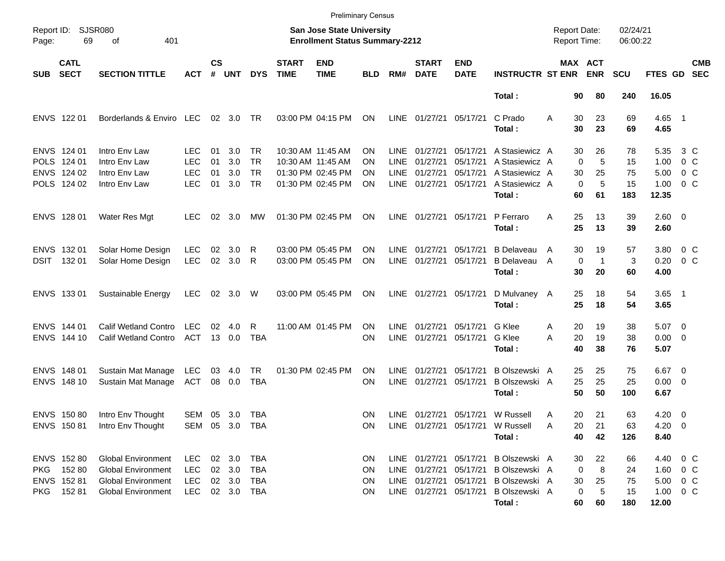|                     |                                                |                                                                                                           |                                                      |                    |                                          |                               |                             | <b>Preliminary Census</b>                                          |                             |                              |                                  |                                  |                                                                                                                                              |                     |                                            |                                      |                                                        |                              |                          |
|---------------------|------------------------------------------------|-----------------------------------------------------------------------------------------------------------|------------------------------------------------------|--------------------|------------------------------------------|-------------------------------|-----------------------------|--------------------------------------------------------------------|-----------------------------|------------------------------|----------------------------------|----------------------------------|----------------------------------------------------------------------------------------------------------------------------------------------|---------------------|--------------------------------------------|--------------------------------------|--------------------------------------------------------|------------------------------|--------------------------|
| Report ID:<br>Page: | 69                                             | SJSR080<br>401<br>οf                                                                                      |                                                      |                    |                                          |                               |                             | San Jose State University<br><b>Enrollment Status Summary-2212</b> |                             |                              |                                  |                                  |                                                                                                                                              |                     | <b>Report Date:</b><br><b>Report Time:</b> | 02/24/21<br>06:00:22                 |                                                        |                              |                          |
| <b>SUB</b>          | <b>CATL</b><br><b>SECT</b>                     | <b>SECTION TITTLE</b>                                                                                     | <b>ACT</b>                                           | $\mathsf{cs}$<br># | <b>UNT</b>                               | <b>DYS</b>                    | <b>START</b><br><b>TIME</b> | <b>END</b><br><b>TIME</b>                                          | <b>BLD</b>                  | RM#                          | <b>START</b><br><b>DATE</b>      | <b>END</b><br><b>DATE</b>        | <b>INSTRUCTR ST ENR</b>                                                                                                                      |                     | MAX ACT<br><b>ENR</b>                      | <b>SCU</b>                           | <b>FTES GD</b>                                         |                              | <b>CMB</b><br><b>SEC</b> |
|                     |                                                |                                                                                                           |                                                      |                    |                                          |                               |                             |                                                                    |                             |                              |                                  |                                  | Total:                                                                                                                                       |                     | 80<br>90                                   | 240                                  | 16.05                                                  |                              |                          |
|                     | ENVS 122 01                                    | Borderlands & Enviro LEC                                                                                  |                                                      |                    | 02 3.0                                   | TR                            |                             | 03:00 PM 04:15 PM                                                  | ON                          | LINE                         | 01/27/21                         | 05/17/21                         | C Prado<br>Total:                                                                                                                            | A                   | 30<br>23<br>30<br>23                       | 69<br>69                             | 4.65 1<br>4.65                                         |                              |                          |
|                     | ENVS 124 01<br>POLS 124 01<br>ENVS 124 02      | Intro Env Law<br>Intro Env Law<br>Intro Env Law                                                           | LEC.<br><b>LEC</b><br><b>LEC</b>                     | 01<br>01<br>01     | 3.0<br>3.0<br>3.0                        | TR.<br><b>TR</b><br><b>TR</b> |                             | 10:30 AM 11:45 AM<br>10:30 AM 11:45 AM<br>01:30 PM 02:45 PM        | ON<br>ON<br>ΟN              | LINE.<br><b>LINE</b><br>LINE | 01/27/21<br>01/27/21<br>01/27/21 | 05/17/21<br>05/17/21<br>05/17/21 | A Stasiewicz A<br>A Stasiewicz A<br>A Stasiewicz A                                                                                           |                     | 30<br>26<br>$\Omega$<br>25<br>30           | 78<br>5<br>15<br>75                  | 5.35<br>1.00<br>5.00                                   | 3 C<br>0 <sup>o</sup><br>0 C |                          |
|                     | POLS 124 02                                    | Intro Env Law                                                                                             | <b>LEC</b>                                           | 01                 | 3.0                                      | <b>TR</b>                     |                             | 01:30 PM 02:45 PM                                                  | ΟN                          | LINE                         | 01/27/21                         | 05/17/21                         | A Stasiewicz A<br>Total:                                                                                                                     |                     | $\mathbf 0$<br>60<br>61                    | 5<br>15<br>183                       | 1.00<br>12.35                                          | 0 C                          |                          |
|                     | ENVS 128 01                                    | Water Res Mgt                                                                                             | <b>LEC</b>                                           | 02                 | 3.0                                      | МW                            |                             | 01:30 PM 02:45 PM                                                  | ON                          | LINE                         | 01/27/21                         | 05/17/21                         | P Ferraro<br>Total:                                                                                                                          | A                   | 25<br>13<br>25<br>13                       | 39<br>39                             | $2.60 \t 0$<br>2.60                                    |                              |                          |
|                     | ENVS 132 01<br>DSIT 132 01                     | Solar Home Design<br>Solar Home Design                                                                    | <b>LEC</b><br><b>LEC</b>                             | 02<br>02           | 3.0<br>3.0                               | R<br>R                        |                             | 03:00 PM 05:45 PM<br>03:00 PM 05:45 PM                             | ΟN<br>ΟN                    | LINE<br>LINE                 | 01/27/21<br>01/27/21             | 05/17/21<br>05/17/21             | <b>B</b> Delaveau<br><b>B</b> Delaveau<br>Total:                                                                                             | $\overline{A}$<br>A | 30<br>19<br>$\mathbf 0$<br>30<br>20        | 57<br>3<br>$\mathbf 1$<br>60         | 3.80<br>0.20<br>4.00                                   | $0\,$ C<br>0 <sup>o</sup>    |                          |
|                     | ENVS 133 01                                    | Sustainable Energy                                                                                        | <b>LEC</b>                                           |                    | 02 3.0                                   | W                             |                             | 03:00 PM 05:45 PM                                                  | ON                          |                              | LINE 01/27/21                    | 05/17/21                         | D Mulvaney A<br>Total:                                                                                                                       |                     | 25<br>18<br>25<br>18                       | 54<br>54                             | $3.65$ 1<br>3.65                                       |                              |                          |
|                     | ENVS 144 01<br>ENVS 144 10                     | <b>Calif Wetland Contro</b><br><b>Calif Wetland Contro</b>                                                | <b>LEC</b><br>ACT                                    | 02                 | 4.0<br>13 0.0                            | R<br><b>TBA</b>               |                             | 11:00 AM 01:45 PM                                                  | <b>ON</b><br>ΟN             | LINE<br><b>LINE</b>          | 01/27/21<br>01/27/21             | 05/17/21<br>05/17/21             | G Klee<br>G Klee<br>Total:                                                                                                                   | Α<br>А              | 20<br>19<br>20<br>19<br>40<br>38           | 38<br>38<br>76                       | $5.07$ 0<br>$0.00 \t 0$<br>5.07                        |                              |                          |
|                     | ENVS 148 01<br>ENVS 148 10                     | Sustain Mat Manage<br>Sustain Mat Manage                                                                  | LEC<br><b>ACT</b>                                    | 03<br>08           | 4.0<br>0.0                               | <b>TR</b><br><b>TBA</b>       |                             | 01:30 PM 02:45 PM                                                  | ON<br>ΟN                    | <b>LINE</b><br><b>LINE</b>   | 01/27/21<br>01/27/21             | 05/17/21<br>05/17/21             | B Olszewski A<br>B Olszewski A<br>Total:                                                                                                     |                     | 25<br>25<br>25<br>25<br>50<br>50           | 75<br>25<br>100                      | $6.67$ 0<br>$0.00 \t 0$<br>6.67                        |                              |                          |
|                     | ENVS 150 80<br>ENVS 150 81                     | Intro Env Thought<br>Intro Env Thought                                                                    | SEM 05 3.0<br>SEM 05 3.0 TBA                         |                    |                                          | TBA                           |                             |                                                                    | <b>ON</b><br>ON             |                              |                                  |                                  | LINE 01/27/21 05/17/21 W Russell<br>LINE 01/27/21 05/17/21 W Russell<br>Total:                                                               | Α<br>A              | 21<br>20<br>20<br>21<br>40<br>42           | 63<br>63<br>126                      | $4.20 \ 0$<br>$4.20 \ 0$<br>8.40                       |                              |                          |
| <b>PKG</b><br>PKG   | ENVS 152 80<br>152 80<br>ENVS 152 81<br>152 81 | Global Environment<br><b>Global Environment</b><br><b>Global Environment</b><br><b>Global Environment</b> | <b>LEC</b><br><b>LEC</b><br><b>LEC</b><br><b>LEC</b> |                    | 02 3.0<br>02 3.0<br>02 3.0<br>02 3.0 TBA | TBA<br>TBA<br>TBA             |                             |                                                                    | <b>ON</b><br>ON<br>ON<br>ON |                              | LINE 01/27/21                    |                                  | LINE 01/27/21 05/17/21 BOIszewski A<br>LINE 01/27/21 05/17/21 B Olszewski A<br>05/17/21 B Olszewski A<br>LINE 01/27/21 05/17/21 BOlszewski A |                     | 30<br>0<br>30<br>25<br>0                   | 22<br>66<br>8<br>24<br>75<br>5<br>15 | 4.40 0 C<br>$1.60 \t 0 C$<br>5.00 0 C<br>$1.00 \t 0 C$ |                              |                          |
|                     |                                                |                                                                                                           |                                                      |                    |                                          |                               |                             |                                                                    |                             |                              |                                  |                                  | Total:                                                                                                                                       |                     | 60<br>60                                   | 180                                  | 12.00                                                  |                              |                          |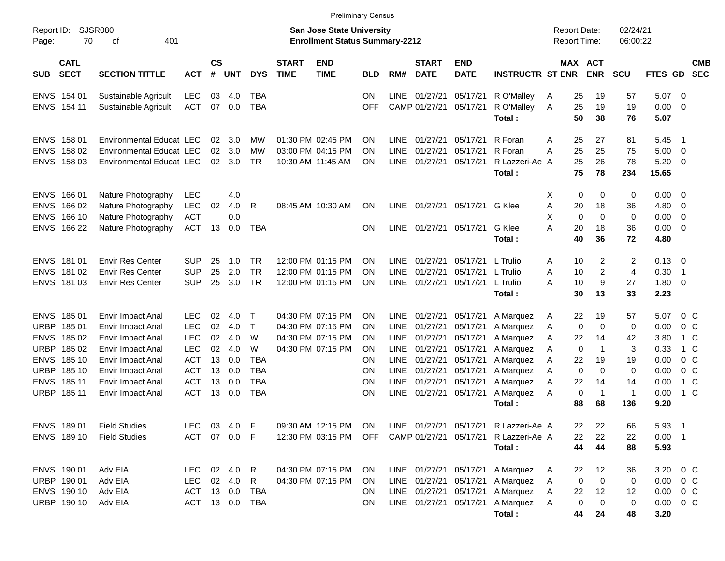|                     |                            |                                 |            |                |            |            |                             | <b>Preliminary Census</b>                                          |            |             |                             |                           |                                                                         |                                     |                       |                  |                      |                |                         |                          |
|---------------------|----------------------------|---------------------------------|------------|----------------|------------|------------|-----------------------------|--------------------------------------------------------------------|------------|-------------|-----------------------------|---------------------------|-------------------------------------------------------------------------|-------------------------------------|-----------------------|------------------|----------------------|----------------|-------------------------|--------------------------|
| Report ID:<br>Page: | 70                         | <b>SJSR080</b><br>401<br>of     |            |                |            |            |                             | San Jose State University<br><b>Enrollment Status Summary-2212</b> |            |             |                             |                           |                                                                         | <b>Report Date:</b><br>Report Time: |                       |                  | 02/24/21<br>06:00:22 |                |                         |                          |
| <b>SUB</b>          | <b>CATL</b><br><b>SECT</b> | <b>SECTION TITTLE</b>           | <b>ACT</b> | <b>CS</b><br># | <b>UNT</b> | <b>DYS</b> | <b>START</b><br><b>TIME</b> | <b>END</b><br><b>TIME</b>                                          | <b>BLD</b> | RM#         | <b>START</b><br><b>DATE</b> | <b>END</b><br><b>DATE</b> | <b>INSTRUCTR ST ENR</b>                                                 |                                     | MAX ACT<br><b>ENR</b> |                  | <b>SCU</b>           | <b>FTES GD</b> |                         | <b>CMB</b><br><b>SEC</b> |
|                     | ENVS 154 01                | Sustainable Agricult            | <b>LEC</b> | 03             | 4.0        | <b>TBA</b> |                             |                                                                    | <b>ON</b>  | <b>LINE</b> | 01/27/21                    | 05/17/21                  | R O'Malley                                                              | A                                   | 25                    | 19               | 57                   | 5.07           | - 0                     |                          |
|                     | ENVS 154 11                | Sustainable Agricult            | <b>ACT</b> | 07             | 0.0        | <b>TBA</b> |                             |                                                                    | <b>OFF</b> |             | CAMP 01/27/21               | 05/17/21                  | R O'Malley                                                              | Α                                   | 25                    | 19               | 19                   | 0.00           | - 0                     |                          |
|                     |                            |                                 |            |                |            |            |                             |                                                                    |            |             |                             |                           | Total:                                                                  |                                     | 50                    | 38               | 76                   | 5.07           |                         |                          |
| <b>ENVS</b>         | 158 01                     | <b>Environmental Educat LEC</b> |            | 02             | 3.0        | МW         |                             | 01:30 PM 02:45 PM                                                  | <b>ON</b>  | <b>LINE</b> | 01/27/21                    | 05/17/21                  | R Foran                                                                 | Α                                   | 25                    | 27               | 81                   | 5.45           | - 1                     |                          |
|                     | ENVS 158 02                | <b>Environmental Educat LEC</b> |            | 02             | 3.0        | <b>MW</b>  |                             | 03:00 PM 04:15 PM                                                  | <b>ON</b>  | <b>LINE</b> | 01/27/21                    | 05/17/21                  | R Foran                                                                 | A                                   | 25                    | 25               | 75                   | 5.00           | $\overline{\mathbf{0}}$ |                          |
|                     | ENVS 158 03                | Environmental Educat LEC        |            | 02             | 3.0        | <b>TR</b>  |                             | 10:30 AM 11:45 AM                                                  | ON         | <b>LINE</b> | 01/27/21                    | 05/17/21                  | R Lazzeri-Ae A                                                          |                                     | 25                    | 26               | 78                   | 5.20           | - 0                     |                          |
|                     |                            |                                 |            |                |            |            |                             |                                                                    |            |             |                             |                           | Total:                                                                  |                                     | 75                    | 78               | 234                  | 15.65          |                         |                          |
| <b>ENVS</b>         | 166 01                     | Nature Photography              | <b>LEC</b> |                | 4.0        |            |                             |                                                                    |            |             |                             |                           |                                                                         | Х                                   | 0                     | 0                | 0                    | 0.00           | - 0                     |                          |
| <b>ENVS</b>         | 166 02                     | Nature Photography              | <b>LEC</b> | 02             | 4.0        | R          |                             | 08:45 AM 10:30 AM                                                  | ON         | <b>LINE</b> | 01/27/21                    | 05/17/21                  | G Klee                                                                  | Α                                   | 20                    | 18               | 36                   | 4.80           | 0                       |                          |
| <b>ENVS</b>         | 166 10                     | Nature Photography              | <b>ACT</b> |                | 0.0        |            |                             |                                                                    |            |             |                             |                           |                                                                         | X                                   | 0                     | $\mathbf 0$      | 0                    | 0.00           | $\mathbf 0$             |                          |
|                     | ENVS 166 22                | Nature Photography              | <b>ACT</b> | 13             | 0.0        | <b>TBA</b> |                             |                                                                    | <b>ON</b>  |             | LINE 01/27/21               | 05/17/21                  | G Klee                                                                  | A                                   | 20                    | 18               | 36                   | 0.00           | 0                       |                          |
|                     |                            |                                 |            |                |            |            |                             |                                                                    |            |             |                             |                           | Total:                                                                  |                                     | 40                    | 36               | 72                   | 4.80           |                         |                          |
| <b>ENVS</b>         | 181 01                     | <b>Envir Res Center</b>         | <b>SUP</b> | 25             | 1.0        | <b>TR</b>  |                             | 12:00 PM 01:15 PM                                                  | <b>ON</b>  | <b>LINE</b> | 01/27/21                    | 05/17/21                  | L Trulio                                                                | A                                   | 10                    | 2                | 2                    | 0.13           | - 0                     |                          |
|                     | ENVS 181 02                | <b>Envir Res Center</b>         | <b>SUP</b> | 25             | 2.0        | <b>TR</b>  |                             | 12:00 PM 01:15 PM                                                  | <b>ON</b>  | <b>LINE</b> | 01/27/21                    | 05/17/21                  | L Trulio                                                                | Α                                   | 10                    | $\overline{c}$   | $\overline{4}$       | 0.30           | $\overline{1}$          |                          |
|                     | ENVS 181 03                | <b>Envir Res Center</b>         | <b>SUP</b> | 25             | 3.0        | <b>TR</b>  |                             | 12:00 PM 01:15 PM                                                  | ON         | <b>LINE</b> | 01/27/21                    | 05/17/21                  | L Trulio                                                                | A                                   | 10                    | $\boldsymbol{9}$ | 27                   | 1.80           | 0                       |                          |
|                     |                            |                                 |            |                |            |            |                             |                                                                    |            |             |                             |                           | Total:                                                                  |                                     | 30                    | 13               | 33                   | 2.23           |                         |                          |
| <b>ENVS</b>         | 18501                      | Envir Impact Anal               | <b>LEC</b> | 02             | 4.0        | Т          |                             | 04:30 PM 07:15 PM                                                  | <b>ON</b>  | <b>LINE</b> | 01/27/21                    | 05/17/21                  | A Marquez                                                               | A                                   | 22                    | 19               | 57                   | 5.07           | 0 <sup>C</sup>          |                          |
| <b>URBP</b>         | 18501                      | Envir Impact Anal               | <b>LEC</b> | 02             | 4.0        | $\top$     |                             | 04:30 PM 07:15 PM                                                  | <b>ON</b>  | <b>LINE</b> | 01/27/21                    | 05/17/21                  | A Marquez                                                               | A                                   | 0                     | $\mathbf 0$      | 0                    | 0.00           | 0 <sup>C</sup>          |                          |
| <b>ENVS</b>         | 18502                      | Envir Impact Anal               | <b>LEC</b> | 02             | 4.0        | W          |                             | 04:30 PM 07:15 PM                                                  | <b>ON</b>  | <b>LINE</b> | 01/27/21                    | 05/17/21                  | A Marquez                                                               | Α                                   | 22                    | 14               | 42                   | 3.80           | 1 C                     |                          |
| <b>URBP</b>         | 185 02                     | Envir Impact Anal               | <b>LEC</b> | 02             | 4.0        | W          |                             | 04:30 PM 07:15 PM                                                  | ON         | <b>LINE</b> | 01/27/21                    | 05/17/21                  | A Marquez                                                               | A                                   | 0                     | $\mathbf{1}$     | 3                    | 0.33           | 1 C                     |                          |
| <b>ENVS</b>         | 185 10                     | Envir Impact Anal               | <b>ACT</b> | 13             | 0.0        | <b>TBA</b> |                             |                                                                    | <b>ON</b>  | <b>LINE</b> | 01/27/21                    | 05/17/21                  | A Marquez                                                               | Α                                   | 22                    | 19               | 19                   | 0.00           | $0\,C$                  |                          |
| <b>URBP</b>         | 185 10                     | Envir Impact Anal               | <b>ACT</b> | 13             | 0.0        | <b>TBA</b> |                             |                                                                    | ON         | <b>LINE</b> | 01/27/21                    | 05/17/21                  | A Marquez                                                               | Α                                   | 0                     | $\mathbf 0$      | 0                    | 0.00           | $0\,C$                  |                          |
| <b>ENVS</b>         | 185 11                     | Envir Impact Anal               | <b>ACT</b> | 13             | 0.0        | <b>TBA</b> |                             |                                                                    | ON         | <b>LINE</b> | 01/27/21                    | 05/17/21                  | A Marquez                                                               | Α                                   | 22                    | 14               | 14                   | 0.00           | 1 C                     |                          |
|                     | URBP 185 11                | Envir Impact Anal               | <b>ACT</b> | 13             | 0.0        | <b>TBA</b> |                             |                                                                    | ON         | <b>LINE</b> | 01/27/21                    | 05/17/21                  | A Marquez                                                               | Α                                   | 0                     | $\overline{1}$   | $\mathbf{1}$         | 0.00           | 1 C                     |                          |
|                     |                            |                                 |            |                |            |            |                             |                                                                    |            |             |                             |                           | Total:                                                                  |                                     | 88                    | 68               | 136                  | 9.20           |                         |                          |
|                     |                            | ENVS 189 01 Field Studies       |            |                |            |            |                             |                                                                    |            |             |                             |                           | LEC 03 4.0 F 09:30 AM 12:15 PM ON LINE 01/27/21 05/17/21 R Lazzeri-Ae A |                                     | 22                    | 22               | 66                   | 5.93 1         |                         |                          |
|                     | ENVS 189 10                | <b>Field Studies</b>            | <b>ACT</b> |                | 07 0.0 F   |            |                             | 12:30 PM 03:15 PM                                                  | OFF        |             | CAMP 01/27/21               |                           | 05/17/21 R Lazzeri-Ae A                                                 |                                     | 22                    | 22               | 22                   | $0.00$ 1       |                         |                          |
|                     |                            |                                 |            |                |            |            |                             |                                                                    |            |             |                             |                           | Total:                                                                  |                                     | 44                    | 44               | 88                   | 5.93           |                         |                          |
|                     | ENVS 190 01                | Adv EIA                         | LEC        |                | 02 4.0     | R          |                             | 04:30 PM 07:15 PM                                                  | <b>ON</b>  |             |                             | LINE 01/27/21 05/17/21    | A Marquez                                                               | A                                   | 22                    | 12               | 36                   | 3.20 0 C       |                         |                          |
|                     | URBP 190 01                | Adv EIA                         | <b>LEC</b> |                | 02 4.0     | R.         |                             | 04:30 PM 07:15 PM                                                  | ON         |             |                             | LINE 01/27/21 05/17/21    | A Marquez                                                               | A                                   | $\mathbf 0$           | 0                | 0                    | $0.00 \t 0 C$  |                         |                          |
|                     | ENVS 190 10                | Adv EIA                         | <b>ACT</b> |                | 13 0.0     | TBA        |                             |                                                                    | <b>ON</b>  |             | LINE 01/27/21 05/17/21      |                           | A Marquez                                                               | A                                   | 22                    | 12               | 12                   | 0.00           | $0\,C$                  |                          |
|                     | URBP 190 10                | Adv EIA                         | <b>ACT</b> |                | 13 0.0     | TBA        |                             |                                                                    | ON         |             |                             | LINE 01/27/21 05/17/21    | A Marquez                                                               | A                                   | 0                     | 0                | 0                    | 0.00           | $0\,C$                  |                          |
|                     |                            |                                 |            |                |            |            |                             |                                                                    |            |             |                             |                           | Total:                                                                  |                                     | 44                    | 24               | 48                   | 3.20           |                         |                          |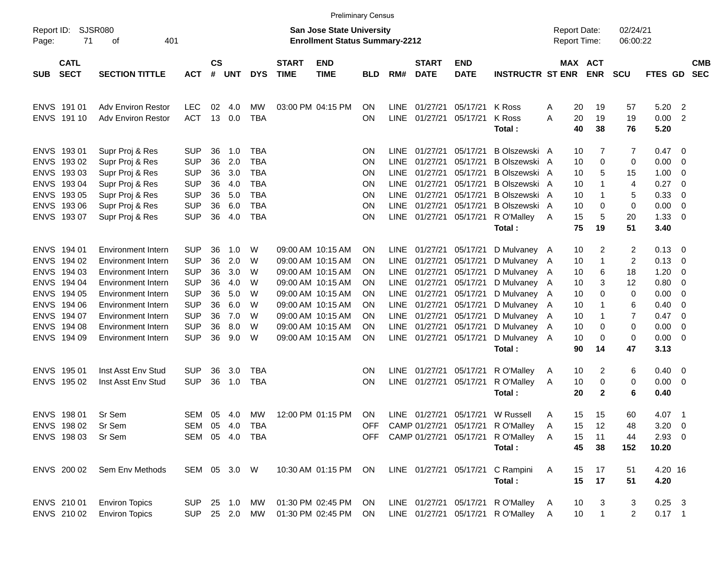|                     |                            |                           |            |                    |              |            |                             |                                                                           | <b>Preliminary Census</b> |             |                             |                           |                                       |   |                                     |                       |                      |              |                          |                          |
|---------------------|----------------------------|---------------------------|------------|--------------------|--------------|------------|-----------------------------|---------------------------------------------------------------------------|---------------------------|-------------|-----------------------------|---------------------------|---------------------------------------|---|-------------------------------------|-----------------------|----------------------|--------------|--------------------------|--------------------------|
| Report ID:<br>Page: | 71                         | SJSR080<br>401<br>оf      |            |                    |              |            |                             | <b>San Jose State University</b><br><b>Enrollment Status Summary-2212</b> |                           |             |                             |                           |                                       |   | <b>Report Date:</b><br>Report Time: |                       | 02/24/21<br>06:00:22 |              |                          |                          |
| <b>SUB</b>          | <b>CATL</b><br><b>SECT</b> | <b>SECTION TITTLE</b>     | <b>ACT</b> | $\mathsf{cs}$<br># | <b>UNT</b>   | <b>DYS</b> | <b>START</b><br><b>TIME</b> | <b>END</b><br><b>TIME</b>                                                 | <b>BLD</b>                | RM#         | <b>START</b><br><b>DATE</b> | <b>END</b><br><b>DATE</b> | <b>INSTRUCTR ST ENR</b>               |   |                                     | MAX ACT<br><b>ENR</b> | <b>SCU</b>           | FTES GD      |                          | <b>CMB</b><br><b>SEC</b> |
|                     | ENVS 191 01                | <b>Adv Environ Restor</b> | <b>LEC</b> | 02                 | 4.0          | MW         |                             | 03:00 PM 04:15 PM                                                         | ON                        | LINE        | 01/27/21                    | 05/17/21                  | K Ross                                | Α | 20                                  | 19                    | 57                   | 5.20         | $\overline{2}$           |                          |
|                     | ENVS 191 10                | <b>Adv Environ Restor</b> | <b>ACT</b> | 13                 | 0.0          | <b>TBA</b> |                             |                                                                           | ΟN                        | <b>LINE</b> | 01/27/21                    | 05/17/21                  | K Ross<br>Total:                      | Α | 20<br>40                            | 19<br>38              | 19<br>76             | 0.00<br>5.20 | $\overline{2}$           |                          |
|                     | ENVS 193 01                | Supr Proj & Res           | <b>SUP</b> | 36                 | 1.0          | <b>TBA</b> |                             |                                                                           | ΟN                        | LINE        | 01/27/21                    | 05/17/21                  | B Olszewski A                         |   | 10                                  | 7                     | 7                    | 0.47         | - 0                      |                          |
| <b>ENVS</b>         | 19302                      | Supr Proj & Res           | <b>SUP</b> | 36                 | 2.0          | <b>TBA</b> |                             |                                                                           | ΟN                        | <b>LINE</b> | 01/27/21                    | 05/17/21                  | B Olszewski A                         |   | 10                                  | 0                     | 0                    | 0.00         | - 0                      |                          |
| <b>ENVS</b>         | 19303                      | Supr Proj & Res           | <b>SUP</b> | 36                 | 3.0          | <b>TBA</b> |                             |                                                                           | ΟN                        | <b>LINE</b> | 01/27/21                    | 05/17/21                  | B Olszewski A                         |   | 10                                  | 5                     | 15                   | 1.00         | - 0                      |                          |
| <b>ENVS</b>         | 19304                      | Supr Proj & Res           | <b>SUP</b> | 36                 | 4.0          | <b>TBA</b> |                             |                                                                           | ΟN                        | <b>LINE</b> | 01/27/21                    | 05/17/21                  | B Olszewski A                         |   | 10                                  | 1                     | 4                    | 0.27         | - 0                      |                          |
| <b>ENVS</b>         | 193 05                     | Supr Proj & Res           | <b>SUP</b> | 36                 | 5.0          | <b>TBA</b> |                             |                                                                           | ΟN                        | <b>LINE</b> | 01/27/21                    | 05/17/21                  | B Olszewski A                         |   | 10                                  |                       | 5                    | 0.33         | - 0                      |                          |
| <b>ENVS</b>         | 193 06                     | Supr Proj & Res           | <b>SUP</b> | 36                 | 6.0          | <b>TBA</b> |                             |                                                                           | ΟN                        | <b>LINE</b> | 01/27/21                    | 05/17/21                  | B Olszewski A                         |   | 10                                  | 0                     | 0                    | 0.00         | $\overline{0}$           |                          |
|                     | ENVS 193 07                | Supr Proj & Res           | <b>SUP</b> | 36                 | 4.0          | <b>TBA</b> |                             |                                                                           | ΟN                        | <b>LINE</b> | 01/27/21                    | 05/17/21                  | R O'Malley                            | A | 15                                  | 5                     | 20                   | 1.33         | - 0                      |                          |
|                     |                            |                           |            |                    |              |            |                             |                                                                           |                           |             |                             |                           | Total:                                |   | 75                                  | 19                    | 51                   | 3.40         |                          |                          |
|                     | ENVS 194 01                | <b>Environment Intern</b> | <b>SUP</b> | 36                 | 1.0          | W          |                             | 09:00 AM 10:15 AM                                                         | ON                        | <b>LINE</b> | 01/27/21                    | 05/17/21                  | D Mulvaney A                          |   | 10                                  | 2                     | 2                    | 0.13         | - 0                      |                          |
| <b>ENVS</b>         | 194 02                     | Environment Intern        | <b>SUP</b> | 36                 | 2.0          | W          |                             | 09:00 AM 10:15 AM                                                         | ON                        | <b>LINE</b> | 01/27/21                    | 05/17/21                  | D Mulvaney A                          |   | 10                                  | 1                     | $\overline{c}$       | 0.13         | - 0                      |                          |
| <b>ENVS</b>         | 194 03                     | Environment Intern        | <b>SUP</b> | 36                 | 3.0          | W          |                             | 09:00 AM 10:15 AM                                                         | ON                        | <b>LINE</b> | 01/27/21                    | 05/17/21                  | D Mulvaney A                          |   | 10                                  | 6                     | 18                   | 1.20         | - 0                      |                          |
| <b>ENVS</b>         | 194 04                     | Environment Intern        | <b>SUP</b> | 36                 | 4.0          | W          |                             | 09:00 AM 10:15 AM                                                         | OΝ                        | <b>LINE</b> | 01/27/21                    | 05/17/21                  | D Mulvaney A                          |   | 10                                  | 3                     | 12                   | 0.80         | - 0                      |                          |
| <b>ENVS</b>         | 194 05                     | Environment Intern        | <b>SUP</b> | 36                 | 5.0          | W          |                             | 09:00 AM 10:15 AM                                                         | ON                        | <b>LINE</b> | 01/27/21                    | 05/17/21                  | D Mulvaney A                          |   | 10                                  | 0                     | 0                    | 0.00         | - 0                      |                          |
| <b>ENVS</b>         | 194 06                     | Environment Intern        | <b>SUP</b> | 36                 | 6.0          | W          |                             | 09:00 AM 10:15 AM                                                         | ON                        | <b>LINE</b> | 01/27/21                    | 05/17/21                  | D Mulvaney A                          |   | 10                                  | 1                     | 6                    | 0.40         | - 0                      |                          |
| <b>ENVS</b>         | 194 07                     | Environment Intern        | <b>SUP</b> | 36                 | 7.0          | W          |                             | 09:00 AM 10:15 AM                                                         | ON                        | LINE        | 01/27/21                    | 05/17/21                  | D Mulvaney A                          |   | 10                                  |                       | 7                    | 0.47         | - 0                      |                          |
| <b>ENVS</b>         | 194 08                     | Environment Intern        | <b>SUP</b> | 36                 | 8.0          | W          |                             | 09:00 AM 10:15 AM                                                         | ON                        | <b>LINE</b> | 01/27/21                    | 05/17/21                  | D Mulvaney A                          |   | 10                                  | 0                     | 0                    | 0.00         | - 0                      |                          |
| <b>ENVS</b>         | 194 09                     | Environment Intern        | <b>SUP</b> | 36                 | 9.0          | W          |                             | 09:00 AM 10:15 AM                                                         | ΟN                        | <b>LINE</b> | 01/27/21                    | 05/17/21                  | D Mulvaney A                          |   | 10                                  | 0                     | 0                    | 0.00         | - 0                      |                          |
|                     |                            |                           |            |                    |              |            |                             |                                                                           |                           |             |                             |                           | Total:                                |   | 90                                  | 14                    | 47                   | 3.13         |                          |                          |
|                     | ENVS 195 01                | Inst Asst Env Stud        | <b>SUP</b> | 36                 | 3.0          | TBA        |                             |                                                                           | ΟN                        | <b>LINE</b> | 01/27/21                    | 05/17/21                  | R O'Malley                            | A | 10                                  | 2                     | 6                    | 0.40         | $\overline{\phantom{0}}$ |                          |
|                     | ENVS 195 02                | Inst Asst Env Stud        | <b>SUP</b> | 36                 | 1.0          | <b>TBA</b> |                             |                                                                           | ΟN                        | <b>LINE</b> | 01/27/21                    | 05/17/21                  | R O'Malley                            | A | 10                                  | 0                     | 0                    | 0.00         | $\overline{\phantom{0}}$ |                          |
|                     |                            |                           |            |                    |              |            |                             |                                                                           |                           |             |                             |                           | Total:                                |   | 20                                  | $\mathbf{2}$          | 6                    | 0.40         |                          |                          |
|                     | ENVS 198 01                | Sr Sem                    | <b>SEM</b> | 05                 | 4.0          | MW         |                             | 12:00 PM 01:15 PM                                                         | ON.                       |             |                             | LINE 01/27/21 05/17/21    | W Russell                             | A | 15                                  | 15                    | 60                   | 4.07         | $\overline{\phantom{1}}$ |                          |
|                     | ENVS 198 02                | Sr Sem                    | SEM 05 4.0 |                    |              | TBA        |                             |                                                                           |                           |             |                             |                           | OFF CAMP 01/27/21 05/17/21 R O'Malley | A | 15                                  | 12                    | 48                   | $3.20 \ 0$   |                          |                          |
|                     | ENVS 198 03                | Sr Sem                    | SEM 05 4.0 |                    |              | TBA        |                             |                                                                           |                           |             |                             |                           | OFF CAMP 01/27/21 05/17/21 R O'Malley | A | 15                                  | 11                    | 44                   | $2.93$ 0     |                          |                          |
|                     |                            |                           |            |                    |              |            |                             |                                                                           |                           |             |                             |                           | Total:                                |   | 45                                  | 38                    | 152                  | 10.20        |                          |                          |
|                     | ENVS 200 02                | Sem Env Methods           |            |                    | SEM 05 3.0 W |            |                             | 10:30 AM 01:15 PM                                                         | ON                        |             |                             |                           | LINE 01/27/21 05/17/21 C Rampini      | A | 15                                  | 17                    | 51                   | 4.20 16      |                          |                          |
|                     |                            |                           |            |                    |              |            |                             |                                                                           |                           |             |                             |                           | Total:                                |   | 15                                  | 17                    | 51                   | 4.20         |                          |                          |
|                     | ENVS 210 01                | <b>Environ Topics</b>     | SUP 25 1.0 |                    |              | MW         |                             | 01:30 PM 02:45 PM                                                         | ON                        |             |                             |                           | LINE 01/27/21 05/17/21 R O'Malley     | A | 10                                  | 3                     | 3                    | $0.25$ 3     |                          |                          |
|                     | ENVS 210 02                | <b>Environ Topics</b>     |            |                    | SUP 25 2.0   | MW         |                             | 01:30 PM 02:45 PM                                                         | ON.                       |             |                             |                           | LINE 01/27/21 05/17/21 R O'Malley     | A | 10                                  | $\mathbf{1}$          | $\overline{c}$       | $0.17$ 1     |                          |                          |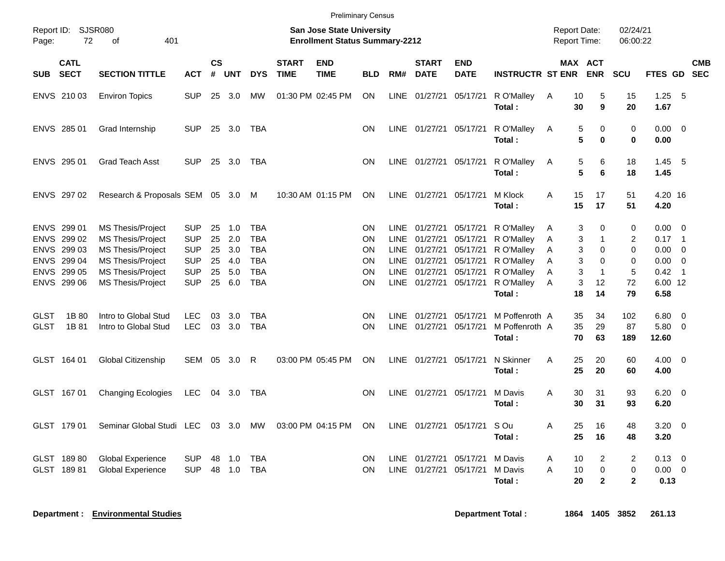| Report ID:<br>Page:        | 72                                        | SJSR080<br>401<br>οf                                                             |                                        |                    |                   |                                        |                             | <b>Preliminary Census</b><br><b>San Jose State University</b><br><b>Enrollment Status Summary-2212</b> |                |                             |                                  |                                  |                                                  | <b>Report Date:</b><br>Report Time: |                                             | 02/24/21<br>06:00:22     |                                 |                                                                |            |
|----------------------------|-------------------------------------------|----------------------------------------------------------------------------------|----------------------------------------|--------------------|-------------------|----------------------------------------|-----------------------------|--------------------------------------------------------------------------------------------------------|----------------|-----------------------------|----------------------------------|----------------------------------|--------------------------------------------------|-------------------------------------|---------------------------------------------|--------------------------|---------------------------------|----------------------------------------------------------------|------------|
| SUB                        | <b>CATL</b><br><b>SECT</b>                | <b>SECTION TITTLE</b>                                                            | <b>ACT</b>                             | $\mathsf{cs}$<br># | <b>UNT</b>        | <b>DYS</b>                             | <b>START</b><br><b>TIME</b> | <b>END</b><br><b>TIME</b>                                                                              | <b>BLD</b>     | RM#                         | <b>START</b><br><b>DATE</b>      | <b>END</b><br><b>DATE</b>        | <b>INSTRUCTR ST ENR</b>                          |                                     | MAX ACT<br><b>ENR</b>                       | <b>SCU</b>               | FTES GD SEC                     |                                                                | <b>CMB</b> |
|                            | ENVS 210 03                               | <b>Environ Topics</b>                                                            | <b>SUP</b>                             | 25                 | 3.0               | MW                                     |                             | 01:30 PM 02:45 PM                                                                                      | <b>ON</b>      | LINE                        | 01/27/21                         | 05/17/21                         | R O'Malley<br>Total:                             | 10<br>Α<br>30                       | 5<br>9                                      | 15<br>20                 | 1.25<br>1.67                    | - 5                                                            |            |
|                            | ENVS 285 01                               | Grad Internship                                                                  | <b>SUP</b>                             | 25                 | 3.0               | TBA                                    |                             |                                                                                                        | ON             | LINE                        | 01/27/21                         | 05/17/21                         | R O'Malley<br>Total:                             | Α                                   | 5<br>0<br>5<br>0                            | 0<br>0                   | 0.00<br>0.00                    | $\overline{\mathbf{0}}$                                        |            |
|                            | ENVS 295 01                               | <b>Grad Teach Asst</b>                                                           | <b>SUP</b>                             | 25                 | 3.0               | TBA                                    |                             |                                                                                                        | <b>ON</b>      | LINE                        | 01/27/21                         | 05/17/21                         | R O'Malley<br>Total :                            | A                                   | 5<br>6<br>5<br>6                            | 18<br>18                 | 1.45<br>1.45                    | - 5                                                            |            |
|                            | ENVS 297 02                               | Research & Proposals SEM 05 3.0                                                  |                                        |                    |                   | M                                      |                             | 10:30 AM 01:15 PM                                                                                      | ON             | <b>LINE</b>                 | 01/27/21                         | 05/17/21                         | M Klock<br>Total:                                | A<br>15<br>15                       | 17<br>17                                    | 51<br>51                 | 4.20 16<br>4.20                 |                                                                |            |
|                            | ENVS 299 01<br>ENVS 299 02<br>ENVS 299 03 | <b>MS Thesis/Project</b><br><b>MS Thesis/Project</b><br><b>MS Thesis/Project</b> | <b>SUP</b><br><b>SUP</b><br><b>SUP</b> | 25<br>25<br>25     | 1.0<br>2.0<br>3.0 | <b>TBA</b><br><b>TBA</b><br><b>TBA</b> |                             |                                                                                                        | ON<br>ΟN<br>ΟN | <b>LINE</b><br>LINE<br>LINE | 01/27/21<br>01/27/21<br>01/27/21 | 05/17/21<br>05/17/21<br>05/17/21 | R O'Malley<br>R O'Malley<br>R O'Malley           | A<br>A<br>A                         | 3<br>0<br>3<br>1<br>3<br>$\Omega$           | 0<br>$\overline{c}$<br>0 | 0.00<br>0.17<br>0.00            | $\overline{0}$<br>$\overline{\phantom{0}}$ 1<br>$\overline{0}$ |            |
|                            | ENVS 299 04<br>ENVS 299 05<br>ENVS 299 06 | <b>MS Thesis/Project</b><br><b>MS Thesis/Project</b><br><b>MS Thesis/Project</b> | <b>SUP</b><br><b>SUP</b><br><b>SUP</b> | 25<br>25<br>25     | 4.0<br>5.0<br>6.0 | <b>TBA</b><br><b>TBA</b><br><b>TBA</b> |                             |                                                                                                        | ON<br>ON<br>ON | <b>LINE</b><br>LINE<br>LINE | 01/27/21<br>01/27/21<br>01/27/21 | 05/17/21<br>05/17/21<br>05/17/21 | R O'Malley<br>R O'Malley<br>R O'Malley<br>Total: | A<br>A<br>A<br>18                   | 3<br>0<br>3<br>$\mathbf 1$<br>3<br>12<br>14 | 0<br>5<br>72<br>79       | 0.00<br>0.42<br>6.00 12<br>6.58 | $\overline{0}$<br>$\overline{1}$                               |            |
| <b>GLST</b><br><b>GLST</b> | 1B 80<br>1B 81                            | Intro to Global Stud<br>Intro to Global Stud                                     | <b>LEC</b><br><b>LEC</b>               | 03<br>03           | 3.0<br>3.0        | <b>TBA</b><br><b>TBA</b>               |                             |                                                                                                        | ΟN<br>ON       | LINE<br>LINE                | 01/27/21<br>01/27/21             | 05/17/21<br>05/17/21             | M Poffenroth A<br>M Poffenroth A<br>Total:       | 35<br>35                            | 34<br>29<br>70<br>63                        | 102<br>87<br>189         | 6.80<br>5.80<br>12.60           | $\overline{\mathbf{0}}$<br>$\overline{0}$                      |            |
|                            | GLST 164 01                               | Global Citizenship                                                               | SEM                                    | 05                 | 3.0               | R                                      |                             | 03:00 PM 05:45 PM                                                                                      | ON             | LINE                        | 01/27/21 05/17/21                |                                  | N Skinner<br>Total:                              | A<br>25<br>25                       | 20<br>20                                    | 60<br>60                 | 4.00<br>4.00                    | $\overline{\phantom{0}}$                                       |            |
|                            | GLST 167 01                               | <b>Changing Ecologies</b>                                                        | <b>LEC</b>                             |                    | 04 3.0            | TBA                                    |                             |                                                                                                        | <b>ON</b>      |                             | LINE 01/27/21 05/17/21           |                                  | M Davis<br>Total:                                | Α<br>30<br>30                       | 31<br>31                                    | 93<br>93                 | $6.20 \quad 0$<br>6.20          |                                                                |            |
|                            | GLST 179 01                               | Seminar Global Studi LEC                                                         |                                        | 03                 | 3.0               | MW                                     |                             | 03:00 PM 04:15 PM                                                                                      | ON             | LINE                        | 01/27/21                         | 05/17/21                         | S Ou<br>Total :                                  | A<br>25<br>25                       | 16<br>16                                    | 48<br>48                 | 3.20<br>3.20                    | $\overline{0}$                                                 |            |
|                            | GLST 18980<br>GLST 18981                  | <b>Global Experience</b><br><b>Global Experience</b>                             | <b>SUP</b><br><b>SUP</b>               | 48<br>48           | 1.0<br>1.0        | <b>TBA</b><br><b>TBA</b>               |                             |                                                                                                        | ON<br>ON       | LINE<br><b>LINE</b>         | 01/27/21<br>01/27/21             | 05/17/21<br>05/17/21             | M Davis<br>M Davis<br>Total:                     | 10<br>A<br>A<br>10<br>20            | 2<br>0<br>$\overline{2}$                    | 2<br>0<br>$\mathbf{2}$   | 0.13<br>0.00<br>0.13            | $\overline{\mathbf{0}}$<br>$\overline{0}$                      |            |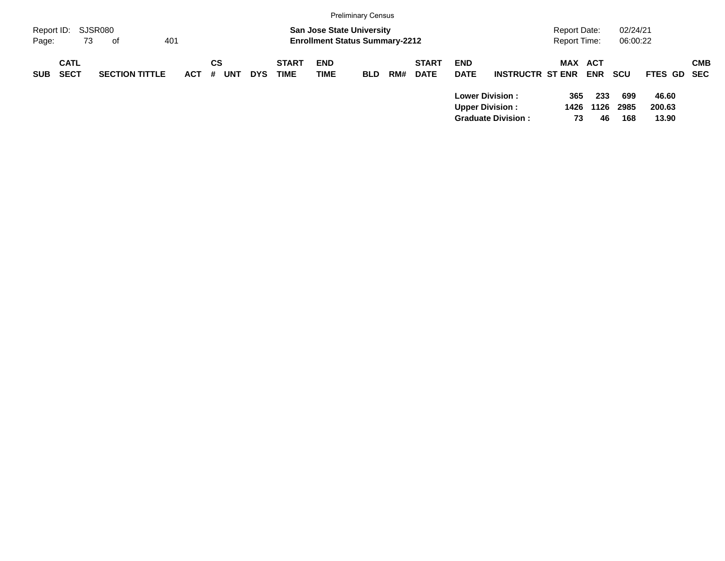|                     |                            |                        |            |         |            |            |                             |                                                                           | <b>Preliminary Census</b> |     |                             |                           |                                                                               |                              |                   |                      |                          |            |
|---------------------|----------------------------|------------------------|------------|---------|------------|------------|-----------------------------|---------------------------------------------------------------------------|---------------------------|-----|-----------------------------|---------------------------|-------------------------------------------------------------------------------|------------------------------|-------------------|----------------------|--------------------------|------------|
| Report ID:<br>Page: | 73                         | SJSR080<br>401<br>- of |            |         |            |            |                             | <b>San Jose State University</b><br><b>Enrollment Status Summary-2212</b> |                           |     |                             |                           |                                                                               | Report Date:<br>Report Time: |                   | 02/24/21<br>06:00:22 |                          |            |
| <b>SUB</b>          | <b>CATL</b><br><b>SECT</b> | <b>SECTION TITTLE</b>  | <b>ACT</b> | CS<br># | <b>UNT</b> | <b>DYS</b> | <b>START</b><br><b>TIME</b> | <b>END</b><br><b>TIME</b>                                                 | <b>BLD</b>                | RM# | <b>START</b><br><b>DATE</b> | <b>END</b><br><b>DATE</b> | <b>INSTRUCTR ST ENR</b>                                                       | MAX ACT                      | <b>ENR</b>        | <b>SCU</b>           | FTES GD SEC              | <b>CMB</b> |
|                     |                            |                        |            |         |            |            |                             |                                                                           |                           |     |                             |                           | <b>Lower Division:</b><br><b>Upper Division:</b><br><b>Graduate Division:</b> | 365<br>1426<br>73            | 233<br>1126<br>46 | 699<br>2985<br>168   | 46.60<br>200.63<br>13.90 |            |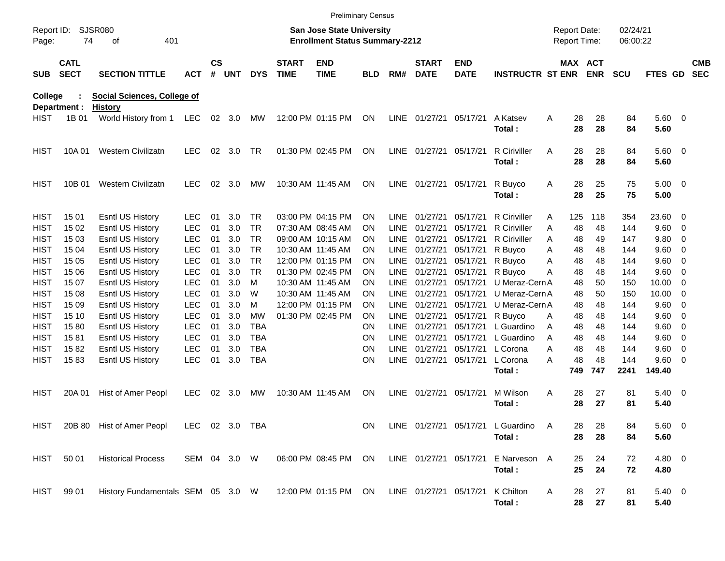|                            |                            |                                                      |                          |                |            |                        |                             | <b>Preliminary Census</b>                                                 |                        |                            |                             |                           |                                            |                                     |           |                              |                      |                     |            |                          |
|----------------------------|----------------------------|------------------------------------------------------|--------------------------|----------------|------------|------------------------|-----------------------------|---------------------------------------------------------------------------|------------------------|----------------------------|-----------------------------|---------------------------|--------------------------------------------|-------------------------------------|-----------|------------------------------|----------------------|---------------------|------------|--------------------------|
| Report ID:<br>Page:        | 74                         | <b>SJSR080</b><br>401<br>οf                          |                          |                |            |                        |                             | <b>San Jose State University</b><br><b>Enrollment Status Summary-2212</b> |                        |                            |                             |                           |                                            | <b>Report Date:</b><br>Report Time: |           |                              | 02/24/21<br>06:00:22 |                     |            |                          |
| <b>SUB</b>                 | <b>CATL</b><br><b>SECT</b> | <b>SECTION TITTLE</b>                                | <b>ACT</b>               | <b>CS</b><br># | <b>UNT</b> | <b>DYS</b>             | <b>START</b><br><b>TIME</b> | <b>END</b><br><b>TIME</b>                                                 | <b>BLD</b>             | RM#                        | <b>START</b><br><b>DATE</b> | <b>END</b><br><b>DATE</b> | <b>INSTRUCTR ST ENR</b>                    |                                     |           | <b>MAX ACT</b><br><b>ENR</b> | <b>SCU</b>           | FTES GD             |            | <b>CMB</b><br><b>SEC</b> |
| College                    | Department :               | <b>Social Sciences, College of</b><br><b>History</b> |                          |                |            |                        |                             |                                                                           |                        |                            |                             |                           |                                            |                                     |           |                              |                      |                     |            |                          |
| <b>HIST</b>                | 1B 01                      | World History from 1                                 | LEC                      |                | 02 3.0     | MW                     |                             | 12:00 PM 01:15 PM                                                         | ON                     |                            | LINE 01/27/21 05/17/21      |                           | A Katsev<br>Total:                         | A                                   | 28<br>28  | 28<br>28                     | 84<br>84             | 5.60 0<br>5.60      |            |                          |
| <b>HIST</b>                | 10A 01                     | Western Civilizatn                                   | <b>LEC</b>               | 02             | 3.0        | <b>TR</b>              |                             | 01:30 PM 02:45 PM                                                         | <b>ON</b>              |                            | LINE 01/27/21 05/17/21      |                           | <b>R</b> Ciriviller<br>Total:              | A                                   | 28<br>28  | 28<br>28                     | 84<br>84             | 5.60 0<br>5.60      |            |                          |
| <b>HIST</b>                | 10B 01                     | <b>Western Civilizatn</b>                            | <b>LEC</b>               | 02             | 3.0        | MW                     |                             | 10:30 AM 11:45 AM                                                         | <b>ON</b>              |                            | LINE 01/27/21 05/17/21      |                           | R Buyco<br>Total:                          | A                                   | 28<br>28  | 25<br>25                     | 75<br>75             | $5.00 \t 0$<br>5.00 |            |                          |
| <b>HIST</b><br><b>HIST</b> | 15 01<br>15 02             | <b>Esntl US History</b><br><b>Esntl US History</b>   | <b>LEC</b><br><b>LEC</b> | 01<br>01       | 3.0<br>3.0 | <b>TR</b><br><b>TR</b> |                             | 03:00 PM 04:15 PM<br>07:30 AM 08:45 AM                                    | <b>ON</b><br><b>ON</b> | <b>LINE</b><br><b>LINE</b> | 01/27/21<br>01/27/21        | 05/17/21<br>05/17/21      | <b>R</b> Ciriviller<br><b>R</b> Ciriviller | A<br>Α                              | 125<br>48 | 118<br>48                    | 354<br>144           | 23.60<br>9.60       | - 0<br>- 0 |                          |
| <b>HIST</b>                | 15 03                      | <b>Esntl US History</b>                              | <b>LEC</b>               | 01             | 3.0        | <b>TR</b>              |                             | 09:00 AM 10:15 AM                                                         | <b>ON</b>              | LINE                       | 01/27/21                    | 05/17/21                  | <b>R</b> Ciriviller                        | A                                   | 48        | 49                           | 147                  | 9.80                | - 0        |                          |
| <b>HIST</b>                | 15 04                      | <b>Esntl US History</b>                              | <b>LEC</b>               | 01             | 3.0        | <b>TR</b>              |                             | 10:30 AM 11:45 AM                                                         | <b>ON</b>              | LINE                       | 01/27/21                    | 05/17/21                  | R Buyco                                    | Α                                   | 48        | 48                           | 144                  | 9.60                | - 0        |                          |
| <b>HIST</b>                | 15 05                      | <b>Esntl US History</b>                              | <b>LEC</b>               | 01             | 3.0        | <b>TR</b>              |                             | 12:00 PM 01:15 PM                                                         | <b>ON</b>              | <b>LINE</b>                | 01/27/21                    | 05/17/21                  | R Buyco                                    | Α                                   | 48        | 48                           | 144                  | 9.60                | - 0        |                          |
| <b>HIST</b>                | 15 06                      | <b>Esntl US History</b>                              | <b>LEC</b>               | 01             | 3.0        | <b>TR</b>              |                             | 01:30 PM 02:45 PM                                                         | <b>ON</b>              | LINE                       | 01/27/21                    | 05/17/21                  | R Buyco                                    | Α                                   | 48        | 48                           | 144                  | 9.60                | - 0        |                          |
| <b>HIST</b>                | 15 07                      | <b>Esntl US History</b>                              | <b>LEC</b>               | 01             | 3.0        | м                      |                             | 10:30 AM 11:45 AM                                                         | <b>ON</b>              | <b>LINE</b>                | 01/27/21                    | 05/17/21                  | U Meraz-Cern A                             |                                     | 48        | 50                           | 150                  | 10.00               | - 0        |                          |
| <b>HIST</b>                | 15 08                      | <b>Esntl US History</b>                              | <b>LEC</b>               | 01             | 3.0        | W                      |                             | 10:30 AM 11:45 AM                                                         | <b>ON</b>              | <b>LINE</b>                | 01/27/21                    | 05/17/21                  | U Meraz-Cern A                             |                                     | 48        | 50                           | 150                  | 10.00               | - 0        |                          |
| <b>HIST</b>                | 15 09                      | <b>Esntl US History</b>                              | <b>LEC</b>               | 01             | 3.0        | м                      |                             | 12:00 PM 01:15 PM                                                         | <b>ON</b>              | LINE                       | 01/27/21                    | 05/17/21                  | U Meraz-Cern A                             |                                     | 48        | 48                           | 144                  | 9.60                | - 0        |                          |
| <b>HIST</b>                | 15 10                      | <b>Esntl US History</b>                              | <b>LEC</b>               | 01             | 3.0        | MW                     |                             | 01:30 PM 02:45 PM                                                         | <b>ON</b>              | LINE                       | 01/27/21                    | 05/17/21                  | R Buyco                                    | A                                   | 48        | 48                           | 144                  | 9.60                | - 0        |                          |
| <b>HIST</b>                | 1580                       | <b>Esntl US History</b>                              | <b>LEC</b>               | 01             | 3.0        | <b>TBA</b>             |                             |                                                                           | ON                     | <b>LINE</b>                | 01/27/21                    | 05/17/21                  | L Guardino                                 | A                                   | 48        | 48                           | 144                  | 9.60                | - 0        |                          |
| <b>HIST</b>                | 1581                       | <b>Esntl US History</b>                              | <b>LEC</b>               | 01             | 3.0        | <b>TBA</b>             |                             |                                                                           | <b>ON</b>              | LINE                       | 01/27/21                    | 05/17/21                  | L Guardino                                 | A                                   | 48        | 48                           | 144                  | 9.60                | 0          |                          |
| <b>HIST</b>                | 1582                       | Esntl US History                                     | <b>LEC</b>               | 01             | 3.0        | <b>TBA</b>             |                             |                                                                           | <b>ON</b>              | <b>LINE</b>                | 01/27/21                    | 05/17/21                  | L Corona                                   | Α                                   | 48        | 48                           | 144                  | 9.60                | 0          |                          |
| <b>HIST</b>                | 1583                       | <b>Esntl US History</b>                              | <b>LEC</b>               | 01             | 3.0        | <b>TBA</b>             |                             |                                                                           | <b>ON</b>              | <b>LINE</b>                | 01/27/21                    | 05/17/21                  | L Corona                                   | Α                                   | 48        | 48                           | 144                  | 9.60 0              |            |                          |
|                            |                            |                                                      |                          |                |            |                        |                             |                                                                           |                        |                            |                             |                           | Total:                                     |                                     | 749       | 747                          | 2241                 | 149.40              |            |                          |
| <b>HIST</b>                | 20A 01                     | Hist of Amer Peopl                                   | <b>LEC</b>               | 02             | 3.0        | MW                     |                             | 10:30 AM 11:45 AM                                                         | <b>ON</b>              | LINE                       | 01/27/21                    | 05/17/21                  | M Wilson<br>Total:                         | A                                   | 28<br>28  | 27<br>27                     | 81<br>81             | $5.40 \ 0$<br>5.40  |            |                          |
|                            |                            |                                                      |                          |                | 02 3.0 TBA |                        |                             |                                                                           |                        |                            |                             |                           | LINE 01/27/21 05/17/21 L Guardino          |                                     |           |                              |                      |                     |            |                          |
| HIST                       |                            | 20B 80 Hist of Amer Peopl                            | LEC.                     |                |            |                        |                             |                                                                           | <b>ON</b>              |                            |                             |                           | Total:                                     | A                                   | 28<br>28  | 28<br>28                     | 84<br>84             | 5.60 0<br>5.60      |            |                          |
| <b>HIST</b>                | 50 01                      | <b>Historical Process</b>                            | SEM 04 3.0 W             |                |            |                        |                             | 06:00 PM 08:45 PM ON                                                      |                        |                            | LINE 01/27/21 05/17/21      |                           | E Narveson A                               |                                     | 25        | 24                           | 72                   | 4.80 0              |            |                          |
|                            |                            |                                                      |                          |                |            |                        |                             |                                                                           |                        |                            |                             |                           | Total:                                     |                                     | 25        | 24                           | 72                   | 4.80                |            |                          |
| <b>HIST</b>                | 99 01                      | History Fundamentals SEM 05 3.0 W                    |                          |                |            |                        |                             | 12:00 PM 01:15 PM ON                                                      |                        |                            | LINE 01/27/21 05/17/21      |                           | K Chilton<br>Total:                        | A                                   | 28<br>28  | 27<br>27                     | 81<br>81             | $5.40\ 0$<br>5.40   |            |                          |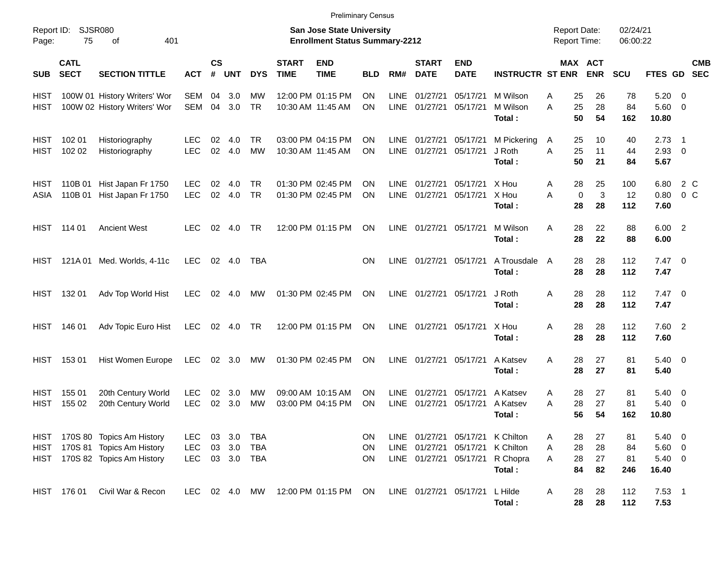|                            |                            |                                                                                          |                                 |                    |                      |                   |                             | <b>Preliminary Census</b>                                                 |                        |                            |                                                 |                                  |                                              |                                            |                       |                       |                                              |                                                      |            |
|----------------------------|----------------------------|------------------------------------------------------------------------------------------|---------------------------------|--------------------|----------------------|-------------------|-----------------------------|---------------------------------------------------------------------------|------------------------|----------------------------|-------------------------------------------------|----------------------------------|----------------------------------------------|--------------------------------------------|-----------------------|-----------------------|----------------------------------------------|------------------------------------------------------|------------|
| Report ID:<br>Page:        | 75                         | <b>SJSR080</b><br>401<br>οf                                                              |                                 |                    |                      |                   |                             | <b>San Jose State University</b><br><b>Enrollment Status Summary-2212</b> |                        |                            |                                                 |                                  |                                              | <b>Report Date:</b><br><b>Report Time:</b> |                       | 02/24/21<br>06:00:22  |                                              |                                                      |            |
| <b>SUB</b>                 | <b>CATL</b><br><b>SECT</b> | <b>SECTION TITTLE</b>                                                                    | <b>ACT</b>                      | $\mathsf{cs}$<br># | <b>UNT</b>           | <b>DYS</b>        | <b>START</b><br><b>TIME</b> | <b>END</b><br><b>TIME</b>                                                 | <b>BLD</b>             | RM#                        | <b>START</b><br><b>DATE</b>                     | <b>END</b><br><b>DATE</b>        | <b>INSTRUCTR ST ENR</b>                      |                                            | MAX ACT<br><b>ENR</b> | <b>SCU</b>            | FTES GD SEC                                  |                                                      | <b>CMB</b> |
| HIST<br><b>HIST</b>        |                            | 100W 01 History Writers' Wor<br>100W 02 History Writers' Wor                             | SEM<br>SEM                      | 04<br>04           | 3.0<br>3.0           | МW<br><b>TR</b>   |                             | 12:00 PM 01:15 PM<br>10:30 AM 11:45 AM                                    | <b>ON</b><br>ON.       | <b>LINE</b><br>LINE        | 01/27/21<br>01/27/21                            | 05/17/21<br>05/17/21             | M Wilson<br>M Wilson<br>Total:               | 25<br>Α<br>25<br>A<br>50                   | 26<br>28<br>54        | 78<br>84<br>162       | $5.20 \ 0$<br>$5.60$ 0<br>10.80              |                                                      |            |
| <b>HIST</b><br><b>HIST</b> | 102 01<br>102 02           | Historiography<br>Historiography                                                         | <b>LEC</b><br><b>LEC</b>        | 02<br>02           | 4.0<br>4.0           | TR<br><b>MW</b>   |                             | 03:00 PM 04:15 PM<br>10:30 AM 11:45 AM                                    | <b>ON</b><br>ON.       | LINE<br>LINE               | 01/27/21<br>01/27/21                            | 05/17/21<br>05/17/21             | M Pickering<br>J Roth<br>Total:              | 25<br>A<br>25<br>A<br>50                   | 10<br>11<br>21        | 40<br>44<br>84        | $2.73$ 1<br>$2.93$ 0<br>5.67                 |                                                      |            |
| HIST<br>ASIA               | 110B 01                    | Hist Japan Fr 1750<br>110B 01 Hist Japan Fr 1750                                         | <b>LEC</b><br><b>LEC</b>        | 02<br>02           | 4.0<br>4.0           | TR<br><b>TR</b>   |                             | 01:30 PM 02:45 PM<br>01:30 PM 02:45 PM                                    | <b>ON</b><br><b>ON</b> | <b>LINE</b><br>LINE        | 01/27/21<br>01/27/21                            | 05/17/21<br>05/17/21             | X Hou<br>X Hou<br>Total:                     | 28<br>A<br>$\mathbf 0$<br>A<br>28          | 25<br>3<br>28         | 100<br>12<br>112      | 6.80<br>0.80<br>7.60                         | 2 C<br>0 <sup>o</sup>                                |            |
| <b>HIST</b>                | 114 01                     | <b>Ancient West</b>                                                                      | <b>LEC</b>                      | 02                 | 4.0                  | TR                |                             | 12:00 PM 01:15 PM                                                         | ON                     | <b>LINE</b>                | 01/27/21                                        | 05/17/21                         | M Wilson<br>Total:                           | 28<br>A<br>28                              | 22<br>22              | 88<br>88              | 6.00 2<br>6.00                               |                                                      |            |
| <b>HIST</b>                |                            | 121A 01 Med. Worlds, 4-11c                                                               | <b>LEC</b>                      |                    | $02 \quad 4.0$       | <b>TBA</b>        |                             |                                                                           | ON.                    | LINE                       | 01/27/21                                        | 05/17/21                         | A Trousdale<br>Total:                        | 28<br>A<br>28                              | 28<br>28              | 112<br>112            | $7.47\ 0$<br>7.47                            |                                                      |            |
| <b>HIST</b>                | 132 01                     | Adv Top World Hist                                                                       | <b>LEC</b>                      | 02                 | 4.0                  | MW                |                             | 01:30 PM 02:45 PM                                                         | ON                     | <b>LINE</b>                | 01/27/21                                        | 05/17/21                         | J Roth<br>Total:                             | 28<br>Α<br>28                              | 28<br>28              | 112<br>112            | $7.47\ 0$<br>7.47                            |                                                      |            |
| <b>HIST</b>                | 146 01                     | Adv Topic Euro Hist                                                                      | <b>LEC</b>                      |                    | 02 4.0               | <b>TR</b>         |                             | 12:00 PM 01:15 PM                                                         | ON                     |                            | LINE 01/27/21                                   | 05/17/21                         | X Hou<br>Total:                              | 28<br>A<br>28                              | 28<br>28              | 112<br>112            | 7.60 2<br>7.60                               |                                                      |            |
| <b>HIST</b>                | 15301                      | Hist Women Europe                                                                        | <b>LEC</b>                      |                    | 02 3.0               | MW                |                             | 01:30 PM 02:45 PM                                                         | ON                     | LINE                       | 01/27/21                                        | 05/17/21                         | A Katsev<br>Total:                           | 28<br>A<br>28                              | 27<br>27              | 81<br>81              | $5.40 \ 0$<br>5.40                           |                                                      |            |
| <b>HIST</b><br><b>HIST</b> | 155 01<br>155 02           | 20th Century World<br>20th Century World                                                 | <b>LEC</b><br><b>LEC</b>        | 02<br>02           | 3.0<br>3.0           | МW<br><b>MW</b>   |                             | 09:00 AM 10:15 AM<br>03:00 PM 04:15 PM                                    | <b>ON</b><br>ON        | <b>LINE</b><br><b>LINE</b> | 01/27/21<br>01/27/21                            | 05/17/21<br>05/17/21             | A Katsev<br>A Katsev<br>Total :              | 28<br>Α<br>28<br>A<br>56                   | 27<br>27<br>54        | 81<br>81<br>162       | 5.40<br>5.40<br>10.80                        | $\overline{\phantom{0}}$<br>$\overline{\phantom{0}}$ |            |
| <b>HIST</b><br><b>HIST</b> |                            | HIST 170S 80 Topics Am History<br>170S 81 Topics Am History<br>170S 82 Topics Am History | LEC<br><b>LEC</b><br><b>LEC</b> | 03<br>03           | 3.0<br>3.0<br>03 3.0 | TBA<br>TBA<br>TBA |                             |                                                                           | ON.<br>ON<br>ON        |                            | LINE 01/27/21<br>LINE 01/27/21<br>LINE 01/27/21 | 05/17/21<br>05/17/21<br>05/17/21 | K Chilton<br>K Chilton<br>R Chopra<br>Total: | 28<br>Α<br>28<br>Α<br>28<br>A<br>84        | 27<br>28<br>27<br>82  | 81<br>84<br>81<br>246 | $5.40 \ 0$<br>$5.60$ 0<br>$5.40\ 0$<br>16.40 |                                                      |            |
|                            | HIST 176 01                | Civil War & Recon                                                                        | LEC                             |                    | 02 4.0               | MW                |                             | 12:00 PM 01:15 PM ON                                                      |                        |                            | LINE 01/27/21 05/17/21                          |                                  | L Hilde<br>Total:                            | 28<br>A<br>28                              | 28<br>28              | 112<br>112            | $7.53$ 1<br>7.53                             |                                                      |            |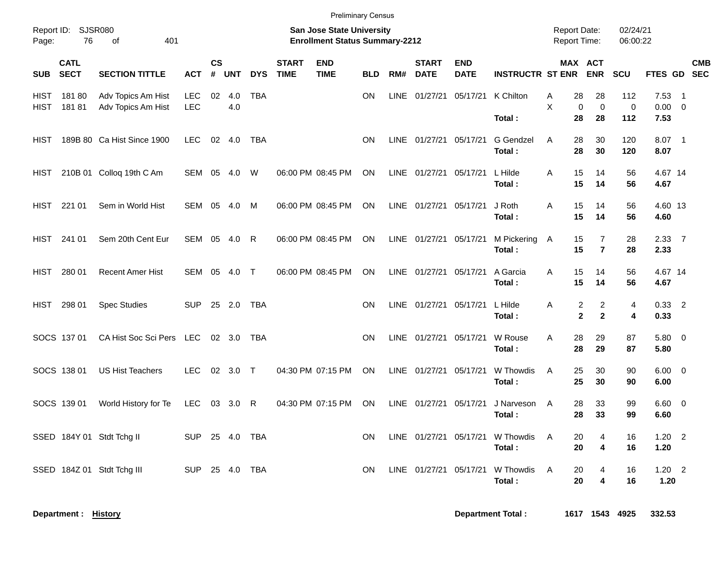|                                                                                                                             | <b>Preliminary Census</b><br>02/24/21<br><b>Report Date:</b> |                                          |                   |                   |            |              |                             |                           |            |             |                             |                           |                                            |                            |                                                                |                         |                                 |            |
|-----------------------------------------------------------------------------------------------------------------------------|--------------------------------------------------------------|------------------------------------------|-------------------|-------------------|------------|--------------|-----------------------------|---------------------------|------------|-------------|-----------------------------|---------------------------|--------------------------------------------|----------------------------|----------------------------------------------------------------|-------------------------|---------------------------------|------------|
| Report ID: SJSR080<br><b>San Jose State University</b><br>76<br>401<br><b>Enrollment Status Summary-2212</b><br>Page:<br>of |                                                              |                                          |                   |                   |            |              |                             |                           |            |             |                             |                           |                                            | Report Time:               |                                                                | 06:00:22                |                                 |            |
| <b>SUB</b>                                                                                                                  | <b>CATL</b><br><b>SECT</b>                                   | <b>SECTION TITTLE</b>                    | <b>ACT</b>        | <b>CS</b><br>$\#$ | <b>UNT</b> | <b>DYS</b>   | <b>START</b><br><b>TIME</b> | <b>END</b><br><b>TIME</b> | <b>BLD</b> | RM#         | <b>START</b><br><b>DATE</b> | <b>END</b><br><b>DATE</b> | <b>INSTRUCTR ST ENR</b>                    |                            | MAX ACT<br><b>ENR</b>                                          | <b>SCU</b>              | FTES GD SEC                     | <b>CMB</b> |
| <b>HIST</b><br><b>HIST</b>                                                                                                  | 18180<br>18181                                               | Adv Topics Am Hist<br>Adv Topics Am Hist | <b>LEC</b><br>LEC | 02                | 4.0<br>4.0 | <b>TBA</b>   |                             |                           | <b>ON</b>  | <b>LINE</b> | 01/27/21                    | 05/17/21                  | K Chilton<br>Total:                        | A<br>28<br>X<br>28         | 28<br>$\mathbf 0$<br>$\mathbf 0$<br>28                         | 112<br>$\pmb{0}$<br>112 | $7.53$ 1<br>$0.00 \t 0$<br>7.53 |            |
| HIST                                                                                                                        |                                                              | 189B 80 Ca Hist Since 1900               | <b>LEC</b>        | 02                | 4.0        | <b>TBA</b>   |                             |                           | <b>ON</b>  | <b>LINE</b> | 01/27/21 05/17/21           |                           | G Gendzel<br>Total:                        | A<br>28<br>28              | 30<br>30                                                       | 120<br>120              | 8.07 1<br>8.07                  |            |
| <b>HIST</b>                                                                                                                 |                                                              | 210B 01 Colloq 19th C Am                 | SEM 05            |                   | 4.0        | W            |                             | 06:00 PM 08:45 PM         | <b>ON</b>  |             | LINE 01/27/21 05/17/21      |                           | L Hilde<br>Total:                          | A<br>15<br>15              | 14<br>14                                                       | 56<br>56                | 4.67 14<br>4.67                 |            |
| HIST                                                                                                                        | 221 01                                                       | Sem in World Hist                        | SEM               | 05                | 4.0        | M            |                             | 06:00 PM 08:45 PM         | <b>ON</b>  |             | LINE 01/27/21 05/17/21      |                           | J Roth<br>Total:                           | A<br>15<br>15              | 14<br>14                                                       | 56<br>56                | 4.60 13<br>4.60                 |            |
| HIST                                                                                                                        | 241 01                                                       | Sem 20th Cent Eur                        | SEM 05            |                   | 4.0        | $\mathsf{R}$ |                             | 06:00 PM 08:45 PM         | <b>ON</b>  |             | LINE 01/27/21 05/17/21      |                           | M Pickering<br>Total:                      | $\overline{A}$<br>15<br>15 | $\overline{7}$<br>$\overline{7}$                               | 28<br>28                | 2.3377<br>2.33                  |            |
| <b>HIST</b>                                                                                                                 | 280 01                                                       | <b>Recent Amer Hist</b>                  | SEM 05            |                   | 4.0        | $\top$       |                             | 06:00 PM 08:45 PM         | <b>ON</b>  |             | LINE 01/27/21 05/17/21      |                           | A Garcia<br>Total:                         | A<br>15<br>15              | 14<br>14                                                       | 56<br>56                | 4.67 14<br>4.67                 |            |
| <b>HIST</b>                                                                                                                 | 298 01                                                       | <b>Spec Studies</b>                      | <b>SUP</b>        |                   | 25 2.0     | <b>TBA</b>   |                             |                           | <b>ON</b>  |             | LINE 01/27/21 05/17/21      |                           | L Hilde<br>Total:                          | Α                          | $\overline{c}$<br>2<br>$\overline{\mathbf{2}}$<br>$\mathbf{2}$ | 4<br>4                  | $0.33$ 2<br>0.33                |            |
|                                                                                                                             | SOCS 137 01                                                  | CA Hist Soc Sci Pers LEC                 |                   |                   | 02 3.0     | <b>TBA</b>   |                             |                           | <b>ON</b>  | <b>LINE</b> | 01/27/21 05/17/21           |                           | W Rouse<br>Total:                          | 28<br>A<br>28              | 29<br>29                                                       | 87<br>87                | 5.80 0<br>5.80                  |            |
|                                                                                                                             | SOCS 138 01                                                  | <b>US Hist Teachers</b>                  | <b>LEC</b>        | 02                | 3.0        | $\top$       |                             | 04:30 PM 07:15 PM         | <b>ON</b>  | LINE        | 01/27/21                    | 05/17/21                  | W Thowdis<br>Total:                        | 25<br>A<br>25              | 30<br>30                                                       | 90<br>90                | $6.00 \quad 0$<br>6.00          |            |
|                                                                                                                             | SOCS 139 01                                                  | World History for Te                     | <b>LEC</b>        | 03                | 3.0        | R            |                             | 04:30 PM 07:15 PM         | ON         | <b>LINE</b> | 01/27/21                    | 05/17/21                  | J Narveson<br>Total:                       | 28<br>A<br>28              | 33<br>33                                                       | 99<br>99                | $6.60$ 0<br>6.60                |            |
|                                                                                                                             |                                                              | SSED 184Y 01 Stdt Tchg II                | SUP 25 4.0 TBA    |                   |            |              |                             |                           | ON.        |             |                             |                           | LINE 01/27/21 05/17/21 W Thowdis<br>Total: | $\overline{A}$<br>20<br>20 | 4<br>4                                                         | 16<br>16                | 1.20 2<br>1.20                  |            |
|                                                                                                                             |                                                              | SSED 184Z 01 Stdt Tchg III               | SUP 25 4.0 TBA    |                   |            |              |                             |                           | ON         |             |                             |                           | LINE 01/27/21 05/17/21 W Thowdis<br>Total: | $\overline{A}$<br>20<br>20 | 4<br>4                                                         | 16<br>16                | 1.20 2<br>1.20                  |            |

**Department : History Department Total : 1617 1543 4925 332.53**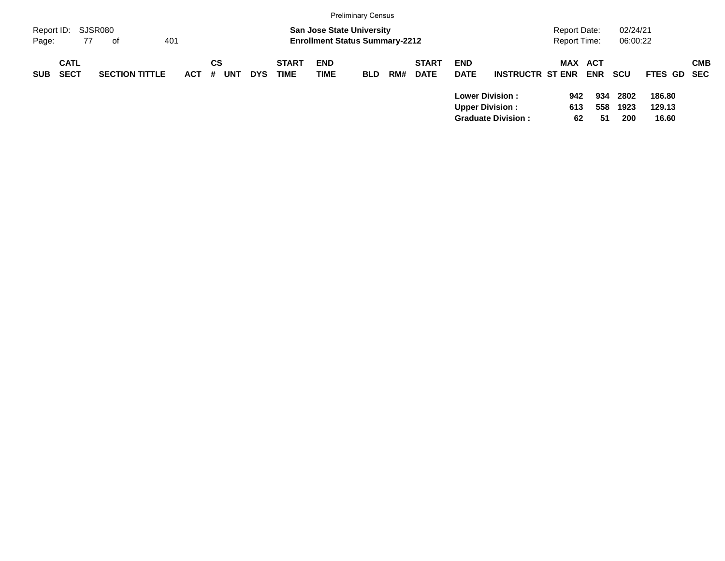|                     |                            |                       |            |         |            |            |                             |                           | <b>Preliminary Census</b>                                                 |     |                             |                           |                                                                               |                              |                       |                      |                           |            |
|---------------------|----------------------------|-----------------------|------------|---------|------------|------------|-----------------------------|---------------------------|---------------------------------------------------------------------------|-----|-----------------------------|---------------------------|-------------------------------------------------------------------------------|------------------------------|-----------------------|----------------------|---------------------------|------------|
| Report ID:<br>Page: | 77                         | SJSR080<br>401<br>0f  |            |         |            |            |                             |                           | <b>San Jose State University</b><br><b>Enrollment Status Summary-2212</b> |     |                             |                           |                                                                               | Report Date:<br>Report Time: |                       | 02/24/21<br>06:00:22 |                           |            |
| <b>SUB</b>          | <b>CATL</b><br><b>SECT</b> | <b>SECTION TITTLE</b> | <b>ACT</b> | CS<br># | <b>UNT</b> | <b>DYS</b> | <b>START</b><br><b>TIME</b> | <b>END</b><br><b>TIME</b> | <b>BLD</b>                                                                | RM# | <b>START</b><br><b>DATE</b> | <b>END</b><br><b>DATE</b> | <b>INSTRUCTR ST ENR</b>                                                       |                              | MAX ACT<br><b>ENR</b> | <b>SCU</b>           | FTES GD SEC               | <b>CMB</b> |
|                     |                            |                       |            |         |            |            |                             |                           |                                                                           |     |                             |                           | <b>Lower Division:</b><br><b>Upper Division:</b><br><b>Graduate Division:</b> | 942<br>613<br>62             | 934<br>558<br>51      | 2802<br>1923<br>200  | 186.80<br>129.13<br>16.60 |            |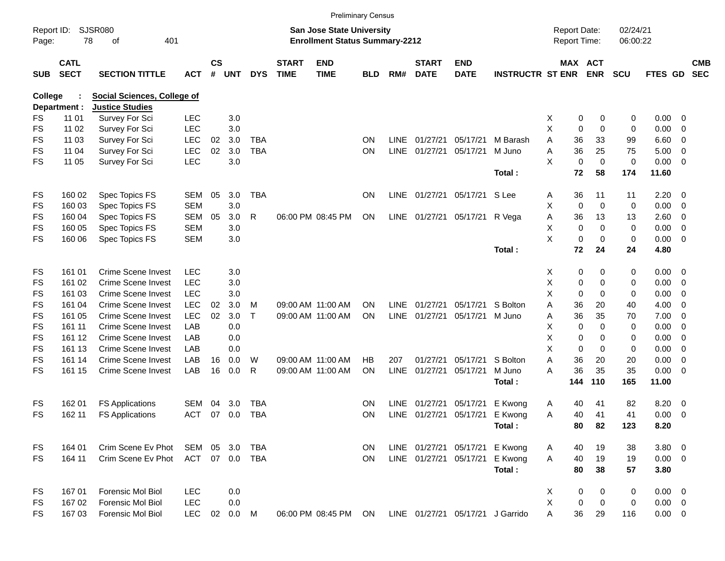|                     |                            |                                    |            |                    |            |              |                             |                                                                    | <b>Preliminary Census</b> |             |                             |                           |                                  |                                     |                       |                      |             |             |                          |
|---------------------|----------------------------|------------------------------------|------------|--------------------|------------|--------------|-----------------------------|--------------------------------------------------------------------|---------------------------|-------------|-----------------------------|---------------------------|----------------------------------|-------------------------------------|-----------------------|----------------------|-------------|-------------|--------------------------|
| Report ID:<br>Page: |                            | <b>SJSR080</b><br>78<br>401<br>of  |            |                    |            |              |                             | San Jose State University<br><b>Enrollment Status Summary-2212</b> |                           |             |                             |                           |                                  | <b>Report Date:</b><br>Report Time: |                       | 02/24/21<br>06:00:22 |             |             |                          |
| <b>SUB</b>          | <b>CATL</b><br><b>SECT</b> | <b>SECTION TITTLE</b>              | <b>ACT</b> | $\mathsf{cs}$<br># | <b>UNT</b> | <b>DYS</b>   | <b>START</b><br><b>TIME</b> | <b>END</b><br><b>TIME</b>                                          | <b>BLD</b>                | RM#         | <b>START</b><br><b>DATE</b> | <b>END</b><br><b>DATE</b> | <b>INSTRUCTR ST ENR</b>          |                                     | MAX ACT<br><b>ENR</b> | <b>SCU</b>           | FTES GD     |             | <b>CMB</b><br><b>SEC</b> |
| College             |                            | <b>Social Sciences, College of</b> |            |                    |            |              |                             |                                                                    |                           |             |                             |                           |                                  |                                     |                       |                      |             |             |                          |
|                     | Department :               | <b>Justice Studies</b>             |            |                    |            |              |                             |                                                                    |                           |             |                             |                           |                                  |                                     |                       |                      |             |             |                          |
| FS                  | 11 01                      | Survey For Sci                     | <b>LEC</b> |                    | 3.0        |              |                             |                                                                    |                           |             |                             |                           |                                  | Х<br>0                              | 0                     | 0                    | 0.00        | 0           |                          |
| FS                  | 11 02                      | Survey For Sci                     | <b>LEC</b> |                    | 3.0        |              |                             |                                                                    |                           |             |                             |                           |                                  | Χ<br>0                              | 0                     | 0                    | 0.00        | 0           |                          |
| FS                  | 11 03                      | Survey For Sci                     | <b>LEC</b> | 02                 | 3.0        | <b>TBA</b>   |                             |                                                                    | <b>ON</b>                 | <b>LINE</b> | 01/27/21                    | 05/17/21                  | M Barash                         | Α<br>36                             | 33                    | 99                   | 6.60        | 0           |                          |
| FS                  | 11 04                      | Survey For Sci                     | <b>LEC</b> | 02                 | 3.0        | <b>TBA</b>   |                             |                                                                    | ON                        | <b>LINE</b> | 01/27/21                    | 05/17/21                  | M Juno                           | Α<br>36                             | 25                    | 75                   | 5.00        | 0           |                          |
| FS                  | 11 05                      | Survey For Sci                     | LEC        |                    | 3.0        |              |                             |                                                                    |                           |             |                             |                           |                                  | X<br>$\mathbf 0$                    | 0                     | 0                    | 0.00        | $\mathbf 0$ |                          |
|                     |                            |                                    |            |                    |            |              |                             |                                                                    |                           |             |                             |                           | Total:                           | 72                                  | 58                    | 174                  | 11.60       |             |                          |
| FS                  | 160 02                     | Spec Topics FS                     | SEM        | 05                 | 3.0        | <b>TBA</b>   |                             |                                                                    | <b>ON</b>                 | <b>LINE</b> | 01/27/21                    | 05/17/21                  | S Lee                            | 36<br>Α                             | 11                    | 11                   | 2.20        | 0           |                          |
| FS                  | 160 03                     | Spec Topics FS                     | <b>SEM</b> |                    | 3.0        |              |                             |                                                                    |                           |             |                             |                           |                                  | Χ<br>$\mathbf 0$                    | 0                     | 0                    | 0.00        | 0           |                          |
| FS                  | 160 04                     | Spec Topics FS                     | <b>SEM</b> | 05                 | 3.0        | R            |                             | 06:00 PM 08:45 PM                                                  | ON                        | LINE        | 01/27/21                    | 05/17/21                  | R Vega                           | Α<br>36                             | 13                    | 13                   | 2.60        | 0           |                          |
| FS                  | 160 05                     | Spec Topics FS                     | <b>SEM</b> |                    | 3.0        |              |                             |                                                                    |                           |             |                             |                           |                                  | X<br>0                              | 0                     | $\mathbf 0$          | 0.00        | 0           |                          |
| <b>FS</b>           | 160 06                     | Spec Topics FS                     | <b>SEM</b> |                    | 3.0        |              |                             |                                                                    |                           |             |                             |                           |                                  | X<br>0                              | 0                     | 0                    | 0.00        | $\mathbf 0$ |                          |
|                     |                            |                                    |            |                    |            |              |                             |                                                                    |                           |             |                             |                           | Total:                           | 72                                  | 24                    | 24                   | 4.80        |             |                          |
| FS                  | 161 01                     | <b>Crime Scene Invest</b>          | <b>LEC</b> |                    | 3.0        |              |                             |                                                                    |                           |             |                             |                           |                                  | X.<br>0                             | 0                     | 0                    | 0.00        | 0           |                          |
| FS                  | 161 02                     | Crime Scene Invest                 | <b>LEC</b> |                    | 3.0        |              |                             |                                                                    |                           |             |                             |                           |                                  | X<br>0                              | 0                     | 0                    | 0.00        | 0           |                          |
| FS                  | 161 03                     | Crime Scene Invest                 | <b>LEC</b> |                    | 3.0        |              |                             |                                                                    |                           |             |                             |                           |                                  | X<br>0                              | 0                     | 0                    | 0.00        | 0           |                          |
| FS                  | 161 04                     | Crime Scene Invest                 | <b>LEC</b> | 02                 | 3.0        | м            |                             | 09:00 AM 11:00 AM                                                  | ΟN                        | <b>LINE</b> | 01/27/21                    | 05/17/21                  | S Bolton                         | Α<br>36                             | 20                    | 40                   | 4.00        | 0           |                          |
| FS                  | 161 05                     | Crime Scene Invest                 | <b>LEC</b> | 02                 | 3.0        | $\mathsf{T}$ |                             | 09:00 AM 11:00 AM                                                  | <b>ON</b>                 | <b>LINE</b> | 01/27/21                    | 05/17/21                  | M Juno                           | 36<br>Α                             | 35                    | 70                   | 7.00        | 0           |                          |
| FS                  | 161 11                     | Crime Scene Invest                 | LAB        |                    | 0.0        |              |                             |                                                                    |                           |             |                             |                           |                                  | X<br>0                              | $\Omega$              | 0                    | 0.00        | 0           |                          |
| FS                  | 161 12                     | Crime Scene Invest                 | LAB        |                    | 0.0        |              |                             |                                                                    |                           |             |                             |                           |                                  | X<br>0                              | 0                     | 0                    | 0.00        | 0           |                          |
| FS                  | 161 13                     | Crime Scene Invest                 | LAB        |                    | 0.0        |              |                             |                                                                    |                           |             |                             |                           |                                  | X<br>0                              | $\Omega$              | 0                    | 0.00        | 0           |                          |
| FS                  | 161 14                     | Crime Scene Invest                 | LAB        | 16                 | 0.0        | W            |                             | 09:00 AM 11:00 AM                                                  | НB                        | 207         | 01/27/21                    | 05/17/21                  | S Bolton                         | 36<br>Α                             | 20                    | 20                   | 0.00        | 0           |                          |
| FS                  | 161 15                     | Crime Scene Invest                 | LAB        | 16                 | 0.0        | R            |                             | 09:00 AM 11:00 AM                                                  | ON                        | <b>LINE</b> | 01/27/21                    | 05/17/21                  | M Juno                           | 36<br>А                             | 35                    | 35                   | 0.00        | 0           |                          |
|                     |                            |                                    |            |                    |            |              |                             |                                                                    |                           |             |                             |                           | Total:                           | 144                                 | 110                   | 165                  | 11.00       |             |                          |
| FS                  | 162 01                     | <b>FS Applications</b>             | <b>SEM</b> | 04                 | 3.0        | <b>TBA</b>   |                             |                                                                    | <b>ON</b>                 | <b>LINE</b> | 01/27/21                    | 05/17/21                  | E Kwong                          | 40<br>Α                             | 41                    | 82                   | 8.20        | 0           |                          |
| FS                  | 162 11                     | <b>FS Applications</b>             | <b>ACT</b> | 07                 | 0.0        | <b>TBA</b>   |                             |                                                                    | <b>ON</b>                 | LINE        | 01/27/21                    | 05/17/21                  | E Kwong                          | 40<br>Α                             | 41                    | 41                   | 0.00        | $\mathbf 0$ |                          |
|                     |                            |                                    |            |                    |            |              |                             |                                                                    |                           |             |                             |                           | Total:                           | 80                                  | 82                    | 123                  | 8.20        |             |                          |
| FS                  | 164 01                     | Crim Scene Ev Phot                 | SEM        |                    | 05 3.0     | <b>TBA</b>   |                             |                                                                    | <b>ON</b>                 |             | LINE 01/27/21 05/17/21      |                           | E Kwong                          | 40<br>A                             | 19                    | 38                   | $3.80\ 0$   |             |                          |
| FS.                 | 164 11                     | Crim Scene Ev Phot                 | ACT        |                    | 07 0.0     | TBA          |                             |                                                                    | <b>ON</b>                 |             | LINE 01/27/21 05/17/21      |                           | E Kwong                          | A<br>40                             | 19                    | 19                   | $0.00 \t 0$ |             |                          |
|                     |                            |                                    |            |                    |            |              |                             |                                                                    |                           |             |                             |                           | Total:                           | 80                                  | 38                    | 57                   | 3.80        |             |                          |
| FS                  | 167 01                     | Forensic Mol Biol                  | <b>LEC</b> |                    | 0.0        |              |                             |                                                                    |                           |             |                             |                           |                                  | 0<br>X                              | 0                     | 0                    | $0.00 \t 0$ |             |                          |
| FS                  | 167 02                     | Forensic Mol Biol                  | <b>LEC</b> |                    | 0.0        |              |                             |                                                                    |                           |             |                             |                           |                                  | X<br>0                              | $\mathbf 0$           | 0                    | $0.00 \t 0$ |             |                          |
| <b>FS</b>           | 167 03                     | Forensic Mol Biol                  | <b>LEC</b> |                    | 02  0.0  M |              |                             | 06:00 PM 08:45 PM ON                                               |                           |             |                             |                           | LINE 01/27/21 05/17/21 J Garrido | 36<br>А                             | 29                    | 116                  | $0.00 \t 0$ |             |                          |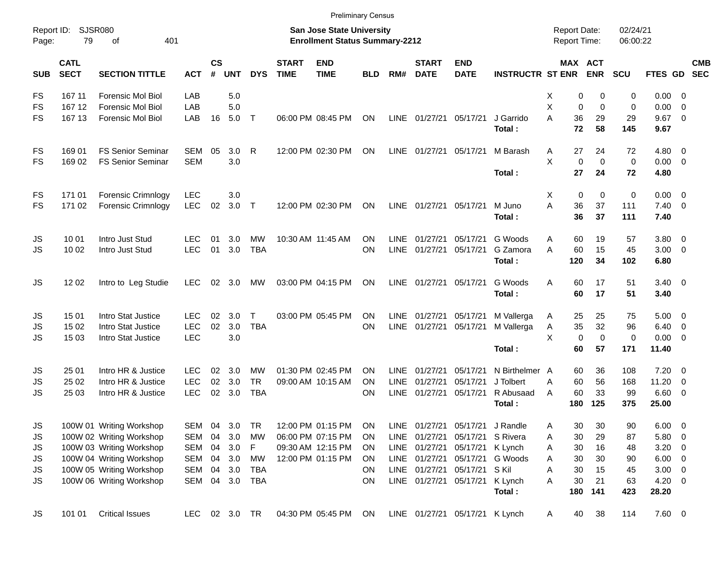|                     |                            |                             |            |                |                |              |                             | <b>Preliminary Census</b>                                          |            |             |                             |                                 |                                |                                            |                            |                      |                |                          |                          |
|---------------------|----------------------------|-----------------------------|------------|----------------|----------------|--------------|-----------------------------|--------------------------------------------------------------------|------------|-------------|-----------------------------|---------------------------------|--------------------------------|--------------------------------------------|----------------------------|----------------------|----------------|--------------------------|--------------------------|
| Report ID:<br>Page: | 79                         | <b>SJSR080</b><br>401<br>оf |            |                |                |              |                             | San Jose State University<br><b>Enrollment Status Summary-2212</b> |            |             |                             |                                 |                                | <b>Report Date:</b><br><b>Report Time:</b> |                            | 02/24/21<br>06:00:22 |                |                          |                          |
| <b>SUB</b>          | <b>CATL</b><br><b>SECT</b> | <b>SECTION TITTLE</b>       | <b>ACT</b> | <b>CS</b><br># | <b>UNT</b>     | <b>DYS</b>   | <b>START</b><br><b>TIME</b> | <b>END</b><br><b>TIME</b>                                          | <b>BLD</b> | RM#         | <b>START</b><br><b>DATE</b> | <b>END</b><br><b>DATE</b>       | <b>INSTRUCTR ST ENR</b>        |                                            | MAX ACT<br><b>ENR</b>      | SCU                  | FTES GD        |                          | <b>CMB</b><br><b>SEC</b> |
| FS                  | 167 11                     | <b>Forensic Mol Biol</b>    | LAB        |                | 5.0            |              |                             |                                                                    |            |             |                             |                                 |                                | Х                                          | 0<br>0                     | 0                    | $0.00 \t 0$    |                          |                          |
| FS                  | 167 12                     | <b>Forensic Mol Biol</b>    | LAB        |                | 5.0            |              |                             |                                                                    |            |             |                             |                                 |                                | X                                          | 0<br>$\mathbf 0$           | $\mathbf 0$          | 0.00           | - 0                      |                          |
| FS                  | 167 13                     | <b>Forensic Mol Biol</b>    | LAB        | 16             | 5.0            | $\top$       |                             | 06:00 PM 08:45 PM                                                  | ON         |             | LINE 01/27/21 05/17/21      |                                 | J Garrido                      | A<br>36                                    | 29                         | 29                   | 9.67           | $\overline{\phantom{0}}$ |                          |
|                     |                            |                             |            |                |                |              |                             |                                                                    |            |             |                             |                                 | Total:                         | 72                                         | 58                         | 145                  | 9.67           |                          |                          |
| FS                  | 169 01                     | <b>FS Senior Seminar</b>    | SEM        | 05             | 3.0            | R            |                             | 12:00 PM 02:30 PM                                                  | ON         | LINE        | 01/27/21 05/17/21           |                                 | M Barash                       | 27<br>A                                    | 24                         | 72                   | $4.80\ 0$      |                          |                          |
| FS                  | 169 02                     | <b>FS Senior Seminar</b>    | <b>SEM</b> |                | 3.0            |              |                             |                                                                    |            |             |                             |                                 |                                | X                                          | $\mathbf 0$<br>$\mathbf 0$ | $\mathbf 0$          | $0.00 \t 0$    |                          |                          |
|                     |                            |                             |            |                |                |              |                             |                                                                    |            |             |                             |                                 | Total:                         | 27                                         | 24                         | 72                   | 4.80           |                          |                          |
| FS                  | 171 01                     | Forensic Crimnlogy          | <b>LEC</b> |                | 3.0            |              |                             |                                                                    |            |             |                             |                                 |                                | X                                          | 0<br>0                     | $\mathbf 0$          | $0.00 \t 0$    |                          |                          |
| FS                  | 171 02                     | <b>Forensic Crimnlogy</b>   | <b>LEC</b> | 02             | 3.0            | $\top$       |                             | 12:00 PM 02:30 PM                                                  | ON         |             | LINE 01/27/21 05/17/21      |                                 | M Juno                         | A<br>36                                    | 37                         | 111                  | $7.40 \quad 0$ |                          |                          |
|                     |                            |                             |            |                |                |              |                             |                                                                    |            |             |                             |                                 | Total:                         | 36                                         | 37                         | 111                  | 7.40           |                          |                          |
| JS                  | 10 01                      | Intro Just Stud             | <b>LEC</b> | 01             | 3.0            | MW           |                             | 10:30 AM 11:45 AM                                                  | ON         | <b>LINE</b> | 01/27/21                    | 05/17/21                        | G Woods                        | 60<br>Α                                    | 19                         | 57                   | $3.80\ 0$      |                          |                          |
| JS                  | 10 02                      | Intro Just Stud             | <b>LEC</b> | 01             | 3.0            | <b>TBA</b>   |                             |                                                                    | ON         | <b>LINE</b> | 01/27/21                    | 05/17/21                        | G Zamora                       | 60<br>A                                    | 15                         | 45                   | $3.00 \ 0$     |                          |                          |
|                     |                            |                             |            |                |                |              |                             |                                                                    |            |             |                             |                                 | Total:                         | 120                                        | 34                         | 102                  | 6.80           |                          |                          |
| JS                  | 12 02                      | Intro to Leg Studie         | <b>LEC</b> |                | 02 3.0         | MW           |                             | 03:00 PM 04:15 PM                                                  | ON         |             | LINE 01/27/21 05/17/21      |                                 | G Woods                        | 60<br>A                                    | 17                         | 51                   | $3.40 \ 0$     |                          |                          |
|                     |                            |                             |            |                |                |              |                             |                                                                    |            |             |                             |                                 | Total:                         | 60                                         | 17                         | 51                   | 3.40           |                          |                          |
| JS                  | 15 01                      | Intro Stat Justice          | <b>LEC</b> | 02             | 3.0            | $\mathsf{T}$ |                             | 03:00 PM 05:45 PM                                                  | ΟN         | <b>LINE</b> | 01/27/21                    | 05/17/21                        | M Vallerga                     | 25<br>A                                    | 25                         | 75                   | $5.00 \t 0$    |                          |                          |
| JS                  | 15 02                      | Intro Stat Justice          | <b>LEC</b> | 02             | 3.0            | <b>TBA</b>   |                             |                                                                    | ON         | <b>LINE</b> | 01/27/21                    | 05/17/21                        | M Vallerga                     | 35<br>Α                                    | 32                         | 96                   | $6.40 \quad 0$ |                          |                          |
| JS                  | 15 03                      | Intro Stat Justice          | <b>LEC</b> |                | 3.0            |              |                             |                                                                    |            |             |                             |                                 |                                | X                                          | $\mathbf 0$<br>$\mathbf 0$ | $\mathbf 0$          | $0.00 \t 0$    |                          |                          |
|                     |                            |                             |            |                |                |              |                             |                                                                    |            |             |                             |                                 | Total:                         | 60                                         | 57                         | 171                  | 11.40          |                          |                          |
| JS                  | 25 01                      | Intro HR & Justice          | <b>LEC</b> | 02             | 3.0            | МW           |                             | 01:30 PM 02:45 PM                                                  | ON         | <b>LINE</b> | 01/27/21                    | 05/17/21                        | N Birthelmer A                 | 60                                         | 36                         | 108                  | $7.20 \t 0$    |                          |                          |
| JS                  | 25 02                      | Intro HR & Justice          | <b>LEC</b> | 02             | 3.0            | <b>TR</b>    |                             | 09:00 AM 10:15 AM                                                  | ΟN         | LINE        | 01/27/21                    | 05/17/21                        | J Tolbert                      | 60<br>A                                    | 56                         | 168                  | 11.20          | $\overline{\mathbf{0}}$  |                          |
| JS                  | 25 03                      | Intro HR & Justice          | <b>LEC</b> | 02             | 3.0            | <b>TBA</b>   |                             |                                                                    | ΟN         | <b>LINE</b> | 01/27/21                    | 05/17/21                        | R Abusaad                      | 60<br>A                                    | 33                         | 99                   | 6.60 0         |                          |                          |
|                     |                            |                             |            |                |                |              |                             |                                                                    |            |             |                             |                                 | Total:                         | 180                                        | 125                        | 375                  | 25.00          |                          |                          |
| JS                  |                            | 100W 01 Writing Workshop    | SEM 04     |                | 3.0            | TR           |                             | 12:00 PM 01:15 PM                                                  | ON         | <b>LINE</b> |                             | 01/27/21 05/17/21 J Randle      |                                | 30<br>Α                                    | 30                         | 90                   | $6.00 \t 0$    |                          |                          |
| JS                  |                            | 100W 02 Writing Workshop    | SEM 04     |                | 3.0            | МW           |                             | 06:00 PM 07:15 PM                                                  | <b>ON</b>  |             |                             | LINE 01/27/21 05/17/21 S Rivera |                                | 30<br>Α                                    | 29                         | 87                   | 5.80 0         |                          |                          |
| JS                  |                            | 100W 03 Writing Workshop    |            |                | SEM 04 3.0     | F            |                             | 09:30 AM 12:15 PM                                                  | ON.        |             |                             | LINE 01/27/21 05/17/21 K Lynch  |                                | 30<br>A                                    | 16                         | 48                   | $3.20 \ 0$     |                          |                          |
| JS                  |                            | 100W 04 Writing Workshop    |            |                | SEM 04 3.0     | МW           |                             | 12:00 PM 01:15 PM                                                  | <b>ON</b>  |             |                             |                                 | LINE 01/27/21 05/17/21 G Woods | 30<br>Α                                    | 30                         | 90                   | $6.00 \t 0$    |                          |                          |
| JS                  |                            | 100W 05 Writing Workshop    | SEM 04 3.0 |                |                | TBA          |                             |                                                                    | ON         |             |                             | LINE 01/27/21 05/17/21 S Kil    |                                | 30<br>A                                    | 15                         | 45                   | $3.00 \ 0$     |                          |                          |
| JS                  |                            | 100W 06 Writing Workshop    |            |                | SEM 04 3.0 TBA |              |                             |                                                                    | ON         |             |                             | LINE 01/27/21 05/17/21          | K Lynch                        | 30<br>A                                    | 21                         | 63                   | $4.20 \ 0$     |                          |                          |
|                     |                            |                             |            |                |                |              |                             |                                                                    |            |             |                             |                                 | Total:                         | 180                                        | 141                        | 423                  | 28.20          |                          |                          |
| JS                  | 101 01                     | <b>Critical Issues</b>      |            |                | LEC 02 3.0 TR  |              |                             | 04:30 PM 05:45 PM                                                  | ON         |             |                             | LINE 01/27/21 05/17/21 K Lynch  |                                | 40<br>$\mathsf{A}$                         | 38                         | 114                  | 7.60 0         |                          |                          |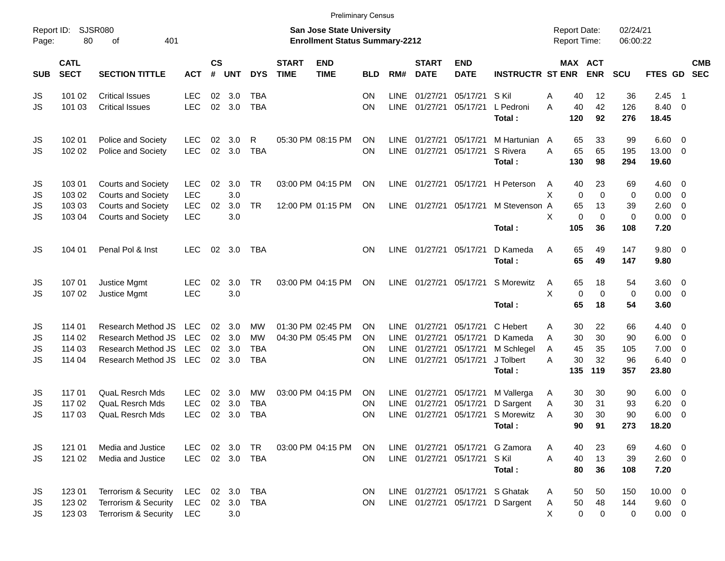|                       |                                      |                                                                                                                  |                                                      |                      |                          |                                             |                             |                                                                           | <b>Preliminary Census</b> |                                                          |                                              |                                              |                                                                     |                                     |                                                                              |                              |                                       |                                                                |                          |
|-----------------------|--------------------------------------|------------------------------------------------------------------------------------------------------------------|------------------------------------------------------|----------------------|--------------------------|---------------------------------------------|-----------------------------|---------------------------------------------------------------------------|---------------------------|----------------------------------------------------------|----------------------------------------------|----------------------------------------------|---------------------------------------------------------------------|-------------------------------------|------------------------------------------------------------------------------|------------------------------|---------------------------------------|----------------------------------------------------------------|--------------------------|
| Report ID:<br>Page:   | 80                                   | <b>SJSR080</b><br>401<br>οf                                                                                      |                                                      |                      |                          |                                             |                             | <b>San Jose State University</b><br><b>Enrollment Status Summary-2212</b> |                           |                                                          |                                              |                                              |                                                                     | <b>Report Date:</b><br>Report Time: |                                                                              | 02/24/21<br>06:00:22         |                                       |                                                                |                          |
| <b>SUB</b>            | <b>CATL</b><br><b>SECT</b>           | <b>SECTION TITTLE</b>                                                                                            | <b>ACT</b>                                           | $\mathsf{cs}$<br>#   | <b>UNT</b>               | <b>DYS</b>                                  | <b>START</b><br><b>TIME</b> | <b>END</b><br><b>TIME</b>                                                 | <b>BLD</b>                | RM#                                                      | <b>START</b><br><b>DATE</b>                  | <b>END</b><br><b>DATE</b>                    | <b>INSTRUCTR ST ENR</b>                                             |                                     | MAX ACT<br><b>ENR</b>                                                        | SCU                          | FTES GD                               |                                                                | <b>CMB</b><br><b>SEC</b> |
| JS<br>JS              | 101 02<br>101 03                     | <b>Critical Issues</b><br><b>Critical Issues</b>                                                                 | <b>LEC</b><br><b>LEC</b>                             | 02<br>02             | 3.0<br>3.0               | <b>TBA</b><br><b>TBA</b>                    |                             |                                                                           | ON<br>ON                  | <b>LINE</b><br><b>LINE</b>                               | 01/27/21<br>01/27/21                         | 05/17/21<br>05/17/21                         | S Kil<br>L Pedroni<br>Total :                                       | Α<br>A<br>120                       | 40<br>12<br>42<br>40<br>92                                                   | 36<br>126<br>276             | 2.45<br>8.40<br>18.45                 | - 1<br>$\overline{0}$                                          |                          |
| JS<br>JS              | 102 01<br>102 02                     | Police and Society<br>Police and Society                                                                         | <b>LEC</b><br><b>LEC</b>                             | 02<br>02             | 3.0<br>3.0               | R<br><b>TBA</b>                             |                             | 05:30 PM 08:15 PM                                                         | ΟN<br>ON                  | <b>LINE</b><br><b>LINE</b>                               | 01/27/21<br>01/27/21                         | 05/17/21<br>05/17/21                         | M Hartunian A<br>S Rivera<br>Total :                                | A<br>130                            | 65<br>33<br>65<br>65<br>98                                                   | 99<br>195<br>294             | 6.60<br>13.00<br>19.60                | $\overline{0}$<br>$\overline{0}$                               |                          |
| JS<br>JS<br>JS<br>JS  | 103 01<br>103 02<br>103 03<br>103 04 | <b>Courts and Society</b><br><b>Courts and Society</b><br><b>Courts and Society</b><br><b>Courts and Society</b> | <b>LEC</b><br><b>LEC</b><br><b>LEC</b><br><b>LEC</b> | 02<br>02             | 3.0<br>3.0<br>3.0<br>3.0 | <b>TR</b><br><b>TR</b>                      |                             | 03:00 PM 04:15 PM<br>12:00 PM 01:15 PM                                    | ΟN<br>ON                  | <b>LINE</b><br><b>LINE</b>                               | 01/27/21<br>01/27/21                         | 05/17/21<br>05/17/21                         | H Peterson<br>M Stevenson A<br>Total :                              | A<br>X<br>X<br>105                  | 23<br>40<br>$\mathbf 0$<br>$\mathbf 0$<br>65<br>13<br>0<br>$\mathbf 0$<br>36 | 69<br>0<br>39<br>0<br>108    | 4.60<br>0.00<br>2.60<br>0.00<br>7.20  | $\overline{0}$<br>$\mathbf 0$<br>$\mathbf 0$<br>$\overline{0}$ |                          |
| JS                    | 104 01                               | Penal Pol & Inst                                                                                                 | <b>LEC</b>                                           | 02                   | 3.0                      | <b>TBA</b>                                  |                             |                                                                           | ΟN                        | <b>LINE</b>                                              | 01/27/21                                     | 05/17/21                                     | D Kameda<br>Total:                                                  | A                                   | 65<br>49<br>65<br>49                                                         | 147<br>147                   | 9.80<br>9.80                          | $\overline{\mathbf{0}}$                                        |                          |
| JS<br>JS              | 107 01<br>107 02                     | Justice Mgmt<br>Justice Mgmt                                                                                     | <b>LEC</b><br><b>LEC</b>                             | 02                   | 3.0<br>3.0               | <b>TR</b>                                   |                             | 03:00 PM 04:15 PM                                                         | ON                        | <b>LINE</b>                                              | 01/27/21                                     | 05/17/21                                     | S Morewitz<br>Total :                                               | A<br>X                              | 65<br>18<br>$\mathbf 0$<br>$\mathbf 0$<br>65<br>18                           | 54<br>0<br>54                | 3.60<br>0.00<br>3.60                  | $\overline{0}$<br>$\overline{0}$                               |                          |
| JS<br>JS<br>JS<br>JS  | 114 01<br>114 02<br>114 03<br>114 04 | Research Method JS<br>Research Method JS<br>Research Method JS<br>Research Method JS                             | <b>LEC</b><br><b>LEC</b><br><b>LEC</b><br><b>LEC</b> | 02<br>02<br>02<br>02 | 3.0<br>3.0<br>3.0<br>3.0 | MW<br><b>MW</b><br><b>TBA</b><br><b>TBA</b> |                             | 01:30 PM 02:45 PM<br>04:30 PM 05:45 PM                                    | ON<br>ΟN<br>ON<br>ON      | <b>LINE</b><br><b>LINE</b><br><b>LINE</b><br><b>LINE</b> | 01/27/21<br>01/27/21<br>01/27/21<br>01/27/21 | 05/17/21<br>05/17/21<br>05/17/21<br>05/17/21 | C Hebert<br>D Kameda<br>M Schlegel<br>J Tolbert<br>Total:           | Α<br>A<br>A<br>A<br>135             | 22<br>30<br>30<br>30<br>45<br>35<br>30<br>32<br>119                          | 66<br>90<br>105<br>96<br>357 | 4.40<br>6.00<br>7.00<br>6.40<br>23.80 | - 0<br>$\overline{0}$<br>$\mathbf 0$<br>$\mathbf 0$            |                          |
| JS<br>JS<br>JS        | 117 01<br>117 02<br>117 03           | <b>QuaL Resrch Mds</b><br><b>QuaL Resrch Mds</b><br><b>QuaL Resrch Mds</b>                                       | <b>LEC</b><br><b>LEC</b><br><b>LEC</b>               | 02<br>02<br>02       | 3.0<br>3.0<br>3.0        | МW<br><b>TBA</b><br><b>TBA</b>              |                             | 03:00 PM 04:15 PM                                                         | ΟN<br>ΟN<br>ON            | LINE<br>LINE<br>LINE                                     | 01/27/21<br>01/27/21<br>01/27/21             | 05/17/21<br>05/17/21<br>05/17/21             | M Vallerga<br>D Sargent<br>S Morewitz<br>Total:                     | A<br>Α<br>A                         | 30<br>30<br>30<br>31<br>30<br>30<br>90<br>91                                 | 90<br>93<br>90<br>273        | 6.00<br>6.20<br>6.00<br>18.20         | 0<br>0<br>$\mathbf 0$                                          |                          |
| JS<br><b>JS</b>       | 121 01<br>121 02                     | Media and Justice<br>Media and Justice                                                                           | <b>LEC</b><br><b>LEC</b>                             |                      | 02 3.0                   | <b>TR</b><br>02 3.0 TBA                     |                             | 03:00 PM 04:15 PM                                                         | ON.<br><b>ON</b>          |                                                          | LINE 01/27/21 05/17/21                       | LINE 01/27/21 05/17/21                       | G Zamora<br>S Kil<br>Total:                                         | A<br>A                              | 23<br>40<br>13<br>40<br>80<br>36                                             | 69<br>39<br>108              | 4.60 0<br>$2.60 \t 0$<br>7.20         |                                                                |                          |
| JS<br>JS<br><b>JS</b> | 123 01<br>123 02<br>123 03           | Terrorism & Security<br>Terrorism & Security<br>Terrorism & Security                                             | <b>LEC</b><br>LEC<br>LEC                             |                      | 02 3.0<br>02 3.0<br>3.0  | <b>TBA</b><br><b>TBA</b>                    |                             |                                                                           | ON.<br>ON.                |                                                          |                                              |                                              | LINE 01/27/21 05/17/21 S Ghatak<br>LINE 01/27/21 05/17/21 D Sargent | A<br>A<br>X                         | 50<br>50<br>50<br>48<br>0<br>0                                               | 150<br>144<br>0              | $10.00 \t 0$<br>9.60 0<br>$0.00 \t 0$ |                                                                |                          |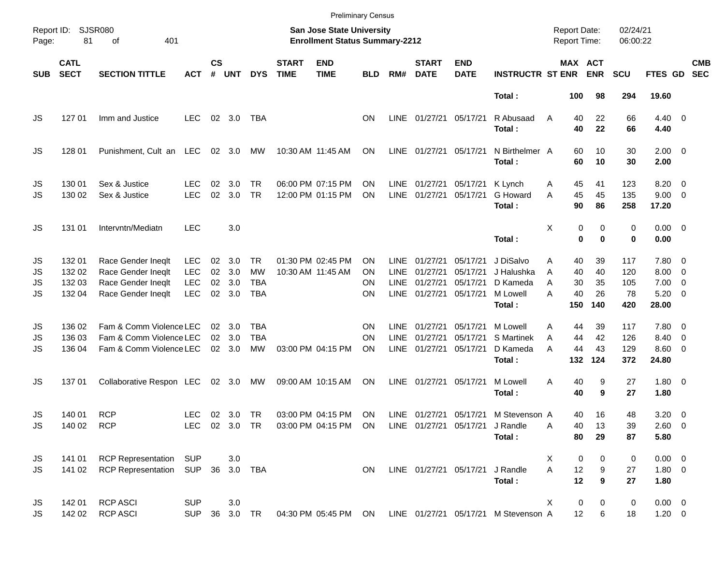|                      |                                      |                                                                                      |                                                      |                      |                          |                                              |                             | <b>Preliminary Census</b>                                          |                      |                                                   |                                              |                                              |                                                           |                                                 |                             |                                |                                         |                                                                                  |                          |
|----------------------|--------------------------------------|--------------------------------------------------------------------------------------|------------------------------------------------------|----------------------|--------------------------|----------------------------------------------|-----------------------------|--------------------------------------------------------------------|----------------------|---------------------------------------------------|----------------------------------------------|----------------------------------------------|-----------------------------------------------------------|-------------------------------------------------|-----------------------------|--------------------------------|-----------------------------------------|----------------------------------------------------------------------------------|--------------------------|
| Report ID:<br>Page:  | 81                                   | <b>SJSR080</b><br>of<br>401                                                          |                                                      |                      |                          |                                              |                             | San Jose State University<br><b>Enrollment Status Summary-2212</b> |                      |                                                   |                                              |                                              |                                                           | <b>Report Date:</b><br>Report Time:             |                             | 02/24/21<br>06:00:22           |                                         |                                                                                  |                          |
| <b>SUB</b>           | <b>CATL</b><br><b>SECT</b>           | <b>SECTION TITTLE</b>                                                                | <b>ACT</b>                                           | $\mathsf{cs}$<br>#   | <b>UNT</b>               | <b>DYS</b>                                   | <b>START</b><br><b>TIME</b> | <b>END</b><br><b>TIME</b>                                          | <b>BLD</b>           | RM#                                               | <b>START</b><br><b>DATE</b>                  | <b>END</b><br><b>DATE</b>                    | <b>INSTRUCTR ST ENR</b>                                   |                                                 | MAX ACT<br><b>ENR</b>       | <b>SCU</b>                     | FTES GD                                 |                                                                                  | <b>CMB</b><br><b>SEC</b> |
|                      |                                      |                                                                                      |                                                      |                      |                          |                                              |                             |                                                                    |                      |                                                   |                                              |                                              | Total:                                                    | 100                                             | 98                          | 294                            | 19.60                                   |                                                                                  |                          |
| JS                   | 127 01                               | Imm and Justice                                                                      | <b>LEC</b>                                           |                      | 02 3.0                   | TBA                                          |                             |                                                                    | <b>ON</b>            | <b>LINE</b>                                       | 01/27/21 05/17/21                            |                                              | R Abusaad<br>Total:                                       | 40<br>A<br>40                                   | 22<br>22                    | 66<br>66                       | $4.40 \ 0$<br>4.40                      |                                                                                  |                          |
| JS                   | 128 01                               | Punishment, Cult an LEC                                                              |                                                      |                      | 02 3.0                   | МW                                           |                             | 10:30 AM 11:45 AM                                                  | ON                   | <b>LINE</b>                                       | 01/27/21                                     | 05/17/21                                     | N Birthelmer A<br>Total:                                  | 60<br>60                                        | 10<br>10                    | 30<br>30                       | $2.00 \t 0$<br>2.00                     |                                                                                  |                          |
| JS<br>JS             | 130 01<br>130 02                     | Sex & Justice<br>Sex & Justice                                                       | LEC<br><b>LEC</b>                                    | 02<br>02             | 3.0<br>3.0               | TR.<br><b>TR</b>                             |                             | 06:00 PM 07:15 PM<br>12:00 PM 01:15 PM                             | ΟN<br><b>ON</b>      | <b>LINE</b><br><b>LINE</b>                        | 01/27/21<br>01/27/21                         | 05/17/21<br>05/17/21                         | K Lynch<br>G Howard<br>Total:                             | 45<br>Α<br>45<br>A<br>90                        | 41<br>45<br>86              | 123<br>135<br>258              | 8.20<br>$9.00 \t 0$<br>17.20            | $\overline{\phantom{0}}$                                                         |                          |
| JS                   | 131 01                               | Intervntn/Mediatn                                                                    | <b>LEC</b>                                           |                      | 3.0                      |                                              |                             |                                                                    |                      |                                                   |                                              |                                              | Total:                                                    | Χ                                               | 0<br>0<br>0<br>$\bf{0}$     | 0<br>0                         | $0.00 \t 0$<br>0.00                     |                                                                                  |                          |
| JS<br>JS<br>JS<br>JS | 132 01<br>132 02<br>132 03<br>132 04 | Race Gender Ineqlt<br>Race Gender Ineqlt<br>Race Gender Ineqlt<br>Race Gender Ineqlt | <b>LEC</b><br><b>LEC</b><br><b>LEC</b><br><b>LEC</b> | 02<br>02<br>02<br>02 | 3.0<br>3.0<br>3.0<br>3.0 | TR.<br><b>MW</b><br><b>TBA</b><br><b>TBA</b> |                             | 01:30 PM 02:45 PM<br>10:30 AM 11:45 AM                             | OΝ<br>OΝ<br>ΟN<br>ON | <b>LINE</b><br><b>LINE</b><br><b>LINE</b><br>LINE | 01/27/21<br>01/27/21<br>01/27/21<br>01/27/21 | 05/17/21<br>05/17/21<br>05/17/21<br>05/17/21 | J DiSalvo<br>J Halushka<br>D Kameda<br>M Lowell<br>Total: | Α<br>40<br>40<br>A<br>30<br>A<br>40<br>А<br>150 | 39<br>40<br>35<br>26<br>140 | 117<br>120<br>105<br>78<br>420 | 7.80 0<br>8.00<br>7.00<br>5.20<br>28.00 | $\overline{\phantom{0}}$<br>$\overline{\phantom{0}}$<br>$\overline{\phantom{0}}$ |                          |
| JS<br>JS<br>JS       | 136 02<br>136 03<br>136 04           | Fam & Comm Violence LEC<br>Fam & Comm Violence LEC<br>Fam & Comm Violence LEC        |                                                      | 02<br>02             | - 3.0<br>3.0<br>02 3.0   | TBA<br><b>TBA</b><br>MW                      |                             | 03:00 PM 04:15 PM                                                  | ON<br>ON<br>ON       | <b>LINE</b><br><b>LINE</b><br><b>LINE</b>         | 01/27/21<br>01/27/21<br>01/27/21             | 05/17/21<br>05/17/21<br>05/17/21             | M Lowell<br>S Martinek<br>D Kameda<br>Total:              | Α<br>44<br>44<br>A<br>44<br>A<br>132            | 39<br>42<br>43<br>124       | 117<br>126<br>129<br>372       | 7.80 0<br>8.40<br>$8.60$ 0<br>24.80     | $\overline{\phantom{0}}$                                                         |                          |
| JS                   | 137 01                               | Collaborative Respon LEC                                                             |                                                      |                      | 02 3.0                   | МW                                           |                             | 09:00 AM 10:15 AM                                                  | ON                   | LINE                                              | 01/27/21                                     | 05/17/21                                     | M Lowell<br>Total:                                        | 40<br>Α<br>40                                   | 9<br>9                      | 27<br>27                       | $1.80 \ 0$<br>1.80                      |                                                                                  |                          |
| JS<br>JS             | 140 01<br>140 02 RCP                 | <b>RCP</b>                                                                           | LEC.                                                 | 02                   | -3.0                     | <b>TR</b>                                    |                             | 03:00 PM 04:15 PM<br>LEC 02 3.0 TR 03:00 PM 04:15 PM ON            | ON                   |                                                   |                                              | LINE 01/27/21 05/17/21 J Randle              | LINE 01/27/21 05/17/21 M Stevenson A<br>Total:            | 40<br>Α<br>40<br>80                             | 16<br>13<br>29              | 48<br>39<br>87                 | $3.20 \ 0$<br>2.60 0<br>5.80            |                                                                                  |                          |
| JS<br>JS.            | 141 01<br>141 02                     | <b>RCP Representation</b><br><b>RCP Representation</b>                               | <b>SUP</b><br>SUP 36 3.0 TBA                         |                      | 3.0                      |                                              |                             |                                                                    | ON                   |                                                   | LINE 01/27/21 05/17/21                       |                                              | J Randle<br>Total:                                        | X<br>A<br>12<br>12                              | 0<br>0<br>9<br>9            | 0<br>27<br>27                  | $0.00 \t 0$<br>1.80 0<br>1.80           |                                                                                  |                          |
| JS<br><b>JS</b>      | 142 01<br>142 02                     | <b>RCP ASCI</b><br><b>RCP ASCI</b>                                                   | <b>SUP</b><br><b>SUP</b>                             |                      | 3.0<br>36 3.0 TR         |                                              |                             |                                                                    |                      |                                                   |                                              |                                              | 04:30 PM 05:45 PM ON LINE 01/27/21 05/17/21 M Stevenson A | X<br>12                                         | 0<br>0<br>6                 | 0<br>18                        | $0.00 \t 0$<br>$1.20 \t 0$              |                                                                                  |                          |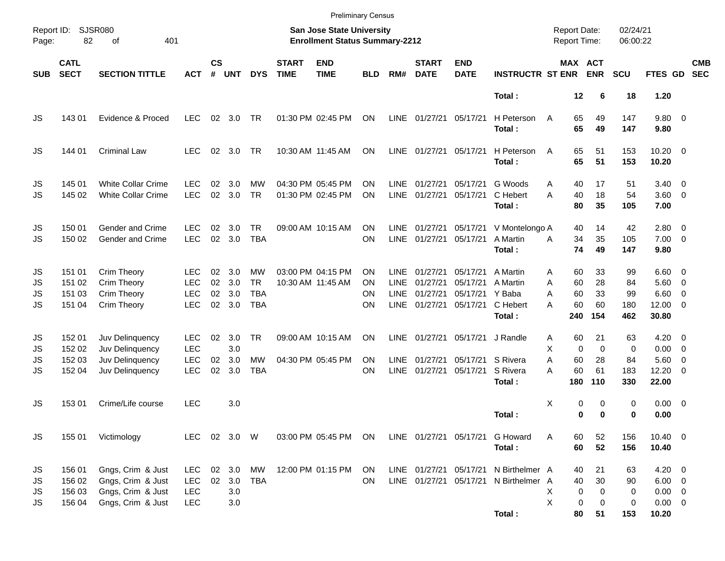|                      |                                      |                                                                                  |                                                      |                      |                             |                                                    |                                                                    | <b>Preliminary Census</b>              |                       |                                                   |                                              |                                                     |                                                                                |                                                 |                                      |                              |                                                         |                                                                                         |                          |
|----------------------|--------------------------------------|----------------------------------------------------------------------------------|------------------------------------------------------|----------------------|-----------------------------|----------------------------------------------------|--------------------------------------------------------------------|----------------------------------------|-----------------------|---------------------------------------------------|----------------------------------------------|-----------------------------------------------------|--------------------------------------------------------------------------------|-------------------------------------------------|--------------------------------------|------------------------------|---------------------------------------------------------|-----------------------------------------------------------------------------------------|--------------------------|
| Report ID:<br>Page:  | <b>SJSR080</b><br>82                 | 401                                                                              |                                                      |                      |                             |                                                    | San Jose State University<br><b>Enrollment Status Summary-2212</b> |                                        |                       |                                                   |                                              |                                                     | <b>Report Date:</b><br>Report Time:                                            |                                                 | 02/24/21<br>06:00:22                 |                              |                                                         |                                                                                         |                          |
| <b>SUB</b>           | <b>CATL</b><br><b>SECT</b>           | <b>SECTION TITTLE</b>                                                            | ACT                                                  | $\mathsf{cs}$<br>#   | <b>UNT</b>                  | <b>DYS</b>                                         | <b>START</b><br><b>TIME</b>                                        | <b>END</b><br><b>TIME</b>              | <b>BLD</b>            | RM#                                               | <b>START</b><br><b>DATE</b>                  | <b>END</b><br><b>DATE</b>                           | <b>INSTRUCTR ST ENR</b>                                                        | MAX ACT                                         | <b>ENR</b>                           | <b>SCU</b>                   | FTES GD                                                 |                                                                                         | <b>CMB</b><br><b>SEC</b> |
|                      |                                      |                                                                                  |                                                      |                      |                             |                                                    |                                                                    |                                        |                       |                                                   |                                              |                                                     | Total:                                                                         | 12                                              | 6                                    | 18                           | 1.20                                                    |                                                                                         |                          |
| JS                   | 143 01                               | Evidence & Proced                                                                | <b>LEC</b>                                           | 02                   | 3.0                         | TR                                                 |                                                                    | 01:30 PM 02:45 PM                      | ON                    | LINE                                              | 01/27/21                                     | 05/17/21                                            | H Peterson<br>Total:                                                           | 65<br>A<br>65                                   | 49<br>49                             | 147<br>147                   | 9.80 0<br>9.80                                          |                                                                                         |                          |
| JS                   | 144 01                               | <b>Criminal Law</b>                                                              | <b>LEC</b>                                           | 02                   | 3.0                         | TR.                                                |                                                                    | 10:30 AM 11:45 AM                      | <b>ON</b>             | <b>LINE</b>                                       | 01/27/21                                     | 05/17/21                                            | H Peterson<br>Total:                                                           | 65<br>A<br>65                                   | 51<br>51                             | 153<br>153                   | $10.20 \t 0$<br>10.20                                   |                                                                                         |                          |
| JS<br>JS             | 145 01<br>145 02                     | <b>White Collar Crime</b><br><b>White Collar Crime</b>                           | LEC<br><b>LEC</b>                                    | 02<br>02             | 3.0<br>3.0                  | MW<br><b>TR</b>                                    |                                                                    | 04:30 PM 05:45 PM<br>01:30 PM 02:45 PM | ΟN<br>ON              | <b>LINE</b><br>LINE                               | 01/27/21<br>01/27/21                         | 05/17/21<br>05/17/21                                | G Woods<br>C Hebert<br>Total:                                                  | 40<br>Α<br>A<br>40<br>80                        | 17<br>18<br>35                       | 51<br>54<br>105              | 3.40<br>$3.60 \ 0$<br>7.00                              | $\overline{\phantom{0}}$                                                                |                          |
| JS<br>JS             | 150 01<br>150 02                     | Gender and Crime<br>Gender and Crime                                             | LEC<br><b>LEC</b>                                    | 02<br>02             | 3.0<br>3.0                  | TR.<br><b>TBA</b>                                  |                                                                    | 09:00 AM 10:15 AM                      | OΝ<br>ON              | <b>LINE</b><br>LINE                               | 01/27/21<br>01/27/21                         | 05/17/21                                            | 05/17/21 V Montelongo A<br>A Martin<br>Total:                                  | 40<br>34<br>A<br>74                             | 14<br>35<br>49                       | 42<br>105<br>147             | $2.80 \t 0$<br>$7.00 \t 0$<br>9.80                      |                                                                                         |                          |
| JS<br>JS<br>JS<br>JS | 151 01<br>151 02<br>151 03<br>151 04 | Crim Theory<br>Crim Theory<br>Crim Theory<br>Crim Theory                         | LEC<br>LEC<br><b>LEC</b><br><b>LEC</b>               | 02<br>02<br>02<br>02 | 3.0<br>3.0<br>3.0<br>3.0    | <b>MW</b><br><b>TR</b><br><b>TBA</b><br><b>TBA</b> |                                                                    | 03:00 PM 04:15 PM<br>10:30 AM 11:45 AM | ΟN<br>ON<br>ΟN<br>ON  | <b>LINE</b><br><b>LINE</b><br><b>LINE</b><br>LINE | 01/27/21<br>01/27/21<br>01/27/21<br>01/27/21 | 05/17/21<br>05/17/21<br>05/17/21 Y Baba<br>05/17/21 | A Martin<br>A Martin<br>C Hebert<br>Total:                                     | 60<br>Α<br>60<br>Α<br>60<br>Α<br>60<br>А<br>240 | 33<br>28<br>33<br>60<br>154          | 99<br>84<br>99<br>180<br>462 | $6.60$ 0<br>$5.60$ 0<br>6.60<br>$12.00 \t 0$<br>30.80   | - 0                                                                                     |                          |
| JS<br>JS<br>JS<br>JS | 152 01<br>152 02<br>152 03<br>152 04 | Juv Delinquency<br>Juv Delinquency<br>Juv Delinquency<br>Juv Delinquency         | <b>LEC</b><br><b>LEC</b><br><b>LEC</b><br><b>LEC</b> | 02<br>02<br>02       | 3.0<br>3.0<br>3.0<br>3.0    | <b>TR</b><br><b>MW</b><br><b>TBA</b>               |                                                                    | 09:00 AM 10:15 AM<br>04:30 PM 05:45 PM | ΟN<br><b>ON</b><br>ON | LINE<br>LINE<br><b>LINE</b>                       | 01/27/21<br>01/27/21<br>01/27/21             | 05/17/21<br>05/17/21                                | J Randle<br>05/17/21 S Rivera<br>S Rivera<br>Total:                            | 60<br>Α<br>X<br>0<br>60<br>Α<br>A<br>60<br>180  | 21<br>$\mathbf 0$<br>28<br>61<br>110 | 63<br>0<br>84<br>183<br>330  | 4.20<br>0.00<br>5.60<br>12.20<br>22.00                  | $\overline{\phantom{0}}$<br>$\overline{\phantom{0}}$<br>- 0<br>$\overline{\phantom{0}}$ |                          |
| JS                   | 15301                                | Crime/Life course                                                                | <b>LEC</b>                                           |                      | 3.0                         |                                                    |                                                                    |                                        |                       |                                                   |                                              |                                                     | Total:                                                                         | Χ<br>0<br>0                                     | 0<br>$\bf{0}$                        | 0<br>0                       | $0.00 \t 0$<br>0.00                                     |                                                                                         |                          |
| JS                   | 155 01                               | Victimology                                                                      | LEC 02 3.0 W                                         |                      |                             |                                                    |                                                                    | 03:00 PM 05:45 PM ON                   |                       |                                                   |                                              |                                                     | LINE 01/27/21 05/17/21 G Howard<br>Total:                                      | 60<br>Α<br>60                                   | 52<br>52                             | 156<br>156                   | $10.40 \ 0$<br>10.40                                    |                                                                                         |                          |
| JS<br>JS<br>JS<br>JS | 156 01<br>156 02<br>156 03<br>156 04 | Gngs, Crim & Just<br>Gngs, Crim & Just<br>Gngs, Crim & Just<br>Gngs, Crim & Just | <b>LEC</b><br><b>LEC</b><br><b>LEC</b><br><b>LEC</b> | $02\,$               | 02 3.0<br>3.0<br>3.0<br>3.0 | MW<br><b>TBA</b>                                   |                                                                    | 12:00 PM 01:15 PM                      | ON<br>ON              |                                                   |                                              |                                                     | LINE 01/27/21 05/17/21 N Birthelmer A<br>LINE 01/27/21 05/17/21 N Birthelmer A | 40<br>40<br>0<br>X<br>X<br>0                    | 21<br>30<br>0<br>0                   | 63<br>90<br>0<br>0           | $4.20 \ 0$<br>$6.00 \t 0$<br>$0.00 \t 0$<br>$0.00 \t 0$ |                                                                                         |                          |
|                      |                                      |                                                                                  |                                                      |                      |                             |                                                    |                                                                    |                                        |                       |                                                   |                                              |                                                     | Total:                                                                         | 80                                              | 51                                   | 153                          | 10.20                                                   |                                                                                         |                          |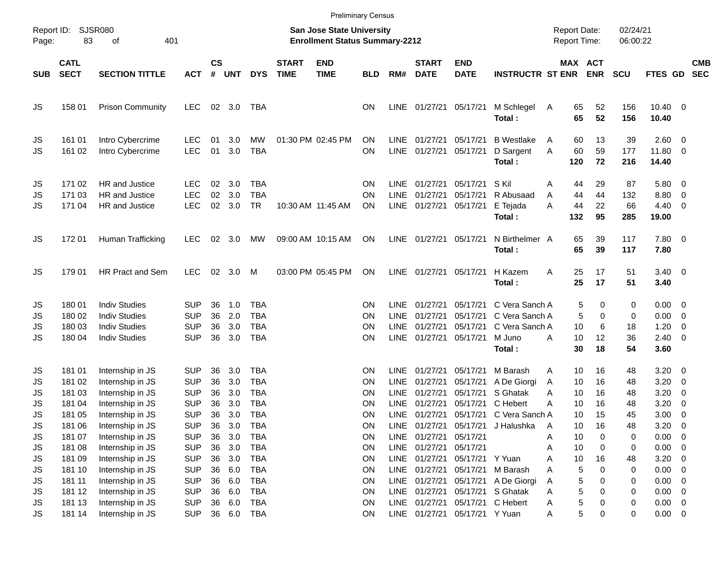|                                   |                                                |                                                                                                  |                                                                    |                            |                                 |                                                                    |                             |                                                                           | <b>Preliminary Census</b>  |                                                    |                                                       |                                                                               |                                                                        |                                                |                          |                          |                                             |                                                                                    |                          |
|-----------------------------------|------------------------------------------------|--------------------------------------------------------------------------------------------------|--------------------------------------------------------------------|----------------------------|---------------------------------|--------------------------------------------------------------------|-----------------------------|---------------------------------------------------------------------------|----------------------------|----------------------------------------------------|-------------------------------------------------------|-------------------------------------------------------------------------------|------------------------------------------------------------------------|------------------------------------------------|--------------------------|--------------------------|---------------------------------------------|------------------------------------------------------------------------------------|--------------------------|
| Report ID:<br>Page:               | 83                                             | <b>SJSR080</b><br>401<br>οf                                                                      |                                                                    |                            |                                 |                                                                    |                             | <b>San Jose State University</b><br><b>Enrollment Status Summary-2212</b> |                            |                                                    |                                                       |                                                                               |                                                                        | <b>Report Date:</b><br><b>Report Time:</b>     |                          | 02/24/21<br>06:00:22     |                                             |                                                                                    |                          |
| <b>SUB</b>                        | <b>CATL</b><br><b>SECT</b>                     | <b>SECTION TITTLE</b>                                                                            | <b>ACT</b>                                                         | $\mathsf{cs}$<br>#         | <b>UNT</b>                      | <b>DYS</b>                                                         | <b>START</b><br><b>TIME</b> | <b>END</b><br><b>TIME</b>                                                 | <b>BLD</b>                 | RM#                                                | <b>START</b><br><b>DATE</b>                           | <b>END</b><br><b>DATE</b>                                                     | <b>INSTRUCTR ST ENR</b>                                                | MAX ACT                                        | <b>ENR</b>               | <b>SCU</b>               | FTES GD                                     |                                                                                    | <b>CMB</b><br><b>SEC</b> |
| JS                                | 158 01                                         | <b>Prison Community</b>                                                                          | <b>LEC</b>                                                         | 02                         | 3.0                             | TBA                                                                |                             |                                                                           | <b>ON</b>                  | <b>LINE</b>                                        | 01/27/21 05/17/21                                     |                                                                               | M Schlegel<br>Total:                                                   | 65<br>A<br>65                                  | 52<br>52                 | 156<br>156               | $10.40 \t 0$<br>10.40                       |                                                                                    |                          |
| JS<br>JS                          | 161 01<br>161 02                               | Intro Cybercrime<br>Intro Cybercrime                                                             | <b>LEC</b><br><b>LEC</b>                                           | 01<br>01                   | 3.0<br>3.0                      | MW<br><b>TBA</b>                                                   |                             | 01:30 PM 02:45 PM                                                         | ΟN<br>ON                   | <b>LINE</b><br><b>LINE</b>                         | 01/27/21<br>01/27/21                                  | 05/17/21<br>05/17/21                                                          | <b>B</b> Westlake<br>D Sargent<br>Total:                               | 60<br>A<br>60<br>A<br>120                      | 13<br>59<br>72           | 39<br>177<br>216         | 2.60<br>11.80<br>14.40                      | $\overline{\mathbf{0}}$<br>$\overline{\phantom{0}}$                                |                          |
| JS<br>JS<br>JS                    | 171 02<br>171 03<br>171 04                     | HR and Justice<br>HR and Justice<br>HR and Justice                                               | <b>LEC</b><br><b>LEC</b><br><b>LEC</b>                             | 02<br>02<br>02             | 3.0<br>3.0<br>3.0               | <b>TBA</b><br><b>TBA</b><br><b>TR</b>                              |                             | 10:30 AM 11:45 AM                                                         | ΟN<br>ON<br>ON             | LINE.<br><b>LINE</b><br><b>LINE</b>                | 01/27/21<br>01/27/21<br>01/27/21                      | 05/17/21<br>05/17/21<br>05/17/21                                              | S Kil<br>R Abusaad<br>E Tejada<br>Total:                               | A<br>44<br>44<br>A<br>44<br>Α<br>132           | 29<br>44<br>22<br>95     | 87<br>132<br>66<br>285   | 5.80<br>8.80<br>4.40<br>19.00               | $\overline{\mathbf{0}}$<br>0<br>0                                                  |                          |
| JS                                | 172 01                                         | Human Trafficking                                                                                | <b>LEC</b>                                                         | 02                         | 3.0                             | MW                                                                 |                             | 09:00 AM 10:15 AM                                                         | ON                         | LINE                                               | 01/27/21 05/17/21                                     |                                                                               | N Birthelmer A<br>Total:                                               | 65<br>65                                       | 39<br>39                 | 117<br>117               | 7.80 0<br>7.80                              |                                                                                    |                          |
| JS                                | 179 01                                         | HR Pract and Sem                                                                                 | <b>LEC</b>                                                         | 02                         | 3.0                             | M                                                                  |                             | 03:00 PM 05:45 PM                                                         | ON                         | <b>LINE</b>                                        | 01/27/21                                              | 05/17/21                                                                      | H Kazem<br>Total:                                                      | Α<br>25<br>25                                  | 17<br>17                 | 51<br>51                 | $3.40 \quad 0$<br>3.40                      |                                                                                    |                          |
| JS<br>JS<br>JS<br>JS              | 180 01<br>180 02<br>180 03<br>180 04           | <b>Indiv Studies</b><br><b>Indiv Studies</b><br><b>Indiv Studies</b><br><b>Indiv Studies</b>     | <b>SUP</b><br><b>SUP</b><br><b>SUP</b><br><b>SUP</b>               | 36<br>36<br>36<br>36       | 1.0<br>2.0<br>3.0<br>3.0        | <b>TBA</b><br><b>TBA</b><br><b>TBA</b><br><b>TBA</b>               |                             |                                                                           | ΟN<br>ΟN<br>ΟN<br>ΟN       | LINE<br><b>LINE</b><br><b>LINE</b><br><b>LINE</b>  | 01/27/21<br>01/27/21<br>01/27/21<br>01/27/21 05/17/21 | 05/17/21<br>05/17/21<br>05/17/21                                              | C Vera Sanch A<br>C Vera Sanch A<br>C Vera Sanch A<br>M Juno<br>Total: | 5<br>5<br>10<br>10<br>A<br>30                  | 0<br>0<br>6<br>12<br>18  | 0<br>0<br>18<br>36<br>54 | 0.00<br>0.00<br>1.20<br>2.40<br>3.60        | $\overline{\mathbf{0}}$<br>$\overline{\mathbf{0}}$<br>0<br>$\overline{\mathbf{0}}$ |                          |
| JS<br>JS<br>JS<br>JS              | 181 01<br>181 02<br>181 03<br>181 04           | Internship in JS<br>Internship in JS<br>Internship in JS<br>Internship in JS                     | <b>SUP</b><br><b>SUP</b><br><b>SUP</b><br><b>SUP</b>               | 36<br>36<br>36<br>36       | 3.0<br>3.0<br>3.0<br>3.0        | TBA<br><b>TBA</b><br><b>TBA</b><br><b>TBA</b>                      |                             |                                                                           | ΟN<br>ΟN<br>ΟN<br>ΟN       | LINE.<br><b>LINE</b><br><b>LINE</b><br><b>LINE</b> | 01/27/21<br>01/27/21<br>01/27/21<br>01/27/21          | 05/17/21<br>05/17/21<br>05/17/21<br>05/17/21                                  | M Barash<br>A De Giorgi<br>S Ghatak<br>C Hebert                        | 10<br>A<br>10<br>A<br>10<br>Α<br>А<br>10       | 16<br>16<br>16<br>16     | 48<br>48<br>48<br>48     | 3.20<br>3.20<br>3.20<br>3.20                | $\overline{\mathbf{0}}$<br>0<br>0<br>0                                             |                          |
| JS<br>JS<br>JS<br>JS<br>JS        | 181 05<br>181 06<br>181 07<br>181 08<br>181 09 | Internship in JS<br>Internship in JS<br>Internship in JS<br>Internship in JS<br>Internship in JS | <b>SUP</b><br><b>SUP</b><br><b>SUP</b><br><b>SUP</b><br><b>SUP</b> | 36<br>36<br>36<br>36<br>36 | 3.0<br>3.0<br>3.0<br>3.0<br>3.0 | <b>TBA</b><br><b>TBA</b><br><b>TBA</b><br><b>TBA</b><br><b>TBA</b> |                             |                                                                           | ΟN<br>ON<br>ON<br>ON<br>ON | <b>LINE</b><br>LINE<br><b>LINE</b><br>LINE<br>LINE | 01/27/21<br>01/27/21<br>01/27/21<br>01/27/21          | 05/17/21<br>01/27/21 05/17/21<br>05/17/21<br>05/17/21<br>05/17/21 Y Yuan      | C Vera Sanch A<br>J Halushka                                           | 10<br>10<br>A<br>10<br>Α<br>10<br>Α<br>10<br>Α | 15<br>16<br>0<br>0<br>16 | 45<br>48<br>0<br>0<br>48 | 3.00<br>3.20<br>0.00<br>0.00<br>3.20        | 0<br>$\mathbf 0$<br>$\overline{\mathbf{0}}$<br>$\overline{0}$<br>$\mathbf 0$       |                          |
| JS<br>JS<br>JS<br>JS<br><b>JS</b> | 181 10<br>181 11<br>181 12<br>181 13<br>181 14 | Internship in JS<br>Internship in JS<br>Internship in JS<br>Internship in JS<br>Internship in JS | <b>SUP</b><br><b>SUP</b><br><b>SUP</b><br><b>SUP</b><br><b>SUP</b> | 36<br>36<br>36<br>36<br>36 | 6.0<br>6.0<br>6.0<br>6.0<br>6.0 | <b>TBA</b><br><b>TBA</b><br><b>TBA</b><br><b>TBA</b><br><b>TBA</b> |                             |                                                                           | ON<br>ON<br>ON<br>ON<br>ON | <b>LINE</b><br><b>LINE</b><br><b>LINE</b><br>LINE  | 01/27/21<br>01/27/21<br>01/27/21<br>01/27/21          | 05/17/21<br>05/17/21<br>05/17/21<br>05/17/21<br>LINE 01/27/21 05/17/21 Y Yuan | M Barash<br>A De Giorgi<br>S Ghatak<br>C Hebert                        | 5<br>Α<br>5<br>Α<br>5<br>Α<br>5<br>A<br>5<br>A | 0<br>0<br>0<br>0<br>0    | 0<br>0<br>0<br>0<br>0    | 0.00<br>0.00<br>0.00<br>0.00<br>$0.00 \t 0$ | $\mathbf 0$<br>$\mathbf 0$<br>$\mathbf 0$<br>$\overline{\mathbf{0}}$               |                          |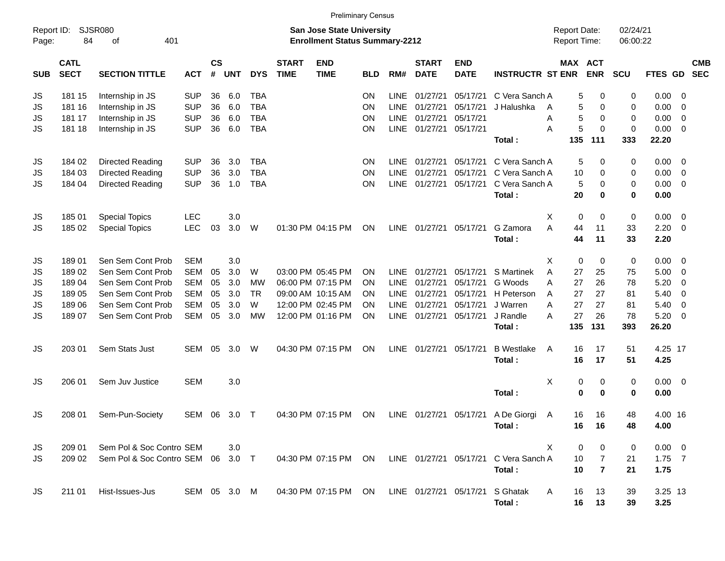|                     |                            |                                   |              |                    |            |            |                             | <b>Preliminary Census</b>                                                 |            |             |                             |                           |                         |   |                                     |                |                      |                |                         |                          |
|---------------------|----------------------------|-----------------------------------|--------------|--------------------|------------|------------|-----------------------------|---------------------------------------------------------------------------|------------|-------------|-----------------------------|---------------------------|-------------------------|---|-------------------------------------|----------------|----------------------|----------------|-------------------------|--------------------------|
| Report ID:<br>Page: | 84                         | SJSR080<br>401<br>of              |              |                    |            |            |                             | <b>San Jose State University</b><br><b>Enrollment Status Summary-2212</b> |            |             |                             |                           |                         |   | <b>Report Date:</b><br>Report Time: |                | 02/24/21<br>06:00:22 |                |                         |                          |
| <b>SUB</b>          | <b>CATL</b><br><b>SECT</b> | <b>SECTION TITTLE</b>             | <b>ACT</b>   | $\mathsf{cs}$<br># | <b>UNT</b> | <b>DYS</b> | <b>START</b><br><b>TIME</b> | <b>END</b><br><b>TIME</b>                                                 | <b>BLD</b> | RM#         | <b>START</b><br><b>DATE</b> | <b>END</b><br><b>DATE</b> | <b>INSTRUCTR ST ENR</b> |   | MAX ACT                             | <b>ENR</b>     | SCU                  | <b>FTES GD</b> |                         | <b>CMB</b><br><b>SEC</b> |
| JS                  | 181 15                     | Internship in JS                  | <b>SUP</b>   | 36                 | 6.0        | <b>TBA</b> |                             |                                                                           | <b>ON</b>  | <b>LINE</b> | 01/27/21                    | 05/17/21                  | C Vera Sanch A          |   | 5                                   | 0              | 0                    | 0.00           | - 0                     |                          |
| JS                  | 181 16                     | Internship in JS                  | <b>SUP</b>   | 36                 | 6.0        | <b>TBA</b> |                             |                                                                           | <b>ON</b>  | <b>LINE</b> | 01/27/21                    | 05/17/21                  | J Halushka              | A | 5                                   | 0              | 0                    | 0.00           | 0                       |                          |
| JS                  | 181 17                     | Internship in JS                  | <b>SUP</b>   | 36                 | 6.0        | <b>TBA</b> |                             |                                                                           | <b>ON</b>  | <b>LINE</b> | 01/27/21                    | 05/17/21                  |                         | A | 5                                   | 0              | 0                    | 0.00           | 0                       |                          |
| JS                  | 181 18                     | Internship in JS                  | <b>SUP</b>   | 36                 | 6.0        | <b>TBA</b> |                             |                                                                           | <b>ON</b>  |             | LINE 01/27/21               | 05/17/21                  |                         | A | 5                                   | 0              | $\mathbf 0$          | 0.00           | - 0                     |                          |
|                     |                            |                                   |              |                    |            |            |                             |                                                                           |            |             |                             |                           | Total:                  |   | 135                                 | 111            | 333                  | 22.20          |                         |                          |
| JS                  | 184 02                     | Directed Reading                  | <b>SUP</b>   | 36                 | 3.0        | <b>TBA</b> |                             |                                                                           | <b>ON</b>  | <b>LINE</b> | 01/27/21                    | 05/17/21                  | C Vera Sanch A          |   | 5                                   | 0              | 0                    | 0.00           | $\overline{\mathbf{0}}$ |                          |
| JS                  | 184 03                     | Directed Reading                  | <b>SUP</b>   | 36                 | 3.0        | <b>TBA</b> |                             |                                                                           | <b>ON</b>  | <b>LINE</b> | 01/27/21                    | 05/17/21                  | C Vera Sanch A          |   | 10                                  | 0              | 0                    | 0.00           | $\overline{0}$          |                          |
| JS                  | 184 04                     | Directed Reading                  | <b>SUP</b>   | 36                 | 1.0        | <b>TBA</b> |                             |                                                                           | <b>ON</b>  | <b>LINE</b> | 01/27/21                    | 05/17/21                  | C Vera Sanch A          |   | 5                                   | 0              | 0                    | 0.00           | - 0                     |                          |
|                     |                            |                                   |              |                    |            |            |                             |                                                                           |            |             |                             |                           | Total:                  |   | 20                                  | 0              | 0                    | 0.00           |                         |                          |
| JS                  | 18501                      | <b>Special Topics</b>             | <b>LEC</b>   |                    | 3.0        |            |                             |                                                                           |            |             |                             |                           |                         | Χ | 0                                   | 0              | 0                    | 0.00           | $\overline{\mathbf{0}}$ |                          |
| JS                  | 185 02                     | <b>Special Topics</b>             | <b>LEC</b>   | 03                 | 3.0        | W          |                             | 01:30 PM 04:15 PM                                                         | ON         |             | LINE 01/27/21               | 05/17/21                  | G Zamora                | A | 44                                  | 11             | 33                   | 2.20           | $\overline{\mathbf{0}}$ |                          |
|                     |                            |                                   |              |                    |            |            |                             |                                                                           |            |             |                             |                           | Total:                  |   | 44                                  | 11             | 33                   | 2.20           |                         |                          |
| JS                  | 18901                      | Sen Sem Cont Prob                 | <b>SEM</b>   |                    | 3.0        |            |                             |                                                                           |            |             |                             |                           |                         | Х | 0                                   | 0              | 0                    | 0.00           | $\overline{\mathbf{0}}$ |                          |
| JS                  | 18902                      | Sen Sem Cont Prob                 | <b>SEM</b>   | 05                 | 3.0        | W          |                             | 03:00 PM 05:45 PM                                                         | <b>ON</b>  | LINE.       | 01/27/21                    | 05/17/21                  | S Martinek              | A | 27                                  | 25             | 75                   | 5.00           | - 0                     |                          |
| JS                  | 18904                      | Sen Sem Cont Prob                 | <b>SEM</b>   | 05                 | 3.0        | МW         |                             | 06:00 PM 07:15 PM                                                         | <b>ON</b>  | <b>LINE</b> | 01/27/21                    | 05/17/21                  | G Woods                 | Α | 27                                  | 26             | 78                   | 5.20           | 0                       |                          |
| JS                  | 18905                      | Sen Sem Cont Prob                 | <b>SEM</b>   | 05                 | 3.0        | <b>TR</b>  |                             | 09:00 AM 10:15 AM                                                         | <b>ON</b>  | <b>LINE</b> | 01/27/21                    | 05/17/21                  | H Peterson              | A | 27                                  | 27             | 81                   | 5.40           | 0                       |                          |
| JS                  | 18906                      | Sen Sem Cont Prob                 | <b>SEM</b>   | 05                 | 3.0        | W          |                             | 12:00 PM 02:45 PM                                                         | <b>ON</b>  | <b>LINE</b> | 01/27/21                    | 05/17/21                  | J Warren                | A | 27                                  | 27             | 81                   | 5.40           | 0                       |                          |
| JS                  | 18907                      | Sen Sem Cont Prob                 | <b>SEM</b>   | 05                 | 3.0        | MW         |                             | 12:00 PM 01:16 PM                                                         | ON         |             | LINE 01/27/21               | 05/17/21                  | J Randle                | A | 27                                  | 26             | 78                   | 5.20           | - 0                     |                          |
|                     |                            |                                   |              |                    |            |            |                             |                                                                           |            |             |                             |                           | Total:                  |   | 135                                 | 131            | 393                  | 26.20          |                         |                          |
| JS                  | 203 01                     | Sem Stats Just                    | SEM          | 05                 | 3.0        | W          |                             | 04:30 PM 07:15 PM                                                         | ON         | LINE        | 01/27/21                    | 05/17/21                  | <b>B</b> Westlake       | A | 16                                  | 17             | 51                   | 4.25 17        |                         |                          |
|                     |                            |                                   |              |                    |            |            |                             |                                                                           |            |             |                             |                           | Total:                  |   | 16                                  | 17             | 51                   | 4.25           |                         |                          |
| JS                  | 206 01                     | Sem Juv Justice                   | <b>SEM</b>   |                    | 3.0        |            |                             |                                                                           |            |             |                             |                           |                         | X | 0                                   | 0              | 0                    | 0.00 0         |                         |                          |
|                     |                            |                                   |              |                    |            |            |                             |                                                                           |            |             |                             |                           | Total:                  |   | 0                                   | $\bf{0}$       | 0                    | 0.00           |                         |                          |
| JS                  | 208 01                     | Sem-Pun-Society                   | SEM 06       |                    | 3.0        | $\top$     |                             | 04:30 PM 07:15 PM                                                         | ON         |             | LINE 01/27/21               | 05/17/21                  | A De Giorgi             | A | 16                                  | 16             | 48                   | 4.00 16        |                         |                          |
|                     |                            |                                   |              |                    |            |            |                             |                                                                           |            |             |                             |                           | Total:                  |   | 16                                  | 16             | 48                   | 4.00           |                         |                          |
| JS                  | 209 01                     | Sem Pol & Soc Contro SEM          |              |                    | 3.0        |            |                             |                                                                           |            |             |                             |                           |                         | X | 0                                   | 0              | 0                    | $0.00 \t 0$    |                         |                          |
| JS.                 | 209 02                     | Sem Pol & Soc Contro SEM 06 3.0 T |              |                    |            |            |                             | 04:30 PM 07:15 PM                                                         | - ON       |             | LINE 01/27/21 05/17/21      |                           | C Vera Sanch A          |   | 10                                  | $\overline{7}$ | 21                   | $1.75$ 7       |                         |                          |
|                     |                            |                                   |              |                    |            |            |                             |                                                                           |            |             |                             |                           | Total:                  |   | 10                                  | $\overline{7}$ | 21                   | 1.75           |                         |                          |
| JS                  | 211 01                     | Hist-Issues-Jus                   | SEM 05 3.0 M |                    |            |            |                             | 04:30 PM 07:15 PM                                                         | ON.        |             | LINE 01/27/21 05/17/21      |                           | S Ghatak                | A | 16                                  | 13             | 39                   | 3.25 13        |                         |                          |
|                     |                            |                                   |              |                    |            |            |                             |                                                                           |            |             |                             |                           | Total:                  |   | 16                                  | 13             | 39                   | 3.25           |                         |                          |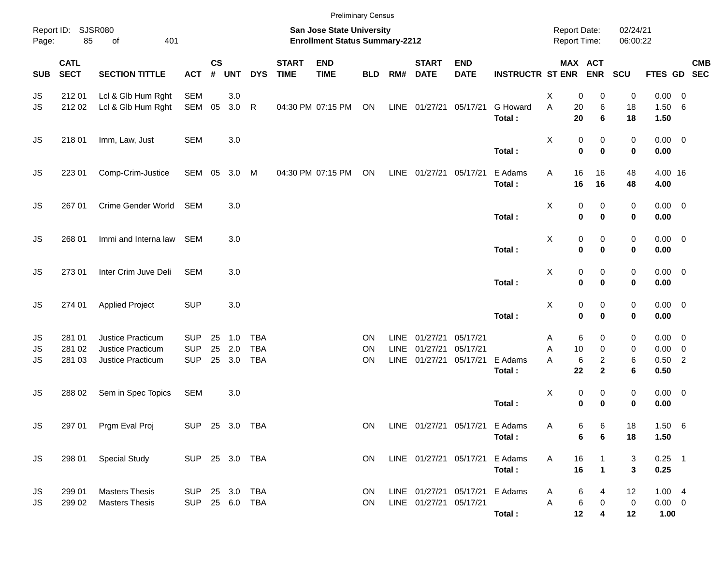|            |                                       |                                                |                                  |                         |            |                          |                             | <b>Preliminary Census</b>                                          |                 |                            |                                                  |                           |                         |                                            |                                  |                      |                              |                          |  |
|------------|---------------------------------------|------------------------------------------------|----------------------------------|-------------------------|------------|--------------------------|-----------------------------|--------------------------------------------------------------------|-----------------|----------------------------|--------------------------------------------------|---------------------------|-------------------------|--------------------------------------------|----------------------------------|----------------------|------------------------------|--------------------------|--|
| Page:      | Report ID: SJSR080<br>85<br>401<br>of |                                                |                                  |                         |            |                          |                             | San Jose State University<br><b>Enrollment Status Summary-2212</b> |                 |                            |                                                  |                           |                         | <b>Report Date:</b><br><b>Report Time:</b> |                                  | 02/24/21<br>06:00:22 |                              |                          |  |
| <b>SUB</b> | <b>CATL</b><br><b>SECT</b>            | <b>SECTION TITTLE</b>                          | <b>ACT</b>                       | <b>CS</b><br>$\pmb{\#}$ | <b>UNT</b> | <b>DYS</b>               | <b>START</b><br><b>TIME</b> | <b>END</b><br><b>TIME</b>                                          | <b>BLD</b>      | RM#                        | <b>START</b><br><b>DATE</b>                      | <b>END</b><br><b>DATE</b> | <b>INSTRUCTR ST ENR</b> |                                            | MAX ACT<br><b>ENR</b>            | SCU                  | FTES GD SEC                  | <b>CMB</b>               |  |
| JS         | 212 01                                | Lcl & Glb Hum Rght                             | <b>SEM</b>                       |                         | 3.0        |                          |                             |                                                                    |                 |                            |                                                  |                           |                         | X<br>0                                     | 0                                | 0                    | 0.00                         | $\overline{\phantom{0}}$ |  |
| JS         | 212 02                                | Lcl & Glb Hum Rght                             | SEM                              | 05                      | 3.0 R      |                          |                             | 04:30 PM 07:15 PM                                                  | ON              |                            | LINE 01/27/21 05/17/21                           |                           | G Howard<br>Total:      | A<br>20<br>20                              | 6<br>6                           | 18<br>18             | 1.50<br>1.50                 | - 6                      |  |
| JS         | 218 01                                | Imm, Law, Just                                 | <b>SEM</b>                       |                         | 3.0        |                          |                             |                                                                    |                 |                            |                                                  |                           | Total:                  | X<br>0<br>$\mathbf 0$                      | 0<br>$\mathbf 0$                 | 0<br>$\mathbf 0$     | $0.00 \t 0$<br>0.00          |                          |  |
| JS         | 223 01                                | Comp-Crim-Justice                              | SEM 05                           |                         | 3.0 M      |                          |                             | 04:30 PM 07:15 PM                                                  | ON              |                            | LINE 01/27/21 05/17/21                           |                           | E Adams<br>Total:       | Α<br>16<br>16                              | 16<br>16                         | 48<br>48             | 4.00 16<br>4.00              |                          |  |
| JS         | 267 01                                | Crime Gender World                             | <b>SEM</b>                       |                         | 3.0        |                          |                             |                                                                    |                 |                            |                                                  |                           | Total:                  | X<br>0<br>$\mathbf 0$                      | 0<br>$\bf{0}$                    | 0<br>0               | $0.00 \t 0$<br>0.00          |                          |  |
| JS         | 268 01                                | Immi and Interna law                           | SEM                              |                         | 3.0        |                          |                             |                                                                    |                 |                            |                                                  |                           | Total:                  | X<br>0<br>$\mathbf 0$                      | 0<br>$\bf{0}$                    | 0<br>0               | $0.00 \t 0$<br>0.00          |                          |  |
| JS         | 273 01                                | Inter Crim Juve Deli                           | <b>SEM</b>                       |                         | 3.0        |                          |                             |                                                                    |                 |                            |                                                  |                           | Total:                  | X<br>0<br>$\mathbf 0$                      | 0<br>$\bf{0}$                    | 0<br>0               | $0.00 \t 0$<br>0.00          |                          |  |
| JS         | 274 01                                | <b>Applied Project</b>                         | <b>SUP</b>                       |                         | 3.0        |                          |                             |                                                                    |                 |                            |                                                  |                           | Total:                  | X<br>$\pmb{0}$<br>$\mathbf 0$              | 0<br>$\bf{0}$                    | 0<br>0               | $0.00 \t 0$<br>0.00          |                          |  |
|            |                                       |                                                |                                  |                         |            |                          |                             |                                                                    |                 |                            |                                                  |                           |                         |                                            |                                  |                      |                              |                          |  |
| JS<br>JS   | 281 01<br>281 02                      | Justice Practicum<br>Justice Practicum         | <b>SUP</b><br><b>SUP</b>         | 25<br>25                | 1.0<br>2.0 | <b>TBA</b><br><b>TBA</b> |                             |                                                                    | ON<br>ON        | <b>LINE</b><br><b>LINE</b> | 01/27/21<br>01/27/21                             | 05/17/21<br>05/17/21      |                         | 6<br>A<br>10<br>Α                          | 0<br>$\mathbf 0$                 | 0<br>0               | $0.00 \t 0$<br>0.00          | $\overline{\mathbf{0}}$  |  |
| JS         | 281 03                                | Justice Practicum                              | <b>SUP</b>                       | 25                      | 3.0        | <b>TBA</b>               |                             |                                                                    | ON              | <b>LINE</b>                | 01/27/21                                         | 05/17/21                  | E Adams<br>Total:       | 6<br>A<br>22                               | $\overline{c}$<br>$\overline{2}$ | 6<br>6               | $0.50$ 2<br>0.50             |                          |  |
| JS         | 288 02                                | Sem in Spec Topics                             | <b>SEM</b>                       |                         | 3.0        |                          |                             |                                                                    |                 |                            |                                                  |                           | Total:                  | X<br>0<br>$\mathbf 0$                      | 0<br>$\bf{0}$                    | 0<br>0               | $0.00 \t 0$<br>0.00          |                          |  |
| JS         |                                       | 297 01 Prgm Eval Proj                          | SUP 25 3.0 TBA                   |                         |            |                          |                             |                                                                    | ON              |                            |                                                  | LINE 01/27/21 05/17/21    | E Adams<br>Total:       | Α<br>6                                     | 6<br>6<br>6                      | 18<br>18             | $1.50\ 6$<br>1.50            |                          |  |
| <b>JS</b>  | 298 01                                | <b>Special Study</b>                           | SUP 25 3.0 TBA                   |                         |            |                          |                             |                                                                    | ON              |                            | LINE 01/27/21 05/17/21                           |                           | E Adams<br>Total:       | A<br>16<br>16                              | $\mathbf{1}$                     | 3<br>$\mathbf{3}$    | $0.25$ 1<br>0.25             |                          |  |
|            |                                       |                                                |                                  |                         |            |                          |                             |                                                                    |                 |                            |                                                  |                           |                         |                                            |                                  |                      |                              |                          |  |
| JS<br>JS   | 299 01<br>299 02                      | <b>Masters Thesis</b><br><b>Masters Thesis</b> | SUP 25 3.0 TBA<br>SUP 25 6.0 TBA |                         |            |                          |                             |                                                                    | <b>ON</b><br>ON |                            | LINE 01/27/21 05/17/21<br>LINE 01/27/21 05/17/21 |                           | E Adams<br>Total:       | 6<br>A<br>6<br>Α<br>12                     | 4<br>0<br>4                      | 12<br>0<br>12        | 1.004<br>$0.00 \t 0$<br>1.00 |                          |  |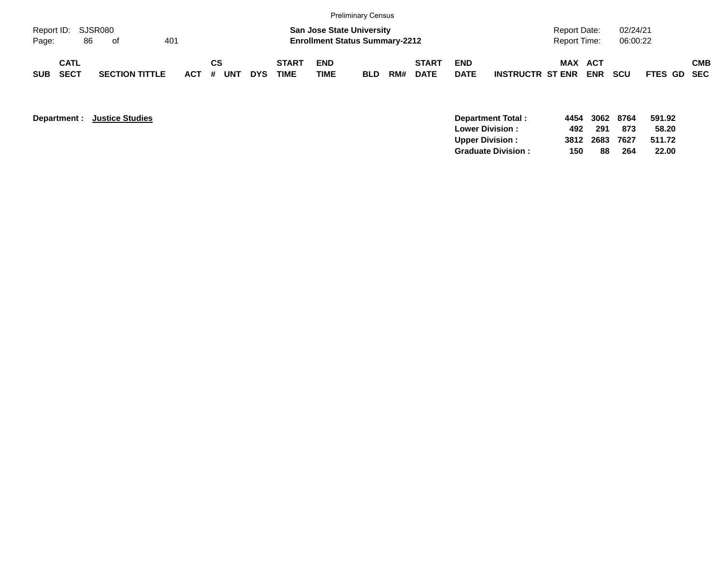|                             |                            |    |                       |     |         |           |     |            |                             |                    | <b>Preliminary Census</b>                                                 |     |                             |                           |                         |                                     |            |                      |             |            |
|-----------------------------|----------------------------|----|-----------------------|-----|---------|-----------|-----|------------|-----------------------------|--------------------|---------------------------------------------------------------------------|-----|-----------------------------|---------------------------|-------------------------|-------------------------------------|------------|----------------------|-------------|------------|
| Report ID: SJSR080<br>Page: |                            | 86 | - of                  | 401 |         |           |     |            |                             |                    | <b>San Jose State University</b><br><b>Enrollment Status Summary-2212</b> |     |                             |                           |                         | Report Date:<br><b>Report Time:</b> |            | 02/24/21<br>06:00:22 |             |            |
| <b>SUB</b>                  | <b>CATL</b><br><b>SECT</b> |    | <b>SECTION TITTLE</b> |     | $ACT$ # | <b>CS</b> | UNT | <b>DYS</b> | <b>START</b><br><b>TIME</b> | <b>END</b><br>TIME | <b>BLD</b>                                                                | RM# | <b>START</b><br><b>DATE</b> | <b>END</b><br><b>DATE</b> | <b>INSTRUCTR ST ENR</b> | MAX ACT                             | <b>ENR</b> | <b>SCU</b>           | FTES GD SEC | <b>CMB</b> |

| Department : |
|--------------|
|--------------|

|                   |                                  | 8764 | 591.92                         |
|-------------------|----------------------------------|------|--------------------------------|
|                   | 291                              | 873  | 58.20                          |
|                   |                                  |      | 511.72                         |
| 150               | 88                               | 264  | 22.00                          |
| Department Total: | 492<br><b>Graduate Division:</b> |      | 4454 3062<br>7627<br>3812 2683 |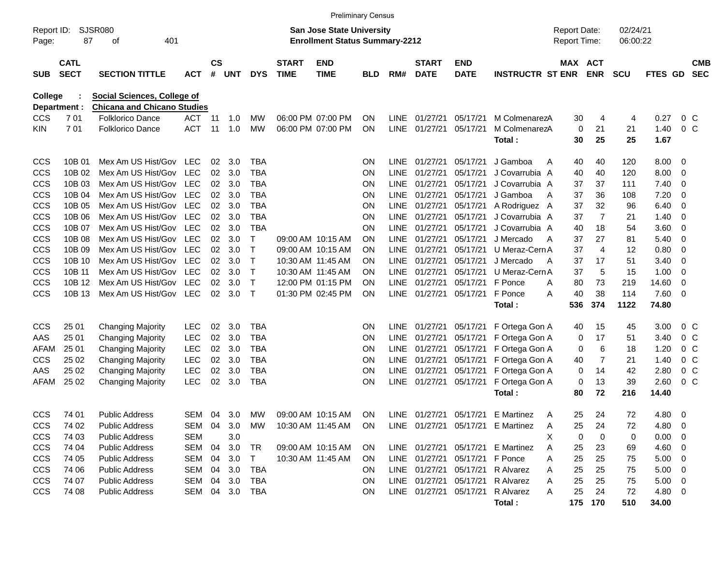|                         |                            |                                                                   |            |                    |            |             |                             | <b>Preliminary Census</b>                                                 |            |             |                             |                           |                         |                                            |                |                      |               |                          |                          |
|-------------------------|----------------------------|-------------------------------------------------------------------|------------|--------------------|------------|-------------|-----------------------------|---------------------------------------------------------------------------|------------|-------------|-----------------------------|---------------------------|-------------------------|--------------------------------------------|----------------|----------------------|---------------|--------------------------|--------------------------|
| Report ID:<br>Page:     | 87                         | SJSR080<br>401<br>οf                                              |            |                    |            |             |                             | <b>San Jose State University</b><br><b>Enrollment Status Summary-2212</b> |            |             |                             |                           |                         | <b>Report Date:</b><br><b>Report Time:</b> |                | 02/24/21<br>06:00:22 |               |                          |                          |
| <b>SUB</b>              | <b>CATL</b><br><b>SECT</b> | <b>SECTION TITTLE</b>                                             | <b>ACT</b> | $\mathsf{cs}$<br># | <b>UNT</b> | <b>DYS</b>  | <b>START</b><br><b>TIME</b> | <b>END</b><br><b>TIME</b>                                                 | <b>BLD</b> | RM#         | <b>START</b><br><b>DATE</b> | <b>END</b><br><b>DATE</b> | <b>INSTRUCTR ST ENR</b> | MAX ACT                                    | <b>ENR</b>     | <b>SCU</b>           | FTES GD       |                          | <b>CMB</b><br><b>SEC</b> |
| College<br>Department : |                            | Social Sciences, College of<br><b>Chicana and Chicano Studies</b> |            |                    |            |             |                             |                                                                           |            |             |                             |                           |                         |                                            |                |                      |               |                          |                          |
| <b>CCS</b>              | 701                        | Folklorico Dance                                                  | <b>ACT</b> | 11                 | 1.0        | МW          |                             | 06:00 PM 07:00 PM                                                         | <b>ON</b>  | LINE        | 01/27/21                    | 05/17/21                  | M ColmenarezA           | 30                                         | 4              | 4                    | 0.27          | 0 <sup>C</sup>           |                          |
| KIN                     | 701                        | <b>Folklorico Dance</b>                                           | <b>ACT</b> | 11                 | 1.0        | <b>MW</b>   |                             | 06:00 PM 07:00 PM                                                         | ON         | LINE        | 01/27/21                    | 05/17/21                  | M ColmenarezA<br>Total: | 0<br>30                                    | 21<br>25       | 21<br>25             | 1.40<br>1.67  | $0\,C$                   |                          |
| <b>CCS</b>              | 10B 01                     | Mex Am US Hist/Gov                                                | <b>LEC</b> | 02                 | 3.0        | <b>TBA</b>  |                             |                                                                           | <b>ON</b>  | LINE        | 01/27/21                    | 05/17/21                  | J Gamboa<br>A           | 40                                         | 40             | 120                  | 8.00          | - 0                      |                          |
| CCS                     | 10B 02                     | Mex Am US Hist/Gov                                                | <b>LEC</b> | 02                 | 3.0        | <b>TBA</b>  |                             |                                                                           | ON         | <b>LINE</b> | 01/27/21                    | 05/17/21                  | J Covarrubia A          | 40                                         | 40             | 120                  | 8.00          | $\overline{0}$           |                          |
| CCS                     | 10B 03                     | Mex Am US Hist/Gov                                                | <b>LEC</b> | 02                 | 3.0        | <b>TBA</b>  |                             |                                                                           | ON         | <b>LINE</b> | 01/27/21                    | 05/17/21                  | J Covarrubia A          | 37                                         | 37             | 111                  | 7.40          | $\overline{0}$           |                          |
| CCS                     | 10B 04                     | Mex Am US Hist/Gov                                                | <b>LEC</b> | 02                 | 3.0        | <b>TBA</b>  |                             |                                                                           | ON         | LINE        | 01/27/21                    | 05/17/21                  | J Gamboa<br>A           | 37                                         | 36             | 108                  | 7.20          | $\overline{0}$           |                          |
| CCS                     | 10B 05                     | Mex Am US Hist/Gov                                                | <b>LEC</b> | 02                 | 3.0        | <b>TBA</b>  |                             |                                                                           | ON         | LINE        | 01/27/21                    | 05/17/21                  | A Rodriguez A           | 37                                         | 32             | 96                   | 6.40          | $\mathbf 0$              |                          |
| CCS                     | 10B 06                     | Mex Am US Hist/Gov                                                | <b>LEC</b> | 02                 | 3.0        | <b>TBA</b>  |                             |                                                                           | ON         | <b>LINE</b> | 01/27/21                    | 05/17/21                  | J Covarrubia A          | 37                                         | $\overline{7}$ | 21                   | 1.40          | $\overline{0}$           |                          |
| CCS                     | 10B 07                     | Mex Am US Hist/Gov                                                | <b>LEC</b> | 02                 | 3.0        | <b>TBA</b>  |                             |                                                                           | ON         | <b>LINE</b> | 01/27/21                    | 05/17/21                  | J Covarrubia A          | 40                                         | 18             | 54                   | 3.60          | $\overline{0}$           |                          |
| CCS                     | 10B 08                     | Mex Am US Hist/Gov                                                | <b>LEC</b> | 02                 | 3.0        | т           |                             | 09:00 AM 10:15 AM                                                         | <b>ON</b>  | <b>LINE</b> | 01/27/21                    | 05/17/21                  | J Mercado<br>A          | 37                                         | 27             | 81                   | 5.40          | 0                        |                          |
| CCS                     | 10B 09                     | Mex Am US Hist/Gov                                                | <b>LEC</b> | 02                 | 3.0        | Т           |                             | 09:00 AM 10:15 AM                                                         | ON         | <b>LINE</b> | 01/27/21                    | 05/17/21                  | U Meraz-Cern A          | 37                                         | $\overline{4}$ | 12                   | 0.80          | $\overline{0}$           |                          |
| CCS                     | 10B 10                     | Mex Am US Hist/Gov                                                | <b>LEC</b> | 02                 | 3.0        | $\mathsf T$ | 10:30 AM 11:45 AM           |                                                                           | <b>ON</b>  | LINE        | 01/27/21                    | 05/17/21                  | J Mercado<br>A          | 37                                         | 17             | 51                   | 3.40          | $\overline{0}$           |                          |
| CCS                     | 10B 11                     | Mex Am US Hist/Gov                                                | <b>LEC</b> | 02                 | 3.0        | $\mathsf T$ | 10:30 AM 11:45 AM           |                                                                           | <b>ON</b>  | LINE        | 01/27/21                    | 05/17/21                  | U Meraz-Cern A          | 37                                         | 5              | 15                   | 1.00          | 0                        |                          |
| <b>CCS</b>              | 10B 12                     | Mex Am US Hist/Gov                                                | <b>LEC</b> | 02                 | 3.0        | $\mathsf T$ |                             | 12:00 PM 01:15 PM                                                         | <b>ON</b>  | LINE        | 01/27/21                    | 05/17/21                  | F Ponce<br>A            | 80                                         | 73             | 219                  | 14.60         | $\overline{0}$           |                          |
| <b>CCS</b>              | 10B 13                     | Mex Am US Hist/Gov                                                | <b>LEC</b> | 02                 | 3.0        | $\top$      |                             | 01:30 PM 02:45 PM                                                         | ON         |             | LINE 01/27/21               | 05/17/21                  | F Ponce<br>A<br>Total:  | 40<br>536                                  | 38<br>374      | 114<br>1122          | 7.60<br>74.80 | - 0                      |                          |
|                         |                            |                                                                   |            |                    |            |             |                             |                                                                           |            |             |                             |                           |                         |                                            |                |                      |               |                          |                          |
| <b>CCS</b>              | 25 01                      | <b>Changing Majority</b>                                          | <b>LEC</b> | 02                 | 3.0        | <b>TBA</b>  |                             |                                                                           | ON         | LINE        | 01/27/21                    | 05/17/21                  | F Ortega Gon A          | 40                                         | 15             | 45                   | 3.00          | 0 <sup>C</sup>           |                          |
| AAS                     | 25 01                      | <b>Changing Majority</b>                                          | <b>LEC</b> | 02                 | 3.0        | <b>TBA</b>  |                             |                                                                           | ON         | <b>LINE</b> | 01/27/21                    | 05/17/21                  | F Ortega Gon A          | 0                                          | 17             | 51                   | 3.40          | 0 <sup>C</sup>           |                          |
| AFAM                    | 25 01                      | <b>Changing Majority</b>                                          | <b>LEC</b> | 02                 | 3.0        | <b>TBA</b>  |                             |                                                                           | ON         | LINE        | 01/27/21                    | 05/17/21                  | F Ortega Gon A          | 0                                          | 6              | 18                   | 1.20          | 0 <sup>C</sup>           |                          |
| <b>CCS</b>              | 25 02                      | <b>Changing Majority</b>                                          | <b>LEC</b> | 02                 | 3.0        | <b>TBA</b>  |                             |                                                                           | ON         | LINE        | 01/27/21                    | 05/17/21                  | F Ortega Gon A          | 40                                         | $\overline{7}$ | 21                   | 1.40          | 0 <sup>C</sup>           |                          |
| AAS                     | 25 02                      | <b>Changing Majority</b>                                          | LEC        | 02                 | 3.0        | <b>TBA</b>  |                             |                                                                           | ON         | LINE        | 01/27/21                    | 05/17/21                  | F Ortega Gon A          | 0                                          | 14             | 42                   | 2.80          | 0 <sup>C</sup>           |                          |
| AFAM                    | 25 02                      | <b>Changing Majority</b>                                          | <b>LEC</b> | 02                 | 3.0        | <b>TBA</b>  |                             |                                                                           | ON         | <b>LINE</b> | 01/27/21                    | 05/17/21                  | F Ortega Gon A          | 0                                          | 13             | 39                   | 2.60          | 0 <sup>C</sup>           |                          |
|                         |                            |                                                                   |            |                    |            |             |                             |                                                                           |            |             |                             |                           | Total:                  | 80                                         | 72             | 216                  | 14.40         |                          |                          |
| CCS                     | 74 01                      | <b>Public Address</b>                                             | SEM        | 04                 | 3.0        | MW          |                             | 09:00 AM 10:15 AM                                                         | <b>ON</b>  |             | LINE 01/27/21               | 05/17/21                  | E Martinez<br>A         | 25                                         | 24             | 72                   | 4.80          | $\overline{\mathbf{0}}$  |                          |
| CCS                     | 74 02                      | <b>Public Address</b>                                             | SEM 04     |                    | 3.0        | МW          |                             | 10:30 AM 11:45 AM                                                         | <b>ON</b>  |             |                             | LINE 01/27/21 05/17/21    | E Martinez<br>A         | 25                                         | 24             | 72                   | 4.80          | $\overline{\phantom{0}}$ |                          |
| <b>CCS</b>              | 74 03                      | <b>Public Address</b>                                             | <b>SEM</b> |                    | 3.0        |             |                             |                                                                           |            |             |                             |                           | X                       | 0                                          | 0              | 0                    | 0.00          | $\overline{\phantom{0}}$ |                          |
| <b>CCS</b>              | 74 04                      | <b>Public Address</b>                                             | SEM        | 04                 | 3.0        | <b>TR</b>   |                             | 09:00 AM 10:15 AM                                                         | <b>ON</b>  |             | LINE 01/27/21               | 05/17/21                  | E Martinez<br>A         | 25                                         | 23             | 69                   | $4.60$ 0      |                          |                          |
| <b>CCS</b>              | 74 05                      | <b>Public Address</b>                                             | SEM 04     |                    | 3.0        | T           |                             | 10:30 AM 11:45 AM                                                         | <b>ON</b>  |             | LINE 01/27/21               | 05/17/21                  | F Ponce<br>Α            | 25                                         | 25             | 75                   | $5.00 \t 0$   |                          |                          |
| <b>CCS</b>              | 74 06                      | <b>Public Address</b>                                             | SEM 04     |                    | 3.0        | TBA         |                             |                                                                           | <b>ON</b>  |             | LINE 01/27/21               | 05/17/21                  | R Alvarez<br>Α          | 25                                         | 25             | 75                   | $5.00 \t 0$   |                          |                          |
| <b>CCS</b>              | 74 07                      | <b>Public Address</b>                                             | SEM 04 3.0 |                    |            | TBA         |                             |                                                                           | <b>ON</b>  |             | LINE 01/27/21               | 05/17/21                  | R Alvarez<br>A          | 25                                         | 25             | 75                   | $5.00 \t 0$   |                          |                          |
| <b>CCS</b>              | 74 08                      | <b>Public Address</b>                                             | SEM 04 3.0 |                    |            | TBA         |                             |                                                                           | <b>ON</b>  |             | LINE 01/27/21 05/17/21      |                           | R Alvarez<br>A          | 25                                         | 24             | 72                   | 4.80 0        |                          |                          |
|                         |                            |                                                                   |            |                    |            |             |                             |                                                                           |            |             |                             |                           | Total:                  |                                            | 175 170        | 510                  | 34.00         |                          |                          |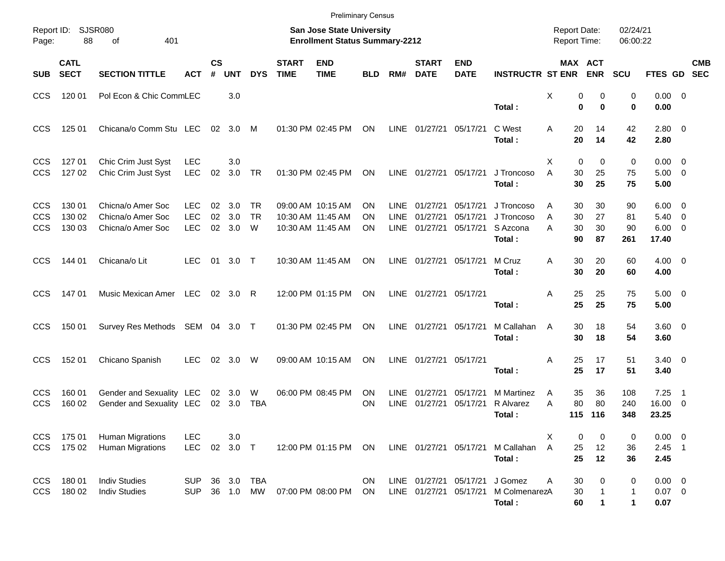|                                        |                            |                                                             |                                        |                    |                       |                             |                             | <b>Preliminary Census</b>                                          |                 |                            |                                       |                                  |                                                |                                            |                         |                      |                        |                                                   |                          |            |
|----------------------------------------|----------------------------|-------------------------------------------------------------|----------------------------------------|--------------------|-----------------------|-----------------------------|-----------------------------|--------------------------------------------------------------------|-----------------|----------------------------|---------------------------------------|----------------------------------|------------------------------------------------|--------------------------------------------|-------------------------|----------------------|------------------------|---------------------------------------------------|--------------------------|------------|
| Page:                                  | Report ID: SJSR080<br>88   | 401<br>оf                                                   |                                        |                    |                       |                             |                             | San Jose State University<br><b>Enrollment Status Summary-2212</b> |                 |                            |                                       |                                  |                                                | <b>Report Date:</b><br><b>Report Time:</b> |                         |                      | 02/24/21<br>06:00:22   |                                                   |                          |            |
| <b>SUB</b>                             | <b>CATL</b><br><b>SECT</b> | <b>SECTION TITTLE</b>                                       | <b>ACT</b>                             | $\mathsf{cs}$<br># | <b>UNT</b>            | <b>DYS</b>                  | <b>START</b><br><b>TIME</b> | <b>END</b><br><b>TIME</b>                                          | <b>BLD</b>      | RM#                        | <b>START</b><br><b>DATE</b>           | <b>END</b><br><b>DATE</b>        | <b>INSTRUCTR ST ENR</b>                        |                                            | MAX ACT                 | <b>ENR</b>           | <b>SCU</b>             | FTES GD SEC                                       |                          | <b>CMB</b> |
| <b>CCS</b>                             | 120 01                     | Pol Econ & Chic CommLEC                                     |                                        |                    | 3.0                   |                             |                             |                                                                    |                 |                            |                                       |                                  | Total:                                         | X                                          | 0<br>$\bf{0}$           | 0<br>$\bf{0}$        | 0<br>0                 | $0.00 \t 0$<br>0.00                               |                          |            |
| <b>CCS</b>                             | 125 01                     | Chicana/o Comm Stu LEC                                      |                                        |                    | 02 3.0 M              |                             |                             | 01:30 PM 02:45 PM                                                  | ON              | LINE                       | 01/27/21                              | 05/17/21                         | C West<br>Total:                               | Α                                          | 20<br>20                | 14<br>14             | 42<br>42               | $2.80 \ 0$<br>2.80                                |                          |            |
| <b>CCS</b><br><b>CCS</b>               | 127 01<br>127 02           | Chic Crim Just Syst<br>Chic Crim Just Syst                  | <b>LEC</b><br><b>LEC</b>               | 02                 | 3.0<br>3.0 TR         |                             |                             | 01:30 PM 02:45 PM                                                  | ON              |                            | LINE 01/27/21                         | 05/17/21                         | J Troncoso<br>Total:                           | Х<br>A                                     | $\mathbf 0$<br>30<br>30 | 0<br>25<br>25        | 0<br>75<br>75          | $0.00 \quad 0$<br>$5.00 \quad 0$<br>5.00          |                          |            |
| <b>CCS</b><br><b>CCS</b><br><b>CCS</b> | 130 01<br>130 02<br>130 03 | Chicna/o Amer Soc<br>Chicna/o Amer Soc<br>Chicna/o Amer Soc | <b>LEC</b><br><b>LEC</b><br><b>LEC</b> | 02<br>02<br>02     | 3.0<br>3.0<br>3.0     | <b>TR</b><br><b>TR</b><br>W |                             | 09:00 AM 10:15 AM<br>10:30 AM 11:45 AM<br>10:30 AM 11:45 AM        | ΟN<br>ΟN<br>ON  | <b>LINE</b><br><b>LINE</b> | 01/27/21<br>01/27/21<br>LINE 01/27/21 | 05/17/21<br>05/17/21<br>05/17/21 | J Troncoso<br>J Troncoso<br>S Azcona<br>Total: | A<br>A<br>A                                | 30<br>30<br>30<br>90    | 30<br>27<br>30<br>87 | 90<br>81<br>90<br>261  | $6.00 \quad 0$<br>5.40<br>$6.00 \quad 0$<br>17.40 | $\overline{\phantom{0}}$ |            |
| <b>CCS</b>                             | 144 01                     | Chicana/o Lit                                               | <b>LEC</b>                             | 01                 | $3.0$ T               |                             |                             | 10:30 AM 11:45 AM                                                  | ON              |                            | LINE 01/27/21                         | 05/17/21                         | M Cruz<br>Total:                               | A                                          | 30<br>30                | 20<br>20             | 60<br>60               | $4.00 \ 0$<br>4.00                                |                          |            |
| <b>CCS</b>                             | 14701                      | Music Mexican Amer LEC                                      |                                        |                    | 02 3.0                | R                           |                             | 12:00 PM 01:15 PM                                                  | ON              |                            | LINE 01/27/21                         | 05/17/21                         | Total:                                         | Α                                          | 25<br>25                | 25<br>25             | 75<br>75               | $5.00 \t 0$<br>5.00                               |                          |            |
| <b>CCS</b>                             | 150 01                     | Survey Res Methods SEM 04 3.0 T                             |                                        |                    |                       |                             |                             | 01:30 PM 02:45 PM                                                  | ON              |                            | LINE 01/27/21                         | 05/17/21                         | M Callahan<br>Total:                           | A                                          | 30<br>30                | 18<br>18             | 54<br>54               | 3.60 0<br>3.60                                    |                          |            |
| <b>CCS</b>                             | 152 01                     | Chicano Spanish                                             | <b>LEC</b>                             | 02                 | 3.0                   | W                           |                             | 09:00 AM 10:15 AM                                                  | ON              | LINE                       | 01/27/21                              | 05/17/21                         | Total:                                         | Α                                          | 25<br>25                | 17<br>17             | 51<br>51               | $3.40 \quad 0$<br>3.40                            |                          |            |
| <b>CCS</b><br><b>CCS</b>               | 160 01<br>160 02           | Gender and Sexuality LEC<br>Gender and Sexuality LEC        |                                        |                    | 02 3.0<br>02 3.0      | W<br>TBA                    |                             | 06:00 PM 08:45 PM                                                  | <b>ON</b><br>ON | LINE.<br><b>LINE</b>       | 01/27/21<br>01/27/21                  | 05/17/21<br>05/17/21             | <b>M</b> Martinez<br>R Alvarez<br>Total :      | A<br>А                                     | 35<br>80<br>115         | 36<br>80<br>116      | 108<br>240<br>348      | 7.25<br>16.00 0<br>23.25                          | $\overline{\phantom{0}}$ |            |
| <b>CCS</b><br><b>CCS</b>               | 175 01<br>175 02           | <b>Human Migrations</b><br><b>Human Migrations</b>          | <b>LEC</b><br><b>LEC</b>               |                    | 3.0<br>02 3.0 T       |                             |                             | 12:00 PM 01:15 PM ON                                               |                 |                            | LINE 01/27/21 05/17/21                |                                  | M Callahan<br>Total:                           | Х<br>A                                     | 0<br>25<br>25           | 0<br>12<br>12        | 0<br>36<br>36          | $0.00 \t 0$<br>$2.45$ 1<br>2.45                   |                          |            |
| <b>CCS</b><br><b>CCS</b>               | 180 01<br>180 02           | <b>Indiv Studies</b><br><b>Indiv Studies</b>                | SUP<br><b>SUP</b>                      |                    | 36 3.0<br>36  1.0  MW | TBA                         |                             | 07:00 PM 08:00 PM                                                  | <b>ON</b><br>ON |                            | LINE 01/27/21<br>LINE 01/27/21        | 05/17/21<br>05/17/21             | J Gomez<br>M ColmenarezA<br>Total:             | Α                                          | 30<br>30<br>60          | 0                    | 0<br>$\mathbf{1}$<br>1 | $0.00 \t 0$<br>$0.07$ 0<br>0.07                   |                          |            |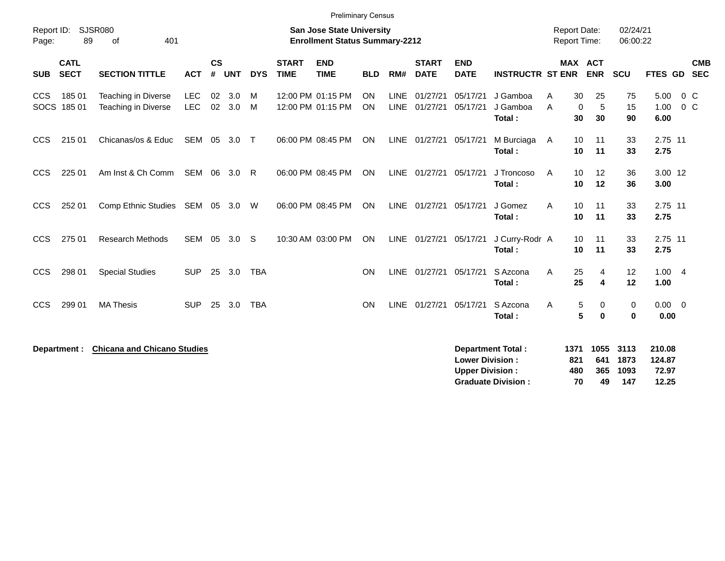|                     |                            |                                            |                   |                    |            |            |                             | <b>Preliminary Census</b>                                                 |                        |                            |                             |                                                  |                                |                                            |                              |                      |                           |                          |
|---------------------|----------------------------|--------------------------------------------|-------------------|--------------------|------------|------------|-----------------------------|---------------------------------------------------------------------------|------------------------|----------------------------|-----------------------------|--------------------------------------------------|--------------------------------|--------------------------------------------|------------------------------|----------------------|---------------------------|--------------------------|
| Report ID:<br>Page: | 89                         | <b>SJSR080</b><br>401<br>оf                |                   |                    |            |            |                             | <b>San Jose State University</b><br><b>Enrollment Status Summary-2212</b> |                        |                            |                             |                                                  |                                | <b>Report Date:</b><br><b>Report Time:</b> |                              | 02/24/21<br>06:00:22 |                           |                          |
| <b>SUB</b>          | <b>CATL</b><br><b>SECT</b> | <b>SECTION TITTLE</b>                      | <b>ACT</b>        | $\mathsf{cs}$<br># | <b>UNT</b> | <b>DYS</b> | <b>START</b><br><b>TIME</b> | <b>END</b><br><b>TIME</b>                                                 | <b>BLD</b>             | RM#                        | <b>START</b><br><b>DATE</b> | <b>END</b><br><b>DATE</b>                        | <b>INSTRUCTR ST ENR</b>        |                                            | <b>MAX ACT</b><br><b>ENR</b> | <b>SCU</b>           | <b>FTES GD</b>            | <b>CMB</b><br><b>SEC</b> |
| CCS                 | 18501<br>SOCS 185 01       | Teaching in Diverse<br>Teaching in Diverse | LEC<br><b>LEC</b> | 02<br>02           | 3.0<br>3.0 | M<br>M     |                             | 12:00 PM 01:15 PM<br>12:00 PM 01:15 PM                                    | <b>ON</b><br><b>ON</b> | <b>LINE</b><br><b>LINE</b> | 01/27/21<br>01/27/21        | 05/17/21<br>05/17/21                             | J Gamboa<br>J Gamboa<br>Total: | 30<br>A<br>A<br>30                         | 25<br>$\mathbf 0$<br>5<br>30 | 75<br>15<br>90       | 5.00<br>1.00<br>6.00      | $0\,$ C<br>$0\,$ C       |
| <b>CCS</b>          | 215 01                     | Chicanas/os & Educ                         | <b>SEM</b>        | 05                 | 3.0        | $\top$     |                             | 06:00 PM 08:45 PM                                                         | <b>ON</b>              | LINE                       | 01/27/21                    | 05/17/21                                         | M Burciaga<br>Total:           | 10<br>A<br>10                              | 11<br>11                     | 33<br>33             | 2.75 11<br>2.75           |                          |
| <b>CCS</b>          | 225 01                     | Am Inst & Ch Comm                          | SEM 06            |                    | 3.0 R      |            |                             | 06:00 PM 08:45 PM                                                         | <b>ON</b>              |                            | LINE 01/27/21               | 05/17/21                                         | J Troncoso<br>Total:           | A<br>10<br>10                              | $12 \overline{ }$<br>12      | 36<br>36             | 3.00 12<br>3.00           |                          |
| <b>CCS</b>          | 252 01                     | Comp Ethnic Studies SEM                    |                   | 05                 | 3.0        | W          |                             | 06:00 PM 08:45 PM                                                         | ON                     | <b>LINE</b>                | 01/27/21                    | 05/17/21                                         | J Gomez<br>Total:              | A<br>10<br>10                              | 11<br>11                     | 33<br>33             | 2.75 11<br>2.75           |                          |
| <b>CCS</b>          | 275 01                     | <b>Research Methods</b>                    | <b>SEM</b>        | 05                 | 3.0        | -S         |                             | 10:30 AM 03:00 PM                                                         | ON                     |                            | LINE 01/27/21               | 05/17/21                                         | J Curry-Rodr A<br>Total:       | 10<br>10                                   | 11<br>11                     | 33<br>33             | 2.75 11<br>2.75           |                          |
| CCS                 | 298 01                     | <b>Special Studies</b>                     | <b>SUP</b>        | 25                 | 3.0        | <b>TBA</b> |                             |                                                                           | <b>ON</b>              | <b>LINE</b>                | 01/27/21                    | 05/17/21                                         | S Azcona<br>Total:             | A<br>25<br>25                              | 4<br>4                       | 12<br>12             | 1.004<br>1.00             |                          |
| <b>CCS</b>          | 299 01                     | <b>MA Thesis</b>                           | <b>SUP</b>        | 25                 | 3.0        | <b>TBA</b> |                             |                                                                           | <b>ON</b>              | <b>LINE</b>                | 01/27/21                    | 05/17/21                                         | S Azcona<br>Total:             | A                                          | 5<br>0<br>5<br>0             | 0<br>$\bf{0}$        | $0.00 \t 0$<br>0.00       |                          |
|                     | Department :               | <b>Chicana and Chicano Studies</b>         |                   |                    |            |            |                             |                                                                           |                        |                            |                             | <b>Lower Division:</b><br><b>Upper Division:</b> | <b>Department Total:</b>       | 1371<br>821<br>480                         | 1055<br>641<br>365           | 3113<br>1873<br>1093 | 210.08<br>124.87<br>72.97 |                          |

**Graduate Division : 70 49 147 12.25**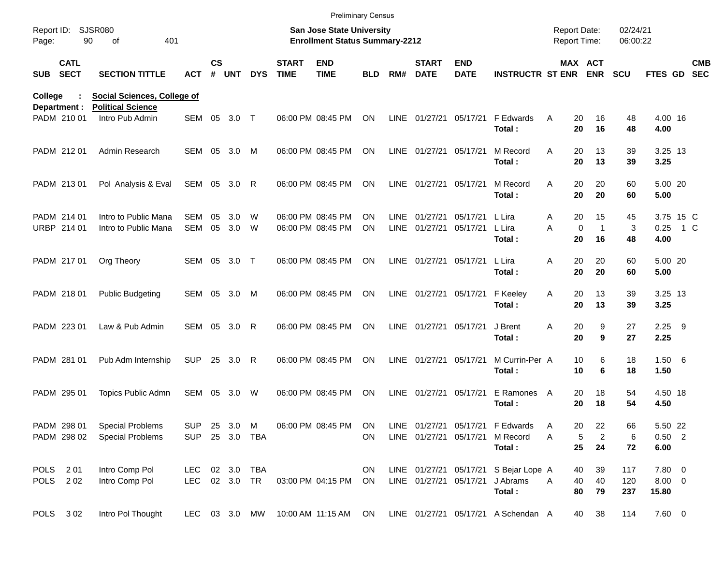|                     |                            |                                                                |                             |               |            |            |                             | <b>Preliminary Census</b>                                          |                 |                            |                             |                           |                                                        |                                            |                                        |                      |                             |     |                          |
|---------------------|----------------------------|----------------------------------------------------------------|-----------------------------|---------------|------------|------------|-----------------------------|--------------------------------------------------------------------|-----------------|----------------------------|-----------------------------|---------------------------|--------------------------------------------------------|--------------------------------------------|----------------------------------------|----------------------|-----------------------------|-----|--------------------------|
| Report ID:<br>Page: |                            | <b>SJSR080</b><br>90<br>401<br>of                              |                             |               |            |            |                             | San Jose State University<br><b>Enrollment Status Summary-2212</b> |                 |                            |                             |                           |                                                        | <b>Report Date:</b><br><b>Report Time:</b> |                                        | 02/24/21<br>06:00:22 |                             |     |                          |
| <b>SUB</b>          | <b>CATL</b><br><b>SECT</b> | <b>SECTION TITTLE</b>                                          | ACT                         | $\mathsf{cs}$ | # UNT      | <b>DYS</b> | <b>START</b><br><b>TIME</b> | <b>END</b><br><b>TIME</b>                                          | <b>BLD</b>      | RM#                        | <b>START</b><br><b>DATE</b> | <b>END</b><br><b>DATE</b> | <b>INSTRUCTR ST ENR ENR</b>                            |                                            | <b>MAX ACT</b>                         | <b>SCU</b>           | FTES GD                     |     | <b>CMB</b><br><b>SEC</b> |
| College             | Department :               | <b>Social Sciences, College of</b><br><b>Political Science</b> |                             |               |            |            |                             |                                                                    |                 |                            |                             |                           |                                                        |                                            |                                        |                      |                             |     |                          |
|                     | PADM 210 01                | Intro Pub Admin                                                | SEM 05                      |               | 3.0        | $\top$     |                             | 06:00 PM 08:45 PM                                                  | <b>ON</b>       | LINE                       | 01/27/21                    | 05/17/21                  | F Edwards<br>Total:                                    | 20<br>A<br>20                              | 16<br>16                               | 48<br>48             | 4.00 16<br>4.00             |     |                          |
|                     | PADM 212 01                | Admin Research                                                 | SEM 05                      |               | 3.0        | M          |                             | 06:00 PM 08:45 PM                                                  | ON              |                            | LINE 01/27/21 05/17/21      |                           | M Record<br>Total:                                     | A<br>20<br>20                              | 13<br>13                               | 39<br>39             | 3.25 13<br>3.25             |     |                          |
|                     | PADM 213 01                | Pol Analysis & Eval                                            | SEM 05 3.0                  |               |            | R          |                             | 06:00 PM 08:45 PM                                                  | ON              |                            | LINE 01/27/21               | 05/17/21                  | M Record<br>Total:                                     | 20<br>A<br>20                              | 20<br>20                               | 60<br>60             | 5.00 20<br>5.00             |     |                          |
|                     | PADM 214 01<br>URBP 214 01 | Intro to Public Mana<br>Intro to Public Mana                   | <b>SEM</b><br>SEM           | 05<br>05      | 3.0<br>3.0 | W<br>W     |                             | 06:00 PM 08:45 PM<br>06:00 PM 08:45 PM                             | ON<br><b>ON</b> | <b>LINE</b><br><b>LINE</b> | 01/27/21<br>01/27/21        | 05/17/21<br>05/17/21      | L Lira<br>L Lira<br>Total:                             | 20<br>A<br>A<br>20                         | 15<br>$\mathbf 0$<br>$\mathbf 1$<br>16 | 45<br>3<br>48        | 3.75 15 C<br>0.25<br>4.00   | 1 C |                          |
|                     | PADM 217 01                | Org Theory                                                     | SEM 05                      |               | 3.0        | $\top$     |                             | 06:00 PM 08:45 PM                                                  | <b>ON</b>       |                            | LINE 01/27/21               | 05/17/21                  | L Lira<br>Total:                                       | 20<br>Α<br>20                              | 20<br>20                               | 60<br>60             | 5.00 20<br>5.00             |     |                          |
|                     | PADM 218 01                | <b>Public Budgeting</b>                                        | SEM 05                      |               | 3.0        | M          |                             | 06:00 PM 08:45 PM                                                  | <b>ON</b>       |                            | LINE 01/27/21 05/17/21      |                           | F Keeley<br>Total:                                     | Α<br>20<br>20                              | 13<br>13                               | 39<br>39             | 3.25 13<br>3.25             |     |                          |
|                     | PADM 223 01                | Law & Pub Admin                                                | SEM 05                      |               | 3.0        | R          |                             | 06:00 PM 08:45 PM                                                  | <b>ON</b>       |                            | LINE 01/27/21               | 05/17/21                  | J Brent<br>Total:                                      | Α<br>20<br>20                              | 9<br>9                                 | 27<br>27             | $2.25$ 9<br>2.25            |     |                          |
|                     | PADM 281 01                | Pub Adm Internship                                             | <b>SUP</b>                  | 25            | 3.0        | R          |                             | 06:00 PM 08:45 PM                                                  | <b>ON</b>       | LINE                       | 01/27/21                    | 05/17/21                  | M Currin-Per A<br>Total:                               | 10<br>10                                   | 6<br>6                                 | 18<br>18             | 1.50 6<br>1.50              |     |                          |
|                     | PADM 295 01                | Topics Public Admn                                             | SEM                         | 05            | 3.0        | W          |                             | 06:00 PM 08:45 PM                                                  | <b>ON</b>       | LINE                       | 01/27/21                    | 05/17/21                  | E Ramones A<br>Total:                                  | 20<br>20                                   | 18<br>18                               | 54<br>54             | 4.50 18<br>4.50             |     |                          |
|                     | PADM 298 01<br>PADM 298 02 | <b>Special Problems</b><br><b>Special Problems</b>             | <b>SUP</b><br><b>SUP</b>    |               | 25 3.0 M   | 25 3.0 TBA |                             | 06:00 PM 08:45 PM                                                  | ON<br>ON.       |                            | LINE 01/27/21 05/17/21      |                           | LINE 01/27/21 05/17/21 F Edwards<br>M Record<br>Total: | 20<br>A<br>Α<br>25                         | 22<br>5<br>$\overline{c}$<br>24        | 66<br>6<br>72        | 5.50 22<br>$0.50$ 2<br>6.00 |     |                          |
|                     | POLS 201<br>POLS 202       | Intro Comp Pol<br>Intro Comp Pol                               | LEC 02 3.0<br>LEC 02 3.0 TR |               |            | TBA        |                             | 03:00 PM 04:15 PM                                                  | ON<br>ON        |                            | LINE 01/27/21 05/17/21      | LINE 01/27/21 05/17/21    | S Bejar Lope A<br>J Abrams<br>Total:                   | 40<br>40<br>A<br>80                        | 39<br>40<br>79                         | 117<br>120<br>237    | 7.80 0<br>8.00 0<br>15.80   |     |                          |
|                     | POLS 302                   | Intro Pol Thought                                              | LEC 03 3.0 MW               |               |            |            |                             | 10:00 AM 11:15 AM ON                                               |                 |                            |                             |                           | LINE 01/27/21 05/17/21 A Schendan A                    |                                            | 38<br>40                               | 114                  | 7.60 0                      |     |                          |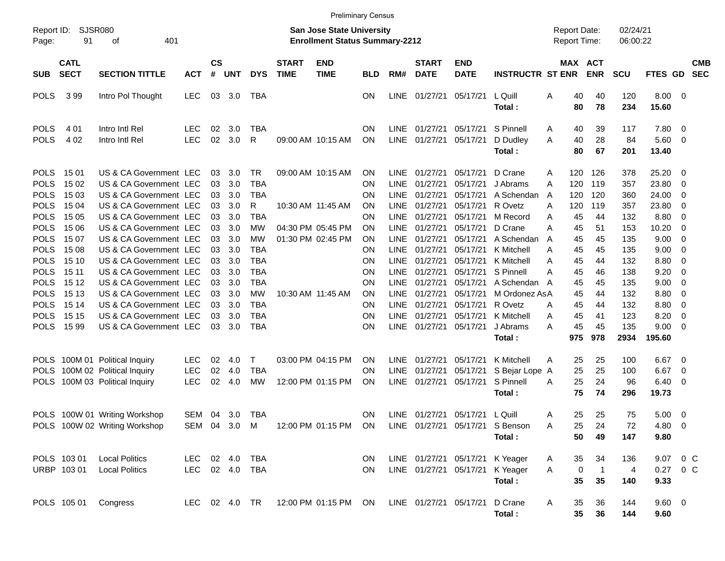|                                           |                            |                                                                            |                              |                    |                   |                          |                             | <b>Preliminary Census</b>                                                 |                                     |                                           |                                            |                                  |                                                       |             |                                            |                            |                              |                              |                         |                          |
|-------------------------------------------|----------------------------|----------------------------------------------------------------------------|------------------------------|--------------------|-------------------|--------------------------|-----------------------------|---------------------------------------------------------------------------|-------------------------------------|-------------------------------------------|--------------------------------------------|----------------------------------|-------------------------------------------------------|-------------|--------------------------------------------|----------------------------|------------------------------|------------------------------|-------------------------|--------------------------|
| Report ID:<br>Page:                       | SJSR080<br>91              | 401<br>οf                                                                  |                              |                    |                   |                          |                             | <b>San Jose State University</b><br><b>Enrollment Status Summary-2212</b> |                                     |                                           |                                            |                                  |                                                       |             | <b>Report Date:</b><br><b>Report Time:</b> |                            | 02/24/21<br>06:00:22         |                              |                         |                          |
| <b>SUB</b>                                | <b>CATL</b><br><b>SECT</b> | <b>SECTION TITTLE</b>                                                      | <b>ACT</b>                   | $\mathsf{cs}$<br># | <b>UNT</b>        | <b>DYS</b>               | <b>START</b><br><b>TIME</b> | <b>END</b><br><b>TIME</b>                                                 | <b>BLD</b>                          | RM#                                       | <b>START</b><br><b>DATE</b>                | <b>END</b><br><b>DATE</b>        | <b>INSTRUCTR ST ENR</b>                               |             | MAX ACT                                    | <b>ENR</b>                 | <b>SCU</b>                   | <b>FTES GD</b>               |                         | <b>CMB</b><br><b>SEC</b> |
| <b>POLS</b>                               | 399                        | Intro Pol Thought                                                          | <b>LEC</b>                   | 03                 | 3.0               | TBA                      |                             |                                                                           | <b>ON</b>                           |                                           | LINE 01/27/21                              | 05/17/21                         | L Quill<br>Total:                                     | A           | 40<br>80                                   | 40<br>78                   | 120<br>234                   | 8.00 0<br>15.60              |                         |                          |
| <b>POLS</b><br><b>POLS</b>                | 4 0 1<br>4 0 2             | Intro Intl Rel<br>Intro Intl Rel                                           | <b>LEC</b><br><b>LEC</b>     | 02<br>02           | 3.0<br>3.0        | TBA<br>R                 |                             | 09:00 AM 10:15 AM                                                         | <b>ON</b><br>ON                     |                                           | LINE 01/27/21<br>LINE 01/27/21             | 05/17/21<br>05/17/21             | S Pinnell<br>D Dudley<br>Total:                       | A<br>A      | 40<br>40<br>80                             | 39<br>28<br>67             | 117<br>84<br>201             | 7.80<br>$5.60$ 0<br>13.40    | - 0                     |                          |
| <b>POLS</b><br><b>POLS</b><br><b>POLS</b> | 15 01<br>15 02<br>15 03    | US & CA Government LEC<br>US & CA Government LEC<br>US & CA Government LEC |                              | 03<br>03<br>03     | 3.0<br>3.0<br>3.0 | TR<br>TBA<br><b>TBA</b>  |                             | 09:00 AM 10:15 AM                                                         | <b>ON</b><br><b>ON</b><br><b>ON</b> | <b>LINE</b>                               | LINE 01/27/21<br>01/27/21<br>LINE 01/27/21 | 05/17/21<br>05/17/21<br>05/17/21 | D Crane<br>J Abrams<br>A Schendan                     | A<br>A<br>A | 120<br>120<br>120                          | 126<br>119<br>120          | 378<br>357<br>360            | 25.20<br>23.80<br>24.00      | - 0<br>0<br>0           |                          |
| <b>POLS</b><br><b>POLS</b><br><b>POLS</b> | 15 04<br>15 05<br>15 06    | US & CA Government LEC<br>US & CA Government LEC<br>US & CA Government LEC |                              | 03<br>03<br>03     | 3.0<br>3.0<br>3.0 | R<br>TBA<br>МW           |                             | 10:30 AM 11:45 AM<br>04:30 PM 05:45 PM                                    | <b>ON</b><br><b>ON</b><br>ON.       | LINE<br><b>LINE</b>                       | 01/27/21<br>01/27/21<br>LINE 01/27/21      | 05/17/21<br>05/17/21<br>05/17/21 | R Ovetz<br>M Record<br>D Crane                        | A<br>A<br>A | 120<br>45<br>45                            | 119<br>44<br>51            | 357<br>132<br>153            | 23.80<br>8.80<br>10.20       | 0<br>0<br>0             |                          |
| <b>POLS</b><br><b>POLS</b><br><b>POLS</b> | 15 07<br>15 08<br>15 10    | US & CA Government LEC<br>US & CA Government LEC<br>US & CA Government LEC |                              | 03<br>03<br>03     | 3.0<br>3.0<br>3.0 | МW<br>TBA<br>TBA         |                             | 01:30 PM 02:45 PM                                                         | <b>ON</b><br><b>ON</b><br>ON        | <b>LINE</b><br><b>LINE</b>                | 01/27/21<br>01/27/21<br>LINE 01/27/21      | 05/17/21<br>05/17/21<br>05/17/21 | A Schendan<br>K Mitchell<br>K Mitchell                | A<br>A<br>A | 45<br>45<br>45                             | 45<br>45<br>44             | 135<br>135<br>132            | 9.00<br>9.00<br>8.80         | 0<br>0<br>0             |                          |
| <b>POLS</b><br><b>POLS</b><br><b>POLS</b> | 15 11<br>15 12<br>15 13    | US & CA Government LEC<br>US & CA Government LEC<br>US & CA Government LEC |                              | 03<br>03<br>03     | 3.0<br>3.0<br>3.0 | TBA<br>TBA<br><b>MW</b>  |                             | 10:30 AM 11:45 AM                                                         | ON<br><b>ON</b><br><b>ON</b>        | <b>LINE</b><br><b>LINE</b><br><b>LINE</b> | 01/27/21<br>01/27/21<br>01/27/21           | 05/17/21<br>05/17/21<br>05/17/21 | S Pinnell<br>A Schendan<br>M Ordonez AsA              | A<br>A      | 45<br>45<br>45                             | 46<br>45<br>44             | 138<br>135<br>132            | 9.20<br>9.00<br>8.80         | 0<br>0<br>0             |                          |
| <b>POLS</b><br><b>POLS</b><br><b>POLS</b> | 15 14<br>15 15<br>15 99    | US & CA Government LEC<br>US & CA Government LEC<br>US & CA Government LEC |                              | 03<br>03<br>03     | 3.0<br>3.0<br>3.0 | TBA<br>TBA<br><b>TBA</b> |                             |                                                                           | <b>ON</b><br>ON<br><b>ON</b>        | LINE<br><b>LINE</b>                       | 01/27/21<br>01/27/21<br>LINE 01/27/21      | 05/17/21<br>05/17/21<br>05/17/21 | R Ovetz<br>K Mitchell<br>J Abrams                     | A<br>Α<br>A | 45<br>45<br>45                             | 44<br>41<br>45             | 132<br>123<br>135            | 8.80<br>8.20<br>9.00         | 0<br>0<br>0             |                          |
| <b>POLS</b>                               |                            | 100M 01 Political Inquiry                                                  | <b>LEC</b>                   | 02                 | 4.0               | Τ                        |                             | 03:00 PM 04:15 PM                                                         | <b>ON</b>                           |                                           | LINE 01/27/21                              | 05/17/21                         | Total:<br>K Mitchell                                  | A           | 975<br>25                                  | 978<br>25                  | 2934<br>100                  | 195.60<br>6.67               | - 0                     |                          |
| <b>POLS</b><br><b>POLS</b>                |                            | 100M 02 Political Inquiry<br>100M 03 Political Inquiry                     | <b>LEC</b><br><b>LEC</b>     | 02<br>02           | 4.0<br>4.0        | TBA<br>MW                |                             | 12:00 PM 01:15 PM                                                         | <b>ON</b><br>ON                     | LINE                                      | 01/27/21<br>LINE 01/27/21                  | 05/17/21<br>05/17/21             | S Bejar Lope A<br>S Pinnell<br>Total:                 | A           | 25<br>25<br>75                             | 25<br>24<br>74             | 100<br>96<br>296             | 6.67<br>6.40<br>19.73        | $\overline{0}$<br>- 0   |                          |
|                                           |                            | POLS 100W 01 Writing Workshop<br>POLS 100W 02 Writing Workshop             | SEM 04 3.0<br>SEM 04 3.0 M   |                    |                   | <b>TBA</b>               |                             | 12:00 PM 01:15 PM ON LINE 01/27/21 05/17/21 S Benson                      | ON                                  |                                           |                                            | LINE 01/27/21 05/17/21 L Quill   | Total:                                                | A<br>A      | 25<br>50                                   | 25<br>25 24<br>49          | 75<br>$72\,$<br>147          | 5.00<br>4.80 0<br>9.80       | $\overline{\mathbf{0}}$ |                          |
|                                           | POLS 103 01<br>URBP 103 01 | <b>Local Politics</b><br><b>Local Politics</b>                             | LEC 02 4.0<br>LEC 02 4.0 TBA |                    |                   | TBA                      |                             |                                                                           | <b>ON</b><br>ON                     |                                           | LINE 01/27/21 05/17/21                     |                                  | K Yeager<br>LINE 01/27/21 05/17/21 K Yeager<br>Total: | A<br>A      | 35<br>$\mathbf 0$<br>35                    | 34<br>$\overline{1}$<br>35 | 136<br>$\overline{4}$<br>140 | 9.07 0 C<br>0.27 0 C<br>9.33 |                         |                          |
|                                           | POLS 105 01                | Congress                                                                   |                              |                    |                   |                          |                             | LEC 02 4.0 TR 12:00 PM 01:15 PM ON                                        |                                     |                                           | LINE 01/27/21 05/17/21                     |                                  | D Crane<br>Total:                                     | A           | 35<br>$35\phantom{a}$                      | 36<br>36                   | 144<br>144                   | $9.60 \quad 0$<br>9.60       |                         |                          |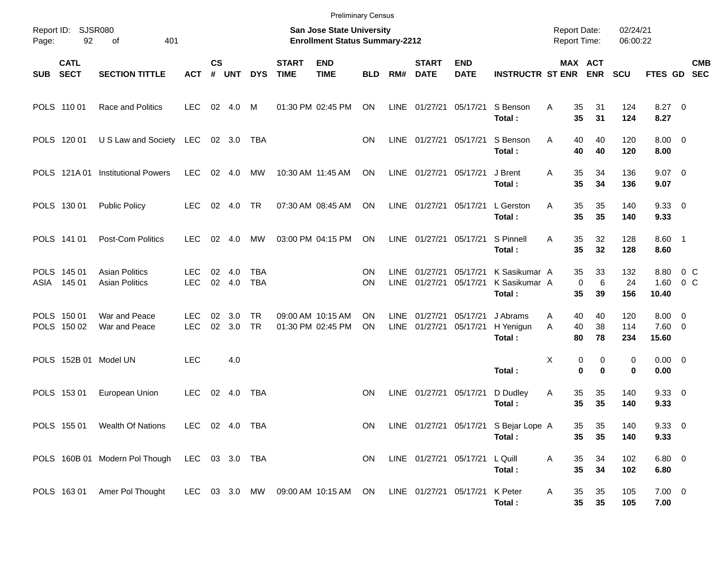|             |                            |                                                                 |                    |                |               |                          |                             | <b>Preliminary Census</b>                                                 |            |                            |                             |                                |                                                 |                                            |                                |                      |                                  |                  |            |
|-------------|----------------------------|-----------------------------------------------------------------|--------------------|----------------|---------------|--------------------------|-----------------------------|---------------------------------------------------------------------------|------------|----------------------------|-----------------------------|--------------------------------|-------------------------------------------------|--------------------------------------------|--------------------------------|----------------------|----------------------------------|------------------|------------|
| Page:       | Report ID: SJSR080<br>92   | 401<br>οf                                                       |                    |                |               |                          |                             | <b>San Jose State University</b><br><b>Enrollment Status Summary-2212</b> |            |                            |                             |                                |                                                 | <b>Report Date:</b><br><b>Report Time:</b> |                                | 02/24/21<br>06:00:22 |                                  |                  |            |
| SUB         | <b>CATL</b><br><b>SECT</b> | <b>SECTION TITTLE</b>                                           | <b>ACT</b>         | <b>CS</b><br># | <b>UNT</b>    | <b>DYS</b>               | <b>START</b><br><b>TIME</b> | <b>END</b><br><b>TIME</b>                                                 | <b>BLD</b> | RM#                        | <b>START</b><br><b>DATE</b> | <b>END</b><br><b>DATE</b>      | <b>INSTRUCTR ST ENR</b>                         |                                            | MAX ACT<br><b>ENR</b>          | <b>SCU</b>           | FTES GD SEC                      |                  | <b>CMB</b> |
|             | POLS 110 01                | Race and Politics                                               | <b>LEC</b>         | 02             | 4.0           | M                        |                             | 01:30 PM 02:45 PM                                                         | ON         | LINE                       | 01/27/21 05/17/21           |                                | S Benson<br>Total:                              | 35<br>A<br>35                              | 31<br>31                       | 124<br>124           | $8.27$ 0<br>8.27                 |                  |            |
|             | POLS 120 01                | U S Law and Society                                             | LEC                |                | 02 3.0        | TBA                      |                             |                                                                           | ΟN         | LINE                       | 01/27/21 05/17/21           |                                | S Benson<br>Total:                              | 40<br>A<br>40                              | 40<br>40                       | 120<br>120           | $8.00 \t 0$<br>8.00              |                  |            |
|             |                            | POLS 121A 01 Institutional Powers                               | <b>LEC</b>         |                | 02 4.0        | MW                       |                             | 10:30 AM 11:45 AM                                                         | <b>ON</b>  |                            | LINE 01/27/21 05/17/21      |                                | J Brent<br>Total:                               | 35<br>A<br>35                              | 34<br>34                       | 136<br>136           | $9.07$ 0<br>9.07                 |                  |            |
|             | POLS 130 01                | <b>Public Policy</b>                                            | <b>LEC</b>         |                | 02 4.0        | TR                       |                             | 07:30 AM 08:45 AM                                                         | ON         |                            | LINE 01/27/21 05/17/21      |                                | L Gerston<br>Total:                             | 35<br>A<br>35                              | 35<br>35                       | 140<br>140           | 9.3300<br>9.33                   |                  |            |
|             | POLS 141 01                | Post-Com Politics                                               | <b>LEC</b>         | 02             | 4.0           | <b>MW</b>                |                             | 03:00 PM 04:15 PM                                                         | ON         |                            | LINE 01/27/21 05/17/21      |                                | S Pinnell<br>Total:                             | 35<br>A<br>35                              | 32<br>32                       | 128<br>128           | 8.60 1<br>8.60                   |                  |            |
| ASIA        | POLS 145 01<br>145 01      | <b>Asian Politics</b><br><b>Asian Politics</b>                  | LEC.<br><b>LEC</b> | 02             | 4.0<br>02 4.0 | <b>TBA</b><br><b>TBA</b> |                             |                                                                           | ON<br>ON   | <b>LINE</b><br><b>LINE</b> | 01/27/21<br>01/27/21        | 05/17/21<br>05/17/21           | K Sasikumar A<br>K Sasikumar A<br>Total:        | 35<br>35                                   | 33<br>6<br>$\mathbf 0$<br>39   | 132<br>24<br>156     | 8.80<br>1.60<br>10.40            | $0\,C$<br>$0\,C$ |            |
|             | POLS 150 01<br>POLS 150 02 | War and Peace<br>War and Peace                                  | LEC.<br><b>LEC</b> | 02<br>02       | 3.0<br>3.0    | <b>TR</b><br><b>TR</b>   |                             | 09:00 AM 10:15 AM<br>01:30 PM 02:45 PM                                    | ON<br>ON   | <b>LINE</b><br><b>LINE</b> | 01/27/21<br>01/27/21        | 05/17/21<br>05/17/21           | J Abrams<br>H Yenigun<br>Total:                 | A<br>40<br>40<br>A<br>80                   | 40<br>38<br>78                 | 120<br>114<br>234    | $8.00 \t 0$<br>$7.60$ 0<br>15.60 |                  |            |
| <b>POLS</b> |                            | 152B 01 Model UN                                                | <b>LEC</b>         |                | 4.0           |                          |                             |                                                                           |            |                            |                             |                                | Total:                                          | X                                          | 0<br>0<br>$\bf{0}$<br>$\bf{0}$ | 0<br>$\bf{0}$        | $0.00 \t 0$<br>0.00              |                  |            |
|             | POLS 153 01                | European Union                                                  | <b>LEC</b>         | 02             | 4.0           | <b>TBA</b>               |                             |                                                                           | <b>ON</b>  | LINE                       | 01/27/21 05/17/21           |                                | D Dudley<br>Total:                              | 35<br>Α<br>35                              | 35<br>35                       | 140<br>140           | 9.3300<br>9.33                   |                  |            |
|             |                            | POLS 155 01 Wealth Of Nations                                   | LEC 02 4.0 TBA     |                |               |                          |                             |                                                                           | ON         |                            |                             |                                | LINE 01/27/21 05/17/21 S Bejar Lope A<br>Total: | 35<br>35                                   | 35<br>35                       | 140<br>140           | 9.3300<br>9.33                   |                  |            |
|             |                            | POLS 160B 01 Modern Pol Though LEC 03 3.0 TBA                   |                    |                |               |                          |                             |                                                                           | ON         |                            |                             | LINE 01/27/21 05/17/21 L Quill | Total:                                          | 35<br>Α<br>35                              | 34<br>34                       | 102<br>102           | 6.80 0<br>6.80                   |                  |            |
|             |                            | POLS 163 01 Amer Pol Thought LEC 03 3.0 MW 09:00 AM 10:15 AM ON |                    |                |               |                          |                             |                                                                           |            |                            | LINE 01/27/21 05/17/21      |                                | K Peter<br>Total:                               | A<br>35<br>35 <sub>5</sub>                 | 35<br>35                       | 105<br>105           | $7.00 \t 0$<br>7.00              |                  |            |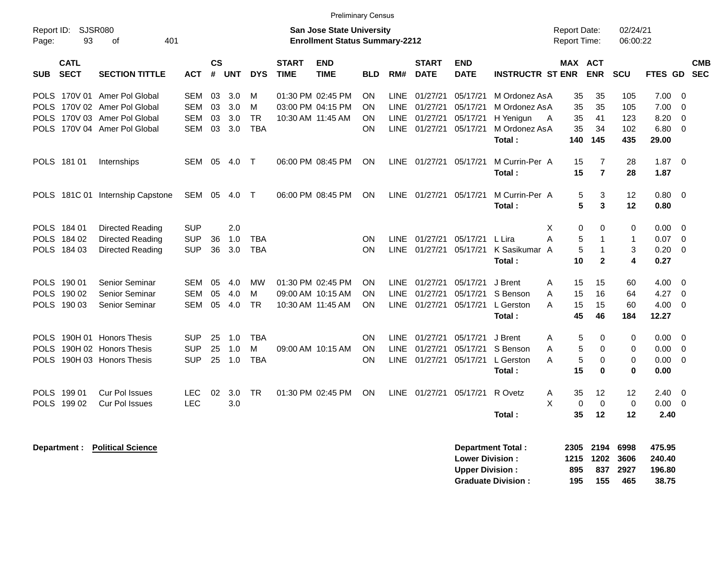|                                                                                        |                                                                                                                              |                                                      |                      |                          |                                   |                                        | <b>Preliminary Census</b>                                                 |                             |                                                          |                                              |                                              |                                                                             |                                            |                                               |                                   |                                       |                                                              |                          |
|----------------------------------------------------------------------------------------|------------------------------------------------------------------------------------------------------------------------------|------------------------------------------------------|----------------------|--------------------------|-----------------------------------|----------------------------------------|---------------------------------------------------------------------------|-----------------------------|----------------------------------------------------------|----------------------------------------------|----------------------------------------------|-----------------------------------------------------------------------------|--------------------------------------------|-----------------------------------------------|-----------------------------------|---------------------------------------|--------------------------------------------------------------|--------------------------|
| Report ID:<br>Page:<br>93                                                              | SJSR080<br>401<br>оf                                                                                                         |                                                      |                      |                          |                                   |                                        | <b>San Jose State University</b><br><b>Enrollment Status Summary-2212</b> |                             |                                                          |                                              |                                              |                                                                             | <b>Report Date:</b><br><b>Report Time:</b> |                                               | 02/24/21<br>06:00:22              |                                       |                                                              |                          |
| <b>CATL</b><br><b>SECT</b><br><b>SUB</b>                                               | <b>SECTION TITTLE</b>                                                                                                        | АСТ                                                  | <b>CS</b><br>#       | <b>UNT</b>               | <b>DYS</b>                        | <b>START</b><br><b>TIME</b>            | <b>END</b><br><b>TIME</b>                                                 | <b>BLD</b>                  | RM#                                                      | <b>START</b><br><b>DATE</b>                  | <b>END</b><br><b>DATE</b>                    | <b>INSTRUCTR ST ENR</b>                                                     | MAX ACT                                    | <b>ENR</b>                                    | <b>SCU</b>                        | FTES GD                               |                                                              | <b>CMB</b><br><b>SEC</b> |
|                                                                                        | POLS 170V 01 Amer Pol Global<br>POLS 170V 02 Amer Pol Global<br>POLS 170V 03 Amer Pol Global<br>POLS 170V 04 Amer Pol Global | <b>SEM</b><br><b>SEM</b><br><b>SEM</b><br><b>SEM</b> | 03<br>03<br>03<br>03 | 3.0<br>3.0<br>3.0<br>3.0 | м<br>м<br><b>TR</b><br><b>TBA</b> | 01:30 PM 02:45 PM                      | 03:00 PM 04:15 PM<br>10:30 AM 11:45 AM                                    | <b>ON</b><br>ON<br>ON<br>ON | <b>LINE</b><br><b>LINE</b><br><b>LINE</b><br><b>LINE</b> | 01/27/21<br>01/27/21<br>01/27/21<br>01/27/21 | 05/17/21<br>05/17/21<br>05/17/21<br>05/17/21 | M Ordonez AsA<br>M Ordonez AsA<br>H Yenigun<br>A<br>M Ordonez AsA<br>Total: | 35<br>35<br>35<br>35<br>140                | 35<br>35<br>41<br>34<br>145                   | 105<br>105<br>123<br>102<br>435   | 7.00<br>7.00<br>8.20<br>6.80<br>29.00 | $\overline{\mathbf{0}}$<br>- 0<br>0<br>$\overline{0}$        |                          |
| POLS 181 01                                                                            | Internships                                                                                                                  | SEM                                                  | 05                   | 4.0                      | $\top$                            | 06:00 PM 08:45 PM                      |                                                                           | ON                          | <b>LINE</b>                                              | 01/27/21 05/17/21                            |                                              | M Currin-Per A<br>Total:                                                    | 15<br>15                                   | $\overline{7}$<br>$\overline{7}$              | 28<br>28                          | 1.87<br>1.87                          | $\overline{\phantom{0}}$                                     |                          |
|                                                                                        | POLS 181C 01 Internship Capstone                                                                                             | SEM                                                  | 05                   | 4.0                      | $\top$                            |                                        | 06:00 PM 08:45 PM                                                         | ON                          |                                                          | LINE 01/27/21                                | 05/17/21                                     | M Currin-Per A<br>Total:                                                    | 5<br>5                                     | 3<br>3                                        | 12<br>12                          | 0.80 0<br>0.80                        |                                                              |                          |
| POLS 184 01<br>POLS 184 02<br>POLS 184 03                                              | <b>Directed Reading</b><br><b>Directed Reading</b><br><b>Directed Reading</b>                                                | SUP<br><b>SUP</b><br><b>SUP</b>                      | 36<br>36             | 2.0<br>1.0<br>3.0        | <b>TBA</b><br><b>TBA</b>          |                                        |                                                                           | ON<br>ON                    | <b>LINE</b><br><b>LINE</b>                               | 01/27/21<br>01/27/21                         | 05/17/21<br>05/17/21                         | L Lira<br>A<br>K Sasikumar A<br>Total:                                      | Χ<br>0<br>5<br>5<br>10                     | $\Omega$<br>1<br>$\mathbf{1}$<br>$\mathbf{2}$ | 0<br>1<br>3<br>4                  | 0.00<br>0.07<br>0.20<br>0.27          | $\overline{0}$<br>$\overline{\phantom{0}}$<br>$\overline{0}$ |                          |
| POLS 190 01<br>POLS 190 02<br>POLS 190 03                                              | Senior Seminar<br>Senior Seminar<br>Senior Seminar                                                                           | <b>SEM</b><br><b>SEM</b><br><b>SEM</b>               | 05<br>05<br>05       | 4.0<br>4.0<br>4.0        | MW<br>м<br><b>TR</b>              | 01:30 PM 02:45 PM<br>09:00 AM 10:15 AM | 10:30 AM 11:45 AM                                                         | ON<br>ON<br><b>ON</b>       | <b>LINE</b><br><b>LINE</b><br><b>LINE</b>                | 01/27/21<br>01/27/21<br>01/27/21             | 05/17/21<br>05/17/21<br>05/17/21             | J Brent<br>S Benson<br>A<br>L Gerston<br>Total:                             | Α<br>15<br>A<br>15<br>15<br>45             | 15<br>16<br>15<br>46                          | 60<br>64<br>60<br>184             | 4.00<br>4.27<br>4.00<br>12.27         | $\overline{0}$<br>$\overline{0}$<br>$\overline{0}$           |                          |
| POLS 190H 01 Honors Thesis<br>POLS 190H 02 Honors Thesis<br>POLS 190H 03 Honors Thesis |                                                                                                                              | <b>SUP</b><br><b>SUP</b><br><b>SUP</b>               | 25<br>25<br>25       | 1.0<br>1.0<br>1.0        | <b>TBA</b><br>м<br><b>TBA</b>     |                                        | 09:00 AM 10:15 AM                                                         | ON<br><b>ON</b><br>ON       | <b>LINE</b><br><b>LINE</b><br><b>LINE</b>                | 01/27/21<br>01/27/21<br>01/27/21             | 05/17/21<br>05/17/21<br>05/17/21             | J Brent<br>Α<br>S Benson<br>L Gerston<br>Total:                             | 5<br>5<br>A<br>5<br>A<br>15                | 0<br>$\Omega$<br>0<br>$\bf{0}$                | 0<br>0<br>$\mathbf 0$<br>$\bf{0}$ | $0.00 \t 0$<br>0.00<br>0.00<br>0.00   | $\overline{0}$<br>$\mathbf 0$                                |                          |
| POLS 199 01<br>POLS 199 02                                                             | <b>Cur Pol Issues</b><br><b>Cur Pol Issues</b>                                                                               | LEC<br><b>LEC</b>                                    | 02                   | 3.0<br>3.0               | <b>TR</b>                         | 01:30 PM 02:45 PM                      |                                                                           | ON                          | <b>LINE</b>                                              | 01/27/21                                     | 05/17/21                                     | R Ovetz<br>Α<br>X<br>Total:                                                 | 35<br>$\mathbf 0$<br>35                    | 12<br>$\mathbf 0$<br>12                       | 12<br>$\mathbf 0$<br>$12 \,$      | 2.40<br>0.00<br>2.40                  | $\overline{\mathbf{0}}$<br>$\overline{\phantom{0}}$          |                          |
| Department :                                                                           | <b>Political Science</b>                                                                                                     |                                                      |                      |                          |                                   |                                        |                                                                           |                             |                                                          |                                              |                                              | Department Total:                                                           |                                            | 2305 2194 6998                                |                                   | 475.95                                |                                                              |                          |

| <b>Department Total:</b>  |     | 2305 2194 6998 |          | 475.95 |
|---------------------------|-----|----------------|----------|--------|
| <b>Lower Division :</b>   |     | 1215 1202 3606 |          | 240.40 |
| Upper Division:           | 895 |                | 837 2927 | 196.80 |
| <b>Graduate Division:</b> | 195 | 155            | 465      | 38.75  |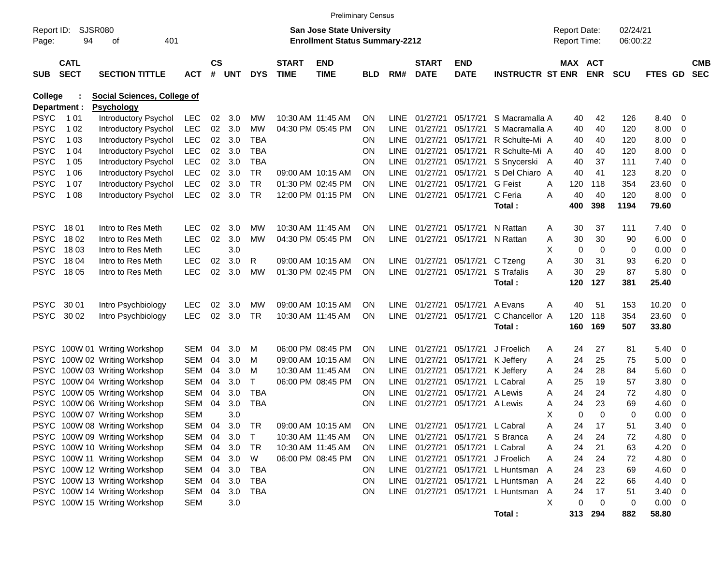|                |             |                                    |            |           |        |            |              | <b>Preliminary Census</b>             |            |             |               |                                 |                                     |   |                     |            |            |         |                          |            |
|----------------|-------------|------------------------------------|------------|-----------|--------|------------|--------------|---------------------------------------|------------|-------------|---------------|---------------------------------|-------------------------------------|---|---------------------|------------|------------|---------|--------------------------|------------|
| Report ID:     |             | SJSR080                            |            |           |        |            |              | <b>San Jose State University</b>      |            |             |               |                                 |                                     |   | <b>Report Date:</b> |            | 02/24/21   |         |                          |            |
| Page:          | 94          | οf<br>401                          |            |           |        |            |              | <b>Enrollment Status Summary-2212</b> |            |             |               |                                 |                                     |   | <b>Report Time:</b> |            | 06:00:22   |         |                          |            |
|                | <b>CATL</b> |                                    |            | <b>CS</b> |        |            | <b>START</b> | <b>END</b>                            |            |             | <b>START</b>  | <b>END</b>                      |                                     |   | MAX ACT             |            |            |         |                          | <b>CMB</b> |
| <b>SUB</b>     | <b>SECT</b> | <b>SECTION TITTLE</b>              | <b>ACT</b> |           | # UNT  | <b>DYS</b> | <b>TIME</b>  | <b>TIME</b>                           | <b>BLD</b> | RM#         | <b>DATE</b>   | <b>DATE</b>                     | <b>INSTRUCTR ST ENR</b>             |   |                     | <b>ENR</b> | <b>SCU</b> | FTES GD |                          | <b>SEC</b> |
| <b>College</b> |             | <b>Social Sciences, College of</b> |            |           |        |            |              |                                       |            |             |               |                                 |                                     |   |                     |            |            |         |                          |            |
| Department :   |             | <b>Psychology</b>                  |            |           |        |            |              |                                       |            |             |               |                                 |                                     |   |                     |            |            |         |                          |            |
| <b>PSYC</b>    | 1 0 1       | Introductory Psychol               | <b>LEC</b> | $02\,$    | 3.0    | МW         |              | 10:30 AM 11:45 AM                     | <b>ON</b>  | LINE        | 01/27/21      | 05/17/21                        | S Macramalla A                      |   | 40                  | 42         | 126        | 8.40    | - 0                      |            |
| <b>PSYC</b>    | 1 0 2       | Introductory Psychol               | <b>LEC</b> | $02\,$    | 3.0    | <b>MW</b>  |              | 04:30 PM 05:45 PM                     | ON         | LINE.       | 01/27/21      | 05/17/21                        | S Macramalla A                      |   | 40                  | 40         | 120        | 8.00    | - 0                      |            |
| <b>PSYC</b>    | 1 0 3       | Introductory Psychol               | <b>LEC</b> | 02        | 3.0    | <b>TBA</b> |              |                                       | ON         | LINE        | 01/27/21      | 05/17/21                        | R Schulte-Mi A                      |   | 40                  | 40         | 120        | 8.00    | - 0                      |            |
| <b>PSYC</b>    | 1 04        | Introductory Psychol               | <b>LEC</b> | 02        | 3.0    | TBA        |              |                                       | ΟN         | LINE        | 01/27/21      | 05/17/21                        | R Schulte-Mi A                      |   | 40                  | 40         | 120        | 8.00    | 0                        |            |
| <b>PSYC</b>    | 1 0 5       | Introductory Psychol               | <b>LEC</b> | 02        | 3.0    | TBA        |              |                                       | ΟN         | <b>LINE</b> | 01/27/21      | 05/17/21                        | S Snycerski A                       |   | 40                  | 37         | 111        | 7.40    | 0                        |            |
| <b>PSYC</b>    | 1 0 6       | Introductory Psychol               | <b>LEC</b> | 02        | 3.0    | TR         |              | 09:00 AM 10:15 AM                     | ΟN         | LINE        | 01/27/21      | 05/17/21                        | S Del Chiaro A                      |   | 40                  | 41         | 123        | 8.20    | 0                        |            |
| <b>PSYC</b>    | 1 0 7       | Introductory Psychol               | <b>LEC</b> | 02        | 3.0    | TR.        |              | 01:30 PM 02:45 PM                     | ΟN         | LINE        | 01/27/21      | 05/17/21                        | <b>G</b> Feist                      | A | 120                 | 118        | 354        | 23.60   | 0                        |            |
| <b>PSYC</b>    | 1 0 8       | Introductory Psychol               | <b>LEC</b> | 02        | 3.0    | <b>TR</b>  |              | 12:00 PM 01:15 PM                     | 0N         |             | LINE 01/27/21 | 05/17/21                        | C Feria                             | A | 40                  | 40         | 120        | 8.00    | - 0                      |            |
|                |             |                                    |            |           |        |            |              |                                       |            |             |               |                                 | Total:                              |   | 400                 | 398        | 1194       | 79.60   |                          |            |
| <b>PSYC</b>    | 1801        | Intro to Res Meth                  | LEC.       | 02        | 3.0    | МW         |              | 10:30 AM 11:45 AM                     | <b>ON</b>  | LINE        | 01/27/21      | 05/17/21                        | N Rattan                            | A | 30                  | 37         | 111        | 7.40    | - 0                      |            |
| <b>PSYC</b>    | 18 02       | Intro to Res Meth                  | <b>LEC</b> | 02        | 3.0    | МW         |              | 04:30 PM 05:45 PM                     | ON         | <b>LINE</b> | 01/27/21      |                                 | 05/17/21 N Rattan                   | A | 30                  | 30         | 90         | 6.00    | - 0                      |            |
| <b>PSYC</b>    | 18 03       | Intro to Res Meth                  | <b>LEC</b> |           | 3.0    |            |              |                                       |            |             |               |                                 |                                     | Χ | 0                   | 0          | 0          | 0.00    | - 0                      |            |
| <b>PSYC</b>    | 18 04       | Intro to Res Meth                  | <b>LEC</b> | 02        | 3.0    | R          |              | 09:00 AM 10:15 AM                     | <b>ON</b>  |             |               | LINE 01/27/21 05/17/21 C Tzeng  |                                     | Α | 30                  | 31         | 93         | 6.20    | - 0                      |            |
| <b>PSYC</b>    | 18 05       | Intro to Res Meth                  | <b>LEC</b> | 02        | 3.0    | <b>MW</b>  |              | 01:30 PM 02:45 PM                     | <b>ON</b>  |             | LINE 01/27/21 | 05/17/21                        | S Trafalis                          | A | 30                  | 29         | 87         | 5.80    | - 0                      |            |
|                |             |                                    |            |           |        |            |              |                                       |            |             |               |                                 | Total:                              |   | 120                 | 127        | 381        | 25.40   |                          |            |
| <b>PSYC</b>    | 30 01       | Intro Psychbiology                 | <b>LEC</b> | 02        | 3.0    | МW         |              | 09:00 AM 10:15 AM                     | <b>ON</b>  | LINE        | 01/27/21      | 05/17/21                        | A Evans                             | A | 40                  | 51         | 153        | 10.20   | - 0                      |            |
| <b>PSYC</b>    | 30 02       | Intro Psychbiology                 | <b>LEC</b> | 02        | 3.0    | TR         |              | 10:30 AM 11:45 AM                     | ΟN         |             | LINE 01/27/21 | 05/17/21                        | C Chancellor A                      |   | 120                 | 118        | 354        | 23.60   | - 0                      |            |
|                |             |                                    |            |           |        |            |              |                                       |            |             |               |                                 | Total:                              |   | 160                 | 169        | 507        | 33.80   |                          |            |
|                |             | PSYC 100W 01 Writing Workshop      | SEM        | 04        | 3.0    | м          |              | 06:00 PM 08:45 PM                     | <b>ON</b>  | LINE        | 01/27/21      | 05/17/21                        | J Froelich                          | A | 24                  | 27         | 81         | 5.40    | - 0                      |            |
| <b>PSYC</b>    |             | 100W 02 Writing Workshop           | SEM        | 04        | 3.0    | м          |              | 09:00 AM 10:15 AM                     | <b>ON</b>  | <b>LINE</b> | 01/27/21      | 05/17/21                        | K Jeffery                           | A | 24                  | 25         | 75         | 5.00    | - 0                      |            |
| <b>PSYC</b>    |             | 100W 03 Writing Workshop           | SEM        | 04        | 3.0    | м          |              | 10:30 AM 11:45 AM                     | <b>ON</b>  | <b>LINE</b> | 01/27/21      | 05/17/21                        | K Jeffery                           | A | 24                  | 28         | 84         | 5.60    | - 0                      |            |
| <b>PSYC</b>    |             | 100W 04 Writing Workshop           | SEM        | 04        | 3.0    | T          |              | 06:00 PM 08:45 PM                     | <b>ON</b>  | <b>LINE</b> | 01/27/21      | 05/17/21                        | L Cabral                            | A | 25                  | 19         | 57         | 3.80    | 0                        |            |
| <b>PSYC</b>    |             | 100W 05 Writing Workshop           | SEM        | 04        | 3.0    | <b>TBA</b> |              |                                       | ON         | <b>LINE</b> | 01/27/21      | 05/17/21                        | A Lewis                             | A | 24                  | 24         | 72         | 4.80    | 0                        |            |
| <b>PSYC</b>    |             | 100W 06 Writing Workshop           | SEM        | 04        | 3.0    | <b>TBA</b> |              |                                       | ON         | <b>LINE</b> | 01/27/21      | 05/17/21                        | A Lewis                             | A | 24                  | 23         | 69         | 4.60    | 0                        |            |
|                |             | PSYC 100W 07 Writing Workshop      | SEM        |           | 3.0    |            |              |                                       |            |             |               |                                 |                                     | X | $\Omega$            | $\Omega$   | 0          | 0.00    | - 0                      |            |
|                |             | PSYC 100W 08 Writing Workshop      | SEM        | 04        | 3.0    | TR         |              | 09:00 AM 10:15 AM                     | <b>ON</b>  |             |               | LINE 01/27/21 05/17/21 L Cabral |                                     | A | 24                  | 17         | 51         | 3.40    | $\mathbf 0$              |            |
|                |             | PSYC 100W 09 Writing Workshop      | SEM        | 04        | 3.0    | T          |              | 10:30 AM 11:45 AM                     | <b>ON</b>  |             |               | LINE 01/27/21 05/17/21 S Branca |                                     | A | 24                  | 24         | 72         | 4.80    | - 0                      |            |
|                |             | PSYC 100W 10 Writing Workshop      | SEM        |           | 04 3.0 | TR         |              | 10:30 AM 11:45 AM                     | ON.        |             |               | LINE 01/27/21 05/17/21 L Cabral |                                     | A | 24                  | 21         | 63         | 4.20    | - 0                      |            |
|                |             | PSYC 100W 11 Writing Workshop      | SEM        |           | 04 3.0 | W          |              | 06:00 PM 08:45 PM                     | <b>ON</b>  |             |               |                                 | LINE 01/27/21 05/17/21 J Froelich   | A | 24                  | 24         | 72         | 4.80    | $\overline{\phantom{0}}$ |            |
|                |             | PSYC 100W 12 Writing Workshop      | SEM        |           | 04 3.0 | TBA        |              |                                       | <b>ON</b>  |             |               |                                 | LINE 01/27/21 05/17/21 L Huntsman A |   | 24                  | 23         | 69         | 4.60    | - 0                      |            |
|                |             | PSYC 100W 13 Writing Workshop      | SEM        |           | 04 3.0 | TBA        |              |                                       | ON         |             |               |                                 | LINE 01/27/21 05/17/21 L Huntsman A |   | 24                  | 22         | 66         | 4.40    | $\overline{\mathbf{0}}$  |            |
|                |             | PSYC 100W 14 Writing Workshop      | SEM        | 04        | 3.0    | TBA        |              |                                       | ON         |             |               |                                 | LINE 01/27/21 05/17/21 L Huntsman   | A | 24                  | 17         | 51         | 3.40    | $\overline{\mathbf{0}}$  |            |
|                |             | PSYC 100W 15 Writing Workshop      | <b>SEM</b> |           | 3.0    |            |              |                                       |            |             |               |                                 |                                     | Χ | 0                   | 0          | 0          | 0.00 0  |                          |            |
|                |             |                                    |            |           |        |            |              |                                       |            |             |               |                                 | Total:                              |   |                     | 313 294    | 882        | 58.80   |                          |            |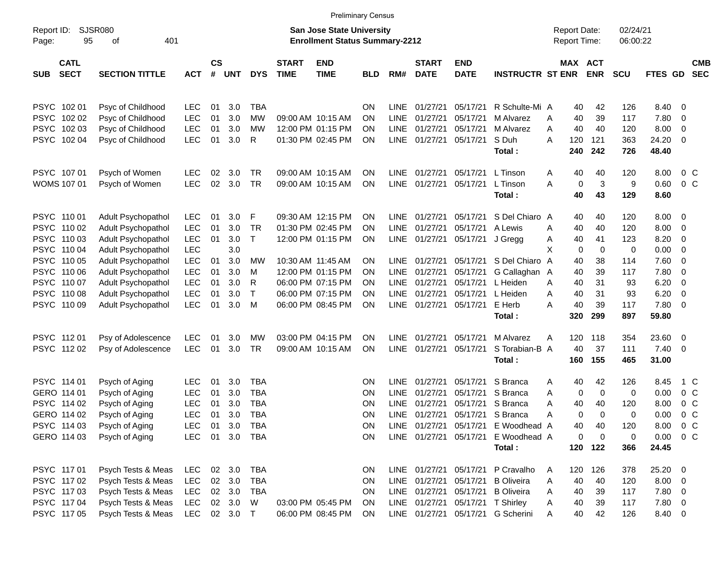|                     |                            |                             |            |                |            |              |                             | <b>Preliminary Census</b>                                          |            |             |                             |                           |                         |                                     |                       |                      |                |                         |                          |
|---------------------|----------------------------|-----------------------------|------------|----------------|------------|--------------|-----------------------------|--------------------------------------------------------------------|------------|-------------|-----------------------------|---------------------------|-------------------------|-------------------------------------|-----------------------|----------------------|----------------|-------------------------|--------------------------|
| Report ID:<br>Page: | 95                         | <b>SJSR080</b><br>401<br>оf |            |                |            |              |                             | San Jose State University<br><b>Enrollment Status Summary-2212</b> |            |             |                             |                           |                         | <b>Report Date:</b><br>Report Time: |                       | 02/24/21<br>06:00:22 |                |                         |                          |
| <b>SUB</b>          | <b>CATL</b><br><b>SECT</b> | <b>SECTION TITTLE</b>       | <b>ACT</b> | <b>CS</b><br># | <b>UNT</b> | <b>DYS</b>   | <b>START</b><br><b>TIME</b> | <b>END</b><br><b>TIME</b>                                          | <b>BLD</b> | RM#         | <b>START</b><br><b>DATE</b> | <b>END</b><br><b>DATE</b> | <b>INSTRUCTR ST ENR</b> |                                     | MAX ACT<br><b>ENR</b> | <b>SCU</b>           | <b>FTES GD</b> |                         | <b>CMB</b><br><b>SEC</b> |
|                     | PSYC 102 01                | Psyc of Childhood           | <b>LEC</b> | 01             | 3.0        | <b>TBA</b>   |                             |                                                                    | <b>ON</b>  | LINE        | 01/27/21                    | 05/17/21                  | R Schulte-Mi A          | 40                                  | 42                    | 126                  | 8.40           | - 0                     |                          |
|                     | PSYC 102 02                | Psyc of Childhood           | <b>LEC</b> | 01             | 3.0        | MW           |                             | 09:00 AM 10:15 AM                                                  | <b>ON</b>  | LINE        | 01/27/21                    | 05/17/21                  | M Alvarez               | 40<br>Α                             | 39                    | 117                  | 7.80           | 0                       |                          |
|                     | PSYC 102 03                | Psyc of Childhood           | <b>LEC</b> | 01             | 3.0        | MW           |                             | 12:00 PM 01:15 PM                                                  | ΟN         | LINE        | 01/27/21                    | 05/17/21                  | M Alvarez               | 40<br>Α                             | 40                    | 120                  | 8.00           | 0                       |                          |
|                     | PSYC 102 04                | Psyc of Childhood           | <b>LEC</b> | 01             | 3.0        | R            |                             | 01:30 PM 02:45 PM                                                  | ΟN         | <b>LINE</b> | 01/27/21                    | 05/17/21                  | S Duh                   | 120<br>Α                            | 121                   | 363                  | 24.20          | $\overline{0}$          |                          |
|                     |                            |                             |            |                |            |              |                             |                                                                    |            |             |                             |                           | Total:                  | 240                                 | 242                   | 726                  | 48.40          |                         |                          |
|                     | PSYC 107 01                | Psych of Women              | <b>LEC</b> | 02             | 3.0        | TR           |                             | 09:00 AM 10:15 AM                                                  | ΟN         | <b>LINE</b> | 01/27/21                    | 05/17/21                  | L Tinson                | 40<br>A                             | 40                    | 120                  | 8.00           | 0 <sup>o</sup>          |                          |
|                     | <b>WOMS 107 01</b>         | Psych of Women              | <b>LEC</b> | 02             | 3.0        | TR           |                             | 09:00 AM 10:15 AM                                                  | ΟN         | <b>LINE</b> | 01/27/21                    | 05/17/21                  | L Tinson                | A                                   | 3<br>0                | 9                    | 0.60           | 0 <sup>o</sup>          |                          |
|                     |                            |                             |            |                |            |              |                             |                                                                    |            |             |                             |                           | Total:                  | 40                                  | 43                    | 129                  | 8.60           |                         |                          |
|                     | PSYC 110 01                | Adult Psychopathol          | <b>LEC</b> | 01             | 3.0        | F            |                             | 09:30 AM 12:15 PM                                                  | ΟN         | <b>LINE</b> | 01/27/21                    | 05/17/21                  | S Del Chiaro A          | 40                                  | 40                    | 120                  | 8.00           | $\overline{\mathbf{0}}$ |                          |
|                     | PSYC 110 02                | Adult Psychopathol          | <b>LEC</b> | 01             | 3.0        | <b>TR</b>    |                             | 01:30 PM 02:45 PM                                                  | ΟN         | LINE        | 01/27/21                    | 05/17/21                  | A Lewis                 | 40<br>A                             | 40                    | 120                  | 8.00           | 0                       |                          |
|                     | PSYC 110 03                | Adult Psychopathol          | <b>LEC</b> | 01             | 3.0        | $\mathsf{T}$ |                             | 12:00 PM 01:15 PM                                                  | ON         | LINE        | 01/27/21                    | 05/17/21                  | J Gregg                 | 40<br>A                             | 41                    | 123                  | 8.20           | 0                       |                          |
|                     | PSYC 110 04                | Adult Psychopathol          | <b>LEC</b> |                | 3.0        |              |                             |                                                                    |            |             |                             |                           |                         | X                                   | $\mathbf 0$<br>0      | 0                    | 0.00           | 0                       |                          |
|                     | PSYC 110 05                | Adult Psychopathol          | <b>LEC</b> | 01             | 3.0        | MW           |                             | 10:30 AM 11:45 AM                                                  | <b>ON</b>  | <b>LINE</b> | 01/27/21                    | 05/17/21                  | S Del Chiaro A          | 40                                  | 38                    | 114                  | 7.60           | 0                       |                          |
|                     | PSYC 110 06                | Adult Psychopathol          | <b>LEC</b> | 01             | 3.0        | M            |                             | 12:00 PM 01:15 PM                                                  | ΟN         | <b>LINE</b> | 01/27/21                    | 05/17/21                  | G Callaghan A           | 40                                  | 39                    | 117                  | 7.80           | 0                       |                          |
|                     | PSYC 110 07                | Adult Psychopathol          | <b>LEC</b> | 01             | 3.0        | R            |                             | 06:00 PM 07:15 PM                                                  | ON         | <b>LINE</b> | 01/27/21                    | 05/17/21                  | L Heiden                | 40<br>Α                             | 31                    | 93                   | 6.20           | 0                       |                          |
|                     | PSYC 110 08                | Adult Psychopathol          | <b>LEC</b> | 01             | 3.0        | $\mathsf{T}$ |                             | 06:00 PM 07:15 PM                                                  | ΟN         | <b>LINE</b> | 01/27/21                    | 05/17/21                  | L Heiden                | Α<br>40                             | 31                    | 93                   | 6.20           | 0                       |                          |
|                     | PSYC 110 09                | Adult Psychopathol          | <b>LEC</b> | 01             | 3.0        | M            |                             | 06:00 PM 08:45 PM                                                  | ΟN         | LINE        | 01/27/21                    | 05/17/21                  | E Herb                  | 40<br>А                             | 39                    | 117                  | 7.80           | $\overline{\mathbf{0}}$ |                          |
|                     |                            |                             |            |                |            |              |                             |                                                                    |            |             |                             |                           | Total:                  | 320                                 | 299                   | 897                  | 59.80          |                         |                          |
|                     | PSYC 11201                 | Psy of Adolescence          | <b>LEC</b> | 01             | 3.0        | MW           |                             | 03:00 PM 04:15 PM                                                  | ΟN         | <b>LINE</b> | 01/27/21                    | 05/17/21                  | M Alvarez               | 120<br>Α                            | 118                   | 354                  | 23.60          | $\overline{\mathbf{0}}$ |                          |
|                     | PSYC 11202                 | Psy of Adolescence          | <b>LEC</b> | 01             | 3.0        | TR           |                             | 09:00 AM 10:15 AM                                                  | ON         | <b>LINE</b> | 01/27/21                    | 05/17/21                  | S Torabian-B A          | 40                                  | 37                    | 111                  | 7.40           | - 0                     |                          |
|                     |                            |                             |            |                |            |              |                             |                                                                    |            |             |                             |                           | Total:                  | 160                                 | 155                   | 465                  | 31.00          |                         |                          |
|                     | PSYC 114 01                | Psych of Aging              | <b>LEC</b> | 01             | 3.0        | TBA          |                             |                                                                    | <b>ON</b>  | LINE        | 01/27/21                    | 05/17/21                  | S Branca                | 40<br>A                             | 42                    | 126                  | 8.45           | 1 C                     |                          |
|                     | GERO 114 01                | Psych of Aging              | <b>LEC</b> | 01             | 3.0        | <b>TBA</b>   |                             |                                                                    | ON         | <b>LINE</b> | 01/27/21                    | 05/17/21                  | S Branca                | Α                                   | $\mathbf 0$<br>0      | 0                    | 0.00           | 0 <sup>o</sup>          |                          |
|                     | PSYC 114 02                | Psych of Aging              | <b>LEC</b> | 01             | 3.0        | <b>TBA</b>   |                             |                                                                    | ΟN         | LINE        | 01/27/21                    | 05/17/21                  | S Branca                | Α<br>40                             | 40                    | 120                  | 8.00           | 0 <sup>o</sup>          |                          |
|                     | GERO 114 02                | Psych of Aging              | <b>LEC</b> | 01             | 3.0        | <b>TBA</b>   |                             |                                                                    | ΟN         | <b>LINE</b> | 01/27/21                    | 05/17/21                  | S Branca                | Α                                   | 0<br>$\Omega$         | 0                    | 0.00           | $0\,C$                  |                          |
|                     | PSYC 114 03                | Psych of Aging              | LEC        | 01             | 3.0        | TBA          |                             |                                                                    | ON         |             | LINE 01/27/21 05/17/21      |                           | E Woodhead A            | 40                                  | 40                    | 120                  | 8.00           | $0\,$ C                 |                          |
|                     | GERO 114 03                | Psych of Aging              | <b>LEC</b> | 01             | 3.0        | TBA          |                             |                                                                    | <b>ON</b>  |             | LINE 01/27/21 05/17/21      |                           | E Woodhead A            |                                     | 0<br>0                | 0                    | 0.00           | 0 <sup>o</sup>          |                          |
|                     |                            |                             |            |                |            |              |                             |                                                                    |            |             |                             |                           | Total:                  |                                     | 120 122               | 366                  | 24.45          |                         |                          |
|                     | PSYC 117 01                | Psych Tests & Meas          | <b>LEC</b> |                | 02 3.0     | <b>TBA</b>   |                             |                                                                    | <b>ON</b>  |             | LINE 01/27/21 05/17/21      |                           | P Cravalho              | 120<br>A                            | 126                   | 378                  | 25.20 0        |                         |                          |
|                     | PSYC 117 02                | Psych Tests & Meas          | <b>LEC</b> |                | 02 3.0     | TBA          |                             |                                                                    | ON         |             | LINE 01/27/21 05/17/21      |                           | <b>B</b> Oliveira       | 40<br>A                             | 40                    | 120                  | $8.00 \t 0$    |                         |                          |
|                     | PSYC 117 03                | Psych Tests & Meas          | <b>LEC</b> |                | 02 3.0     | TBA          |                             |                                                                    | ON         |             | LINE 01/27/21 05/17/21      |                           | <b>B</b> Oliveira       | 40<br>A                             | 39                    | 117                  | $7.80\ 0$      |                         |                          |
|                     | PSYC 11704                 | Psych Tests & Meas          | <b>LEC</b> |                | 02 3.0     | W            |                             | 03:00 PM 05:45 PM                                                  | <b>ON</b>  |             | LINE 01/27/21 05/17/21      |                           | <b>T</b> Shirley        | 40<br>A                             | 39                    | 117                  | 7.80 0         |                         |                          |
|                     | PSYC 117 05                | Psych Tests & Meas          | <b>LEC</b> |                | 02 3.0 T   |              |                             | 06:00 PM 08:45 PM                                                  | ON         |             | LINE 01/27/21 05/17/21      |                           | G Scherini              | 40<br>A                             | 42                    | 126                  | 8.40 0         |                         |                          |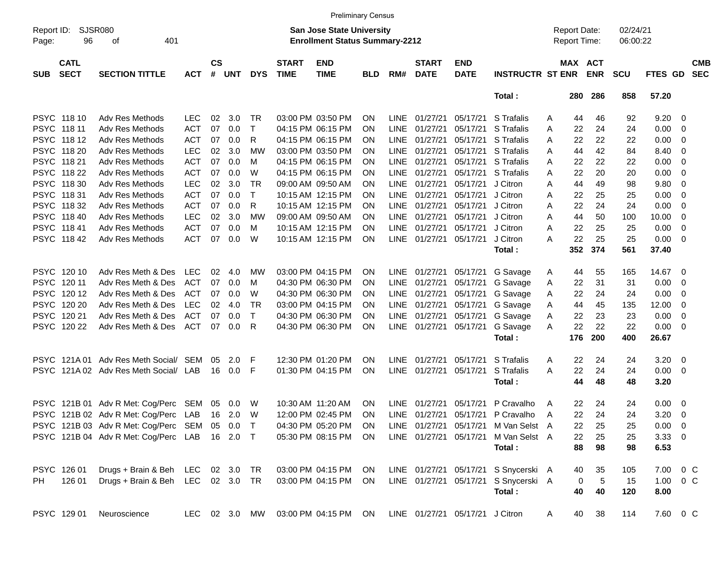|                     |                            |                                               |            |                       |               |              |                             | <b>Preliminary Census</b>                                                 |            |             |                             |                                 |                                      |   |                                     |            |                      |               |                          |                          |
|---------------------|----------------------------|-----------------------------------------------|------------|-----------------------|---------------|--------------|-----------------------------|---------------------------------------------------------------------------|------------|-------------|-----------------------------|---------------------------------|--------------------------------------|---|-------------------------------------|------------|----------------------|---------------|--------------------------|--------------------------|
| Report ID:<br>Page: | 96                         | SJSR080<br>401<br>оf                          |            |                       |               |              |                             | <b>San Jose State University</b><br><b>Enrollment Status Summary-2212</b> |            |             |                             |                                 |                                      |   | <b>Report Date:</b><br>Report Time: |            | 02/24/21<br>06:00:22 |               |                          |                          |
| <b>SUB</b>          | <b>CATL</b><br><b>SECT</b> | <b>SECTION TITTLE</b>                         | <b>ACT</b> | $\mathsf{cs}$<br>$\#$ | <b>UNT</b>    | <b>DYS</b>   | <b>START</b><br><b>TIME</b> | <b>END</b><br><b>TIME</b>                                                 | <b>BLD</b> | RM#         | <b>START</b><br><b>DATE</b> | <b>END</b><br><b>DATE</b>       | <b>INSTRUCTR ST ENR</b>              |   | MAX ACT                             | <b>ENR</b> | <b>SCU</b>           | FTES GD       |                          | <b>CMB</b><br><b>SEC</b> |
|                     |                            |                                               |            |                       |               |              |                             |                                                                           |            |             |                             |                                 | Total:                               |   | 280                                 | 286        | 858                  | 57.20         |                          |                          |
|                     | PSYC 118 10                | Adv Res Methods                               | <b>LEC</b> | 02                    | 3.0           | TR           |                             | 03:00 PM 03:50 PM                                                         | ΟN         | LINE        | 01/27/21                    | 05/17/21                        | S Trafalis                           | Α | 44                                  | 46         | 92                   | 9.20          | - 0                      |                          |
| <b>PSYC</b>         | 118 11                     | Adv Res Methods                               | <b>ACT</b> | 07                    | 0.0           | $\mathsf{T}$ |                             | 04:15 PM 06:15 PM                                                         | ON         | <b>LINE</b> | 01/27/21                    | 05/17/21                        | S Trafalis                           | Α | 22                                  | 24         | 24                   | 0.00          | - 0                      |                          |
| <b>PSYC</b>         | 118 12                     | Adv Res Methods                               | <b>ACT</b> | 07                    | 0.0           | R            |                             | 04:15 PM 06:15 PM                                                         | ON         | <b>LINE</b> | 01/27/21                    | 05/17/21                        | S Trafalis                           | Α | 22                                  | 22         | 22                   | 0.00          | - 0                      |                          |
| <b>PSYC</b>         | 118 20                     | Adv Res Methods                               | <b>LEC</b> | 02                    | 3.0           | MW           |                             | 03:00 PM 03:50 PM                                                         | ON         | <b>LINE</b> | 01/27/21                    | 05/17/21                        | S Trafalis                           | Α | 44                                  | 42         | 84                   | 8.40          | - 0                      |                          |
| <b>PSYC</b>         | 118 21                     | Adv Res Methods                               | <b>ACT</b> | 07                    | 0.0           | M            |                             | 04:15 PM 06:15 PM                                                         | ON         | <b>LINE</b> | 01/27/21                    | 05/17/21                        | S Trafalis                           | Α | 22                                  | 22         | 22                   | 0.00          | - 0                      |                          |
| <b>PSYC</b>         | 118 22                     | Adv Res Methods                               | <b>ACT</b> | 07                    | 0.0           | W            |                             | 04:15 PM 06:15 PM                                                         | ON         | <b>LINE</b> | 01/27/21                    | 05/17/21                        | S Trafalis                           | Α | 22                                  | 20         | 20                   | 0.00          | - 0                      |                          |
| <b>PSYC</b>         | 118 30                     | Adv Res Methods                               | <b>LEC</b> | 02                    | 3.0           | <b>TR</b>    |                             | 09:00 AM 09:50 AM                                                         | ON         | <b>LINE</b> | 01/27/21                    | 05/17/21                        | J Citron                             | Α | 44                                  | 49         | 98                   | 9.80          | - 0                      |                          |
| <b>PSYC</b>         | 118 31                     | Adv Res Methods                               | <b>ACT</b> | 07                    | 0.0           | $\mathsf{T}$ |                             | 10:15 AM 12:15 PM                                                         | ON         | <b>LINE</b> | 01/27/21                    | 05/17/21                        | J Citron                             | Α | 22                                  | 25         | 25                   | 0.00          | - 0                      |                          |
| <b>PSYC</b>         | 118 32                     | Adv Res Methods                               | <b>ACT</b> | 07                    | 0.0           | R            |                             | 10:15 AM 12:15 PM                                                         | ΟN         | <b>LINE</b> | 01/27/21                    | 05/17/21                        | J Citron                             | Α | 22                                  | 24         | 24                   | 0.00          | - 0                      |                          |
| <b>PSYC</b>         | 118 40                     | Adv Res Methods                               | <b>LEC</b> | 02                    | 3.0           | <b>MW</b>    |                             | 09:00 AM 09:50 AM                                                         | ON         | <b>LINE</b> | 01/27/21                    | 05/17/21                        | J Citron                             | Α | 44                                  | 50         | 100                  | 10.00         | - 0                      |                          |
| <b>PSYC</b>         | 11841                      | Adv Res Methods                               | <b>ACT</b> | 07                    | 0.0           | м            |                             | 10:15 AM 12:15 PM                                                         | ON         | <b>LINE</b> | 01/27/21                    | 05/17/21                        | J Citron                             | Α | 22                                  | 25         | 25                   | 0.00          | $\overline{\mathbf{0}}$  |                          |
|                     | PSYC 118 42                | Adv Res Methods                               | <b>ACT</b> | 07                    | 0.0           | W            |                             | 10:15 AM 12:15 PM                                                         | ON         | <b>LINE</b> | 01/27/21                    | 05/17/21                        | J Citron                             | Α | 22                                  | 25         | 25                   | 0.00          | $\overline{\phantom{0}}$ |                          |
|                     |                            |                                               |            |                       |               |              |                             |                                                                           |            |             |                             |                                 | Total:                               |   | 352                                 | 374        | 561                  | 37.40         |                          |                          |
|                     |                            |                                               |            |                       |               |              |                             |                                                                           |            |             |                             |                                 |                                      |   |                                     |            |                      |               |                          |                          |
|                     | PSYC 120 10                | Adv Res Meth & Des                            | <b>LEC</b> | 02                    | 4.0           | MW           |                             | 03:00 PM 04:15 PM                                                         | ON         | <b>LINE</b> | 01/27/21                    | 05/17/21                        | G Savage                             | A | 44                                  | 55         | 165                  | 14.67         | $\overline{\phantom{0}}$ |                          |
| <b>PSYC</b>         | 120 11                     | Adv Res Meth & Des                            | <b>ACT</b> | 07                    | 0.0           | м            |                             | 04:30 PM 06:30 PM                                                         | ΟN         | <b>LINE</b> | 01/27/21                    | 05/17/21                        | G Savage                             | Α | 22                                  | 31         | 31                   | 0.00          | - 0                      |                          |
| <b>PSYC</b>         | 120 12                     | Adv Res Meth & Des                            | <b>ACT</b> | 07                    | 0.0           | W            |                             | 04:30 PM 06:30 PM                                                         | ΟN         | <b>LINE</b> | 01/27/21                    | 05/17/21                        | G Savage                             | Α | 22                                  | 24         | 24                   | 0.00          | $\overline{\mathbf{0}}$  |                          |
| <b>PSYC</b>         | 120 20                     | Adv Res Meth & Des                            | <b>LEC</b> | 02                    | 4.0           | <b>TR</b>    |                             | 03:00 PM 04:15 PM                                                         | ΟN         | <b>LINE</b> | 01/27/21                    | 05/17/21                        | G Savage                             | Α | 44                                  | 45         | 135                  | 12.00         | - 0                      |                          |
| <b>PSYC</b>         | 120 21                     | Adv Res Meth & Des                            | <b>ACT</b> | 07                    | 0.0           | $\mathsf{T}$ |                             | 04:30 PM 06:30 PM                                                         | ON         | <b>LINE</b> | 01/27/21                    | 05/17/21                        | G Savage                             | Α | 22                                  | 23         | 23                   | 0.00          | $\overline{\mathbf{0}}$  |                          |
| <b>PSYC</b>         | 120 22                     | Adv Res Meth & Des                            | ACT        | 07                    | 0.0           | R            |                             | 04:30 PM 06:30 PM                                                         | ON         | <b>LINE</b> | 01/27/21                    | 05/17/21                        | G Savage                             | A | 22                                  | 22         | 22                   | 0.00          | $\overline{\phantom{0}}$ |                          |
|                     |                            |                                               |            |                       |               |              |                             |                                                                           |            |             |                             |                                 | Total:                               |   | 176                                 | 200        | 400                  | 26.67         |                          |                          |
| <b>PSYC</b>         |                            | 121A 01 Adv Res Meth Social/ SEM              |            | 05                    | 2.0           | F            |                             | 12:30 PM 01:20 PM                                                         | ON         | LINE        | 01/27/21                    | 05/17/21                        | S Trafalis                           | A | 22                                  | 24         | 24                   | 3.20          | $\overline{\phantom{0}}$ |                          |
| <b>PSYC</b>         |                            | 121A 02 Adv Res Meth Social/ LAB              |            | 16                    | 0.0           | F            |                             | 01:30 PM 04:15 PM                                                         | ΟN         | <b>LINE</b> | 01/27/21                    | 05/17/21                        | S Trafalis                           | Α | 22                                  | 24         | 24                   | 0.00          | $\overline{\phantom{0}}$ |                          |
|                     |                            |                                               |            |                       |               |              |                             |                                                                           |            |             |                             |                                 | Total:                               |   | 44                                  | 48         | 48                   | 3.20          |                          |                          |
|                     |                            | PSYC 121B 01 Adv R Met: Cog/Perc              | SEM        | 05                    | 0.0           | W            |                             | 10:30 AM 11:20 AM                                                         | ΟN         | <b>LINE</b> | 01/27/21                    | 05/17/21                        | P Cravalho                           | A | 22                                  | 24         | 24                   | 0.00          | $\overline{\phantom{0}}$ |                          |
|                     |                            | PSYC 121B 02 Adv R Met: Cog/Perc              | LAB        | 16                    | 2.0           | W            |                             | 12:00 PM 02:45 PM                                                         | ΟN         | <b>LINE</b> | 01/27/21                    | 05/17/21                        | P Cravalho                           | A | 22                                  | 24         | 24                   | 3.20          | - 0                      |                          |
|                     |                            | PSYC 121B 03 Adv R Met: Cog/Perc SEM 05 0.0   |            |                       |               | $\top$       |                             | 04:30 PM 05:20 PM                                                         | <b>ON</b>  |             |                             |                                 | LINE 01/27/21 05/17/21 M Van Selst A |   | 22                                  | 25         | 25                   | $0.00 \t 0$   |                          |                          |
|                     |                            | PSYC 121B 04 Adv R Met: Cog/Perc LAB 16 2.0 T |            |                       |               |              |                             | 05:30 PM 08:15 PM                                                         | <b>ON</b>  |             |                             |                                 | LINE 01/27/21 05/17/21 M Van Selst A |   | 22                                  | 25         | 25                   | 3.3300        |                          |                          |
|                     |                            |                                               |            |                       |               |              |                             |                                                                           |            |             |                             |                                 | Total:                               |   | 88                                  | 98         | 98                   | 6.53          |                          |                          |
|                     | PSYC 126 01                | Drugs + Brain & Beh LEC 02 3.0 TR             |            |                       |               |              |                             | 03:00 PM 04:15 PM                                                         | ON         |             |                             |                                 | LINE 01/27/21 05/17/21 S Snycerski A |   | 40                                  | 35         | 105                  | 7.00 0 C      |                          |                          |
| PH.                 | 126 01                     | Drugs + Brain & Beh LEC 02 3.0 TR             |            |                       |               |              |                             | 03:00 PM 04:15 PM                                                         | ON.        |             |                             |                                 | LINE 01/27/21 05/17/21 S Snycerski A |   | 0                                   | 5          | 15                   | $1.00 \t 0 C$ |                          |                          |
|                     |                            |                                               |            |                       |               |              |                             |                                                                           |            |             |                             |                                 | Total:                               |   | 40                                  | 40         | 120                  | 8.00          |                          |                          |
|                     |                            |                                               |            |                       |               |              |                             |                                                                           |            |             |                             |                                 |                                      |   |                                     |            |                      |               |                          |                          |
|                     | PSYC 129 01                | Neuroscience                                  |            |                       | LEC 02 3.0 MW |              |                             | 03:00 PM 04:15 PM ON                                                      |            |             |                             | LINE 01/27/21 05/17/21 J Citron |                                      | A | 40                                  | 38         | 114                  | 7.60 0 C      |                          |                          |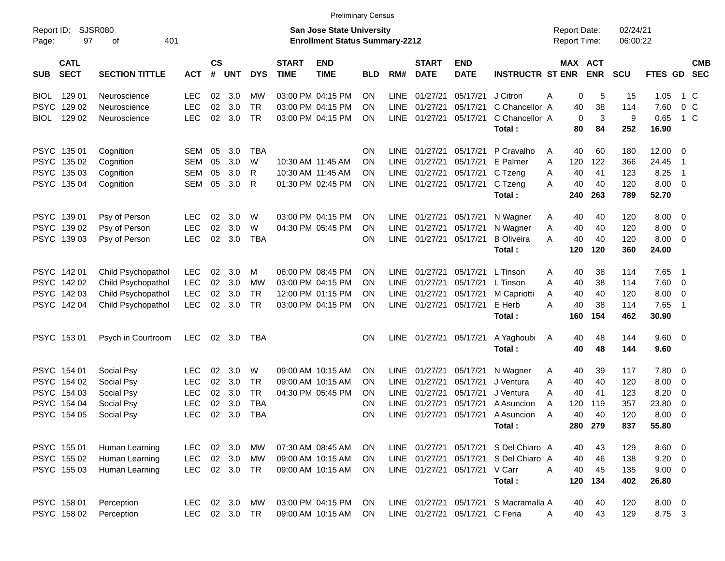|                     |                            |                             |            |                    |            |            |                             | <b>Preliminary Census</b>                                                 |            |             |                             |                                |                                       |                                     |                       |                      |                |                          |                          |
|---------------------|----------------------------|-----------------------------|------------|--------------------|------------|------------|-----------------------------|---------------------------------------------------------------------------|------------|-------------|-----------------------------|--------------------------------|---------------------------------------|-------------------------------------|-----------------------|----------------------|----------------|--------------------------|--------------------------|
| Report ID:<br>Page: | 97                         | <b>SJSR080</b><br>401<br>оf |            |                    |            |            |                             | <b>San Jose State University</b><br><b>Enrollment Status Summary-2212</b> |            |             |                             |                                |                                       | <b>Report Date:</b><br>Report Time: |                       | 02/24/21<br>06:00:22 |                |                          |                          |
| <b>SUB</b>          | <b>CATL</b><br><b>SECT</b> | <b>SECTION TITTLE</b>       | <b>ACT</b> | $\mathsf{cs}$<br># | <b>UNT</b> | <b>DYS</b> | <b>START</b><br><b>TIME</b> | <b>END</b><br><b>TIME</b>                                                 | <b>BLD</b> | RM#         | <b>START</b><br><b>DATE</b> | <b>END</b><br><b>DATE</b>      | <b>INSTRUCTR ST ENR</b>               |                                     | MAX ACT<br><b>ENR</b> | <b>SCU</b>           | FTES GD        |                          | <b>CMB</b><br><b>SEC</b> |
| <b>BIOL</b>         | 129 01                     | Neuroscience                | <b>LEC</b> | 02                 | 3.0        | МW         |                             | 03:00 PM 04:15 PM                                                         | ON         | <b>LINE</b> | 01/27/21                    | 05/17/21                       | J Citron                              | Α                                   | 5<br>0                | 15                   | 1.05           | 1 C                      |                          |
| <b>PSYC</b>         | 129 02                     | Neuroscience                | <b>LEC</b> | 02                 | 3.0        | <b>TR</b>  |                             | 03:00 PM 04:15 PM                                                         | ON         | <b>LINE</b> | 01/27/21                    | 05/17/21                       | C Chancellor A                        |                                     | 38<br>40              | 114                  | 7.60           | 0 <sup>o</sup>           |                          |
| BIOL                | 129 02                     | Neuroscience                | <b>LEC</b> | 02                 | 3.0        | <b>TR</b>  |                             | 03:00 PM 04:15 PM                                                         | ΟN         | LINE        | 01/27/21                    | 05/17/21                       | C Chancellor A                        |                                     | 3<br>$\mathbf 0$      | 9                    | 0.65           | $1\,C$                   |                          |
|                     |                            |                             |            |                    |            |            |                             |                                                                           |            |             |                             |                                | Total:                                |                                     | 80<br>84              | 252                  | 16.90          |                          |                          |
|                     | PSYC 135 01                | Cognition                   | SEM        | 05                 | 3.0        | <b>TBA</b> |                             |                                                                           | OΝ         | LINE        | 01/27/21                    | 05/17/21                       | P Cravalho                            | A                                   | 40<br>60              | 180                  | $12.00 \t 0$   |                          |                          |
|                     | PSYC 135 02                | Cognition                   | <b>SEM</b> | 05                 | 3.0        | W          |                             | 10:30 AM 11:45 AM                                                         | ON         | <b>LINE</b> | 01/27/21                    | 05/17/21                       | E Palmer                              | 120<br>A                            | 122                   | 366                  | 24.45          | $\overline{1}$           |                          |
|                     | PSYC 135 03                | Cognition                   | <b>SEM</b> | 05                 | 3.0        | R          |                             | 10:30 AM 11:45 AM                                                         | ON         | LINE        | 01/27/21                    | 05/17/21                       | C Tzeng                               | A                                   | 40<br>41              | 123                  | 8.25           | $\overline{1}$           |                          |
|                     | PSYC 135 04                | Cognition                   | <b>SEM</b> | 05                 | 3.0        | R          |                             | 01:30 PM 02:45 PM                                                         | ON         | LINE        | 01/27/21                    | 05/17/21                       | C Tzeng                               | A                                   | 40<br>40              | 120                  | $8.00 \t 0$    |                          |                          |
|                     |                            |                             |            |                    |            |            |                             |                                                                           |            |             |                             |                                | Total:                                | 240                                 | 263                   | 789                  | 52.70          |                          |                          |
|                     | PSYC 139 01                | Psy of Person               | <b>LEC</b> | 02                 | 3.0        | W          |                             | 03:00 PM 04:15 PM                                                         | ON         | LINE        | 01/27/21                    | 05/17/21                       | N Wagner                              | A                                   | 40<br>40              | 120                  | 8.00           | $\overline{\phantom{0}}$ |                          |
|                     | PSYC 139 02                | Psy of Person               | <b>LEC</b> | 02                 | 3.0        | W          |                             | 04:30 PM 05:45 PM                                                         | ON         | LINE        | 01/27/21                    | 05/17/21                       | N Wagner                              | Α                                   | 40<br>40              | 120                  | 8.00           | $\overline{\mathbf{0}}$  |                          |
|                     | PSYC 139 03                | Psy of Person               | <b>LEC</b> | 02                 | 3.0        | <b>TBA</b> |                             |                                                                           | ON         | LINE        | 01/27/21                    | 05/17/21                       | <b>B</b> Oliveira                     | Α                                   | 40<br>40              | 120                  | 8.00           | $\overline{\mathbf{0}}$  |                          |
|                     |                            |                             |            |                    |            |            |                             |                                                                           |            |             |                             |                                | Total:                                | 120                                 | 120                   | 360                  | 24.00          |                          |                          |
|                     | PSYC 142 01                | Child Psychopathol          | <b>LEC</b> | 02                 | 3.0        | м          |                             | 06:00 PM 08:45 PM                                                         | ON         | <b>LINE</b> | 01/27/21                    | 05/17/21                       | L Tinson                              | Α                                   | 38<br>40              | 114                  | 7.65           | $\overline{\phantom{1}}$ |                          |
|                     | PSYC 142 02                | Child Psychopathol          | <b>LEC</b> | 02                 | 3.0        | <b>MW</b>  |                             | 03:00 PM 04:15 PM                                                         | ΟN         | <b>LINE</b> | 01/27/21                    | 05/17/21                       | L Tinson                              | A                                   | 40<br>38              | 114                  | 7.60           | $\overline{\mathbf{0}}$  |                          |
|                     | PSYC 142 03                | Child Psychopathol          | <b>LEC</b> | 02                 | 3.0        | <b>TR</b>  |                             | 12:00 PM 01:15 PM                                                         | ON         | LINE        | 01/27/21                    | 05/17/21                       | M Capriotti                           | A                                   | 40<br>40              | 120                  | 8.00           | $\overline{0}$           |                          |
|                     | PSYC 142 04                | Child Psychopathol          | <b>LEC</b> | 02                 | 3.0        | <b>TR</b>  |                             | 03:00 PM 04:15 PM                                                         | ON         | LINE        | 01/27/21                    | 05/17/21                       | E Herb                                | Α                                   | 40<br>38              | 114                  | 7.65           | $\overline{1}$           |                          |
|                     |                            |                             |            |                    |            |            |                             |                                                                           |            |             |                             |                                | Total:                                | 160                                 | 154                   | 462                  | 30.90          |                          |                          |
|                     | PSYC 153 01                | Psych in Courtroom          | <b>LEC</b> | 02                 | 3.0        | TBA        |                             |                                                                           | ΟN         | <b>LINE</b> | 01/27/21                    | 05/17/21                       | A Yaghoubi                            | A                                   | 48<br>40              | 144                  | $9.60 \quad 0$ |                          |                          |
|                     |                            |                             |            |                    |            |            |                             |                                                                           |            |             |                             |                                | Total:                                |                                     | 40<br>48              | 144                  | 9.60           |                          |                          |
|                     | PSYC 154 01                | Social Psy                  | LEC        | 02                 | 3.0        | W          |                             | 09:00 AM 10:15 AM                                                         | ON         | <b>LINE</b> | 01/27/21                    | 05/17/21                       | N Wagner                              | A                                   | 39<br>40              | 117                  | 7.80           | $\overline{\phantom{0}}$ |                          |
| <b>PSYC</b>         | 154 02                     | Social Psy                  | <b>LEC</b> | 02                 | 3.0        | <b>TR</b>  |                             | 09:00 AM 10:15 AM                                                         | ON         | <b>LINE</b> | 01/27/21                    | 05/17/21                       | J Ventura                             | Α                                   | 40<br>40              | 120                  | 8.00           | $\overline{\mathbf{0}}$  |                          |
|                     | PSYC 154 03                | Social Psy                  | <b>LEC</b> | 02                 | 3.0        | <b>TR</b>  |                             | 04:30 PM 05:45 PM                                                         | ΟN         | LINE        | 01/27/21                    | 05/17/21                       | J Ventura                             | A                                   | 40<br>41              | 123                  | 8.20           | 0                        |                          |
| <b>PSYC</b>         | 154 04                     | Social Psy                  | <b>LEC</b> | 02                 | 3.0        | <b>TBA</b> |                             |                                                                           | ΟN         | <b>LINE</b> | 01/27/21                    | 05/17/21                       | A Asuncion                            | 120<br>A                            | 119                   | 357                  | 23.80          | 0                        |                          |
|                     | PSYC 154 05                | Social Psy                  | <b>LEC</b> | 02                 | 3.0        | <b>TBA</b> |                             |                                                                           | ON         | <b>LINE</b> | 01/27/21                    | 05/17/21                       | A Asuncion                            | A                                   | 40<br>40              | 120                  | 8.00           | - 0                      |                          |
|                     |                            |                             |            |                    |            |            |                             |                                                                           |            |             |                             |                                | Total:                                |                                     | 280 279               | 837                  | 55.80          |                          |                          |
|                     | PSYC 155 01                | Human Learning              | <b>LEC</b> |                    | 02 3.0     | MW         |                             | 07:30 AM 08:45 AM                                                         | ON         |             |                             |                                | LINE 01/27/21 05/17/21 S Del Chiaro A |                                     | 43<br>40              | 129                  | $8.60$ 0       |                          |                          |
|                     | PSYC 155 02                | Human Learning              | LEC        |                    | 02 3.0     | MW         |                             | 09:00 AM 10:15 AM                                                         | <b>ON</b>  |             | LINE 01/27/21               | 05/17/21                       | S Del Chiaro A                        |                                     | 46<br>40              | 138                  | $9.20 \ 0$     |                          |                          |
|                     | PSYC 155 03                | Human Learning              | <b>LEC</b> |                    | 02 3.0 TR  |            |                             | 09:00 AM 10:15 AM                                                         | <b>ON</b>  |             | LINE 01/27/21               | 05/17/21                       | V Carr                                | A                                   | 40<br>45              | 135                  | $9.00 \t 0$    |                          |                          |
|                     |                            |                             |            |                    |            |            |                             |                                                                           |            |             |                             |                                | Total:                                | 120                                 | 134                   | 402                  | 26.80          |                          |                          |
|                     | PSYC 158 01                | Perception                  | <b>LEC</b> |                    | 02 3.0     | MW         |                             | 03:00 PM 04:15 PM                                                         | ON         |             |                             |                                | LINE 01/27/21 05/17/21 S Macramalla A |                                     | 40<br>40              | 120                  | $8.00 \t 0$    |                          |                          |
|                     | PSYC 158 02                | Perception                  | LEC.       |                    | 02 3.0 TR  |            |                             | 09:00 AM 10:15 AM                                                         | ON         |             |                             | LINE 01/27/21 05/17/21 C Feria |                                       | A                                   | 40<br>43              | 129                  | 8.75 3         |                          |                          |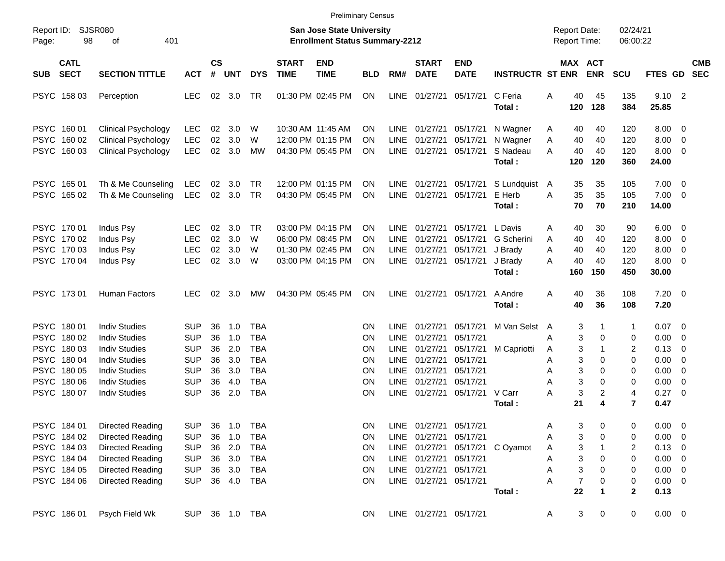|                                                                                                       |                                                                                                                                                                      |                                                                                         |                                        |                                                    |                                                                                                |                             |                                                                                  | <b>Preliminary Census</b>              |                                                                                                |                                                                                                                       |                                                                                  |                                                       |                                     |                                               |                                                                |                                              |                                                                                               |                                                           |                          |
|-------------------------------------------------------------------------------------------------------|----------------------------------------------------------------------------------------------------------------------------------------------------------------------|-----------------------------------------------------------------------------------------|----------------------------------------|----------------------------------------------------|------------------------------------------------------------------------------------------------|-----------------------------|----------------------------------------------------------------------------------|----------------------------------------|------------------------------------------------------------------------------------------------|-----------------------------------------------------------------------------------------------------------------------|----------------------------------------------------------------------------------|-------------------------------------------------------|-------------------------------------|-----------------------------------------------|----------------------------------------------------------------|----------------------------------------------|-----------------------------------------------------------------------------------------------|-----------------------------------------------------------|--------------------------|
| Report ID:<br>98<br>Page:                                                                             | <b>SJSR080</b><br>401<br>οf                                                                                                                                          |                                                                                         |                                        |                                                    |                                                                                                |                             | <b>San Jose State University</b><br><b>Enrollment Status Summary-2212</b>        |                                        |                                                                                                |                                                                                                                       |                                                                                  |                                                       | <b>Report Date:</b><br>Report Time: |                                               |                                                                | 02/24/21<br>06:00:22                         |                                                                                               |                                                           |                          |
| <b>CATL</b><br><b>SECT</b><br><b>SUB</b>                                                              | <b>SECTION TITTLE</b>                                                                                                                                                | <b>ACT</b>                                                                              | <b>CS</b><br>#                         | UNT                                                | <b>DYS</b>                                                                                     | <b>START</b><br><b>TIME</b> | <b>END</b><br><b>TIME</b>                                                        | <b>BLD</b>                             | RM#                                                                                            | <b>START</b><br><b>DATE</b>                                                                                           | <b>END</b><br><b>DATE</b>                                                        | <b>INSTRUCTR ST ENR</b>                               |                                     | MAX ACT<br><b>ENR</b>                         | <b>SCU</b>                                                     |                                              | FTES GD                                                                                       |                                                           | <b>CMB</b><br><b>SEC</b> |
| PSYC 158 03                                                                                           | Perception                                                                                                                                                           | <b>LEC</b>                                                                              |                                        | 02 3.0                                             | TR                                                                                             |                             | 01:30 PM 02:45 PM                                                                | <b>ON</b>                              | <b>LINE</b>                                                                                    | 01/27/21                                                                                                              | 05/17/21                                                                         | C Feria<br>Total:                                     | A                                   | 40<br>120                                     | 45<br>128                                                      | 135<br>384                                   | $9.10$ 2<br>25.85                                                                             |                                                           |                          |
| PSYC 160 01<br>PSYC 160 02<br>PSYC 160 03                                                             | <b>Clinical Psychology</b><br><b>Clinical Psychology</b><br><b>Clinical Psychology</b>                                                                               | <b>LEC</b><br><b>LEC</b><br><b>LEC</b>                                                  | 02<br>02<br>02                         | 3.0<br>3.0<br>3.0                                  | W<br>W<br>MW                                                                                   |                             | 10:30 AM 11:45 AM<br>12:00 PM 01:15 PM<br>04:30 PM 05:45 PM                      | ΟN<br>ON<br>ΟN                         | <b>LINE</b><br><b>LINE</b><br>LINE                                                             | 01/27/21<br>01/27/21<br>01/27/21                                                                                      | 05/17/21<br>05/17/21<br>05/17/21                                                 | N Wagner<br>N Wagner<br>S Nadeau<br>Total:            | A<br>A<br>A                         | 40<br>40<br>40<br>120                         | 40<br>40<br>40<br>120                                          | 120<br>120<br>120<br>360                     | 8.00<br>8.00<br>8.00<br>24.00                                                                 | $\overline{0}$<br>0<br>$\overline{0}$                     |                          |
| PSYC 165 01<br>PSYC 165 02                                                                            | Th & Me Counseling<br>Th & Me Counseling                                                                                                                             | <b>LEC</b><br><b>LEC</b>                                                                | 02                                     | 3.0<br>02 3.0                                      | TR<br>TR                                                                                       |                             | 12:00 PM 01:15 PM<br>04:30 PM 05:45 PM                                           | ΟN<br>ON                               | <b>LINE</b><br>LINE                                                                            | 01/27/21<br>01/27/21                                                                                                  | 05/17/21<br>05/17/21                                                             | S Lundquist<br>E Herb<br>Total:                       | A<br>A                              | 35<br>35<br>70                                | 35<br>35<br>70                                                 | 105<br>105<br>210                            | 7.00<br>7.00<br>14.00                                                                         | $\overline{\mathbf{0}}$<br>$\overline{\phantom{0}}$       |                          |
| PSYC 170 01<br>PSYC 170 02<br>PSYC 170 03<br>PSYC 170 04                                              | Indus Psy<br>Indus Psy<br>Indus Psy<br>Indus Psy                                                                                                                     | <b>LEC</b><br><b>LEC</b><br><b>LEC</b><br><b>LEC</b>                                    | 02<br>02<br>02<br>02                   | 3.0<br>3.0<br>3.0<br>3.0                           | TR<br>W<br>W<br>W                                                                              |                             | 03:00 PM 04:15 PM<br>06:00 PM 08:45 PM<br>01:30 PM 02:45 PM<br>03:00 PM 04:15 PM | ON<br>ON<br>ΟN<br>ΟN                   | <b>LINE</b><br><b>LINE</b><br><b>LINE</b>                                                      | 01/27/21<br>01/27/21<br>01/27/21<br>LINE 01/27/21                                                                     | 05/17/21<br>05/17/21<br>05/17/21<br>05/17/21                                     | L Davis<br>G Scherini<br>J Brady<br>J Brady<br>Total: | A<br>A<br>A<br>А                    | 40<br>40<br>40<br>40<br>160                   | 30<br>40<br>40<br>40<br>150                                    | 90<br>120<br>120<br>120<br>450               | 6.00<br>8.00<br>8.00<br>8.00<br>30.00                                                         | $\overline{0}$<br>0<br>0<br>0                             |                          |
| PSYC 17301                                                                                            | Human Factors                                                                                                                                                        | <b>LEC</b>                                                                              | 02                                     | 3.0                                                | МW                                                                                             |                             | 04:30 PM 05:45 PM                                                                | ΟN                                     | <b>LINE</b>                                                                                    | 01/27/21                                                                                                              | 05/17/21                                                                         | A Andre<br>Total:                                     | A                                   | 40<br>40                                      | 36<br>36                                                       | 108<br>108                                   | $7.20 \t 0$<br>7.20                                                                           |                                                           |                          |
| PSYC 180 01<br>PSYC 180 02<br>PSYC 180 03<br>PSYC 180 04<br>PSYC 180 05<br>PSYC 180 06<br>PSYC 180 07 | <b>Indiv Studies</b><br><b>Indiv Studies</b><br><b>Indiv Studies</b><br><b>Indiv Studies</b><br><b>Indiv Studies</b><br><b>Indiv Studies</b><br><b>Indiv Studies</b> | SUP<br><b>SUP</b><br><b>SUP</b><br><b>SUP</b><br><b>SUP</b><br><b>SUP</b><br><b>SUP</b> | 36<br>36<br>36<br>36<br>36<br>36<br>36 | 1.0<br>1.0<br>2.0<br>3.0<br>3.0<br>4.0<br>2.0      | <b>TBA</b><br><b>TBA</b><br><b>TBA</b><br><b>TBA</b><br><b>TBA</b><br><b>TBA</b><br><b>TBA</b> |                             |                                                                                  | ON<br>ΟN<br>ΟN<br>ΟN<br>ΟN<br>ΟN<br>ΟN | <b>LINE</b><br><b>LINE</b><br>LINE<br><b>LINE</b><br><b>LINE</b><br><b>LINE</b><br><b>LINE</b> | 01/27/21<br>01/27/21<br>01/27/21<br>01/27/21<br>01/27/21<br>01/27/21<br>01/27/21                                      | 05/17/21<br>05/17/21<br>05/17/21<br>05/17/21<br>05/17/21<br>05/17/21<br>05/17/21 | M Van Selst<br>M Capriotti<br>V Carr                  | A<br>Α<br>A<br>Α<br>Α<br>Α<br>Α     | 3<br>3<br>3<br>3<br>3<br>3<br>3               | $\Omega$<br>$\Omega$<br>$\Omega$<br>$\Omega$<br>$\overline{c}$ | 1<br>0<br>2<br>0<br>0<br>0<br>4              | 0.07<br>0.00<br>0.13<br>0.00<br>0.00<br>0.00<br>0.27                                          | $\overline{0}$<br>0<br>0<br>$\overline{0}$<br>0<br>0<br>0 |                          |
| PSYC 184 01<br>PSYC 184 02<br>PSYC 184 03<br>PSYC 184 04<br>PSYC 184 05<br>PSYC 184 06                | <b>Directed Reading</b><br><b>Directed Reading</b><br><b>Directed Reading</b><br><b>Directed Reading</b><br><b>Directed Reading</b><br><b>Directed Reading</b>       | <b>SUP</b><br><b>SUP</b><br><b>SUP</b><br><b>SUP</b><br><b>SUP</b><br><b>SUP</b>        | 36<br>36                               | 1.0<br>1.0<br>36 2.0<br>36 3.0<br>36 3.0<br>36 4.0 | TBA<br><b>TBA</b><br><b>TBA</b><br>TBA<br><b>TBA</b><br>TBA                                    |                             |                                                                                  | ON<br>ON<br>ON<br>ON<br>ON<br>ON       |                                                                                                | LINE 01/27/21 05/17/21<br>LINE 01/27/21 05/17/21<br>LINE 01/27/21 05/17/21<br>LINE 01/27/21<br>LINE 01/27/21 05/17/21 | 05/17/21                                                                         | Total:<br>LINE 01/27/21 05/17/21 C Oyamot             | Α<br>А<br>A<br>А<br>А<br>Α          | 21<br>3<br>3<br>3<br>3<br>3<br>$\overline{7}$ | 4<br>0<br>0<br>0<br>0<br>0                                     | $\overline{7}$<br>0<br>0<br>2<br>0<br>0<br>0 | 0.47<br>$0.00 \t 0$<br>$0.00 \t 0$<br>$0.13 \ 0$<br>$0.00 \t 0$<br>$0.00 \t 0$<br>$0.00 \t 0$ |                                                           |                          |
| PSYC 186 01                                                                                           | Psych Field Wk                                                                                                                                                       | <b>SUP</b>                                                                              |                                        |                                                    | 36 1.0 TBA                                                                                     |                             |                                                                                  | ON                                     |                                                                                                | LINE 01/27/21 05/17/21                                                                                                |                                                                                  | Total:                                                | A                                   | 22<br>3                                       | 1<br>0                                                         | $\mathbf{2}$<br>0                            | 0.13<br>$0.00 \t 0$                                                                           |                                                           |                          |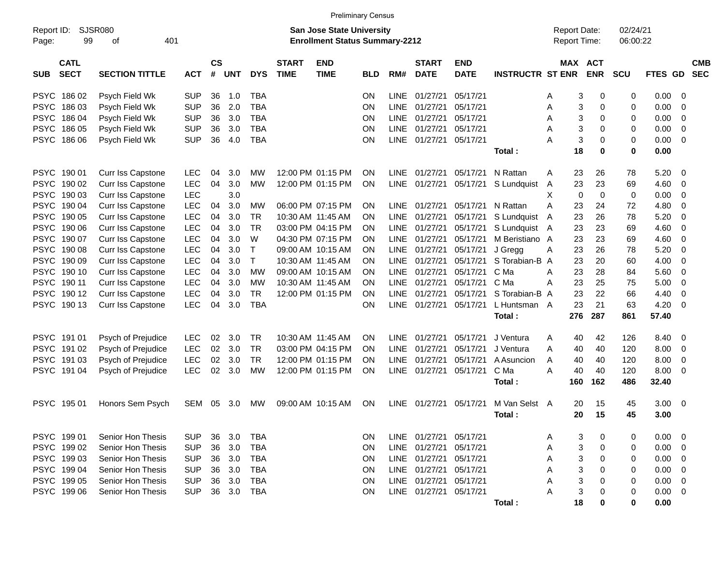|                     |                            |                          |            |                |            |             |                             |                                                                           | <b>Preliminary Census</b> |             |                             |                           |                         |                                     |     |                          |                      |         |                         |                          |
|---------------------|----------------------------|--------------------------|------------|----------------|------------|-------------|-----------------------------|---------------------------------------------------------------------------|---------------------------|-------------|-----------------------------|---------------------------|-------------------------|-------------------------------------|-----|--------------------------|----------------------|---------|-------------------------|--------------------------|
| Report ID:<br>Page: | 99                         | <b>SJSR080</b><br>οf     | 401        |                |            |             |                             | <b>San Jose State University</b><br><b>Enrollment Status Summary-2212</b> |                           |             |                             |                           |                         | <b>Report Date:</b><br>Report Time: |     |                          | 02/24/21<br>06:00:22 |         |                         |                          |
| <b>SUB</b>          | <b>CATL</b><br><b>SECT</b> | <b>SECTION TITTLE</b>    | <b>ACT</b> | <b>CS</b><br># | <b>UNT</b> | <b>DYS</b>  | <b>START</b><br><b>TIME</b> | <b>END</b><br><b>TIME</b>                                                 | <b>BLD</b>                | RM#         | <b>START</b><br><b>DATE</b> | <b>END</b><br><b>DATE</b> | <b>INSTRUCTR ST ENR</b> | MAX                                 |     | <b>ACT</b><br><b>ENR</b> | <b>SCU</b>           | FTES GD |                         | <b>CMB</b><br><b>SEC</b> |
| <b>PSYC</b>         | 18602                      | Psych Field Wk           | <b>SUP</b> | 36             | 1.0        | <b>TBA</b>  |                             |                                                                           | ON.                       | LINE        | 01/27/21                    | 05/17/21                  |                         | Α                                   | 3   | 0                        | 0                    | 0.00    | 0                       |                          |
| <b>PSYC</b>         | 18603                      | Psych Field Wk           | <b>SUP</b> | 36             | 2.0        | <b>TBA</b>  |                             |                                                                           | ON                        | LINE        | 01/27/21                    | 05/17/21                  |                         | Α                                   | 3   | 0                        | 0                    | 0.00    | 0                       |                          |
| <b>PSYC</b>         | 18604                      | Psych Field Wk           | <b>SUP</b> | 36             | 3.0        | <b>TBA</b>  |                             |                                                                           | ON                        | LINE        | 01/27/21                    | 05/17/21                  |                         | Α                                   | 3   | 0                        | 0                    | 0.00    | 0                       |                          |
| <b>PSYC</b>         | 186 05                     | Psych Field Wk           | <b>SUP</b> | 36             | 3.0        | <b>TBA</b>  |                             |                                                                           | ON                        | LINE        | 01/27/21                    | 05/17/21                  |                         | Α                                   | 3   | 0                        | 0                    | 0.00    | 0                       |                          |
|                     | PSYC 186 06                | Psych Field Wk           | <b>SUP</b> | 36             | 4.0        | <b>TBA</b>  |                             |                                                                           | ON                        | <b>LINE</b> | 01/27/21                    | 05/17/21                  |                         | А                                   | 3   | $\mathbf 0$              | 0                    | 0.00    | 0                       |                          |
|                     |                            |                          |            |                |            |             |                             |                                                                           |                           |             |                             |                           | Total:                  |                                     | 18  | $\mathbf 0$              | 0                    | 0.00    |                         |                          |
| <b>PSYC</b>         | 190 01                     | Curr Iss Capstone        | LEC        | 04             | 3.0        | МW          |                             | 12:00 PM 01:15 PM                                                         | ΟN                        | <b>LINE</b> | 01/27/21                    | 05/17/21                  | N Rattan                | Α                                   | 23  | 26                       | 78                   | 5.20    | 0                       |                          |
| <b>PSYC</b>         | 190 02                     | Curr Iss Capstone        | LEC        | 04             | 3.0        | MW          |                             | 12:00 PM 01:15 PM                                                         | ON                        | LINE        | 01/27/21                    | 05/17/21                  | S Lundquist             | A                                   | 23  | 23                       | 69                   | 4.60    | 0                       |                          |
| <b>PSYC</b>         | 190 03                     | <b>Curr Iss Capstone</b> | <b>LEC</b> |                | 3.0        |             |                             |                                                                           |                           |             |                             |                           |                         | Х                                   | 0   | 0                        | 0                    | 0.00    | 0                       |                          |
| <b>PSYC</b>         | 190 04                     | Curr Iss Capstone        | <b>LEC</b> | 04             | 3.0        | МW          |                             | 06:00 PM 07:15 PM                                                         | ΟN                        | LINE        | 01/27/21                    | 05/17/21                  | N Rattan                | Α                                   | 23  | 24                       | 72                   | 4.80    | 0                       |                          |
| <b>PSYC</b>         | 190 05                     | Curr Iss Capstone        | LEC        | 04             | 3.0        | TR          |                             | 10:30 AM 11:45 AM                                                         | ON                        | LINE        | 01/27/21                    | 05/17/21                  | S Lundquist             | A                                   | 23  | 26                       | 78                   | 5.20    | 0                       |                          |
| <b>PSYC</b>         | 190 06                     | Curr Iss Capstone        | <b>LEC</b> | 04             | 3.0        | TR          |                             | 03:00 PM 04:15 PM                                                         | 0N                        | LINE        | 01/27/21                    | 05/17/21                  | S Lundquist A           |                                     | 23  | 23                       | 69                   | 4.60    | 0                       |                          |
| <b>PSYC</b>         | 190 07                     | Curr Iss Capstone        | LEC        | 04             | 3.0        | W           |                             | 04:30 PM 07:15 PM                                                         | ON                        | LINE        | 01/27/21                    | 05/17/21                  | M Beristiano A          |                                     | 23  | 23                       | 69                   | 4.60    | 0                       |                          |
| <b>PSYC</b>         | 190 08                     | Curr Iss Capstone        | LEC        | 04             | 3.0        | $\mathsf T$ |                             | 09:00 AM 10:15 AM                                                         | 0N                        | LINE        | 01/27/21                    | 05/17/21                  | J Gregg                 | Α                                   | 23  | 26                       | 78                   | 5.20    | 0                       |                          |
| <b>PSYC</b>         | 190 09                     | Curr Iss Capstone        | <b>LEC</b> | 04             | 3.0        | $\top$      |                             | 10:30 AM 11:45 AM                                                         | 0N                        | <b>LINE</b> | 01/27/21                    | 05/17/21                  | S Torabian-B A          |                                     | 23  | 20                       | 60                   | 4.00    | 0                       |                          |
| <b>PSYC</b>         | 190 10                     | Curr Iss Capstone        | LEC        | 04             | 3.0        | <b>MW</b>   |                             | 09:00 AM 10:15 AM                                                         | ON                        | <b>LINE</b> | 01/27/21                    | 05/17/21                  | C Ma                    | A                                   | 23  | 28                       | 84                   | 5.60    | 0                       |                          |
| <b>PSYC</b>         | 190 11                     | Curr Iss Capstone        | <b>LEC</b> | 04             | 3.0        | <b>MW</b>   |                             | 10:30 AM 11:45 AM                                                         | 0N                        | LINE        | 01/27/21                    | 05/17/21                  | C Ma                    | A                                   | 23  | 25                       | 75                   | 5.00    | 0                       |                          |
| <b>PSYC</b>         | 190 12                     | Curr Iss Capstone        | <b>LEC</b> | 04             | 3.0        | <b>TR</b>   |                             | 12:00 PM 01:15 PM                                                         | ON                        | <b>LINE</b> | 01/27/21                    | 05/17/21                  | S Torabian-B A          |                                     | 23  | 22                       | 66                   | 4.40    | 0                       |                          |
|                     | PSYC 190 13                | Curr Iss Capstone        | <b>LEC</b> | 04             | 3.0        | <b>TBA</b>  |                             |                                                                           | ON                        |             | LINE 01/27/21               | 05/17/21                  | L Huntsman A            |                                     | 23  | 21                       | 63                   | 4.20    | 0                       |                          |
|                     |                            |                          |            |                |            |             |                             |                                                                           |                           |             |                             |                           | Total:                  |                                     | 276 | 287                      | 861                  | 57.40   |                         |                          |
| <b>PSYC</b>         | 191 01                     | Psych of Prejudice       | <b>LEC</b> | 02             | 3.0        | TR          |                             | 10:30 AM 11:45 AM                                                         | ON                        | <b>LINE</b> | 01/27/21                    | 05/17/21                  | J Ventura               | Α                                   | 40  | 42                       | 126                  | 8.40    | 0                       |                          |
| <b>PSYC</b>         | 191 02                     | Psych of Prejudice       | <b>LEC</b> | 02             | 3.0        | TR          |                             | 03:00 PM 04:15 PM                                                         | ΟN                        | LINE        | 01/27/21                    | 05/17/21                  | J Ventura               | Α                                   | 40  | 40                       | 120                  | 8.00    | 0                       |                          |
| <b>PSYC</b>         | 191 03                     | Psych of Prejudice       | <b>LEC</b> | 02             | 3.0        | <b>TR</b>   |                             | 12:00 PM 01:15 PM                                                         | ON                        | <b>LINE</b> | 01/27/21                    | 05/17/21                  | A Asuncion              | Α                                   | 40  | 40                       | 120                  | 8.00    | 0                       |                          |
|                     | PSYC 191 04                | Psych of Prejudice       | <b>LEC</b> | 02             | 3.0        | <b>MW</b>   |                             | 12:00 PM 01:15 PM                                                         | ON                        | LINE        | 01/27/21                    | 05/17/21                  | C Ma                    | A                                   | 40  | 40                       | 120                  | 8.00    | 0                       |                          |
|                     |                            |                          |            |                |            |             |                             |                                                                           |                           |             |                             |                           | Total:                  |                                     | 160 | 162                      | 486                  | 32.40   |                         |                          |
|                     | PSYC 195 01                | Honors Sem Psych         | SEM        | 05             | 3.0        | МW          |                             | 09:00 AM 10:15 AM                                                         | ON                        |             | LINE 01/27/21               | 05/17/21                  | M Van Selst A           |                                     | 20  | 15                       | 45                   | 3.00    | - 0                     |                          |
|                     |                            |                          |            |                |            |             |                             |                                                                           |                           |             |                             |                           | Total:                  |                                     | 20  | 15                       | 45                   | 3.00    |                         |                          |
|                     | PSYC 199 01                | Senior Hon Thesis        | <b>SUP</b> | 36             | 3.0        | TBA         |                             |                                                                           | ON.                       |             | LINE 01/27/21 05/17/21      |                           |                         | Α                                   | 3   | 0                        | 0                    | 0.00    | - 0                     |                          |
|                     | PSYC 199 02                | Senior Hon Thesis        | <b>SUP</b> | 36             | 3.0        | TBA         |                             |                                                                           | ON.                       |             | LINE 01/27/21 05/17/21      |                           |                         | Α                                   | 3   | 0                        | 0                    | 0.00    | - 0                     |                          |
|                     | PSYC 199 03                | Senior Hon Thesis        | <b>SUP</b> | 36             | 3.0        | TBA         |                             |                                                                           | ON.                       |             | LINE 01/27/21 05/17/21      |                           |                         | Α                                   | 3   | 0                        | 0                    | 0.00    | - 0                     |                          |
|                     | PSYC 199 04                | Senior Hon Thesis        | <b>SUP</b> | 36             | 3.0        | TBA         |                             |                                                                           | ON.                       |             | LINE 01/27/21 05/17/21      |                           |                         | A                                   | 3   | 0                        | 0                    | 0.00    | - 0                     |                          |
|                     | PSYC 199 05                | Senior Hon Thesis        | <b>SUP</b> | 36             | 3.0        | TBA         |                             |                                                                           | <b>ON</b>                 |             | LINE 01/27/21 05/17/21      |                           |                         | Α                                   | 3   | 0                        | 0                    | 0.00    | - 0                     |                          |
|                     | PSYC 199 06                | Senior Hon Thesis        | <b>SUP</b> | 36             | 3.0        | TBA         |                             |                                                                           | ON.                       |             | LINE 01/27/21 05/17/21      |                           |                         | Α                                   | 3   | 0                        | 0                    | 0.00    | $\overline{\mathbf{0}}$ |                          |
|                     |                            |                          |            |                |            |             |                             |                                                                           |                           |             |                             |                           | Total:                  |                                     | 18  | 0                        | 0                    | 0.00    |                         |                          |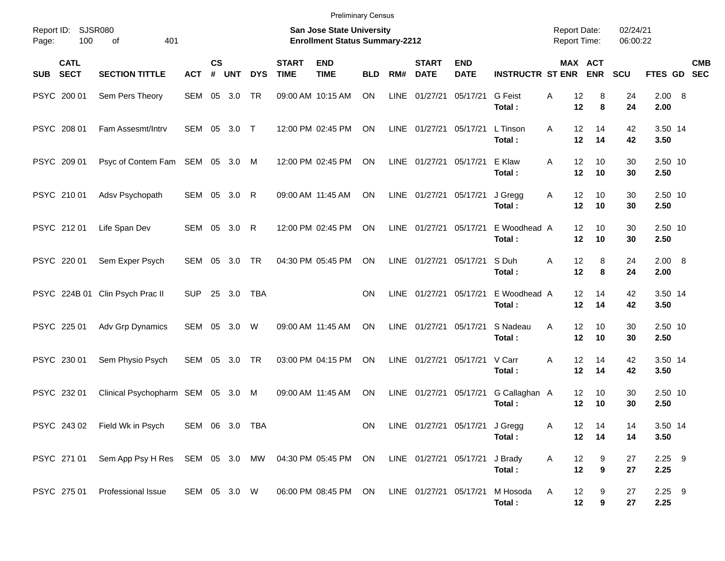|                                          |                                                                                     |                |                    |            |            |                             | <b>Preliminary Census</b>                                                 |            |             |                             |                                |                         |                                            |                       |                      |                  |            |
|------------------------------------------|-------------------------------------------------------------------------------------|----------------|--------------------|------------|------------|-----------------------------|---------------------------------------------------------------------------|------------|-------------|-----------------------------|--------------------------------|-------------------------|--------------------------------------------|-----------------------|----------------------|------------------|------------|
| Report ID:<br>100<br>Page:               | <b>SJSR080</b><br>of<br>401                                                         |                |                    |            |            |                             | <b>San Jose State University</b><br><b>Enrollment Status Summary-2212</b> |            |             |                             |                                |                         | <b>Report Date:</b><br><b>Report Time:</b> |                       | 02/24/21<br>06:00:22 |                  |            |
| <b>CATL</b><br><b>SECT</b><br><b>SUB</b> | <b>SECTION TITTLE</b>                                                               | <b>ACT</b>     | $\mathsf{cs}$<br># | <b>UNT</b> | <b>DYS</b> | <b>START</b><br><b>TIME</b> | <b>END</b><br><b>TIME</b>                                                 | <b>BLD</b> | RM#         | <b>START</b><br><b>DATE</b> | <b>END</b><br><b>DATE</b>      | <b>INSTRUCTR ST ENR</b> |                                            | MAX ACT<br><b>ENR</b> | <b>SCU</b>           | FTES GD SEC      | <b>CMB</b> |
| PSYC 200 01                              | Sem Pers Theory                                                                     | SEM            |                    | 05 3.0     | <b>TR</b>  |                             | 09:00 AM 10:15 AM                                                         | <b>ON</b>  | <b>LINE</b> | 01/27/21                    | 05/17/21                       | G Feist<br>Total:       | Α<br>12<br>12                              | 8<br>8                | 24<br>24             | 2.00 8<br>2.00   |            |
| PSYC 208 01                              | Fam Assesmt/Intrv                                                                   | SEM 05 3.0 T   |                    |            |            |                             | 12:00 PM 02:45 PM                                                         | <b>ON</b>  |             | LINE 01/27/21               | 05/17/21                       | L Tinson<br>Total:      | 12<br>A<br>12                              | 14<br>14              | 42<br>42             | 3.50 14<br>3.50  |            |
| PSYC 209 01                              | Psyc of Contem Fam SEM 05 3.0                                                       |                |                    |            | M          |                             | 12:00 PM 02:45 PM                                                         | <b>ON</b>  |             | LINE 01/27/21               | 05/17/21                       | E Klaw<br>Total:        | 12<br>A<br>12                              | 10<br>10              | 30<br>30             | 2.50 10<br>2.50  |            |
| PSYC 210 01                              | Adsv Psychopath                                                                     | SEM 05 3.0     |                    |            | R          |                             | 09:00 AM 11:45 AM                                                         | <b>ON</b>  |             | LINE 01/27/21               | 05/17/21                       | J Gregg<br>Total:       | 12<br>A<br>12                              | 10<br>10              | 30<br>30             | 2.50 10<br>2.50  |            |
| PSYC 21201                               | Life Span Dev                                                                       | SEM 05 3.0     |                    |            | R          |                             | 12:00 PM 02:45 PM                                                         | <b>ON</b>  |             | LINE 01/27/21               | 05/17/21                       | E Woodhead A<br>Total:  | 12<br>12                                   | 10<br>10              | 30<br>30             | 2.50 10<br>2.50  |            |
| PSYC 220 01                              | Sem Exper Psych                                                                     | SEM 05 3.0     |                    |            | <b>TR</b>  |                             | 04:30 PM 05:45 PM                                                         | <b>ON</b>  |             | LINE 01/27/21               | 05/17/21                       | S Duh<br>Total:         | 12<br>A<br>12                              | 8<br>8                | 24<br>24             | 2.00 8<br>2.00   |            |
|                                          | PSYC 224B 01 Clin Psych Prac II                                                     | <b>SUP</b>     |                    | 25 3.0     | <b>TBA</b> |                             |                                                                           | <b>ON</b>  |             | LINE 01/27/21               | 05/17/21                       | E Woodhead A<br>Total:  | 12<br>12                                   | 14<br>14              | 42<br>42             | 3.50 14<br>3.50  |            |
| PSYC 225 01                              | Adv Grp Dynamics                                                                    | SEM 05 3.0     |                    |            | W          |                             | 09:00 AM 11:45 AM                                                         | <b>ON</b>  |             | LINE 01/27/21               | 05/17/21                       | S Nadeau<br>Total:      | A<br>12<br>12                              | 10<br>10              | 30<br>30             | 2.50 10<br>2.50  |            |
| PSYC 230 01                              | Sem Physio Psych                                                                    | SEM 05 3.0     |                    |            | <b>TR</b>  |                             | 03:00 PM 04:15 PM                                                         | ON         |             | LINE 01/27/21               | 05/17/21                       | V Carr<br>Total:        | 12<br>Α<br>12                              | 14<br>14              | 42<br>42             | 3.50 14<br>3.50  |            |
| PSYC 232 01                              | Clinical Psychopharm SEM 05 3.0                                                     |                |                    |            | M          |                             | 09:00 AM 11:45 AM                                                         | ON         | LINE        | 01/27/21                    | 05/17/21                       | G Callaghan A<br>Total: | 12<br>12                                   | 10<br>10              | 30<br>30             | 2.50 10<br>2.50  |            |
|                                          | PSYC 243 02 Field Wk in Psych                                                       | SEM 06 3.0 TBA |                    |            |            |                             |                                                                           | ON         |             |                             | LINE 01/27/21 05/17/21 J Gregg | Total:                  | Α<br>12<br>12 <sub>2</sub>                 | 14<br>14              | 14<br>14             | 3.50 14<br>3.50  |            |
| PSYC 271 01                              | Sem App Psy H Res SEM 05 3.0 MW 04:30 PM 05:45 PM ON LINE 01/27/21 05/17/21 J Brady |                |                    |            |            |                             |                                                                           |            |             |                             |                                | Total:                  | A<br>12<br>12                              | 9<br>9                | 27<br>27             | $2.25$ 9<br>2.25 |            |
| PSYC 275 01                              | Professional Issue                                                                  | SEM 05 3.0 W   |                    |            |            |                             | 06:00 PM 08:45 PM ON                                                      |            |             | LINE 01/27/21 05/17/21      |                                | M Hosoda<br>Total:      | 12<br>A<br>12                              | 9<br>9                | 27<br>27             | $2.25$ 9<br>2.25 |            |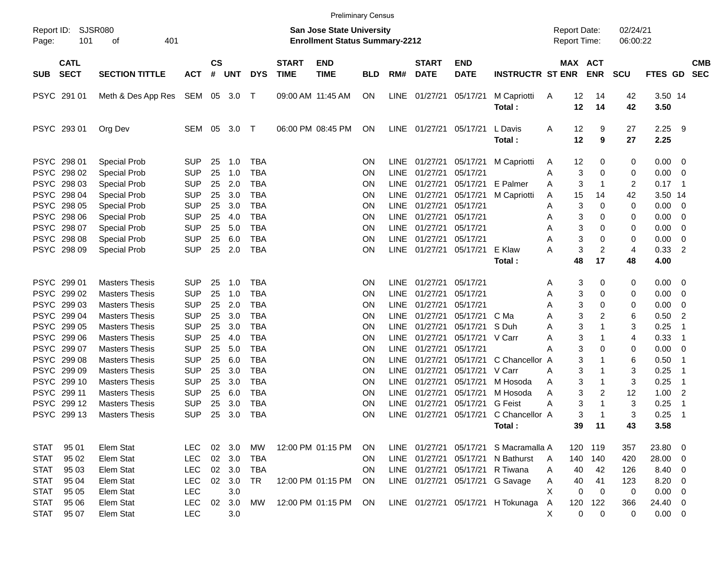|                     |                            |                             |            |                 |        |            |                             |                                                                    | <b>Preliminary Census</b> |             |                             |                           |                                   |                                     |                       |                      |                 |                         |                          |
|---------------------|----------------------------|-----------------------------|------------|-----------------|--------|------------|-----------------------------|--------------------------------------------------------------------|---------------------------|-------------|-----------------------------|---------------------------|-----------------------------------|-------------------------------------|-----------------------|----------------------|-----------------|-------------------------|--------------------------|
| Report ID:<br>Page: | 101                        | <b>SJSR080</b><br>401<br>оf |            |                 |        |            |                             | San Jose State University<br><b>Enrollment Status Summary-2212</b> |                           |             |                             |                           |                                   | <b>Report Date:</b><br>Report Time: |                       | 02/24/21<br>06:00:22 |                 |                         |                          |
| <b>SUB</b>          | <b>CATL</b><br><b>SECT</b> | <b>SECTION TITTLE</b>       | <b>ACT</b> | <b>CS</b><br>#  | UNT    | <b>DYS</b> | <b>START</b><br><b>TIME</b> | <b>END</b><br><b>TIME</b>                                          | <b>BLD</b>                | RM#         | <b>START</b><br><b>DATE</b> | <b>END</b><br><b>DATE</b> | <b>INSTRUCTR ST ENR</b>           |                                     | MAX ACT<br><b>ENR</b> | <b>SCU</b>           | <b>FTES GD</b>  |                         | <b>CMB</b><br><b>SEC</b> |
|                     | PSYC 291 01                | Meth & Des App Res          | SEM 05 3.0 |                 |        | $\top$     |                             | 09:00 AM 11:45 AM                                                  | ON                        | LINE        | 01/27/21                    | 05/17/21                  | M Capriotti<br>Total:             | 12<br>A<br>12                       | 14<br>14              | 42<br>42             | 3.50 14<br>3.50 |                         |                          |
|                     | PSYC 293 01                | Org Dev                     | SEM        | 05              | 3.0    | $\top$     |                             | 06:00 PM 08:45 PM                                                  | ON                        | LINE        | 01/27/21                    | 05/17/21                  | L Davis<br>Total:                 | 12<br>A<br>12                       | 9<br>9                | 27<br>27             | 2.25<br>2.25    | - 9                     |                          |
|                     | PSYC 298 01                | <b>Special Prob</b>         | <b>SUP</b> | 25              | 1.0    | <b>TBA</b> |                             |                                                                    | <b>ON</b>                 | <b>LINE</b> | 01/27/21                    | 05/17/21                  | M Capriotti                       | 12<br>A                             | 0                     | 0                    | 0.00            | $\overline{\mathbf{0}}$ |                          |
|                     | PSYC 298 02                | <b>Special Prob</b>         | <b>SUP</b> | 25              | 1.0    | <b>TBA</b> |                             |                                                                    | <b>ON</b>                 | <b>LINE</b> | 01/27/21                    | 05/17/21                  |                                   | Α                                   | 3<br>0                | 0                    | 0.00            | $\overline{\mathbf{0}}$ |                          |
|                     | PSYC 298 03                | <b>Special Prob</b>         | <b>SUP</b> | 25              | 2.0    | <b>TBA</b> |                             |                                                                    | <b>ON</b>                 | LINE        | 01/27/21                    | 05/17/21                  | E Palmer                          | Α                                   | 3<br>1                | 2                    | 0.17            | - 1                     |                          |
|                     | PSYC 298 04                | <b>Special Prob</b>         | <b>SUP</b> | 25              | 3.0    | <b>TBA</b> |                             |                                                                    | ΟN                        | LINE        | 01/27/21                    | 05/17/21                  | M Capriotti                       | 15<br>Α                             | 14                    | 42                   | 3.50 14         |                         |                          |
|                     | PSYC 298 05                | <b>Special Prob</b>         | <b>SUP</b> | 25              | 3.0    | <b>TBA</b> |                             |                                                                    | <b>ON</b>                 | <b>LINE</b> | 01/27/21                    | 05/17/21                  |                                   | Α                                   | 3<br>0                | 0                    | 0.00            | $\overline{\mathbf{0}}$ |                          |
|                     | PSYC 298 06                | <b>Special Prob</b>         | <b>SUP</b> | 25              | 4.0    | <b>TBA</b> |                             |                                                                    | <b>ON</b>                 | LINE        | 01/27/21                    | 05/17/21                  |                                   | Α                                   | 3<br>0                | 0                    | 0.00            | 0                       |                          |
|                     | PSYC 298 07                | <b>Special Prob</b>         | <b>SUP</b> | 25              | 5.0    | <b>TBA</b> |                             |                                                                    | <b>ON</b>                 | LINE        | 01/27/21                    | 05/17/21<br>05/17/21      |                                   | Α                                   | 3<br>0                | 0                    | 0.00            | 0                       |                          |
|                     | PSYC 298 08                | Special Prob                | <b>SUP</b> | 25              | 6.0    | <b>TBA</b> |                             |                                                                    | ON                        | <b>LINE</b> | 01/27/21                    |                           |                                   | Α                                   | 3<br>0                | 0                    | 0.00            | 0                       |                          |
|                     | PSYC 298 09                | <b>Special Prob</b>         | <b>SUP</b> | 25              | 2.0    | <b>TBA</b> |                             |                                                                    | ON                        | <b>LINE</b> | 01/27/21                    | 05/17/21                  | E Klaw                            | A<br>48                             | 3<br>2<br>17          | 4<br>48              | 0.33<br>4.00    | $\overline{2}$          |                          |
|                     |                            |                             |            |                 |        |            |                             |                                                                    |                           |             |                             |                           | Total:                            |                                     |                       |                      |                 |                         |                          |
|                     | PSYC 299 01                | <b>Masters Thesis</b>       | <b>SUP</b> | 25              | 1.0    | <b>TBA</b> |                             |                                                                    | <b>ON</b>                 | <b>LINE</b> | 01/27/21                    | 05/17/21                  |                                   | A                                   | 3<br>0                | 0                    | 0.00            | $\overline{\mathbf{0}}$ |                          |
|                     | PSYC 299 02                | <b>Masters Thesis</b>       | <b>SUP</b> | 25              | 1.0    | <b>TBA</b> |                             |                                                                    | <b>ON</b>                 | LINE        | 01/27/21                    | 05/17/21                  |                                   | Α                                   | 3<br>0                | 0                    | 0.00            | 0                       |                          |
|                     | PSYC 299 03                | <b>Masters Thesis</b>       | <b>SUP</b> | 25              | 2.0    | <b>TBA</b> |                             |                                                                    | ON                        | LINE        | 01/27/21                    | 05/17/21                  |                                   | Α                                   | 3<br>0                | 0                    | 0.00            | 0                       |                          |
|                     | PSYC 299 04                | <b>Masters Thesis</b>       | <b>SUP</b> | 25              | 3.0    | <b>TBA</b> |                             |                                                                    | ON                        | <b>LINE</b> | 01/27/21                    | 05/17/21                  | C Ma                              | Α                                   | 3<br>2                | 6                    | 0.50            | $\overline{2}$          |                          |
|                     | PSYC 299 05                | <b>Masters Thesis</b>       | <b>SUP</b> | 25              | 3.0    | <b>TBA</b> |                             |                                                                    | ΟN                        | LINE        | 01/27/21                    | 05/17/21                  | S Duh                             | A                                   | 3                     | 3                    | 0.25            | -1                      |                          |
|                     | PSYC 299 06                | <b>Masters Thesis</b>       | <b>SUP</b> | 25              | 4.0    | <b>TBA</b> |                             |                                                                    | ΟN                        | LINE        | 01/27/21                    | 05/17/21                  | V Carr                            | A                                   | 3                     | 4                    | 0.33            | -1                      |                          |
|                     | PSYC 299 07                | <b>Masters Thesis</b>       | <b>SUP</b> | 25              | 5.0    | <b>TBA</b> |                             |                                                                    | ΟN                        | LINE        | 01/27/21                    | 05/17/21                  |                                   | А                                   | 3<br>0                | 0                    | 0.00            | 0                       |                          |
|                     | PSYC 299 08                | <b>Masters Thesis</b>       | <b>SUP</b> | 25              | 6.0    | <b>TBA</b> |                             |                                                                    | <b>ON</b>                 | LINE        | 01/27/21                    | 05/17/21                  | C Chancellor A                    |                                     | 3                     | 6                    | 0.50            | $\overline{\mathbf{1}}$ |                          |
|                     | PSYC 299 09                | <b>Masters Thesis</b>       | <b>SUP</b> | 25              | 3.0    | <b>TBA</b> |                             |                                                                    | <b>ON</b>                 | <b>LINE</b> | 01/27/21                    | 05/17/21                  | V Carr                            | A                                   | 3                     | 3                    | 0.25            | -1                      |                          |
|                     | PSYC 299 10                | <b>Masters Thesis</b>       | <b>SUP</b> | 25              | 3.0    | <b>TBA</b> |                             |                                                                    | <b>ON</b>                 | <b>LINE</b> | 01/27/21                    | 05/17/21                  | M Hosoda                          | Α                                   | 3                     | 3                    | 0.25            | $\overline{\mathbf{1}}$ |                          |
|                     | PSYC 299 11                | <b>Masters Thesis</b>       | <b>SUP</b> | 25              | 6.0    | <b>TBA</b> |                             |                                                                    | <b>ON</b>                 | <b>LINE</b> | 01/27/21                    | 05/17/21                  | M Hosoda                          | Α                                   | 3<br>2                | 12                   | 1.00            | $\overline{c}$          |                          |
| <b>PSYC</b>         | 299 12                     | <b>Masters Thesis</b>       | <b>SUP</b> | 25              | 3.0    | <b>TBA</b> |                             |                                                                    | ON                        | <b>LINE</b> | 01/27/21                    | 05/17/21                  | <b>G</b> Feist                    | A                                   | 3<br>1                | 3                    | 0.25            | -1                      |                          |
|                     | PSYC 299 13                | <b>Masters Thesis</b>       | <b>SUP</b> | 25              | 3.0    | <b>TBA</b> |                             |                                                                    | ΟN                        | <b>LINE</b> | 01/27/21                    | 05/17/21                  | C Chancellor A                    |                                     | 3                     | 3                    | 0.25            | -1                      |                          |
|                     |                            |                             |            |                 |        |            |                             |                                                                    |                           |             |                             |                           | Total :                           | 39                                  | $-11$                 | 43                   | 3.58            |                         |                          |
| <b>STAT</b>         | 95 01                      | Elem Stat                   | <b>LEC</b> |                 | 02 3.0 | МW         |                             | 12:00 PM 01:15 PM                                                  | <b>ON</b>                 |             | LINE 01/27/21 05/17/21      |                           | S Macramalla A                    |                                     | 120 119               | 357                  | 23.80 0         |                         |                          |
| <b>STAT</b>         | 95 02                      | Elem Stat                   | <b>LEC</b> |                 | 02 3.0 | TBA        |                             |                                                                    | ON.                       |             | LINE 01/27/21 05/17/21      |                           | N Bathurst                        | 140<br>A                            | 140                   | 420                  | 28.00 0         |                         |                          |
| <b>STAT</b>         | 95 03                      | Elem Stat                   | <b>LEC</b> |                 | 02 3.0 | TBA        |                             |                                                                    | <b>ON</b>                 |             | LINE 01/27/21 05/17/21      |                           | R Tiwana                          | 40<br>A                             | 42                    | 126                  | 8.40 0          |                         |                          |
| <b>STAT</b>         | 95 04                      | Elem Stat                   | <b>LEC</b> |                 | 02 3.0 | TR         |                             | 12:00 PM 01:15 PM                                                  | ON                        |             | LINE 01/27/21 05/17/21      |                           | G Savage                          | A<br>40                             | 41                    | 123                  | $8.20 \ 0$      |                         |                          |
| <b>STAT</b>         | 95 05                      | Elem Stat                   | <b>LEC</b> |                 | 3.0    |            |                             |                                                                    |                           |             |                             |                           |                                   | X                                   | 0<br>$\mathbf 0$      | 0                    | $0.00 \t 0$     |                         |                          |
| <b>STAT</b>         | 95 06                      | Elem Stat                   | <b>LEC</b> | 02 <sub>o</sub> | 3.0    | MW         |                             | 12:00 PM 01:15 PM ON                                               |                           |             |                             |                           | LINE 01/27/21 05/17/21 H Tokunaga | 120<br>Α                            | 122                   | 366                  | 24.40 0         |                         |                          |
| <b>STAT</b>         | 95 07                      | Elem Stat                   | <b>LEC</b> |                 | 3.0    |            |                             |                                                                    |                           |             |                             |                           |                                   | Χ                                   | 0<br>$\mathbf 0$      | 0                    | $0.00 \t 0$     |                         |                          |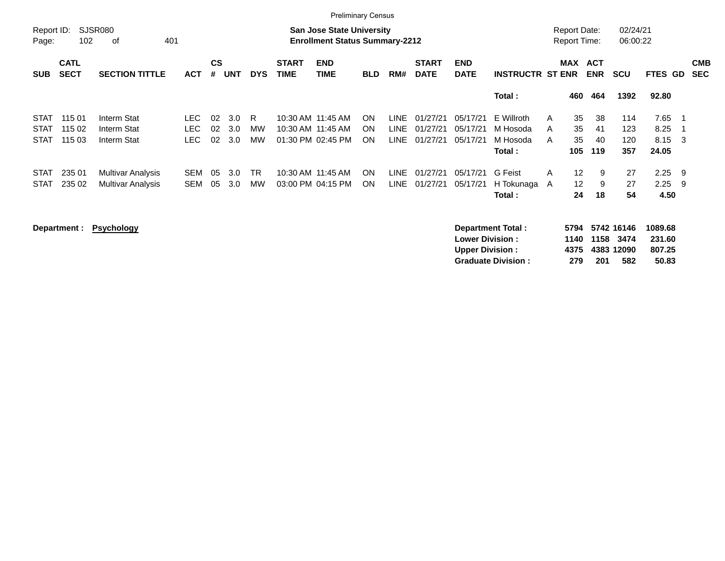|                     |                            |                                                                                                                                                                                   |            |    |            |            |             | <b>Preliminary Census</b> |            |             |             |             |                         |   |                   |                                     |                      |         |                          |
|---------------------|----------------------------|-----------------------------------------------------------------------------------------------------------------------------------------------------------------------------------|------------|----|------------|------------|-------------|---------------------------|------------|-------------|-------------|-------------|-------------------------|---|-------------------|-------------------------------------|----------------------|---------|--------------------------|
| Report ID:<br>Page: |                            | SJSR080<br><b>San Jose State University</b><br>102<br><b>Enrollment Status Summary-2212</b><br>401<br>оf<br><b>CS</b><br><b>START</b><br><b>START</b><br><b>END</b><br><b>END</b> |            |    |            |            |             |                           |            |             |             |             |                         |   |                   | <b>Report Date:</b><br>Report Time: | 02/24/21<br>06:00:22 |         |                          |
| <b>SUB</b>          | <b>CATL</b><br><b>SECT</b> | <b>SECTION TITTLE</b>                                                                                                                                                             | <b>ACT</b> | #  | <b>UNT</b> | <b>DYS</b> | <b>TIME</b> | <b>TIME</b>               | <b>BLD</b> | RM#         | <b>DATE</b> | <b>DATE</b> | <b>INSTRUCTR ST ENR</b> |   | MAX               | <b>ACT</b><br><b>ENR</b>            | <b>SCU</b>           | FTES GD | <b>CMB</b><br><b>SEC</b> |
|                     |                            |                                                                                                                                                                                   |            |    |            |            |             |                           |            |             |             |             | Total:                  |   | 460               | 464                                 | 1392                 | 92.80   |                          |
| <b>STAT</b>         | 115 01                     | Interm Stat                                                                                                                                                                       | LEC.       | 02 | 3.0        | R.         |             | 10:30 AM 11:45 AM         | ON.        | <b>LINE</b> | 01/27/21    | 05/17/21    | E Willroth              | A | 35                | 38                                  | 114                  | 7.65    |                          |
| <b>STAT</b>         | 115 02                     | Interm Stat                                                                                                                                                                       | LEC.       | 02 | 3.0        | MW         |             | 10:30 AM 11:45 AM         | <b>ON</b>  | LINE        | 01/27/21    | 05/17/21    | M Hosoda                | A | 35                | 41                                  | 123                  | 8.25    |                          |
| STAT                | 115 03                     | Interm Stat                                                                                                                                                                       | LEC.       | 02 | 3.0        | <b>MW</b>  |             | 01:30 PM 02:45 PM         | ON.        | LINE        | 01/27/21    | 05/17/21    | M Hosoda                | A | 35                | 40                                  | 120                  | 8.15    | - 3                      |
|                     |                            |                                                                                                                                                                                   |            |    |            |            |             |                           |            |             |             |             | Total :                 |   | 105               | 119                                 | 357                  | 24.05   |                          |
| STAT                | 235 01                     | Multivar Analysis                                                                                                                                                                 | SEM        | 05 | 3.0        | <b>TR</b>  |             | 10:30 AM 11:45 AM         | <b>ON</b>  | LINE        | 01/27/21    | 05/17/21    | G Feist                 | A | $12 \overline{ }$ | 9                                   | 27                   | 2.25    | - 9                      |
| <b>STAT</b>         | 235 02                     | Multivar Analysis                                                                                                                                                                 | <b>SEM</b> | 05 | 3.0        | <b>MW</b>  |             | 03:00 PM 04:15 PM         | ON.        | <b>LINE</b> | 01/27/21    | 05/17/21    | H Tokunaga              | A | $12 \overline{ }$ | 9                                   | 27                   | 2.25    | - 9                      |
|                     |                            |                                                                                                                                                                                   |            |    |            |            |             |                           |            |             |             |             | Total:                  |   | 24                | 18                                  | 54                   | 4.50    |                          |
|                     | Department :               | <b>Psychology</b>                                                                                                                                                                 |            |    |            |            |             |                           |            |             |             |             | Department Total:       |   | 5794              |                                     | 5742 16146           | 1089.68 |                          |

**Lower Division : 1140 1158 3474 231.60 Upper Division : 4375 4383 12090 807.25 Graduate Division : 279 201 582 50.83**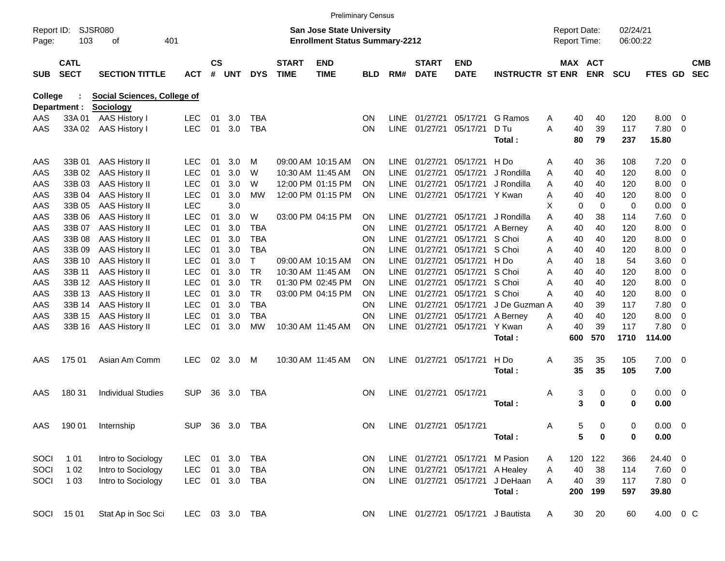|                     |                            |                                    |                |               |       |            |                             |                                                                           | <b>Preliminary Census</b> |             |                             |                           |                                   |   |          |                                            |                      |                |     |                          |
|---------------------|----------------------------|------------------------------------|----------------|---------------|-------|------------|-----------------------------|---------------------------------------------------------------------------|---------------------------|-------------|-----------------------------|---------------------------|-----------------------------------|---|----------|--------------------------------------------|----------------------|----------------|-----|--------------------------|
| Report ID:<br>Page: | 103                        | SJSR080<br>οf                      | 401            |               |       |            |                             | <b>San Jose State University</b><br><b>Enrollment Status Summary-2212</b> |                           |             |                             |                           |                                   |   |          | <b>Report Date:</b><br><b>Report Time:</b> | 02/24/21<br>06:00:22 |                |     |                          |
| <b>SUB</b>          | <b>CATL</b><br><b>SECT</b> | <b>SECTION TITTLE</b>              | <b>ACT</b>     | $\mathsf{cs}$ | # UNT | <b>DYS</b> | <b>START</b><br><b>TIME</b> | <b>END</b><br><b>TIME</b>                                                 | <b>BLD</b>                | RM#         | <b>START</b><br><b>DATE</b> | <b>END</b><br><b>DATE</b> | <b>INSTRUCTR ST ENR</b>           |   |          | <b>MAX ACT</b><br><b>ENR</b>               | <b>SCU</b>           | <b>FTES GD</b> |     | <b>CMB</b><br><b>SEC</b> |
| <b>College</b>      |                            | <b>Social Sciences, College of</b> |                |               |       |            |                             |                                                                           |                           |             |                             |                           |                                   |   |          |                                            |                      |                |     |                          |
|                     | Department :               | <b>Sociology</b>                   |                |               |       |            |                             |                                                                           |                           |             |                             |                           |                                   |   |          |                                            |                      |                |     |                          |
| AAS                 | 33A 01                     | AAS History I                      | <b>LEC</b>     | 01            | 3.0   | TBA        |                             |                                                                           | <b>ON</b>                 | LINE.       | 01/27/21                    | 05/17/21                  | G Ramos                           | Α | 40       | 40                                         | 120                  | 8.00           | 0   |                          |
| AAS                 | 33A 02                     | <b>AAS History I</b>               | <b>LEC</b>     | 01            | 3.0   | <b>TBA</b> |                             |                                                                           | <b>ON</b>                 | <b>LINE</b> | 01/27/21                    | 05/17/21                  | D Tu<br>Total:                    | A | 40<br>80 | 39<br>79                                   | 117<br>237           | 7.80<br>15.80  | - 0 |                          |
|                     |                            |                                    |                |               |       |            |                             |                                                                           |                           |             |                             |                           |                                   |   |          |                                            |                      |                |     |                          |
| AAS                 | 33B 01                     | <b>AAS History II</b>              | LEC            | 01            | 3.0   | м          |                             | 09:00 AM 10:15 AM                                                         | <b>ON</b>                 | LINE        | 01/27/21                    | 05/17/21                  | H Do                              | Α | 40       | 36                                         | 108                  | 7.20           | 0   |                          |
| AAS                 | 33B 02                     | <b>AAS History II</b>              | LEC            | 01            | 3.0   | W          |                             | 10:30 AM 11:45 AM                                                         | <b>ON</b>                 | LINE.       | 01/27/21                    | 05/17/21                  | J Rondilla                        | Α | 40       | 40                                         | 120                  | 8.00           | - 0 |                          |
| AAS                 | 33B 03                     | <b>AAS History II</b>              | <b>LEC</b>     | 01            | 3.0   | W          |                             | 12:00 PM 01:15 PM                                                         | <b>ON</b>                 | LINE.       | 01/27/21                    | 05/17/21                  | J Rondilla                        | A | 40       | 40                                         | 120                  | 8.00           | 0   |                          |
| AAS                 | 33B 04                     | <b>AAS History II</b>              | <b>LEC</b>     | 01            | 3.0   | МW         |                             | 12:00 PM 01:15 PM                                                         | <b>ON</b>                 |             | LINE 01/27/21               | 05/17/21 Y Kwan           |                                   | A | 40       | 40                                         | 120                  | 8.00           | 0   |                          |
| AAS                 | 33B 05                     | <b>AAS History II</b>              | <b>LEC</b>     |               | 3.0   |            |                             |                                                                           |                           |             |                             |                           |                                   | х | 0        | 0                                          | 0                    | 0.00           | 0   |                          |
| AAS                 | 33B 06                     | <b>AAS History II</b>              | <b>LEC</b>     | 01            | 3.0   | W          |                             | 03:00 PM 04:15 PM                                                         | <b>ON</b>                 | LINE.       | 01/27/21                    | 05/17/21                  | J Rondilla                        | Α | 40       | 38                                         | 114                  | 7.60           | 0   |                          |
| AAS                 | 33B 07                     | <b>AAS History II</b>              | <b>LEC</b>     | 01            | 3.0   | <b>TBA</b> |                             |                                                                           | <b>ON</b>                 | <b>LINE</b> | 01/27/21                    | 05/17/21                  | A Berney                          | Α | 40       | 40                                         | 120                  | 8.00           | 0   |                          |
| AAS                 | 33B 08                     | <b>AAS History II</b>              | <b>LEC</b>     | 01            | 3.0   | <b>TBA</b> |                             |                                                                           | <b>ON</b>                 | LINE.       | 01/27/21                    | 05/17/21                  | S Choi                            | A | 40       | 40                                         | 120                  | 8.00           | 0   |                          |
| AAS                 | 33B 09                     | <b>AAS History II</b>              | <b>LEC</b>     | 01            | 3.0   | <b>TBA</b> |                             |                                                                           | <b>ON</b>                 | LINE.       | 01/27/21                    | 05/17/21 S Choi           |                                   | A | 40       | 40                                         | 120                  | 8.00           | 0   |                          |
| AAS                 | 33B 10                     | <b>AAS History II</b>              | <b>LEC</b>     | 01            | 3.0   | т          |                             | 09:00 AM 10:15 AM                                                         | <b>ON</b>                 | LINE.       | 01/27/21                    | 05/17/21                  | H Do                              | A | 40       | 18                                         | 54                   | 3.60           | 0   |                          |
| AAS                 | 33B 11                     | <b>AAS History II</b>              | <b>LEC</b>     | 01            | 3.0   | TR         |                             | 10:30 AM 11:45 AM                                                         | <b>ON</b>                 | LINE.       | 01/27/21                    | 05/17/21                  | S Choi                            | A | 40       | 40                                         | 120                  | 8.00           | 0   |                          |
| AAS                 | 33B 12                     | AAS History II                     | <b>LEC</b>     | 01            | 3.0   | TR         |                             | 01:30 PM 02:45 PM                                                         | <b>ON</b>                 | LINE.       | 01/27/21                    | 05/17/21 S Choi           |                                   | A | 40       | 40                                         | 120                  | 8.00           | 0   |                          |
| AAS                 | 33B 13                     | <b>AAS History II</b>              | <b>LEC</b>     | 01            | 3.0   | <b>TR</b>  |                             | 03:00 PM 04:15 PM                                                         | <b>ON</b>                 | LINE.       | 01/27/21                    | 05/17/21                  | S Choi                            | A | 40       | 40                                         | 120                  | 8.00           | 0   |                          |
| AAS                 | 33B 14                     | <b>AAS History II</b>              | <b>LEC</b>     | 01            | 3.0   | <b>TBA</b> |                             |                                                                           | <b>ON</b>                 | LINE.       | 01/27/21                    | 05/17/21                  | J De Guzman A                     |   | 40       | 39                                         | 117                  | 7.80           | 0   |                          |
| AAS                 | 33B 15                     | AAS History II                     | <b>LEC</b>     | 01            | 3.0   | <b>TBA</b> |                             |                                                                           | <b>ON</b>                 | <b>LINE</b> | 01/27/21                    | 05/17/21                  | A Berney                          | Α | 40       | 40                                         | 120                  | 8.00           | 0   |                          |
| AAS                 | 33B 16                     | <b>AAS History II</b>              | <b>LEC</b>     | 01            | 3.0   | <b>MW</b>  |                             | 10:30 AM 11:45 AM                                                         | <b>ON</b>                 |             | LINE 01/27/21               | 05/17/21                  | Y Kwan                            | A | 40       | 39                                         | 117                  | 7.80           | - 0 |                          |
|                     |                            |                                    |                |               |       |            |                             |                                                                           |                           |             |                             |                           | Total:                            |   | 600      | 570                                        | 1710                 | 114.00         |     |                          |
| AAS                 | 175 01                     | Asian Am Comm                      | <b>LEC</b>     | 02            | 3.0   | M          |                             | 10:30 AM 11:45 AM                                                         | <b>ON</b>                 |             | LINE 01/27/21               | 05/17/21                  | H Do                              | A | 35       | 35                                         | 105                  | $7.00 \t 0$    |     |                          |
|                     |                            |                                    |                |               |       |            |                             |                                                                           |                           |             |                             |                           | Total:                            |   | 35       | 35                                         | 105                  | 7.00           |     |                          |
| AAS                 | 180 31                     | <b>Individual Studies</b>          | <b>SUP</b>     | 36            | 3.0   | <b>TBA</b> |                             |                                                                           | <b>ON</b>                 |             | LINE 01/27/21               | 05/17/21                  |                                   | Α | 3        | 0                                          | 0                    | $0.00 \ 0$     |     |                          |
|                     |                            |                                    |                |               |       |            |                             |                                                                           |                           |             |                             |                           | Total:                            |   | 3        | 0                                          | 0                    | 0.00           |     |                          |
| AAS                 | 190 01                     | Internship                         | SUP 36 3.0 TBA |               |       |            |                             |                                                                           | ON                        |             | LINE 01/27/21 05/17/21      |                           |                                   | Α | 5        | 0                                          | 0                    | $0.00 \t 0$    |     |                          |
|                     |                            |                                    |                |               |       |            |                             |                                                                           |                           |             |                             |                           | Total:                            |   | 5        | $\mathbf 0$                                | 0                    | 0.00           |     |                          |
| SOCI                | 1 0 1                      | Intro to Sociology                 | LEC            | 01            | 3.0   | TBA        |                             |                                                                           | 0N                        |             |                             |                           | LINE 01/27/21 05/17/21 M Pasion   | A | 120      | 122                                        | 366                  | 24.40 0        |     |                          |
| SOCI                | 1 0 2                      | Intro to Sociology                 | <b>LEC</b>     | 01            | 3.0   | TBA        |                             |                                                                           | ON                        |             | LINE 01/27/21 05/17/21      |                           | A Healey                          | A | 40       | 38                                         | 114                  | $7.60$ 0       |     |                          |
| SOCI                | 1 0 3                      | Intro to Sociology                 | <b>LEC</b>     |               |       | 01 3.0 TBA |                             |                                                                           | ON                        |             | LINE 01/27/21 05/17/21      |                           | J DeHaan                          | A | 40       | 39                                         | 117                  | 7.80 0         |     |                          |
|                     |                            |                                    |                |               |       |            |                             |                                                                           |                           |             |                             |                           | Total:                            |   | 200      | 199                                        | 597                  | 39.80          |     |                          |
|                     | SOCI 1501                  | Stat Ap in Soc Sci                 | LEC 03 3.0 TBA |               |       |            |                             |                                                                           | ON                        |             |                             |                           | LINE 01/27/21 05/17/21 J Bautista | A | 30       | 20                                         | 60                   | 4.00 0 C       |     |                          |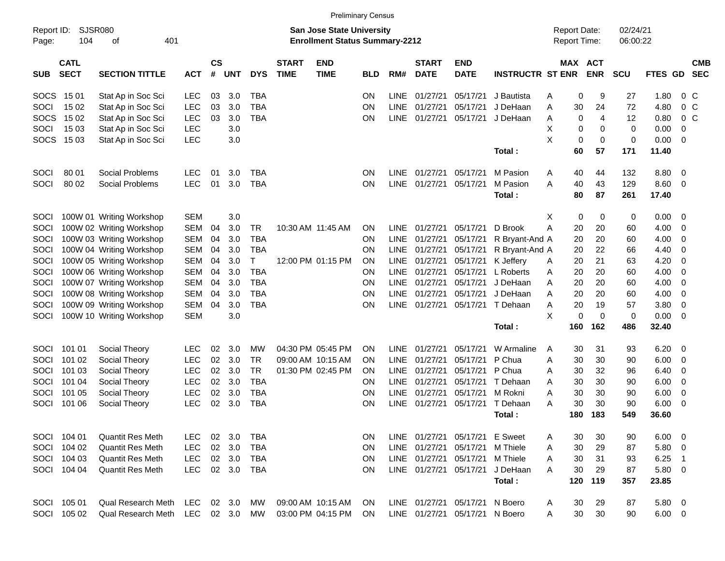|                     |                            |                           |            |                    |            |            |                             | <b>Preliminary Census</b>                                                 |            |             |                             |                                |                         |                                            |                       |                      |               |                         |                          |
|---------------------|----------------------------|---------------------------|------------|--------------------|------------|------------|-----------------------------|---------------------------------------------------------------------------|------------|-------------|-----------------------------|--------------------------------|-------------------------|--------------------------------------------|-----------------------|----------------------|---------------|-------------------------|--------------------------|
| Report ID:<br>Page: | <b>SJSR080</b><br>104      | 401<br>οf                 |            |                    |            |            |                             | <b>San Jose State University</b><br><b>Enrollment Status Summary-2212</b> |            |             |                             |                                |                         | <b>Report Date:</b><br><b>Report Time:</b> |                       | 02/24/21<br>06:00:22 |               |                         |                          |
| <b>SUB</b>          | <b>CATL</b><br><b>SECT</b> | <b>SECTION TITTLE</b>     | <b>ACT</b> | $\mathsf{cs}$<br># | <b>UNT</b> | <b>DYS</b> | <b>START</b><br><b>TIME</b> | <b>END</b><br><b>TIME</b>                                                 | <b>BLD</b> | RM#         | <b>START</b><br><b>DATE</b> | <b>END</b><br><b>DATE</b>      | <b>INSTRUCTR ST ENR</b> |                                            | MAX ACT<br><b>ENR</b> | <b>SCU</b>           | FTES GD       |                         | <b>CMB</b><br><b>SEC</b> |
| <b>SOCS</b>         | 15 01                      | Stat Ap in Soc Sci        | <b>LEC</b> | 03                 | 3.0        | <b>TBA</b> |                             |                                                                           | <b>ON</b>  | <b>LINE</b> | 01/27/21                    | 05/17/21                       | J Bautista              | A                                          | 0<br>9                | 27                   | 1.80          |                         | $0\,C$                   |
| SOCI                | 15 02                      | Stat Ap in Soc Sci        | <b>LEC</b> | 03                 | 3.0        | <b>TBA</b> |                             |                                                                           | <b>ON</b>  | <b>LINE</b> | 01/27/21                    | 05/17/21                       | J DeHaan                | 30<br>A                                    | 24                    | 72                   | 4.80          | 0 <sup>C</sup>          |                          |
| <b>SOCS</b>         | 15 02                      | Stat Ap in Soc Sci        | <b>LEC</b> | 03                 | 3.0        | <b>TBA</b> |                             |                                                                           | ON         | <b>LINE</b> | 01/27/21                    | 05/17/21                       | J DeHaan                | A                                          | 4<br>0                | 12                   | 0.80          | 0 <sup>C</sup>          |                          |
| SOCI                | 15 03                      | Stat Ap in Soc Sci        | <b>LEC</b> |                    | 3.0        |            |                             |                                                                           |            |             |                             |                                |                         | X                                          | 0<br>0                | $\mathbf 0$          | 0.00          | $\mathbf 0$             |                          |
| <b>SOCS</b>         | 15 03                      | Stat Ap in Soc Sci        | LEC        |                    | 3.0        |            |                             |                                                                           |            |             |                             |                                |                         | X                                          | 0<br>0                | $\mathbf 0$          | 0.00          | $\overline{0}$          |                          |
|                     |                            |                           |            |                    |            |            |                             |                                                                           |            |             |                             |                                | Total:                  | 60                                         | 57                    | 171                  | 11.40         |                         |                          |
| SOCI                | 80 01                      | Social Problems           | <b>LEC</b> | 01                 | 3.0        | <b>TBA</b> |                             |                                                                           | <b>ON</b>  | <b>LINE</b> | 01/27/21                    | 05/17/21                       | M Pasion                | A<br>40                                    | 44                    | 132                  | 8.80          | - 0                     |                          |
| SOCI                | 80 02                      | Social Problems           | <b>LEC</b> | 01                 | 3.0        | <b>TBA</b> |                             |                                                                           | <b>ON</b>  | <b>LINE</b> | 01/27/21                    | 05/17/21                       | M Pasion                | A<br>40                                    | 43                    | 129                  | 8.60          | $\overline{0}$          |                          |
|                     |                            |                           |            |                    |            |            |                             |                                                                           |            |             |                             |                                | Total:                  | 80                                         | 87                    | 261                  | 17.40         |                         |                          |
| <b>SOCI</b>         |                            | 100W 01 Writing Workshop  | <b>SEM</b> |                    | 3.0        |            |                             |                                                                           |            |             |                             |                                |                         | X                                          | 0<br>0                | 0                    | 0.00          | 0                       |                          |
| SOCI                |                            | 100W 02 Writing Workshop  | <b>SEM</b> | 04                 | 3.0        | <b>TR</b>  |                             | 10:30 AM 11:45 AM                                                         | <b>ON</b>  | <b>LINE</b> | 01/27/21                    | 05/17/21                       | D Brook                 | A<br>20                                    | 20                    | 60                   | 4.00          | 0                       |                          |
| SOCI                |                            | 100W 03 Writing Workshop  | <b>SEM</b> | 04                 | 3.0        | <b>TBA</b> |                             |                                                                           | <b>ON</b>  | <b>LINE</b> | 01/27/21                    | 05/17/21                       | R Bryant-And A          | 20                                         | 20                    | 60                   | 4.00          | 0                       |                          |
| SOCI                |                            | 100W 04 Writing Workshop  | <b>SEM</b> | 04                 | 3.0        | <b>TBA</b> |                             |                                                                           | <b>ON</b>  | <b>LINE</b> | 01/27/21                    | 05/17/21                       | R Bryant-And A          | 20                                         | 22                    | 66                   | 4.40          | 0                       |                          |
| SOCI                |                            | 100W 05 Writing Workshop  | <b>SEM</b> | 04                 | 3.0        | т          |                             | 12:00 PM 01:15 PM                                                         | <b>ON</b>  | <b>LINE</b> | 01/27/21                    | 05/17/21                       | K Jeffery               | 20<br>A                                    | 21                    | 63                   | 4.20          | 0                       |                          |
| SOCI                |                            | 100W 06 Writing Workshop  | <b>SEM</b> | 04                 | 3.0        | <b>TBA</b> |                             |                                                                           | <b>ON</b>  | <b>LINE</b> | 01/27/21                    | 05/17/21                       | L Roberts               | 20<br>A                                    | 20                    | 60                   | 4.00          | 0                       |                          |
| SOCI                |                            | 100W 07 Writing Workshop  | <b>SEM</b> | 04                 | 3.0        | <b>TBA</b> |                             |                                                                           | <b>ON</b>  | <b>LINE</b> | 01/27/21                    | 05/17/21                       | J DeHaan                | 20<br>A                                    | 20                    | 60                   | 4.00          | 0                       |                          |
| SOCI                |                            | 100W 08 Writing Workshop  | <b>SEM</b> | 04                 | 3.0        | <b>TBA</b> |                             |                                                                           | ON         | <b>LINE</b> | 01/27/21                    | 05/17/21                       | J DeHaan                | 20<br>A                                    | 20                    | 60                   | 4.00          | $\mathbf 0$             |                          |
| SOCI                |                            | 100W 09 Writing Workshop  | SEM        | 04                 | 3.0        | <b>TBA</b> |                             |                                                                           | <b>ON</b>  | <b>LINE</b> | 01/27/21                    | 05/17/21                       | T Dehaan                | 20<br>A                                    | 19                    | 57                   | 3.80          | 0                       |                          |
| SOCI                |                            | 100W 10 Writing Workshop  | <b>SEM</b> |                    | 3.0        |            |                             |                                                                           |            |             |                             |                                |                         | X                                          | $\mathbf 0$<br>0      | $\mathbf 0$          | 0.00          | 0                       |                          |
|                     |                            |                           |            |                    |            |            |                             |                                                                           |            |             |                             |                                | Total:                  | 160                                        | 162                   | 486                  | 32.40         |                         |                          |
| SOCI                | 101 01                     | Social Theory             | <b>LEC</b> | 02                 | 3.0        | МW         |                             | 04:30 PM 05:45 PM                                                         | <b>ON</b>  | <b>LINE</b> | 01/27/21                    | 05/17/21                       | W Armaline              | 30<br>A                                    | 31                    | 93                   | 6.20          | 0                       |                          |
| SOCI                | 101 02                     | Social Theory             | <b>LEC</b> | 02                 | 3.0        | <b>TR</b>  |                             | 09:00 AM 10:15 AM                                                         | <b>ON</b>  | <b>LINE</b> | 01/27/21                    | 05/17/21                       | P Chua                  | 30<br>A                                    | 30                    | 90                   | 6.00          | 0                       |                          |
| SOCI                | 101 03                     | Social Theory             | <b>LEC</b> | 02                 | 3.0        | <b>TR</b>  |                             | 01:30 PM 02:45 PM                                                         | <b>ON</b>  | <b>LINE</b> | 01/27/21                    | 05/17/21                       | P Chua                  | 30<br>A                                    | 32                    | 96                   | 6.40          | 0                       |                          |
| SOCI                | 101 04                     | Social Theory             | <b>LEC</b> | 02                 | 3.0        | <b>TBA</b> |                             |                                                                           | <b>ON</b>  | <b>LINE</b> | 01/27/21                    | 05/17/21                       | T Dehaan                | 30<br>A                                    | 30                    | 90                   | 6.00          | 0                       |                          |
| SOCI                | 101 05                     | Social Theory             | <b>LEC</b> | 02                 | 3.0        | <b>TBA</b> |                             |                                                                           | ON         | <b>LINE</b> | 01/27/21                    | 05/17/21                       | M Rokni                 | 30<br>A                                    | 30                    | 90                   | 6.00          | 0                       |                          |
| SOCI                | 101 06                     | Social Theory             | <b>LEC</b> | 02                 | 3.0        | <b>TBA</b> |                             |                                                                           | ON         | <b>LINE</b> | 01/27/21                    | 05/17/21                       | T Dehaan                | 30<br>A                                    | 30                    | 90                   | 6.00          | 0                       |                          |
|                     |                            |                           |            |                    |            |            |                             |                                                                           |            |             |                             |                                | Total:                  | 180                                        | 183                   | 549                  | 36.60         |                         |                          |
|                     | SOCI 104 01                | <b>Quantit Res Meth</b>   | <b>LEC</b> | 02                 | 3.0        | <b>TBA</b> |                             |                                                                           | ON.        |             | LINE 01/27/21               | 05/17/21 E Sweet               |                         | 30<br>A                                    | 30                    | 90                   | 6.00          | - 0                     |                          |
|                     | SOCI 104 02                | <b>Quantit Res Meth</b>   | <b>LEC</b> |                    | 02 3.0     | <b>TBA</b> |                             |                                                                           | <b>ON</b>  |             | LINE 01/27/21               | 05/17/21                       | M Thiele                | 30<br>A                                    | 29                    | 87                   | 5.80          | $\overline{\mathbf{0}}$ |                          |
|                     | SOCI 104 03                | <b>Quantit Res Meth</b>   | <b>LEC</b> |                    | 02 3.0     | <b>TBA</b> |                             |                                                                           | <b>ON</b>  |             |                             | LINE 01/27/21 05/17/21         | M Thiele                | 30<br>A                                    | 31                    | 93                   | 6.25          | $\overline{1}$          |                          |
|                     | SOCI 104 04                | <b>Quantit Res Meth</b>   | <b>LEC</b> |                    | 02 3.0     | <b>TBA</b> |                             |                                                                           | ON.        |             | LINE 01/27/21               | 05/17/21                       | J DeHaan                | 30<br>A                                    | 29                    | 87                   | $5.80$ 0      |                         |                          |
|                     |                            |                           |            |                    |            |            |                             |                                                                           |            |             |                             |                                | Total:                  | 120                                        | 119                   | 357                  | 23.85         |                         |                          |
| SOCI                | 105 01                     | Qual Research Meth        | LEC.       |                    | 02 3.0     | МW         |                             | 09:00 AM 10:15 AM                                                         | <b>ON</b>  |             | LINE 01/27/21               | 05/17/21                       | N Boero                 | 30<br>A                                    | 29                    | 87                   | $5.80\quad 0$ |                         |                          |
|                     | SOCI 105 02                | <b>Qual Research Meth</b> | LEC        |                    | 02 3.0     | MW         |                             | 03:00 PM 04:15 PM                                                         | <b>ON</b>  |             |                             | LINE 01/27/21 05/17/21 N Boero |                         | 30<br>A                                    | 30                    | 90                   | $6.00 \t 0$   |                         |                          |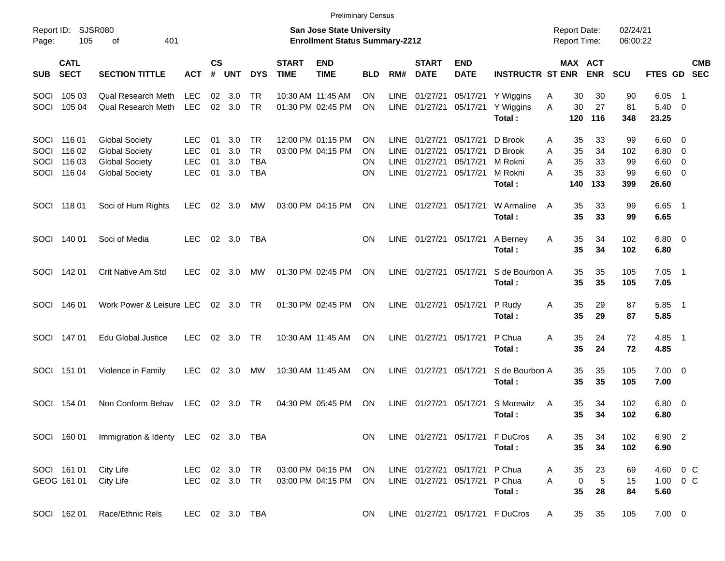|                                     |                                      |                                                                                                  |                                               |                      |                          |                                             |                             | <b>Preliminary Census</b>                                                 |                                           |                                                          |                                              |                                                                |                                                    |                                                 |                             |                              |                                       |                                                         |
|-------------------------------------|--------------------------------------|--------------------------------------------------------------------------------------------------|-----------------------------------------------|----------------------|--------------------------|---------------------------------------------|-----------------------------|---------------------------------------------------------------------------|-------------------------------------------|----------------------------------------------------------|----------------------------------------------|----------------------------------------------------------------|----------------------------------------------------|-------------------------------------------------|-----------------------------|------------------------------|---------------------------------------|---------------------------------------------------------|
| Report ID:<br>Page:                 | 105                                  | <b>SJSR080</b><br>401<br>οf                                                                      |                                               |                      |                          |                                             |                             | <b>San Jose State University</b><br><b>Enrollment Status Summary-2212</b> |                                           |                                                          |                                              |                                                                |                                                    | <b>Report Date:</b><br>Report Time:             |                             | 02/24/21<br>06:00:22         |                                       |                                                         |
| <b>SUB</b>                          | <b>CATL</b><br><b>SECT</b>           | <b>SECTION TITTLE</b>                                                                            | ACT                                           | $\mathsf{cs}$<br>#   | <b>UNT</b>               | <b>DYS</b>                                  | <b>START</b><br><b>TIME</b> | <b>END</b><br><b>TIME</b>                                                 | <b>BLD</b>                                | RM#                                                      | <b>START</b><br><b>DATE</b>                  | <b>END</b><br><b>DATE</b>                                      | <b>INSTRUCTR ST ENR</b>                            | <b>MAX</b>                                      | <b>ACT</b><br><b>ENR</b>    | <b>SCU</b>                   | FTES GD                               | <b>CMB</b><br><b>SEC</b>                                |
| <b>SOCI</b><br>SOCI                 | 105 03<br>105 04                     | <b>Qual Research Meth</b><br><b>Qual Research Meth</b>                                           | <b>LEC</b><br><b>LEC</b>                      | 02                   | 3.0<br>$02 \quad 3.0$    | TR<br><b>TR</b>                             |                             | 10:30 AM 11:45 AM<br>01:30 PM 02:45 PM                                    | <b>ON</b><br><b>ON</b>                    | <b>LINE</b><br><b>LINE</b>                               | 01/27/21<br>01/27/21                         | 05/17/21<br>05/17/21                                           | Y Wiggins<br>Y Wiggins<br>Total:                   | 30<br>Α<br>30<br>A<br>120                       | 30<br>27<br>116             | 90<br>81<br>348              | 6.05<br>5.40<br>23.25                 | $\overline{\phantom{1}}$<br>$\overline{0}$              |
| <b>SOCI</b><br>SOCI<br>SOCI<br>SOCI | 116 01<br>116 02<br>116 03<br>116 04 | <b>Global Society</b><br><b>Global Society</b><br><b>Global Society</b><br><b>Global Society</b> | LEC<br><b>LEC</b><br><b>LEC</b><br><b>LEC</b> | 01<br>01<br>01<br>01 | 3.0<br>3.0<br>3.0<br>3.0 | TR<br><b>TR</b><br><b>TBA</b><br><b>TBA</b> |                             | 12:00 PM 01:15 PM<br>03:00 PM 04:15 PM                                    | <b>ON</b><br><b>ON</b><br>OΝ<br><b>ON</b> | <b>LINE</b><br><b>LINE</b><br><b>LINE</b><br><b>LINE</b> | 01/27/21<br>01/27/21<br>01/27/21<br>01/27/21 | 05/17/21<br>05/17/21<br>05/17/21<br>05/17/21                   | D Brook<br>D Brook<br>M Rokni<br>M Rokni<br>Total: | 35<br>A<br>35<br>A<br>A<br>35<br>35<br>A<br>140 | 33<br>34<br>33<br>33<br>133 | 99<br>102<br>99<br>99<br>399 | 6.60<br>6.80<br>6.60<br>6.60<br>26.60 | - 0<br>$\overline{\mathbf{0}}$<br>$\overline{0}$<br>- 0 |
| <b>SOCI</b>                         | 11801                                | Soci of Hum Rights                                                                               | <b>LEC</b>                                    | 02                   | 3.0                      | МW                                          |                             | 03:00 PM 04:15 PM                                                         | <b>ON</b>                                 | LINE                                                     | 01/27/21                                     | 05/17/21                                                       | W Armaline<br>Total:                               | 35<br>A<br>35                                   | 33<br>33                    | 99<br>99                     | 6.65<br>6.65                          | $\overline{\phantom{1}}$                                |
| <b>SOCI</b>                         | 140 01                               | Soci of Media                                                                                    | <b>LEC</b>                                    | 02                   | 3.0                      | TBA                                         |                             |                                                                           | <b>ON</b>                                 | <b>LINE</b>                                              | 01/27/21                                     | 05/17/21                                                       | A Berney<br>Total:                                 | 35<br>A<br>35                                   | 34<br>34                    | 102<br>102                   | $6.80$ 0<br>6.80                      |                                                         |
| SOCI                                | 142 01                               | Crit Native Am Std                                                                               | <b>LEC</b>                                    | 02                   | 3.0                      | МW                                          |                             | 01:30 PM 02:45 PM                                                         | <b>ON</b>                                 | LINE                                                     | 01/27/21                                     | 05/17/21                                                       | S de Bourbon A<br>Total:                           | 35<br>35                                        | 35<br>35                    | 105<br>105                   | 7.05<br>7.05                          | $\overline{\phantom{1}}$                                |
| SOCI                                | 146 01                               | Work Power & Leisure LEC                                                                         |                                               |                      | 02 3.0                   | . TR                                        |                             | 01:30 PM 02:45 PM                                                         | <b>ON</b>                                 | <b>LINE</b>                                              | 01/27/21                                     | 05/17/21                                                       | P Rudy<br>Total:                                   | 35<br>A<br>35                                   | 29<br>29                    | 87<br>87                     | 5.85<br>5.85                          | $\overline{\phantom{1}}$                                |
| SOCI                                | 147 01                               | <b>Edu Global Justice</b>                                                                        | <b>LEC</b>                                    | 02                   | 3.0                      | . TR                                        |                             | 10:30 AM 11:45 AM                                                         | <b>ON</b>                                 | <b>LINE</b>                                              | 01/27/21                                     | 05/17/21                                                       | P Chua<br>Total:                                   | A<br>35<br>35                                   | 24<br>24                    | 72<br>72                     | 4.85<br>4.85                          | $\overline{\phantom{1}}$                                |
| SOCI                                | 151 01                               | Violence in Family                                                                               | LEC                                           | 02                   | 3.0                      | МW                                          |                             | 10:30 AM 11:45 AM                                                         | <b>ON</b>                                 | LINE                                                     | 01/27/21                                     | 05/17/21                                                       | S de Bourbon A<br>Total:                           | 35<br>35                                        | 35<br>35                    | 105<br>105                   | $7.00 \t 0$<br>7.00                   |                                                         |
| <b>SOCI</b>                         | 154 01                               | Non Conform Behav                                                                                | <b>LEC</b>                                    | 02                   | - 3.0                    | TR                                          |                             | 04:30 PM 05:45 PM                                                         | <b>ON</b>                                 | LINE                                                     | 01/27/21                                     | 05/17/21                                                       | S Morewitz<br>Total:                               | 35<br>A<br>35                                   | 34<br>34                    | 102<br>102                   | $6.80\quad 0$<br>6.80                 |                                                         |
|                                     |                                      | SOCI 160 01 Immigration & Identy LEC 02 3.0 TBA                                                  |                                               |                      |                          |                                             |                             |                                                                           | ON                                        |                                                          |                                              |                                                                | LINE 01/27/21 05/17/21 F DuCros<br>Total:          | A<br>35<br>35                                   | 34<br>34                    | 102<br>102                   | 6.90 2<br>6.90                        |                                                         |
|                                     | SOCI 161 01<br>GEOG 161 01           | City Life<br>City Life                                                                           | LEC 02 3.0 TR<br>LEC 02 3.0 TR                |                      |                          |                                             |                             | 03:00 PM 04:15 PM ON<br>03:00 PM 04:15 PM                                 | ON                                        |                                                          |                                              | LINE 01/27/21 05/17/21 P Chua<br>LINE 01/27/21 05/17/21 P Chua | Total:                                             | 35<br>A<br>A<br>$\pmb{0}$<br>35                 | 23<br>$\sqrt{5}$<br>28      | 69<br>15<br>84               | 5.60                                  | 4.60 0 C<br>1.00 0 C                                    |
|                                     | SOCI 162 01                          | Race/Ethnic Rels                                                                                 | LEC 02 3.0 TBA                                |                      |                          |                                             |                             |                                                                           | ON.                                       |                                                          |                                              |                                                                | LINE 01/27/21 05/17/21 F DuCros                    | 35<br>$\mathsf{A}$                              | 35                          | 105                          | $7.00 \t 0$                           |                                                         |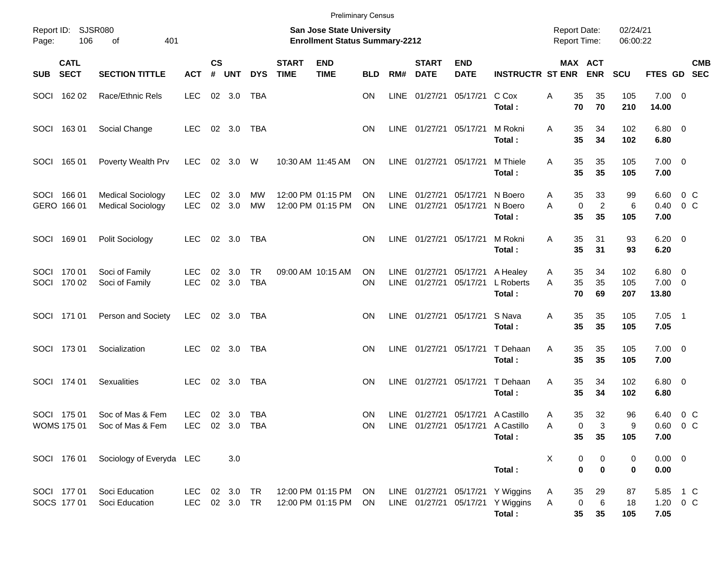|       |                                   |                                                                                        |                          |                       |                      |                         |                             | <b>Preliminary Census</b>              |                        |                     |                             |                           |                                                                                  |        |                            |                                            |                      |                                  |                          |            |
|-------|-----------------------------------|----------------------------------------------------------------------------------------|--------------------------|-----------------------|----------------------|-------------------------|-----------------------------|----------------------------------------|------------------------|---------------------|-----------------------------|---------------------------|----------------------------------------------------------------------------------|--------|----------------------------|--------------------------------------------|----------------------|----------------------------------|--------------------------|------------|
| Page: | Report ID: SJSR080<br>106         | <b>San Jose State University</b><br>401<br><b>Enrollment Status Summary-2212</b><br>of |                          |                       |                      |                         |                             |                                        |                        |                     |                             |                           |                                                                                  |        |                            | <b>Report Date:</b><br><b>Report Time:</b> | 02/24/21<br>06:00:22 |                                  |                          |            |
|       | <b>CATL</b><br>SUB SECT           | <b>SECTION TITTLE</b>                                                                  | <b>ACT</b>               | $\mathsf{cs}$<br>$\#$ | <b>UNT</b>           | <b>DYS</b>              | <b>START</b><br><b>TIME</b> | <b>END</b><br><b>TIME</b>              | <b>BLD</b>             | RM#                 | <b>START</b><br><b>DATE</b> | <b>END</b><br><b>DATE</b> | <b>INSTRUCTR ST ENR</b>                                                          |        |                            | MAX ACT<br><b>ENR</b>                      | SCU                  | FTES GD SEC                      |                          | <b>CMB</b> |
|       | SOCI 162 02                       | Race/Ethnic Rels                                                                       | <b>LEC</b>               |                       | 02 3.0               | TBA                     |                             |                                        | OΝ                     | LINE                | 01/27/21                    | 05/17/21                  | C Cox<br>Total:                                                                  | Α      | 35<br>70                   | 35<br>70                                   | 105<br>210           | $7.00 \t 0$<br>14.00             |                          |            |
|       | SOCI 163 01                       | Social Change                                                                          | <b>LEC</b>               |                       | 02 3.0               | TBA                     |                             |                                        | <b>ON</b>              | LINE                | 01/27/21 05/17/21           |                           | M Rokni<br>Total:                                                                | A      | 35<br>35                   | 34<br>34                                   | 102<br>102           | $6.80$ 0<br>6.80                 |                          |            |
|       | SOCI 165 01                       | Poverty Wealth Prv                                                                     | <b>LEC</b>               | 02                    | 3.0                  | W                       |                             | 10:30 AM 11:45 AM                      | ON                     |                     | LINE 01/27/21 05/17/21      |                           | M Thiele<br>Total:                                                               | A      | 35<br>35                   | 35<br>35                                   | 105<br>105           | $7.00 \t 0$<br>7.00              |                          |            |
|       | SOCI 166 01<br>GERO 166 01        | <b>Medical Sociology</b><br><b>Medical Sociology</b>                                   | <b>LEC</b><br><b>LEC</b> | 02<br>02              | 3.0<br>3.0           | <b>MW</b><br><b>MW</b>  |                             | 12:00 PM 01:15 PM<br>12:00 PM 01:15 PM | <b>ON</b><br><b>ON</b> | LINE<br>LINE        | 01/27/21<br>01/27/21        | 05/17/21<br>05/17/21      | N Boero<br>N Boero<br>Total:                                                     | A<br>A | 35<br>$\mathbf 0$<br>35    | 33<br>$\overline{c}$<br>35                 | 99<br>6<br>105       | 6.60<br>0.40<br>7.00             | $0\,C$<br>0 <sup>o</sup> |            |
|       | SOCI 169 01                       | Polit Sociology                                                                        | <b>LEC</b>               | 02                    | 3.0                  | TBA                     |                             |                                        | <b>ON</b>              | <b>LINE</b>         | 01/27/21 05/17/21           |                           | M Rokni<br>Total:                                                                | A      | 35<br>35                   | 31<br>31                                   | 93<br>93             | $6.20 \quad 0$<br>6.20           |                          |            |
|       | SOCI 170 01<br>SOCI 170 02        | Soci of Family<br>Soci of Family                                                       | <b>LEC</b><br><b>LEC</b> | 02<br>02              | 3.0<br>3.0           | <b>TR</b><br><b>TBA</b> |                             | 09:00 AM 10:15 AM                      | <b>ON</b><br>ON        | LINE<br><b>LINE</b> | 01/27/21<br>01/27/21        | 05/17/21<br>05/17/21      | A Healey<br>L Roberts<br>Total:                                                  | A<br>A | 35<br>35<br>70             | 34<br>35<br>69                             | 102<br>105<br>207    | $6.80$ 0<br>$7.00 \t 0$<br>13.80 |                          |            |
|       | SOCI 171 01                       | Person and Society                                                                     | <b>LEC</b>               |                       | 02 3.0               | TBA                     |                             |                                        | OΝ                     | LINE                | 01/27/21 05/17/21           |                           | S Nava<br>Total:                                                                 | A      | 35<br>35                   | 35<br>35                                   | 105<br>105           | $7.05$ 1<br>7.05                 |                          |            |
|       | SOCI 173 01                       | Socialization                                                                          | <b>LEC</b>               |                       | 02 3.0               | <b>TBA</b>              |                             |                                        | OΝ                     | LINE                | 01/27/21 05/17/21           |                           | T Dehaan<br>Total:                                                               | A      | 35<br>35                   | 35<br>35                                   | 105<br>105           | $7.00 \t 0$<br>7.00              |                          |            |
|       | SOCI 174 01                       | Sexualities                                                                            | <b>LEC</b>               |                       | 02 3.0               | <b>TBA</b>              |                             |                                        | OΝ                     | LINE                | 01/27/21 05/17/21           |                           | T Dehaan<br>Total:                                                               | A      | 35<br>35                   | 34<br>34                                   | 102<br>102           | $6.80$ 0<br>6.80                 |                          |            |
|       | SOCI 175 01<br><b>WOMS 175 01</b> | Soc of Mas & Fem<br>Soc of Mas & Fem                                                   | <b>LEC</b><br>LEC.       |                       | 02 3.0<br>02 3.0 TBA | TBA                     |                             |                                        | <b>ON</b><br><b>ON</b> |                     |                             |                           | LINE 01/27/21 05/17/21 A Castillo<br>LINE 01/27/21 05/17/21 A Castillo<br>Total: | A<br>A | 35<br>0<br>35              | 32<br>3<br>35                              | 96<br>9<br>105       | 6.40<br>$0.60$ 0 C<br>7.00       | 0 <sup>o</sup>           |            |
|       | SOCI 176 01                       | Sociology of Everyda LEC                                                               |                          |                       | 3.0                  |                         |                             |                                        |                        |                     |                             |                           | Total:                                                                           | Χ      | 0<br>$\mathbf 0$           | 0<br>$\mathbf 0$                           | 0<br>0               | $0.00 \t 0$<br>0.00              |                          |            |
|       | SOCI 177 01<br>SOCS 177 01        | Soci Education<br>Soci Education                                                       | LEC<br>LEC               |                       | 02 3.0<br>02 3.0 TR  | TR                      |                             | 12:00 PM 01:15 PM<br>12:00 PM 01:15 PM | ON<br>ON.              |                     | LINE 01/27/21 05/17/21      |                           | LINE 01/27/21 05/17/21 Y Wiggins<br>Y Wiggins<br>Total:                          | A<br>A | 35<br>0<br>$35\phantom{a}$ | 29<br>6<br>35                              | 87<br>18<br>105      | 5.85 1 C<br>1.20 0 C<br>7.05     |                          |            |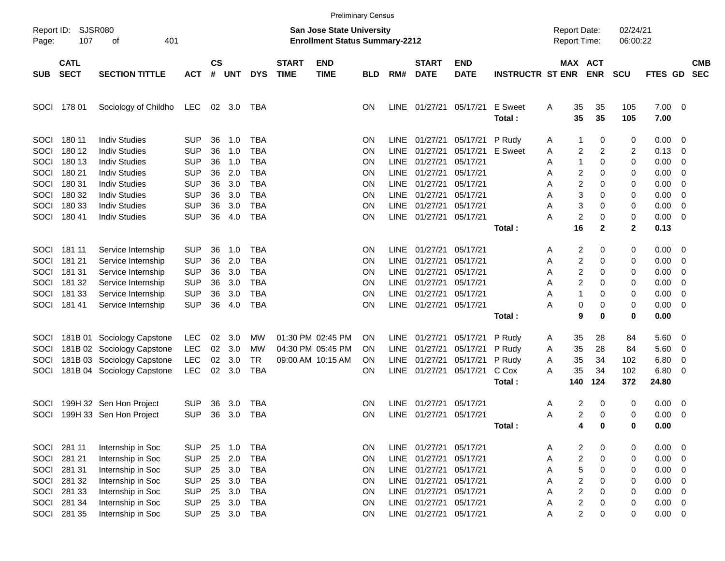|                     |                            |                                          |                          |                    |            |                          |                             | <b>Preliminary Census</b>                                                 |                        |             |                                |                           |                         |        |                                                    |                |                      |              |                                           |                          |
|---------------------|----------------------------|------------------------------------------|--------------------------|--------------------|------------|--------------------------|-----------------------------|---------------------------------------------------------------------------|------------------------|-------------|--------------------------------|---------------------------|-------------------------|--------|----------------------------------------------------|----------------|----------------------|--------------|-------------------------------------------|--------------------------|
| Report ID:<br>Page: | <b>SJSR080</b><br>107      | 401<br>οf                                |                          |                    |            |                          |                             | <b>San Jose State University</b><br><b>Enrollment Status Summary-2212</b> |                        |             |                                |                           |                         |        | <b>Report Date:</b><br><b>Report Time:</b>         |                | 02/24/21<br>06:00:22 |              |                                           |                          |
| <b>SUB</b>          | <b>CATL</b><br><b>SECT</b> | <b>SECTION TITTLE</b>                    | <b>ACT</b>               | $\mathsf{cs}$<br># | <b>UNT</b> | <b>DYS</b>               | <b>START</b><br><b>TIME</b> | <b>END</b><br><b>TIME</b>                                                 | <b>BLD</b>             | RM#         | <b>START</b><br><b>DATE</b>    | <b>END</b><br><b>DATE</b> | <b>INSTRUCTR ST ENR</b> |        | MAX ACT                                            | <b>ENR</b>     | <b>SCU</b>           | FTES GD      |                                           | <b>CMB</b><br><b>SEC</b> |
| SOCI                | 178 01                     | Sociology of Childho                     | <b>LEC</b>               | 02                 | 3.0        | TBA                      |                             |                                                                           | <b>ON</b>              |             | LINE 01/27/21                  | 05/17/21                  | E Sweet<br>Total:       | A      | 35<br>35                                           | 35<br>35       | 105<br>105           | 7.00<br>7.00 | - 0                                       |                          |
| SOCI                | 180 11                     | <b>Indiv Studies</b>                     | <b>SUP</b>               | 36                 | 1.0        | <b>TBA</b>               |                             |                                                                           | <b>ON</b>              |             | LINE 01/27/21                  | 05/17/21                  | P Rudy                  | A      | 1                                                  | 0              | 0                    | 0.00         | - 0                                       |                          |
| SOCI                | 180 12                     | <b>Indiv Studies</b>                     | <b>SUP</b>               | 36                 | 1.0        | <b>TBA</b>               |                             |                                                                           | <b>ON</b>              | <b>LINE</b> | 01/27/21                       | 05/17/21                  | E Sweet                 | A      | $\overline{c}$                                     | $\overline{2}$ | 2                    | 0.13         | 0                                         |                          |
| SOCI                | 180 13                     | <b>Indiv Studies</b>                     | <b>SUP</b>               | 36                 | 1.0        | <b>TBA</b>               |                             |                                                                           | ON                     | <b>LINE</b> | 01/27/21                       | 05/17/21                  |                         | A      | 1                                                  | $\mathbf 0$    | 0                    | 0.00         | 0                                         |                          |
| SOCI                | 180 21                     | <b>Indiv Studies</b>                     | <b>SUP</b>               | 36                 | 2.0        | <b>TBA</b>               |                             |                                                                           | <b>ON</b>              | <b>LINE</b> | 01/27/21                       | 05/17/21                  |                         | A      | 2                                                  | 0              | 0                    | 0.00         | 0                                         |                          |
| SOCI                | 180 31                     | <b>Indiv Studies</b>                     | <b>SUP</b>               | 36                 | 3.0        | <b>TBA</b>               |                             |                                                                           | <b>ON</b>              | <b>LINE</b> | 01/27/21                       | 05/17/21                  |                         | Α      | $\overline{c}$                                     | 0              | 0                    | 0.00         | 0                                         |                          |
| SOCI                | 180 32                     | <b>Indiv Studies</b>                     | <b>SUP</b>               | 36                 | 3.0        | <b>TBA</b>               |                             |                                                                           | <b>ON</b>              | <b>LINE</b> | 01/27/21                       | 05/17/21                  |                         | Α      | 3                                                  | 0              | 0                    | 0.00         | 0                                         |                          |
| SOCI                | 180 33                     | <b>Indiv Studies</b>                     | <b>SUP</b>               | 36                 | 3.0        | <b>TBA</b>               |                             |                                                                           | <b>ON</b>              | <b>LINE</b> | 01/27/21                       | 05/17/21                  |                         | Α      | 3                                                  | 0              | 0                    | 0.00         | $\mathbf 0$                               |                          |
| SOCI                | 180 41                     | <b>Indiv Studies</b>                     | <b>SUP</b>               | 36                 | 4.0        | <b>TBA</b>               |                             |                                                                           | <b>ON</b>              |             | LINE 01/27/21                  | 05/17/21                  |                         | А      | $\overline{c}$                                     | 0              | 0                    | 0.00         | 0                                         |                          |
|                     |                            |                                          |                          |                    |            |                          |                             |                                                                           |                        |             |                                |                           | Total:                  |        | 16                                                 | $\mathbf{2}$   | $\mathbf{2}$         | 0.13         |                                           |                          |
|                     |                            |                                          |                          |                    |            |                          |                             |                                                                           |                        |             |                                |                           |                         |        |                                                    |                |                      |              |                                           |                          |
| SOCI                | 181 11                     | Service Internship                       | <b>SUP</b>               | 36                 | 1.0        | <b>TBA</b>               |                             |                                                                           | <b>ON</b>              | LINE        | 01/27/21                       | 05/17/21                  |                         | Α      | $\overline{\mathbf{c}}$                            | 0              | 0                    | 0.00         | 0                                         |                          |
| SOCI                | 181 21                     | Service Internship                       | <b>SUP</b>               | 36                 | 2.0        | <b>TBA</b>               |                             |                                                                           | <b>ON</b>              | <b>LINE</b> | 01/27/21                       | 05/17/21                  |                         | A      | $\overline{c}$                                     | 0              | 0                    | 0.00         | 0                                         |                          |
| SOCI                | 181 31                     | Service Internship                       | <b>SUP</b>               | 36                 | 3.0        | <b>TBA</b>               |                             |                                                                           | <b>ON</b>              | <b>LINE</b> | 01/27/21                       | 05/17/21<br>05/17/21      |                         | A      | $\overline{c}$                                     | 0              | 0                    | 0.00         | 0                                         |                          |
| SOCI                | 181 32                     | Service Internship                       | <b>SUP</b>               | 36                 | 3.0        | <b>TBA</b>               |                             |                                                                           | <b>ON</b>              | LINE        | 01/27/21                       | 05/17/21                  |                         | A      | $\overline{c}$<br>-1                               | 0              | 0                    | 0.00         | 0                                         |                          |
| SOCI<br>SOCI        | 181 33<br>181 41           | Service Internship<br>Service Internship | <b>SUP</b><br><b>SUP</b> | 36<br>36           | 3.0<br>4.0 | <b>TBA</b><br><b>TBA</b> |                             |                                                                           | <b>ON</b><br><b>ON</b> | <b>LINE</b> | 01/27/21<br>LINE 01/27/21      | 05/17/21                  |                         | Α<br>Α | 0                                                  | 0<br>0         | 0<br>0               | 0.00<br>0.00 | 0<br>0                                    |                          |
|                     |                            |                                          |                          |                    |            |                          |                             |                                                                           |                        |             |                                |                           | Total:                  |        | 9                                                  | 0              | 0                    | 0.00         |                                           |                          |
|                     |                            |                                          |                          |                    |            |                          |                             |                                                                           |                        |             |                                |                           |                         |        |                                                    |                |                      |              |                                           |                          |
| SOCI                |                            | 181B 01 Sociology Capstone               | <b>LEC</b>               | 02                 | 3.0        | МW                       | 01:30 PM 02:45 PM           |                                                                           | <b>ON</b>              | LINE        | 01/27/21                       | 05/17/21                  | P Rudy                  | A      | 35                                                 | 28             | 84                   | 5.60         | - 0                                       |                          |
| SOCI                |                            | 181B 02 Sociology Capstone               | <b>LEC</b>               | 02                 | 3.0        | МW                       | 04:30 PM 05:45 PM           |                                                                           | <b>ON</b>              | <b>LINE</b> | 01/27/21                       | 05/17/21                  | P Rudy                  | A      | 35                                                 | 28             | 84                   | 5.60         | 0                                         |                          |
| SOCI                |                            | 181B 03 Sociology Capstone               | <b>LEC</b>               | 02                 | 3.0        | <b>TR</b>                | 09:00 AM 10:15 AM           |                                                                           | <b>ON</b>              | LINE        | 01/27/21                       | 05/17/21                  | P Rudy                  | Α      | 35                                                 | 34             | 102                  | 6.80         | 0                                         |                          |
| SOCI                |                            | 181B 04 Sociology Capstone               | LEC                      | 02                 | 3.0        | <b>TBA</b>               |                             |                                                                           | <b>ON</b>              |             | LINE 01/27/21                  | 05/17/21                  | C Cox                   | A      | 35                                                 | 34             | 102                  | 6.80         | 0                                         |                          |
|                     |                            |                                          |                          |                    |            |                          |                             |                                                                           |                        |             |                                |                           | Total:                  |        | 140                                                | 124            | 372                  | 24.80        |                                           |                          |
|                     |                            |                                          |                          |                    |            |                          |                             |                                                                           |                        |             |                                |                           |                         |        |                                                    |                |                      |              |                                           |                          |
| SOCI                |                            | 199H 32 Sen Hon Project                  | <b>SUP</b>               | 36                 | 3.0        | <b>TBA</b>               |                             |                                                                           | <b>ON</b>              | <b>LINE</b> | 01/27/21                       | 05/17/21                  |                         | Α      | 2                                                  | 0              | 0                    | 0.00         | 0                                         |                          |
| SOCI                |                            | 199H 33 Sen Hon Project                  | <b>SUP</b>               | 36                 | 3.0        | <b>TBA</b>               |                             |                                                                           | <b>ON</b>              |             | LINE 01/27/21                  | 05/17/21                  |                         | A      | $\overline{c}$                                     | $\Omega$       | 0                    | 0.00         | 0                                         |                          |
|                     |                            |                                          |                          |                    |            |                          |                             |                                                                           |                        |             |                                |                           | Total:                  |        | 4                                                  | 0              | 0                    | 0.00         |                                           |                          |
|                     |                            |                                          |                          |                    |            |                          |                             |                                                                           |                        |             |                                |                           |                         |        |                                                    |                |                      |              |                                           |                          |
|                     | SOCI 281 11                | Internship in Soc                        | <b>SUP</b>               | 25                 | 1.0        | <b>TBA</b>               |                             |                                                                           | <b>ON</b>              |             | LINE 01/27/21                  | 05/17/21                  |                         | A      | $\overline{\mathbf{c}}$                            | 0              | 0                    | 0.00         | $\overline{\mathbf{0}}$                   |                          |
| SOCI                | 281 21                     | Internship in Soc                        | <b>SUP</b>               | 25                 | 2.0        | <b>TBA</b>               |                             |                                                                           | ON                     |             | LINE 01/27/21                  | 05/17/21                  |                         | Α      | $\overline{\mathbf{c}}$                            | 0              | 0                    | 0.00         | $\overline{\mathbf{0}}$                   |                          |
| SOCI                | 281 31<br>281 32           | Internship in Soc                        | <b>SUP</b>               | 25                 | 3.0        | <b>TBA</b>               |                             |                                                                           | ON                     |             | LINE 01/27/21                  | 05/17/21                  |                         | Α      | 5                                                  | 0              | 0                    | 0.00         | $\overline{0}$                            |                          |
| SOCI<br>SOCI        | 281 33                     | Internship in Soc<br>Internship in Soc   | <b>SUP</b><br><b>SUP</b> | 25<br>25           | 3.0<br>3.0 | <b>TBA</b><br><b>TBA</b> |                             |                                                                           | ON<br>ON               |             | LINE 01/27/21<br>LINE 01/27/21 | 05/17/21<br>05/17/21      |                         | Α<br>Α | $\overline{\mathbf{c}}$<br>$\overline{\mathbf{c}}$ | 0<br>0         | 0<br>0               | 0.00<br>0.00 | $\overline{0}$                            |                          |
| SOCI                | 281 34                     | Internship in Soc                        | <b>SUP</b>               | 25                 | 3.0        | <b>TBA</b>               |                             |                                                                           | ON                     |             | LINE 01/27/21                  | 05/17/21                  |                         | A      | $\overline{\mathbf{c}}$                            | 0              | 0                    | 0.00         | $\overline{0}$<br>$\overline{\mathbf{0}}$ |                          |
|                     | SOCI 281 35                | Internship in Soc                        | <b>SUP</b>               |                    | 25 3.0     | <b>TBA</b>               |                             |                                                                           | <b>ON</b>              |             | LINE 01/27/21                  | 05/17/21                  |                         | Α      | $\overline{2}$                                     | 0              | 0                    | 0.00         | $\overline{\mathbf{0}}$                   |                          |
|                     |                            |                                          |                          |                    |            |                          |                             |                                                                           |                        |             |                                |                           |                         |        |                                                    |                |                      |              |                                           |                          |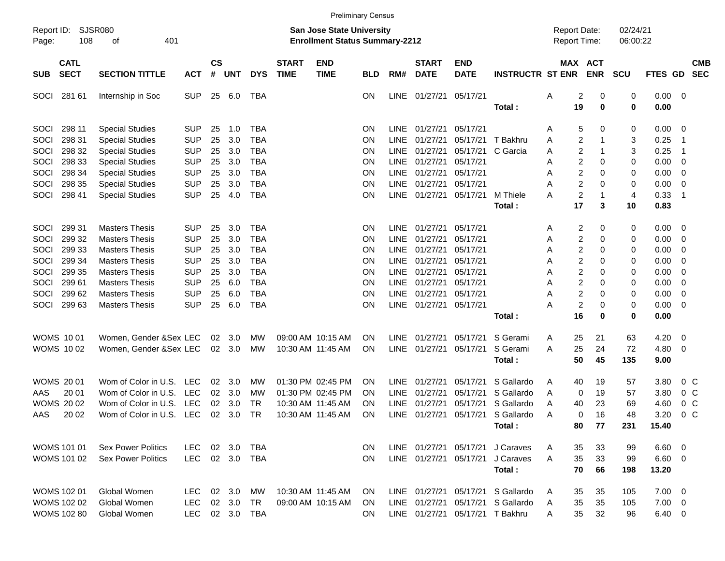|                     |                            |                           |            |                    |            |            |                             | <b>Preliminary Census</b>                                          |            |             |                             |                                 |                         |                                     |                       |                      |         |                |                          |
|---------------------|----------------------------|---------------------------|------------|--------------------|------------|------------|-----------------------------|--------------------------------------------------------------------|------------|-------------|-----------------------------|---------------------------------|-------------------------|-------------------------------------|-----------------------|----------------------|---------|----------------|--------------------------|
| Report ID:<br>Page: | SJSR080<br>108             | 401<br>оf                 |            |                    |            |            |                             | San Jose State University<br><b>Enrollment Status Summary-2212</b> |            |             |                             |                                 |                         | <b>Report Date:</b><br>Report Time: |                       | 02/24/21<br>06:00:22 |         |                |                          |
| <b>SUB</b>          | <b>CATL</b><br><b>SECT</b> | <b>SECTION TITTLE</b>     | <b>ACT</b> | $\mathsf{cs}$<br># | <b>UNT</b> | <b>DYS</b> | <b>START</b><br><b>TIME</b> | <b>END</b><br><b>TIME</b>                                          | <b>BLD</b> | RM#         | <b>START</b><br><b>DATE</b> | <b>END</b><br><b>DATE</b>       | <b>INSTRUCTR ST ENR</b> |                                     | MAX ACT<br><b>ENR</b> | <b>SCU</b>           | FTES GD |                | <b>CMB</b><br><b>SEC</b> |
| <b>SOCI</b>         | 281 61                     | Internship in Soc         | <b>SUP</b> | 25                 | 6.0        | <b>TBA</b> |                             |                                                                    | ON.        | LINE        | 01/27/21                    | 05/17/21                        |                         | Α                                   | 2<br>0                | 0                    | 0.00    | 0              |                          |
|                     |                            |                           |            |                    |            |            |                             |                                                                    |            |             |                             |                                 | Total:                  | 19                                  | $\mathbf 0$           | 0                    | 0.00    |                |                          |
| SOCI                | 298 11                     | <b>Special Studies</b>    | <b>SUP</b> | 25                 | 1.0        | <b>TBA</b> |                             |                                                                    | ΟN         | LINE        | 01/27/21                    | 05/17/21                        |                         | A                                   | 0<br>5                | 0                    | 0.00    | 0              |                          |
| SOCI                | 298 31                     | <b>Special Studies</b>    | <b>SUP</b> | 25                 | 3.0        | <b>TBA</b> |                             |                                                                    | ΟN         | <b>LINE</b> | 01/27/21                    | 05/17/21                        | T Bakhru                |                                     | 2<br>1                |                      | 0.25    | -1             |                          |
| SOCI                | 298 32                     |                           | <b>SUP</b> | 25                 | 3.0        | <b>TBA</b> |                             |                                                                    | ΟN         | <b>LINE</b> | 01/27/21                    | 05/17/21                        | C Garcia                | Α                                   | 1                     | 3<br>3               | 0.25    | $\mathbf 1$    |                          |
|                     |                            | <b>Special Studies</b>    |            |                    |            |            |                             |                                                                    |            | <b>LINE</b> |                             | 05/17/21                        |                         | Α                                   | 2                     |                      |         |                |                          |
| SOCI                | 298 33                     | <b>Special Studies</b>    | <b>SUP</b> | 25                 | 3.0        | <b>TBA</b> |                             |                                                                    | ON         | <b>LINE</b> | 01/27/21                    | 05/17/21                        |                         | Α                                   | 2<br>0                | 0                    | 0.00    | 0              |                          |
| SOCI                | 298 34                     | <b>Special Studies</b>    | <b>SUP</b> | 25                 | 3.0        | <b>TBA</b> |                             |                                                                    | ON         |             | 01/27/21                    | 05/17/21                        |                         | A                                   | 2<br>0                | 0                    | 0.00    | 0              |                          |
| SOCI                | 298 35                     | <b>Special Studies</b>    | <b>SUP</b> | 25                 | 3.0        | <b>TBA</b> |                             |                                                                    | ON         | <b>LINE</b> | 01/27/21                    |                                 |                         | Α                                   | 2<br>$\mathbf 0$      | 0                    | 0.00    | 0              |                          |
| SOCI                | 298 41                     | <b>Special Studies</b>    | <b>SUP</b> | 25                 | 4.0        | <b>TBA</b> |                             |                                                                    | ΟN         | <b>LINE</b> | 01/27/21                    | 05/17/21                        | M Thiele                | Α                                   | $\overline{c}$<br>1   | 4                    | 0.33    | -1             |                          |
|                     |                            |                           |            |                    |            |            |                             |                                                                    |            |             |                             |                                 | Total:                  | 17                                  | 3                     | 10                   | 0.83    |                |                          |
| SOCI                | 299 31                     | <b>Masters Thesis</b>     | <b>SUP</b> | 25                 | 3.0        | <b>TBA</b> |                             |                                                                    | ΟN         | <b>LINE</b> | 01/27/21                    | 05/17/21                        |                         | A                                   | 2<br>0                | 0                    | 0.00    | 0              |                          |
| SOCI                | 299 32                     | <b>Masters Thesis</b>     | SUP        | 25                 | 3.0        | <b>TBA</b> |                             |                                                                    | ΟN         | <b>LINE</b> | 01/27/21                    | 05/17/21                        |                         | Α                                   | 2<br>0                | 0                    | 0.00    | 0              |                          |
| SOCI                | 299 33                     | <b>Masters Thesis</b>     | SUP        | 25                 | 3.0        | <b>TBA</b> |                             |                                                                    | ΟN         | <b>LINE</b> | 01/27/21                    | 05/17/21                        |                         | Α                                   | 2<br>0                | 0                    | 0.00    | 0              |                          |
| SOCI                | 299 34                     | <b>Masters Thesis</b>     | <b>SUP</b> | 25                 | 3.0        | TBA        |                             |                                                                    | ΟN         | <b>LINE</b> | 01/27/21                    | 05/17/21                        |                         | Α                                   | 2<br>0                | 0                    | 0.00    | 0              |                          |
| SOCI                | 299 35                     | <b>Masters Thesis</b>     | <b>SUP</b> | 25                 | 3.0        | <b>TBA</b> |                             |                                                                    | ΟN         | <b>LINE</b> | 01/27/21                    | 05/17/21                        |                         | Α                                   | 2<br>0                | 0                    | 0.00    | 0              |                          |
| SOCI                | 299 61                     | <b>Masters Thesis</b>     | SUP        | 25                 | 6.0        | <b>TBA</b> |                             |                                                                    | ON         | <b>LINE</b> | 01/27/21                    | 05/17/21                        |                         | Α                                   | 2<br>0                | 0                    | 0.00    | 0              |                          |
| SOCI                | 299 62                     | <b>Masters Thesis</b>     | <b>SUP</b> | 25                 | 6.0        | <b>TBA</b> |                             |                                                                    | ON         | <b>LINE</b> | 01/27/21                    | 05/17/21                        |                         | Α                                   | $\overline{2}$<br>0   | 0                    | 0.00    | 0              |                          |
| SOCI                | 299 63                     | <b>Masters Thesis</b>     | <b>SUP</b> | 25                 | 6.0        | <b>TBA</b> |                             |                                                                    | ΟN         |             | LINE 01/27/21               | 05/17/21                        |                         | А                                   | $\overline{c}$<br>0   | 0                    | 0.00    | 0              |                          |
|                     |                            |                           |            |                    |            |            |                             |                                                                    |            |             |                             |                                 | Total:                  | 16                                  | 0                     | 0                    | 0.00    |                |                          |
|                     |                            |                           |            |                    |            |            |                             |                                                                    |            |             |                             |                                 |                         |                                     |                       |                      |         |                |                          |
|                     | <b>WOMS 1001</b>           | Women, Gender & Sex LEC   |            | $02\,$             | 3.0        | МW         |                             | 09:00 AM 10:15 AM                                                  | ΟN         | LINE        | 01/27/21                    | 05/17/21                        | S Gerami                | 25<br>A                             | 21                    | 63                   | 4.20    | 0              |                          |
|                     | <b>WOMS 1002</b>           | Women, Gender & Sex LEC   |            | 02                 | 3.0        | MW         |                             | 10:30 AM 11:45 AM                                                  | ON         |             | LINE 01/27/21               | 05/17/21                        | S Gerami                | 25<br>A                             | 24                    | 72                   | 4.80    | 0              |                          |
|                     |                            |                           |            |                    |            |            |                             |                                                                    |            |             |                             |                                 | Total:                  | 50                                  | 45                    | 135                  | 9.00    |                |                          |
|                     | <b>WOMS 2001</b>           | Wom of Color in U.S.      | LEC        | 02                 | 3.0        | МW         |                             | 01:30 PM 02:45 PM                                                  | ΟN         | <b>LINE</b> | 01/27/21                    | 05/17/21                        | S Gallardo              | A<br>40                             | 19                    | 57                   | 3.80    | 0 <sup>o</sup> |                          |
| AAS                 | 20 01                      | Wom of Color in U.S.      | <b>LEC</b> | 02                 | 3.0        | МW         |                             | 01:30 PM 02:45 PM                                                  | ΟN         | <b>LINE</b> | 01/27/21                    | 05/17/21                        | S Gallardo              | A                                   | 0<br>19               | 57                   | 3.80    | 0 <sub>C</sub> |                          |
|                     | <b>WOMS 2002</b>           | Wom of Color in U.S.      | LEC        | 02                 | 3.0        | TR         |                             | 10:30 AM 11:45 AM                                                  |            | <b>LINE</b> | 01/27/21                    | 05/17/21                        | S Gallardo              | 40                                  |                       | 69                   |         | 0 <sup>o</sup> |                          |
|                     |                            |                           |            |                    |            |            |                             |                                                                    | ΟN         |             |                             |                                 |                         | A                                   | 23<br>16              | 48                   | 4.60    |                |                          |
| AAS                 | 20 02                      | Wom of Color in U.S.      | LEC        | 02                 | 3.0        | <b>TR</b>  |                             | 10:30 AM 11:45 AM                                                  | ΟN         | LINE        | 01/27/21                    | 05/17/21                        | S Gallardo              | A                                   | 0                     |                      | 3.20    | 0 <sup>o</sup> |                          |
|                     |                            |                           |            |                    |            |            |                             |                                                                    |            |             |                             |                                 | Total:                  | 80                                  | 77                    | 231                  | 15.40   |                |                          |
|                     | <b>WOMS 101 01</b>         | <b>Sex Power Politics</b> | LEC.       |                    | 02 3.0     | TBA        |                             |                                                                    | ON.        |             | LINE 01/27/21               |                                 | 05/17/21 J Caraves      | 35<br>A                             | 33                    | 99                   | 6.60    | - 0            |                          |
|                     | WOMS 101 02                | <b>Sex Power Politics</b> | LEC        |                    | 02 3.0     | TBA        |                             |                                                                    | ON.        |             | LINE 01/27/21               | 05/17/21                        | J Caraves               | 35<br>A                             | 33                    | 99                   | 6.60    | 0              |                          |
|                     |                            |                           |            |                    |            |            |                             |                                                                    |            |             |                             |                                 | Total:                  | 70                                  | 66                    | 198                  | 13.20   |                |                          |
|                     |                            |                           |            |                    |            |            |                             |                                                                    |            |             |                             |                                 |                         |                                     |                       |                      |         |                |                          |
|                     | <b>WOMS 102 01</b>         | Global Women              | LEC.       |                    | 02 3.0     | MW         | 10:30 AM 11:45 AM           |                                                                    | ON.        |             | LINE 01/27/21               | 05/17/21                        | S Gallardo              | 35<br>A                             | 35                    | 105                  | 7.00    | - 0            |                          |
|                     | <b>WOMS 102 02</b>         | Global Women              | LEC.       |                    | 02 3.0     | TR         |                             | 09:00 AM 10:15 AM                                                  | <b>ON</b>  |             | LINE 01/27/21               |                                 | 05/17/21 S Gallardo     | 35<br>A                             | 35                    | 105                  | 7.00    | - 0            |                          |
|                     | <b>WOMS 102 80</b>         | Global Women              | <b>LEC</b> |                    | 02 3.0     | TBA        |                             |                                                                    | ON.        |             |                             | LINE 01/27/21 05/17/21 T Bakhru |                         | 35<br>A                             | 32                    | 96                   | 6.40    | 0              |                          |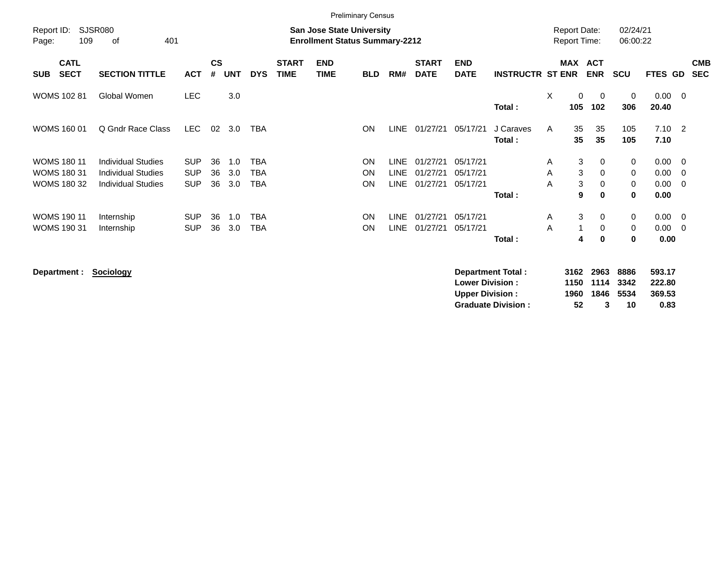|                     |                                                                |                                                                                                          |                                        |                |                   |                                        |                             |                           | <b>Preliminary Census</b> |                      |                                  |                                  |                         |                         |                                            |                            |                              |                                                    |                          |
|---------------------|----------------------------------------------------------------|----------------------------------------------------------------------------------------------------------|----------------------------------------|----------------|-------------------|----------------------------------------|-----------------------------|---------------------------|---------------------------|----------------------|----------------------------------|----------------------------------|-------------------------|-------------------------|--------------------------------------------|----------------------------|------------------------------|----------------------------------------------------|--------------------------|
| Report ID:<br>Page: | 109                                                            | <b>SJSR080</b><br><b>San Jose State University</b><br><b>Enrollment Status Summary-2212</b><br>401<br>οf |                                        |                |                   |                                        |                             |                           |                           |                      |                                  |                                  |                         |                         | <b>Report Date:</b><br><b>Report Time:</b> | 02/24/21<br>06:00:22       |                              |                                                    |                          |
| <b>SUB</b>          | <b>CATL</b><br><b>SECT</b>                                     | <b>SECTION TITTLE</b>                                                                                    | <b>ACT</b>                             | <b>CS</b><br># | <b>UNT</b>        | <b>DYS</b>                             | <b>START</b><br><b>TIME</b> | <b>END</b><br><b>TIME</b> | <b>BLD</b>                | RM#                  | <b>START</b><br><b>DATE</b>      | <b>END</b><br><b>DATE</b>        | <b>INSTRUCTR ST ENR</b> | <b>MAX</b>              | <b>ACT</b><br><b>ENR</b>                   | <b>SCU</b>                 | <b>FTES GD</b>               |                                                    | <b>CMB</b><br><b>SEC</b> |
|                     | <b>WOMS 102 81</b>                                             | Global Women                                                                                             | <b>LEC</b>                             |                | 3.0               |                                        |                             |                           |                           |                      |                                  |                                  | Total:                  | X<br>$\mathbf 0$<br>105 | 0<br>102                                   | 0<br>306                   | 0.00<br>20.40                | $\overline{\phantom{0}}$                           |                          |
|                     | <b>WOMS 160 01</b>                                             | Q Gndr Race Class                                                                                        | LEC.                                   | 02             | 3.0               | TBA                                    |                             |                           | <b>ON</b>                 | <b>LINE</b>          | 01/27/21                         | 05/17/21                         | J Caraves<br>Total:     | 35<br>A<br>35           | 35<br>35                                   | 105<br>105                 | $7.10 \quad 2$<br>7.10       |                                                    |                          |
|                     | <b>WOMS 180 11</b><br><b>WOMS 180 31</b><br><b>WOMS 180 32</b> | <b>Individual Studies</b><br><b>Individual Studies</b><br><b>Individual Studies</b>                      | <b>SUP</b><br><b>SUP</b><br><b>SUP</b> | 36<br>36<br>36 | 1.0<br>3.0<br>3.0 | <b>TBA</b><br><b>TBA</b><br><b>TBA</b> |                             |                           | ON<br>ON<br>ON            | LINE<br>LINE<br>LINE | 01/27/21<br>01/27/21<br>01/27/21 | 05/17/21<br>05/17/21<br>05/17/21 | Total:                  | A<br>A<br>A             | 3<br>0<br>3<br>0<br>3<br>0<br>9<br>0       | 0<br>$\mathbf 0$<br>0<br>0 | 0.00<br>0.00<br>0.00<br>0.00 | $\overline{\mathbf{0}}$<br>- 0<br>- 0              |                          |
|                     | <b>WOMS 190 11</b><br>WOMS 190 31                              | Internship<br>Internship                                                                                 | <b>SUP</b><br><b>SUP</b>               | 36<br>36       | 1.0<br>3.0        | <b>TBA</b><br>TBA                      |                             |                           | <b>ON</b><br><b>ON</b>    | <b>LINE</b><br>LINE  | 01/27/21<br>01/27/21             | 05/17/21<br>05/17/21             | Total:                  | Α<br>A                  | 3<br>$\mathbf{0}$<br>0<br>0<br>4           | 0<br>0<br>0                | 0.00<br>0.00<br>0.00         | $\overline{\mathbf{0}}$<br>$\overline{\mathbf{0}}$ |                          |

**Department : Sociology** 

| Department Total:         |     | 3162 2963 8886 |    | 593.17 |
|---------------------------|-----|----------------|----|--------|
| <b>Lower Division:</b>    |     | 1150 1114 3342 |    | 222.80 |
| Upper Division:           |     | 1960 1846 5534 |    | 369.53 |
| <b>Graduate Division:</b> | 52. | 3              | 10 | 0.83   |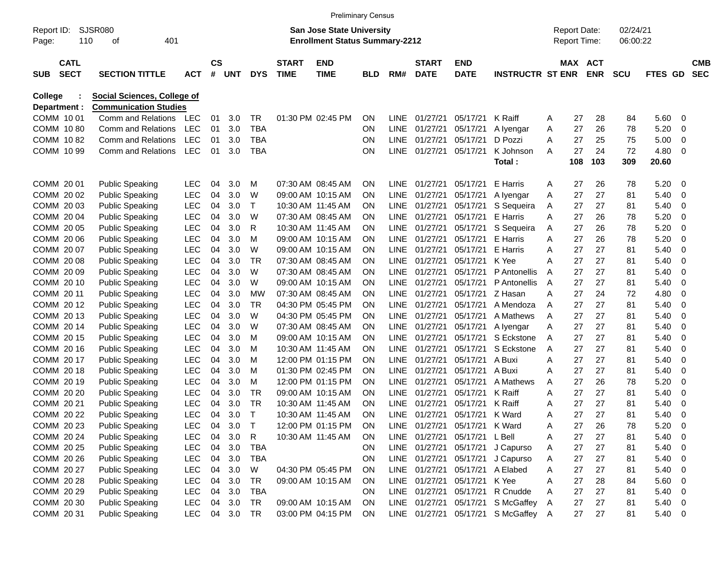|              |                                                  |                            |                                    |            |                |            |             |                             | <b>Preliminary Census</b>                                                 |           |             |                      |                           |                                     |   |                                            |            |                      |                |   |                          |
|--------------|--------------------------------------------------|----------------------------|------------------------------------|------------|----------------|------------|-------------|-----------------------------|---------------------------------------------------------------------------|-----------|-------------|----------------------|---------------------------|-------------------------------------|---|--------------------------------------------|------------|----------------------|----------------|---|--------------------------|
| Page:        | <b>SJSR080</b><br>Report ID:<br>110<br>401<br>οf |                            |                                    |            |                |            |             |                             | <b>San Jose State University</b><br><b>Enrollment Status Summary-2212</b> |           |             |                      |                           |                                     |   | <b>Report Date:</b><br><b>Report Time:</b> |            | 02/24/21<br>06:00:22 |                |   |                          |
| <b>SUB</b>   |                                                  | <b>CATL</b><br><b>SECT</b> | <b>SECTION TITTLE</b>              | <b>ACT</b> | <b>CS</b><br># | <b>UNT</b> | <b>DYS</b>  | <b>START</b><br><b>TIME</b> | <b>END</b><br><b>TIME</b>                                                 | BLD       | RM#         | START<br><b>DATE</b> | <b>END</b><br><b>DATE</b> | <b>INSTRUCTR ST ENR</b>             |   | MAX ACT                                    | <b>ENR</b> | <b>SCU</b>           | <b>FTES GD</b> |   | <b>CMB</b><br><b>SEC</b> |
| College      |                                                  |                            | <b>Social Sciences, College of</b> |            |                |            |             |                             |                                                                           |           |             |                      |                           |                                     |   |                                            |            |                      |                |   |                          |
| Department : |                                                  |                            | <b>Communication Studies</b>       |            |                |            |             |                             |                                                                           |           |             |                      |                           |                                     |   |                                            |            |                      |                |   |                          |
| COMM 1001    |                                                  |                            | Comm and Relations                 | <b>LEC</b> | 01             | 3.0        | TR          |                             | 01:30 PM 02:45 PM                                                         | ON        | <b>LINE</b> | 01/27/21             | 05/17/21                  | K Raiff                             | A | 27                                         | 28         | 84                   | 5.60           | 0 |                          |
| COMM 1080    |                                                  |                            | Comm and Relations                 | <b>LEC</b> | 01             | 3.0        | <b>TBA</b>  |                             |                                                                           | ON        | <b>LINE</b> | 01/27/21             | 05/17/21                  | A Iyengar                           | Α | 27                                         | 26         | 78                   | 5.20           | 0 |                          |
| COMM 1082    |                                                  |                            | Comm and Relations                 | <b>LEC</b> | 01             | 3.0        | <b>TBA</b>  |                             |                                                                           | ON        | <b>LINE</b> | 01/27/21             | 05/17/21                  | D Pozzi                             | Α | 27                                         | 25         | 75                   | 5.00           | 0 |                          |
| COMM 10 99   |                                                  |                            | Comm and Relations                 | <b>LEC</b> | 01             | 3.0        | <b>TBA</b>  |                             |                                                                           | ON        | <b>LINE</b> | 01/27/21             | 05/17/21                  | K Johnson                           | A | 27                                         | 24         | 72                   | 4.80           | 0 |                          |
|              |                                                  |                            |                                    |            |                |            |             |                             |                                                                           |           |             |                      |                           | Total:                              |   | 108                                        | 103        | 309                  | 20.60          |   |                          |
| COMM 20 01   |                                                  |                            | <b>Public Speaking</b>             | <b>LEC</b> | 04             | 3.0        | м           |                             | 07:30 AM 08:45 AM                                                         | ON        | <b>LINE</b> | 01/27/21             | 05/17/21                  | E Harris                            | A | 27                                         | 26         | 78                   | 5.20           | 0 |                          |
| COMM 2002    |                                                  |                            | <b>Public Speaking</b>             | <b>LEC</b> | 04             | 3.0        | W           |                             | 09:00 AM 10:15 AM                                                         | ON        | <b>LINE</b> | 01/27/21             | 05/17/21                  | A Ivengar                           | Α | 27                                         | 27         | 81                   | 5.40           | 0 |                          |
| COMM 2003    |                                                  |                            | <b>Public Speaking</b>             | <b>LEC</b> | 04             | 3.0        | Τ           |                             | 10:30 AM 11:45 AM                                                         | ΟN        | <b>LINE</b> | 01/27/21             | 05/17/21                  | S Sequeira                          | Α | 27                                         | 27         | 81                   | 5.40           | 0 |                          |
| COMM 2004    |                                                  |                            | <b>Public Speaking</b>             | <b>LEC</b> | 04             | 3.0        | W           |                             | 07:30 AM 08:45 AM                                                         | ΟN        | <b>LINE</b> | 01/27/21             | 05/17/21                  | E Harris                            | Α | 27                                         | 26         | 78                   | 5.20           | 0 |                          |
| COMM 20 05   |                                                  |                            | <b>Public Speaking</b>             | <b>LEC</b> | 04             | 3.0        | R           |                             | 10:30 AM 11:45 AM                                                         | ΟN        | <b>LINE</b> | 01/27/21             | 05/17/21                  | S Sequeira                          | Α | 27                                         | 26         | 78                   | 5.20           | 0 |                          |
| COMM 20 06   |                                                  |                            | <b>Public Speaking</b>             | <b>LEC</b> | 04             | 3.0        | M           |                             | 09:00 AM 10:15 AM                                                         | ΟN        | <b>LINE</b> | 01/27/21             | 05/17/21                  | E Harris                            | A | 27                                         | 26         | 78                   | 5.20           | 0 |                          |
| COMM 20 07   |                                                  |                            | <b>Public Speaking</b>             | <b>LEC</b> | 04             | 3.0        | W           |                             | 09:00 AM 10:15 AM                                                         | ΟN        | <b>LINE</b> | 01/27/21             | 05/17/21                  | E Harris                            | A | 27                                         | 27         | 81                   | 5.40           | 0 |                          |
| COMM 2008    |                                                  |                            | <b>Public Speaking</b>             | <b>LEC</b> | 04             | 3.0        | <b>TR</b>   |                             | 07:30 AM 08:45 AM                                                         | ΟN        | <b>LINE</b> | 01/27/21             | 05/17/21                  | K Yee                               | A | 27                                         | 27         | 81                   | 5.40           | 0 |                          |
| COMM 20 09   |                                                  |                            | <b>Public Speaking</b>             | <b>LEC</b> | 04             | 3.0        | W           |                             | 07:30 AM 08:45 AM                                                         | ΟN        | <b>LINE</b> | 01/27/21             | 05/17/21                  | P Antonellis                        | A | 27                                         | 27         | 81                   | 5.40           | 0 |                          |
| COMM 20 10   |                                                  |                            | <b>Public Speaking</b>             | <b>LEC</b> | 04             | 3.0        | W           |                             | 09:00 AM 10:15 AM                                                         | ΟN        | <b>LINE</b> | 01/27/21             | 05/17/21                  | P Antonellis                        | A | 27                                         | 27         | 81                   | 5.40           | 0 |                          |
| COMM 20 11   |                                                  |                            | <b>Public Speaking</b>             | <b>LEC</b> | 04             | 3.0        | МW          |                             | 07:30 AM 08:45 AM                                                         | ΟN        | <b>LINE</b> | 01/27/21             | 05/17/21                  | Z Hasan                             | A | 27                                         | 24         | 72                   | 4.80           | 0 |                          |
| COMM 2012    |                                                  |                            | <b>Public Speaking</b>             | <b>LEC</b> | 04             | 3.0        | TR          |                             | 04:30 PM 05:45 PM                                                         | ΟN        | <b>LINE</b> | 01/27/21             | 05/17/21                  | A Mendoza                           | A | 27                                         | 27         | 81                   | 5.40           | 0 |                          |
| COMM 2013    |                                                  |                            | <b>Public Speaking</b>             | <b>LEC</b> | 04             | 3.0        | W           |                             | 04:30 PM 05:45 PM                                                         | ΟN        | <b>LINE</b> | 01/27/21             | 05/17/21                  | A Mathews                           | A | 27                                         | 27         | 81                   | 5.40           | 0 |                          |
| COMM 2014    |                                                  |                            | <b>Public Speaking</b>             | <b>LEC</b> | 04             | 3.0        | W           |                             | 07:30 AM 08:45 AM                                                         | ΟN        | <b>LINE</b> | 01/27/21             | 05/17/21                  | A lyengar                           | Α | 27                                         | 27         | 81                   | 5.40           | 0 |                          |
| COMM 2015    |                                                  |                            | <b>Public Speaking</b>             | <b>LEC</b> | 04             | 3.0        | M           |                             | 09:00 AM 10:15 AM                                                         | ΟN        | LINE.       | 01/27/21             | 05/17/21                  | S Eckstone                          | A | 27                                         | 27         | 81                   | 5.40           | 0 |                          |
| COMM 2016    |                                                  |                            | <b>Public Speaking</b>             | <b>LEC</b> | 04             | 3.0        | M           |                             | 10:30 AM 11:45 AM                                                         | ΟN        | <b>LINE</b> | 01/27/21             | 05/17/21                  | S Eckstone                          | A | 27                                         | 27         | 81                   | 5.40           | 0 |                          |
| COMM 20 17   |                                                  |                            | <b>Public Speaking</b>             | <b>LEC</b> | 04             | 3.0        | M           |                             | 12:00 PM 01:15 PM                                                         | ΟN        | <b>LINE</b> | 01/27/21             | 05/17/21                  | A Buxi                              | A | 27                                         | 27         | 81                   | 5.40           | 0 |                          |
| COMM 2018    |                                                  |                            | <b>Public Speaking</b>             | <b>LEC</b> | 04             | 3.0        | M           |                             | 01:30 PM 02:45 PM                                                         | ΟN        | <b>LINE</b> | 01/27/21             | 05/17/21                  | A Buxi                              | A | 27                                         | 27         | 81                   | 5.40           | 0 |                          |
| COMM 2019    |                                                  |                            | <b>Public Speaking</b>             | <b>LEC</b> | 04             | 3.0        | M           |                             | 12:00 PM 01:15 PM                                                         | ΟN        | <b>LINE</b> | 01/27/21             | 05/17/21                  | A Mathews                           | Α | 27                                         | 26         | 78                   | 5.20           | 0 |                          |
| COMM 20 20   |                                                  |                            | <b>Public Speaking</b>             | <b>LEC</b> | 04             | 3.0        | <b>TR</b>   |                             | 09:00 AM 10:15 AM                                                         | ΟN        | <b>LINE</b> | 01/27/21             | 05/17/21                  | K Raiff                             | A | 27                                         | 27         | 81                   | 5.40           | 0 |                          |
| COMM 20 21   |                                                  |                            | <b>Public Speaking</b>             | <b>LEC</b> | 04             | 3.0        | <b>TR</b>   | 10:30 AM 11:45 AM           |                                                                           | ΟN        | <b>LINE</b> | 01/27/21             | 05/17/21                  | K Raiff                             | A | 27                                         | 27         | 81                   | 5.40           | 0 |                          |
| COMM 20 22   |                                                  |                            | <b>Public Speaking</b>             | <b>LEC</b> | 04             | 3.0        | $\mathsf T$ |                             | 10:30 AM 11:45 AM                                                         | ON        | LINE        | 01/27/21             | 05/17/21                  | K Ward                              | Α | 27                                         | 27         | 81                   | 5.40           | 0 |                          |
| COMM 20 23   |                                                  |                            | <b>Public Speaking</b>             | LEC        | 04             | 3.0        | Т           |                             | 12:00 PM 01:15 PM                                                         | ON        | LINE        | 01/27/21             | 05/17/21                  | K Ward                              | A | 27                                         | 26         | 78                   | 5.20           | 0 |                          |
| COMM 20 24   |                                                  |                            | <b>Public Speaking</b>             | <b>LEC</b> | 04             | 3.0        | R           |                             | 10:30 AM 11:45 AM                                                         | ON        | LINE        | 01/27/21             | 05/17/21 L Bell           |                                     | Α | 27                                         | 27         | 81                   | 5.40           | 0 |                          |
| COMM 20 25   |                                                  |                            | <b>Public Speaking</b>             | <b>LEC</b> | 04             | 3.0        | <b>TBA</b>  |                             |                                                                           | ON        |             | LINE 01/27/21        | 05/17/21                  | J Capurso                           | A | 27                                         | 27         | 81                   | 5.40           | 0 |                          |
| COMM 20 26   |                                                  |                            | <b>Public Speaking</b>             | <b>LEC</b> | 04             | 3.0        | <b>TBA</b>  |                             |                                                                           | ON        |             |                      | LINE 01/27/21 05/17/21    | J Capurso                           | A | 27                                         | 27         | 81                   | 5.40           | 0 |                          |
| COMM 20 27   |                                                  |                            | <b>Public Speaking</b>             | <b>LEC</b> | 04             | 3.0        | W           |                             | 04:30 PM 05:45 PM                                                         | 0N        |             | LINE 01/27/21        | 05/17/21                  | A Elabed                            | Α | 27                                         | 27         | 81                   | 5.40           | 0 |                          |
| COMM 20 28   |                                                  |                            | <b>Public Speaking</b>             | <b>LEC</b> | 04             | 3.0        | TR          |                             | 09:00 AM 10:15 AM                                                         | 0N        |             | LINE 01/27/21        | 05/17/21                  | K Yee                               | Α | 27                                         | 28         | 84                   | 5.60           | 0 |                          |
| COMM 20 29   |                                                  |                            | <b>Public Speaking</b>             | <b>LEC</b> | 04             | 3.0        | <b>TBA</b>  |                             |                                                                           | ON        | LINE        | 01/27/21             | 05/17/21                  | R Cnudde                            | Α | 27                                         | 27         | 81                   | 5.40           | 0 |                          |
| COMM 20 30   |                                                  |                            | <b>Public Speaking</b>             | <b>LEC</b> |                | 04 3.0     | TR          |                             | 09:00 AM 10:15 AM                                                         | <b>ON</b> |             |                      | LINE 01/27/21 05/17/21    | S McGaffey                          | A | 27                                         | 27         | 81                   | 5.40           | 0 |                          |
| COMM 20 31   |                                                  |                            | <b>Public Speaking</b>             | LEC        |                | 04 3.0     | TR          |                             | 03:00 PM 04:15 PM                                                         | <b>ON</b> |             |                      |                           | LINE 01/27/21 05/17/21 S McGaffey A |   | 27                                         | 27         | 81                   | 5.40           | 0 |                          |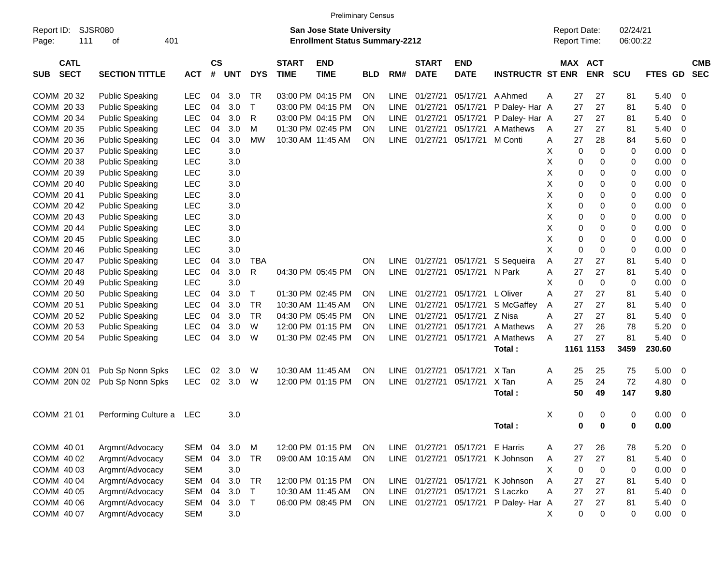|                                          |                          |            |                    |            |            |                             |                                                                           | <b>Preliminary Census</b> |             |                             |                           |                         |   |                                     |             |                      |                |                          |
|------------------------------------------|--------------------------|------------|--------------------|------------|------------|-----------------------------|---------------------------------------------------------------------------|---------------------------|-------------|-----------------------------|---------------------------|-------------------------|---|-------------------------------------|-------------|----------------------|----------------|--------------------------|
| Report ID:<br>111<br>Page:               | SJSR080<br>οf<br>401     |            |                    |            |            |                             | <b>San Jose State University</b><br><b>Enrollment Status Summary-2212</b> |                           |             |                             |                           |                         |   | <b>Report Date:</b><br>Report Time: |             | 02/24/21<br>06:00:22 |                |                          |
| <b>CATL</b><br><b>SECT</b><br><b>SUB</b> | <b>SECTION TITTLE</b>    | <b>ACT</b> | $\mathsf{cs}$<br># | <b>UNT</b> | <b>DYS</b> | <b>START</b><br><b>TIME</b> | <b>END</b><br><b>TIME</b>                                                 | <b>BLD</b>                | RM#         | <b>START</b><br><b>DATE</b> | <b>END</b><br><b>DATE</b> | <b>INSTRUCTR ST ENR</b> |   | MAX ACT                             | <b>ENR</b>  | <b>SCU</b>           | <b>FTES GD</b> | <b>CMB</b><br><b>SEC</b> |
| COMM 20 32                               | <b>Public Speaking</b>   | LEC        | 04                 | 3.0        | TR         |                             | 03:00 PM 04:15 PM                                                         | ON                        | LINE        | 01/27/21                    | 05/17/21                  | A Ahmed                 | A | 27                                  | 27          | 81                   | 5.40           | 0                        |
| COMM 20 33                               | <b>Public Speaking</b>   | LEC        | 04                 | 3.0        | Т          |                             | 03:00 PM 04:15 PM                                                         | ON                        | <b>LINE</b> | 01/27/21                    | 05/17/21                  | P Daley-Har A           |   | 27                                  | 27          | 81                   | 5.40           | 0                        |
| COMM 20 34                               | <b>Public Speaking</b>   | LEC        | 04                 | 3.0        | R          |                             | 03:00 PM 04:15 PM                                                         | ON                        | LINE        | 01/27/21                    | 05/17/21                  | P Daley- Har A          |   | 27                                  | 27          | 81                   | 5.40           | 0                        |
| COMM 20 35                               | <b>Public Speaking</b>   | LEC        | 04                 | 3.0        | M          |                             | 01:30 PM 02:45 PM                                                         | ON                        | <b>LINE</b> | 01/27/21                    | 05/17/21                  | A Mathews               | A | 27                                  | 27          | 81                   | 5.40           | 0                        |
| COMM 20 36                               | <b>Public Speaking</b>   | LEC        | 04                 | 3.0        | <b>MW</b>  |                             | 10:30 AM 11:45 AM                                                         | ON                        | <b>LINE</b> | 01/27/21                    | 05/17/21                  | M Conti                 | Α | 27                                  | 28          | 84                   | 5.60           | 0                        |
| COMM 20 37                               | <b>Public Speaking</b>   | LEC        |                    | 3.0        |            |                             |                                                                           |                           |             |                             |                           |                         | Х | 0                                   | 0           | 0                    | 0.00           | 0                        |
| COMM 20 38                               | <b>Public Speaking</b>   | LEC        |                    | 3.0        |            |                             |                                                                           |                           |             |                             |                           |                         | X | 0                                   | 0           | 0                    | 0.00           | 0                        |
| COMM 20 39                               | <b>Public Speaking</b>   | LEC        |                    | 3.0        |            |                             |                                                                           |                           |             |                             |                           |                         | X | 0                                   | 0           | 0                    | 0.00           | 0                        |
| COMM 20 40                               | <b>Public Speaking</b>   | LEC        |                    | 3.0        |            |                             |                                                                           |                           |             |                             |                           |                         | X | 0                                   | 0           | 0                    | 0.00           | 0                        |
| COMM 20 41                               | <b>Public Speaking</b>   | LEC        |                    | 3.0        |            |                             |                                                                           |                           |             |                             |                           |                         | X | 0                                   | 0           | 0                    | 0.00           | 0                        |
| COMM 20 42                               | <b>Public Speaking</b>   | LEC        |                    | 3.0        |            |                             |                                                                           |                           |             |                             |                           |                         | X | 0                                   | 0           | 0                    | 0.00           | 0                        |
| COMM 20 43                               | <b>Public Speaking</b>   | LEC        |                    | 3.0        |            |                             |                                                                           |                           |             |                             |                           |                         | X | 0                                   | 0           | 0                    | 0.00           | 0                        |
| COMM 20 44                               | <b>Public Speaking</b>   | LEC        |                    | 3.0        |            |                             |                                                                           |                           |             |                             |                           |                         | X | 0                                   | 0           | 0                    | 0.00           | 0                        |
| COMM 20 45                               | <b>Public Speaking</b>   | LEC        |                    | 3.0        |            |                             |                                                                           |                           |             |                             |                           |                         | X | 0                                   | 0           | 0                    | 0.00           | 0                        |
| COMM 20 46                               | <b>Public Speaking</b>   | LEC        |                    | 3.0        |            |                             |                                                                           |                           |             |                             |                           |                         | X | 0                                   | 0           | 0                    | 0.00           | 0                        |
|                                          |                          | LEC        |                    | 3.0        | <b>TBA</b> |                             |                                                                           | ON                        | <b>LINE</b> | 01/27/21                    | 05/17/21                  | S Sequeira              | Α |                                     | 27          |                      | 5.40           | 0                        |
| COMM 20 47                               | <b>Public Speaking</b>   | LEC        | 04                 |            |            |                             | 04:30 PM 05:45 PM                                                         |                           |             | 01/27/21                    |                           | N Park                  |   | 27                                  | 27          | 81                   |                |                          |
| COMM 20 48                               | <b>Public Speaking</b>   |            | 04                 | 3.0        | R          |                             |                                                                           | ON                        | <b>LINE</b> |                             | 05/17/21                  |                         | Α | 27                                  |             | 81                   | 5.40           | 0                        |
| COMM 20 49                               | <b>Public Speaking</b>   | LEC        |                    | 3.0        |            |                             |                                                                           |                           |             |                             |                           |                         | X | 0                                   | 0           | 0                    | 0.00           | 0                        |
| COMM 20 50                               | <b>Public Speaking</b>   | LEC        | 04                 | 3.0        | Т          |                             | 01:30 PM 02:45 PM                                                         | ON                        | LINE.       | 01/27/21                    | 05/17/21                  | L Oliver                | A | 27                                  | 27          | 81                   | 5.40           | 0                        |
| COMM 20 51                               | <b>Public Speaking</b>   | LEC        | 04                 | 3.0        | TR         | 10:30 AM 11:45 AM           |                                                                           | ON                        | <b>LINE</b> | 01/27/21                    | 05/17/21                  | S McGaffey              | Α | 27                                  | 27          | 81                   | 5.40           | 0                        |
| COMM 20 52                               | <b>Public Speaking</b>   | LEC        | 04                 | 3.0        | TR         |                             | 04:30 PM 05:45 PM                                                         | ON                        | <b>LINE</b> | 01/27/21                    | 05/17/21                  | Z Nisa                  | A | 27                                  | 27          | 81                   | 5.40           | 0                        |
| COMM 20 53                               | <b>Public Speaking</b>   | LEC        | 04                 | 3.0        | W          |                             | 12:00 PM 01:15 PM                                                         | ON                        | <b>LINE</b> | 01/27/21                    | 05/17/21                  | A Mathews               | Α | 27                                  | 26          | 78                   | 5.20           | 0                        |
| COMM 20 54                               | <b>Public Speaking</b>   | LEC        | 04                 | 3.0        | W          |                             | 01:30 PM 02:45 PM                                                         | ON                        |             | LINE 01/27/21               | 05/17/21                  | A Mathews               | Α | 27                                  | 27          | 81                   | 5.40           | - 0                      |
|                                          |                          |            |                    |            |            |                             |                                                                           |                           |             |                             |                           | Total:                  |   |                                     | 1161 1153   | 3459                 | 230.60         |                          |
| COMM 20N 01                              | Pub Sp Nonn Spks         | LEC        | 02                 | 3.0        | W          | 10:30 AM 11:45 AM           |                                                                           | ON                        | <b>LINE</b> | 01/27/21                    | 05/17/21                  | X Tan                   | A | 25                                  | 25          | 75                   | 5.00           | 0                        |
| COMM 20N 02                              | Pub Sp Nonn Spks         | <b>LEC</b> | 02                 | 3.0        | W          |                             | 12:00 PM 01:15 PM                                                         | ON                        | <b>LINE</b> | 01/27/21                    | 05/17/21                  | X Tan                   | A | 25                                  | 24          | 72                   | 4.80           | - 0                      |
|                                          |                          |            |                    |            |            |                             |                                                                           |                           |             |                             |                           | Total:                  |   | 50                                  | 49          | 147                  | 9.80           |                          |
|                                          |                          |            |                    |            |            |                             |                                                                           |                           |             |                             |                           |                         |   | 0                                   | 0           | 0                    | 0.00           | - 0                      |
| COMM 21 01                               | Performing Culture a LEC |            |                    | 3.0        |            |                             |                                                                           |                           |             |                             |                           | Total:                  | X | 0                                   | 0           | 0                    | 0.00           |                          |
|                                          |                          |            |                    |            |            |                             |                                                                           |                           |             |                             |                           |                         |   |                                     |             |                      |                |                          |
| COMM 40 01                               | Argmnt/Advocacy          | SEM        | 04                 | 3.0        | M          |                             | 12:00 PM 01:15 PM                                                         | ON                        |             | LINE 01/27/21               | 05/17/21                  | E Harris                | A | 27                                  | 26          | 78                   | 5.20           | $\overline{\mathbf{0}}$  |
| COMM 40 02                               | Argmnt/Advocacy          | SEM        | 04                 | 3.0        | <b>TR</b>  |                             | 09:00 AM 10:15 AM                                                         | ON                        |             | LINE 01/27/21               | 05/17/21                  | K Johnson               | A | 27                                  | 27          | 81                   | 5.40           | 0                        |
| COMM 40 03                               | Argmnt/Advocacy          | <b>SEM</b> |                    | 3.0        |            |                             |                                                                           |                           |             |                             |                           |                         | X | $\pmb{0}$                           | $\pmb{0}$   | 0                    | 0.00           | $\overline{0}$           |
| COMM 40 04                               | Argmnt/Advocacy          | SEM        | 04                 | $3.0\,$    | <b>TR</b>  |                             | 12:00 PM 01:15 PM                                                         | ON                        |             | LINE 01/27/21               | 05/17/21                  | K Johnson               | Α | 27                                  | 27          | 81                   | 5.40           | 0                        |
| COMM 40 05                               | Argmnt/Advocacy          | SEM        | 04                 | 3.0        | Τ          |                             | 10:30 AM 11:45 AM                                                         | ON                        |             | LINE 01/27/21               | 05/17/21                  | S Laczko                | Α | 27                                  | 27          | 81                   | 5.40           | $\overline{0}$           |
| COMM 40 06                               | Argmnt/Advocacy          | SEM        | 04                 | 3.0        | T          |                             | 06:00 PM 08:45 PM                                                         | ON                        |             | LINE 01/27/21               | 05/17/21                  | P Daley- Har A          |   | 27                                  | 27          | 81                   | 5.40           | 0                        |
| COMM 40 07                               | Argmnt/Advocacy          | <b>SEM</b> |                    | $3.0\,$    |            |                             |                                                                           |                           |             |                             |                           |                         | X | $\mathbf 0$                         | $\mathbf 0$ | 0                    | 0.00           | $\overline{\mathbf{0}}$  |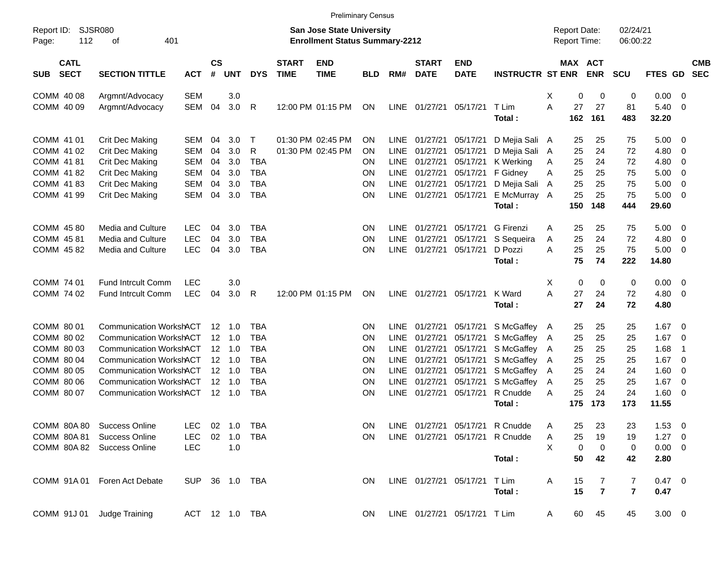|                                          |                                |                |                 |                |            |                             |                                                                           | <b>Preliminary Census</b> |             |                             |                              |                                 |     |                                     |                |                         |                |                         |                          |
|------------------------------------------|--------------------------------|----------------|-----------------|----------------|------------|-----------------------------|---------------------------------------------------------------------------|---------------------------|-------------|-----------------------------|------------------------------|---------------------------------|-----|-------------------------------------|----------------|-------------------------|----------------|-------------------------|--------------------------|
| Report ID:<br>112<br>Page:               | <b>SJSR080</b><br>401<br>of    |                |                 |                |            |                             | <b>San Jose State University</b><br><b>Enrollment Status Summary-2212</b> |                           |             |                             |                              |                                 |     | <b>Report Date:</b><br>Report Time: |                | 02/24/21<br>06:00:22    |                |                         |                          |
| <b>CATL</b><br><b>SECT</b><br><b>SUB</b> | <b>SECTION TITTLE</b>          | <b>ACT</b>     | <b>CS</b><br>#  | <b>UNT</b>     | <b>DYS</b> | <b>START</b><br><b>TIME</b> | <b>END</b><br><b>TIME</b>                                                 | <b>BLD</b>                | RM#         | <b>START</b><br><b>DATE</b> | <b>END</b><br><b>DATE</b>    | <b>INSTRUCTR ST ENR</b>         |     | MAX ACT                             | <b>ENR</b>     | <b>SCU</b>              | FTES GD        |                         | <b>CMB</b><br><b>SEC</b> |
| COMM 40 08                               | Argmnt/Advocacy                | <b>SEM</b>     |                 | 3.0            |            |                             |                                                                           |                           |             |                             |                              |                                 | X   | 0                                   | 0              | $\mathbf 0$             | 0.00           | - 0                     |                          |
| COMM 40 09                               | Argmnt/Advocacy                | <b>SEM</b>     | 04              | 3.0            | R          |                             | 12:00 PM 01:15 PM                                                         | ON                        | LINE        |                             | 01/27/21 05/17/21            | T Lim<br>Total:                 | A   | 27<br>162                           | 27<br>161      | 81<br>483               | 5.40<br>32.20  | $\mathbf 0$             |                          |
| COMM 41 01                               | Crit Dec Making                | SEM            | 04              | 3.0            | $\top$     |                             | 01:30 PM 02:45 PM                                                         | <b>ON</b>                 | <b>LINE</b> | 01/27/21                    | 05/17/21                     | D Mejia Sali A                  |     | 25                                  | 25             | 75                      | 5.00           | - 0                     |                          |
| COMM 41 02                               | Crit Dec Making                | <b>SEM</b>     | 04              | 3.0            | R          |                             | 01:30 PM 02:45 PM                                                         | ON                        | <b>LINE</b> | 01/27/21                    | 05/17/21                     | D Mejia Sali A                  |     | 25                                  | 24             | 72                      | 4.80           | $\mathbf 0$             |                          |
| COMM 41 81                               | Crit Dec Making                | <b>SEM</b>     | 04              | 3.0            | <b>TBA</b> |                             |                                                                           | ON                        | <b>LINE</b> | 01/27/21                    | 05/17/21                     | K Werking                       | A   | 25                                  | 24             | 72                      | 4.80           | $\mathbf 0$             |                          |
| COMM 41 82                               | Crit Dec Making                | <b>SEM</b>     | 04              | 3.0            | <b>TBA</b> |                             |                                                                           | ON                        | <b>LINE</b> | 01/27/21                    | 05/17/21                     | F Gidney                        | Α   | 25                                  | 25             | 75                      | 5.00           | $\mathbf 0$             |                          |
| COMM 41 83                               | Crit Dec Making                | <b>SEM</b>     | 04              | 3.0            | <b>TBA</b> |                             |                                                                           | <b>ON</b>                 | <b>LINE</b> | 01/27/21                    | 05/17/21                     | D Mejia Sali A                  |     | 25                                  | 25             | 75                      | 5.00           | $\mathbf 0$             |                          |
| COMM 41 99                               | Crit Dec Making                | <b>SEM</b>     | 04              | 3.0            | <b>TBA</b> |                             |                                                                           | <b>ON</b>                 | <b>LINE</b> | 01/27/21                    | 05/17/21                     | E McMurray A                    |     | 25                                  | 25             | 75                      | 5.00           | $\overline{0}$          |                          |
|                                          |                                |                |                 |                |            |                             |                                                                           |                           |             |                             |                              | Total:                          |     | 150                                 | 148            | 444                     | 29.60          |                         |                          |
| COMM 45 80                               | <b>Media and Culture</b>       | <b>LEC</b>     | 04              | 3.0            | <b>TBA</b> |                             |                                                                           | <b>ON</b>                 | <b>LINE</b> | 01/27/21                    | 05/17/21                     | G Firenzi                       | A   | 25                                  | 25             | 75                      | 5.00           | - 0                     |                          |
| COMM 45 81                               | <b>Media and Culture</b>       | <b>LEC</b>     | 04              | 3.0            | <b>TBA</b> |                             |                                                                           | ON                        | <b>LINE</b> | 01/27/21                    | 05/17/21                     | S Sequeira                      | Α   | 25                                  | 24             | 72                      | 4.80           | $\mathbf 0$             |                          |
| COMM 45 82                               | Media and Culture              | <b>LEC</b>     | 04              | 3.0            | <b>TBA</b> |                             |                                                                           | <b>ON</b>                 | <b>LINE</b> | 01/27/21                    | 05/17/21                     | D Pozzi                         | A   | 25                                  | 25             | 75                      | 5.00           | - 0                     |                          |
|                                          |                                |                |                 |                |            |                             |                                                                           |                           |             |                             |                              | Total:                          |     | 75                                  | 74             | 222                     | 14.80          |                         |                          |
| COMM 74 01                               | <b>Fund Intrcult Comm</b>      | <b>LEC</b>     |                 | 3.0            |            |                             |                                                                           |                           |             |                             |                              |                                 | X   | 0                                   | 0              | 0                       | 0.00           | $\overline{0}$          |                          |
| COMM 74 02                               | <b>Fund Intrcult Comm</b>      | <b>LEC</b>     | 04              | 3.0            | R          |                             | 12:00 PM 01:15 PM                                                         | ON                        | <b>LINE</b> |                             | 01/27/21 05/17/21            | K Ward                          | A   | 27                                  | 24             | 72                      | 4.80           | $\overline{0}$          |                          |
|                                          |                                |                |                 |                |            |                             |                                                                           |                           |             |                             |                              | Total:                          |     | 27                                  | 24             | 72                      | 4.80           |                         |                          |
| COMM 80 01                               | <b>Communication WorkshACT</b> |                | 12 <sup>°</sup> | 1.0            | <b>TBA</b> |                             |                                                                           | <b>ON</b>                 | <b>LINE</b> | 01/27/21                    | 05/17/21                     | S McGaffey A                    |     | 25                                  | 25             | 25                      | 1.67           | $\overline{\mathbf{0}}$ |                          |
| COMM 80 02                               | <b>Communication WorkshACT</b> |                | 12              | $-1.0$         | <b>TBA</b> |                             |                                                                           | ON                        | <b>LINE</b> | 01/27/21                    | 05/17/21                     | S McGaffey A                    |     | 25                                  | 25             | 25                      | 1.67           | $\mathbf 0$             |                          |
| COMM 80 03                               | <b>Communication WorkshACT</b> |                |                 | $12 \quad 1.0$ | <b>TBA</b> |                             |                                                                           | <b>ON</b>                 | <b>LINE</b> | 01/27/21                    | 05/17/21                     | S McGaffey A                    |     | 25                                  | 25             | 25                      | 1.68           | $\overline{1}$          |                          |
| COMM 80 04                               | <b>Communication WorkshACT</b> |                | 12              | - 1.0          | <b>TBA</b> |                             |                                                                           | ON                        | <b>LINE</b> | 01/27/21                    | 05/17/21                     | S McGaffey A                    |     | 25                                  | 25             | 25                      | 1.67           | $\overline{0}$          |                          |
| COMM 80 05                               | <b>Communication WorkshACT</b> |                |                 | $12 \quad 1.0$ | <b>TBA</b> |                             |                                                                           | <b>ON</b>                 | LINE        | 01/27/21                    | 05/17/21                     | S McGaffey A                    |     | 25                                  | 24             | 24                      | 1.60           | $\mathbf 0$             |                          |
| COMM 80 06                               | <b>Communication WorkshACT</b> |                |                 | $12 \quad 1.0$ | <b>TBA</b> |                             |                                                                           | <b>ON</b>                 | <b>LINE</b> | 01/27/21                    | 05/17/21                     | S McGaffey                      | - A | 25                                  | 25             | 25                      | 1.67           | $\overline{0}$          |                          |
| COMM 80 07                               | <b>Communication WorkshACT</b> |                | 12              | $-1.0$         | <b>TBA</b> |                             |                                                                           | ON                        | <b>LINE</b> | 01/27/21                    | 05/17/21                     | R Cnudde                        | A   | 25                                  | 24             | 24                      | 1.60           | $\overline{0}$          |                          |
|                                          |                                |                |                 |                |            |                             |                                                                           |                           |             |                             |                              | Total:                          |     | 175                                 | 173            | 173                     | 11.55          |                         |                          |
|                                          | COMM 80A 80 Success Online     | <b>LEC</b>     |                 | 02 1.0         | TBA        |                             |                                                                           | ΟN                        |             |                             |                              | LINE 01/27/21 05/17/21 R Cnudde |     | 25                                  | 23             | 23                      | $1.53 \t 0$    |                         |                          |
| COMM 80A 81                              | <b>Success Online</b>          | <b>LEC</b>     |                 | $02$ 1.0       | <b>TBA</b> |                             |                                                                           | <b>ON</b>                 |             |                             |                              | LINE 01/27/21 05/17/21 R Cnudde | Α   | 25                                  | 19             | 19                      | $1.27 \t 0$    |                         |                          |
|                                          | COMM 80A 82 Success Online     | <b>LEC</b>     |                 | 1.0            |            |                             |                                                                           |                           |             |                             |                              |                                 | X   | 0                                   | 0              | 0                       | $0.00 \t 0$    |                         |                          |
|                                          |                                |                |                 |                |            |                             |                                                                           |                           |             |                             |                              | Total:                          |     | 50                                  | 42             | 42                      | 2.80           |                         |                          |
|                                          | COMM 91A 01 Foren Act Debate   | SUP 36 1.0 TBA |                 |                |            |                             |                                                                           | ON                        |             |                             | LINE 01/27/21 05/17/21 T Lim |                                 | Α   | 15                                  | 7              | 7                       | $0.47 \quad 0$ |                         |                          |
|                                          |                                |                |                 |                |            |                             |                                                                           |                           |             |                             |                              | Total:                          |     | 15                                  | $\overline{7}$ | $\overline{\mathbf{r}}$ | 0.47           |                         |                          |
| COMM 91J 01 Judge Training               |                                | ACT 12 1.0 TBA |                 |                |            |                             |                                                                           | <b>ON</b>                 |             |                             | LINE 01/27/21 05/17/21 T Lim |                                 | A   | 60                                  | 45             | 45                      | $3.00 \t 0$    |                         |                          |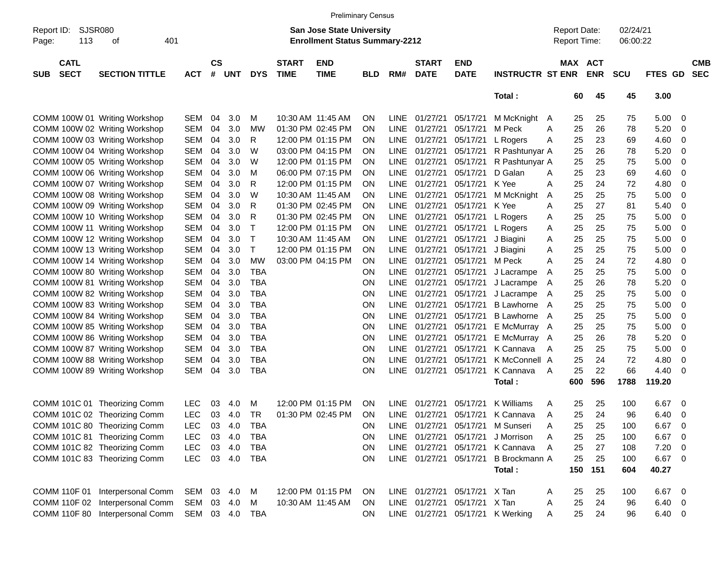|                     |                            |                                 |                |                    |            |            |                             | <b>Preliminary Census</b>                                                 |            |             |                             |                           |                                  |   |                                            |            |                      |               |                         |                          |
|---------------------|----------------------------|---------------------------------|----------------|--------------------|------------|------------|-----------------------------|---------------------------------------------------------------------------|------------|-------------|-----------------------------|---------------------------|----------------------------------|---|--------------------------------------------|------------|----------------------|---------------|-------------------------|--------------------------|
| Report ID:<br>Page: | SJSR080<br>113             | 401<br>οf                       |                |                    |            |            |                             | <b>San Jose State University</b><br><b>Enrollment Status Summary-2212</b> |            |             |                             |                           |                                  |   | <b>Report Date:</b><br><b>Report Time:</b> |            | 02/24/21<br>06:00:22 |               |                         |                          |
| <b>SUB</b>          | <b>CATL</b><br><b>SECT</b> | <b>SECTION TITTLE</b>           | <b>ACT</b>     | $\mathsf{cs}$<br># | <b>UNT</b> | <b>DYS</b> | <b>START</b><br><b>TIME</b> | <b>END</b><br><b>TIME</b>                                                 | <b>BLD</b> | RM#         | <b>START</b><br><b>DATE</b> | <b>END</b><br><b>DATE</b> | <b>INSTRUCTR ST ENR</b>          |   | MAX ACT                                    | <b>ENR</b> | <b>SCU</b>           | FTES GD       |                         | <b>CMB</b><br><b>SEC</b> |
|                     |                            |                                 |                |                    |            |            |                             |                                                                           |            |             |                             |                           | Total:                           |   | 60                                         | 45         | 45                   | 3.00          |                         |                          |
|                     |                            | COMM 100W 01 Writing Workshop   | <b>SEM</b>     | 04                 | 3.0        | M          |                             | 10:30 AM 11:45 AM                                                         | <b>ON</b>  |             | LINE 01/27/21               | 05/17/21                  | M McKnight A                     |   | 25                                         | 25         | 75                   | 5.00          | - 0                     |                          |
|                     |                            | COMM 100W 02 Writing Workshop   | <b>SEM</b>     | 04                 | 3.0        | <b>MW</b>  |                             | 01:30 PM 02:45 PM                                                         | <b>ON</b>  | <b>LINE</b> | 01/27/21                    | 05/17/21                  | M Peck                           | A | 25                                         | 26         | 78                   | 5.20          | 0                       |                          |
|                     |                            | COMM 100W 03 Writing Workshop   | <b>SEM</b>     | 04                 | 3.0        | R          |                             | 12:00 PM 01:15 PM                                                         | <b>ON</b>  | LINE        | 01/27/21                    | 05/17/21                  | L Rogers                         | Α | 25                                         | 23         | 69                   | 4.60          | 0                       |                          |
|                     |                            | COMM 100W 04 Writing Workshop   | <b>SEM</b>     | 04                 | 3.0        | W          |                             | 03:00 PM 04:15 PM                                                         | ON         | LINE        | 01/27/21                    | 05/17/21                  | R Pashtunyar A                   |   | 25                                         | 26         | 78                   | 5.20          | $\mathbf 0$             |                          |
|                     |                            | COMM 100W 05 Writing Workshop   | <b>SEM</b>     | 04                 | 3.0        | W          |                             | 12:00 PM 01:15 PM                                                         | <b>ON</b>  | LINE        | 01/27/21                    | 05/17/21                  | R Pashtunyar A                   |   | 25                                         | 25         | 75                   | 5.00          | 0                       |                          |
|                     |                            | COMM 100W 06 Writing Workshop   | <b>SEM</b>     | 04                 | 3.0        | м          |                             | 06:00 PM 07:15 PM                                                         | <b>ON</b>  | <b>LINE</b> | 01/27/21                    | 05/17/21                  | D Galan                          | A | 25                                         | 23         | 69                   | 4.60          | 0                       |                          |
|                     |                            | COMM 100W 07 Writing Workshop   | <b>SEM</b>     | 04                 | 3.0        | R          |                             | 12:00 PM 01:15 PM                                                         | <b>ON</b>  | <b>LINE</b> | 01/27/21                    | 05/17/21                  | K Yee                            | A | 25                                         | 24         | 72                   | 4.80          | $\mathbf 0$             |                          |
|                     |                            | COMM 100W 08 Writing Workshop   | <b>SEM</b>     | 04                 | 3.0        | W          |                             | 10:30 AM 11:45 AM                                                         | <b>ON</b>  | <b>LINE</b> | 01/27/21                    | 05/17/21                  | M McKnight                       | A | 25                                         | 25         | 75                   | 5.00          | 0                       |                          |
|                     |                            | COMM 100W 09 Writing Workshop   | <b>SEM</b>     | 04                 | 3.0        | R          |                             | 01:30 PM 02:45 PM                                                         | <b>ON</b>  | LINE        | 01/27/21                    | 05/17/21                  | K Yee                            | A | 25                                         | 27         | 81                   | 5.40          | 0                       |                          |
|                     |                            | COMM 100W 10 Writing Workshop   | <b>SEM</b>     | 04                 | 3.0        | R          |                             | 01:30 PM 02:45 PM                                                         | ON         | <b>LINE</b> | 01/27/21                    | 05/17/21                  | L Rogers                         | Α | 25                                         | 25         | 75                   | 5.00          | $\mathbf 0$             |                          |
|                     |                            | COMM 100W 11 Writing Workshop   | <b>SEM</b>     | 04                 | 3.0        | Τ          |                             | 12:00 PM 01:15 PM                                                         | ON         | <b>LINE</b> | 01/27/21                    | 05/17/21                  | L Rogers                         | Α | 25                                         | 25         | 75                   | 5.00          | $\mathbf 0$             |                          |
|                     |                            | COMM 100W 12 Writing Workshop   | <b>SEM</b>     | 04                 | 3.0        | Т          |                             | 10:30 AM 11:45 AM                                                         | <b>ON</b>  | LINE        | 01/27/21                    | 05/17/21                  | J Biagini                        | A | 25                                         | 25         | 75                   | 5.00          | 0                       |                          |
|                     |                            | COMM 100W 13 Writing Workshop   | <b>SEM</b>     | 04                 | 3.0        | т          |                             | 12:00 PM 01:15 PM                                                         | <b>ON</b>  | <b>LINE</b> | 01/27/21                    | 05/17/21                  | J Biagini                        | A | 25                                         | 25         | 75                   | 5.00          | $\mathbf 0$             |                          |
|                     |                            | COMM 100W 14 Writing Workshop   | <b>SEM</b>     | 04                 | 3.0        | <b>MW</b>  |                             | 03:00 PM 04:15 PM                                                         | <b>ON</b>  | <b>LINE</b> | 01/27/21                    | 05/17/21                  | M Peck                           | A | 25                                         | 24         | 72                   | 4.80          | $\mathbf 0$             |                          |
|                     |                            | COMM 100W 80 Writing Workshop   | <b>SEM</b>     | 04                 | 3.0        | <b>TBA</b> |                             |                                                                           | <b>ON</b>  | LINE        | 01/27/21                    | 05/17/21                  | J Lacrampe                       | A | 25                                         | 25         | 75                   | 5.00          | 0                       |                          |
|                     |                            | COMM 100W 81 Writing Workshop   | <b>SEM</b>     | 04                 | 3.0        | <b>TBA</b> |                             |                                                                           | ON         | LINE        | 01/27/21                    | 05/17/21                  | J Lacrampe                       | A | 25                                         | 26         | 78                   | 5.20          | $\mathbf 0$             |                          |
|                     |                            | COMM 100W 82 Writing Workshop   | <b>SEM</b>     | 04                 | 3.0        | <b>TBA</b> |                             |                                                                           | ON         | <b>LINE</b> | 01/27/21                    | 05/17/21                  | J Lacrampe                       | A | 25                                         | 25         | 75                   | 5.00          | $\mathbf 0$             |                          |
|                     |                            | COMM 100W 83 Writing Workshop   | <b>SEM</b>     | 04                 | 3.0        | <b>TBA</b> |                             |                                                                           | ON         | <b>LINE</b> | 01/27/21                    | 05/17/21                  | <b>B</b> Lawhorne                | A | 25                                         | 25         | 75                   | 5.00          | 0                       |                          |
|                     |                            | COMM 100W 84 Writing Workshop   | <b>SEM</b>     | 04                 | 3.0        | <b>TBA</b> |                             |                                                                           | ON         | <b>LINE</b> | 01/27/21                    | 05/17/21                  | <b>B</b> Lawhorne                | A | 25                                         | 25         | 75                   | 5.00          | 0                       |                          |
|                     |                            | COMM 100W 85 Writing Workshop   | <b>SEM</b>     | 04                 | 3.0        | <b>TBA</b> |                             |                                                                           | ON         | <b>LINE</b> | 01/27/21                    | 05/17/21                  | E McMurray A                     |   | 25                                         | 25         | 75                   | 5.00          | $\mathbf 0$             |                          |
|                     |                            | COMM 100W 86 Writing Workshop   | <b>SEM</b>     | 04                 | 3.0        | <b>TBA</b> |                             |                                                                           | ON         | <b>LINE</b> | 01/27/21                    | 05/17/21                  | E McMurray A                     |   | 25                                         | 26         | 78                   | 5.20          | 0                       |                          |
|                     |                            | COMM 100W 87 Writing Workshop   | <b>SEM</b>     | 04                 | 3.0        | <b>TBA</b> |                             |                                                                           | ON         | <b>LINE</b> | 01/27/21                    | 05/17/21                  | K Cannava                        | A | 25                                         | 25         | 75                   | 5.00          | 0                       |                          |
|                     |                            | COMM 100W 88 Writing Workshop   | <b>SEM</b>     | 04                 | 3.0        | <b>TBA</b> |                             |                                                                           | ON         | <b>LINE</b> | 01/27/21                    | 05/17/21                  | K McConnell A                    |   | 25                                         | 24         | 72                   | 4.80          | 0                       |                          |
|                     |                            | COMM 100W 89 Writing Workshop   | <b>SEM</b>     | 04                 | 3.0        | <b>TBA</b> |                             |                                                                           | ON         | <b>LINE</b> | 01/27/21                    | 05/17/21                  | K Cannava                        | A | 25                                         | 22         | 66                   | 4.40          | - 0                     |                          |
|                     |                            |                                 |                |                    |            |            |                             |                                                                           |            |             |                             |                           | Total:                           |   | 600                                        | 596        | 1788                 | 119.20        |                         |                          |
|                     |                            | COMM 101C 01 Theorizing Comm    | <b>LEC</b>     | 03                 | 4.0        | M          |                             | 12:00 PM 01:15 PM                                                         | <b>ON</b>  | LINE.       | 01/27/21                    | 05/17/21                  | K Williams                       | A | 25                                         | 25         | 100                  | 6.67          | 0                       |                          |
|                     |                            | COMM 101C 02 Theorizing Comm    | <b>LEC</b>     | 03                 | 4.0        | <b>TR</b>  |                             | 01:30 PM 02:45 PM                                                         | <b>ON</b>  |             | LINE 01/27/21               | 05/17/21                  | K Cannava                        | A | 25                                         | 24         | 96                   | 6.40          | 0                       |                          |
|                     |                            | COMM 101C 80 Theorizing Comm    | <b>LEC</b>     | 03                 | 4.0        | <b>TBA</b> |                             |                                                                           | ON         |             | LINE 01/27/21               |                           | 05/17/21 M Sunseri               | Α | 25                                         | 25         | 100                  | 6.67          | $\overline{\mathbf{0}}$ |                          |
|                     |                            | COMM 101C 81 Theorizing Comm    | <b>LEC</b>     |                    | 03 4.0     | <b>TBA</b> |                             |                                                                           | ON         |             | LINE 01/27/21               | 05/17/21                  | J Morrison                       | A | 25                                         | 25         | 100                  | 6.67          | $\overline{\mathbf{0}}$ |                          |
|                     |                            | COMM 101C 82 Theorizing Comm    | <b>LEC</b>     |                    | 03 4.0     | <b>TBA</b> |                             |                                                                           | ON         |             | LINE 01/27/21               |                           | 05/17/21 K Cannava               | A | 25                                         | 27         | 108                  | $7.20 \t 0$   |                         |                          |
|                     |                            | COMM 101C 83 Theorizing Comm    | <b>LEC</b>     |                    | 03 4.0     | TBA        |                             |                                                                           | ON         |             | LINE 01/27/21               |                           | 05/17/21 B Brockmann A           |   | 25                                         | 25         | 100                  | $6.67$ 0      |                         |                          |
|                     |                            |                                 |                |                    |            |            |                             |                                                                           |            |             |                             |                           | Total:                           |   | 150                                        | 151        | 604                  | 40.27         |                         |                          |
|                     |                            | COMM 110F 01 Interpersonal Comm | SEM 03 4.0     |                    |            | M          |                             | 12:00 PM 01:15 PM                                                         | <b>ON</b>  |             | LINE 01/27/21               | 05/17/21 X Tan            |                                  | A | 25                                         | 25         | 100                  | 6.67          | $\overline{\mathbf{0}}$ |                          |
|                     |                            | COMM 110F 02 Interpersonal Comm | SEM 03 4.0     |                    |            | M          |                             | 10:30 AM 11:45 AM                                                         | ON.        |             | LINE 01/27/21               | 05/17/21 X Tan            |                                  | A | 25                                         | 24         | 96                   | $6.40\quad 0$ |                         |                          |
|                     |                            | COMM 110F 80 Interpersonal Comm | SEM 03 4.0 TBA |                    |            |            |                             |                                                                           | <b>ON</b>  |             |                             |                           | LINE 01/27/21 05/17/21 K Werking | A | 25                                         | 24         | 96                   | $6.40\quad 0$ |                         |                          |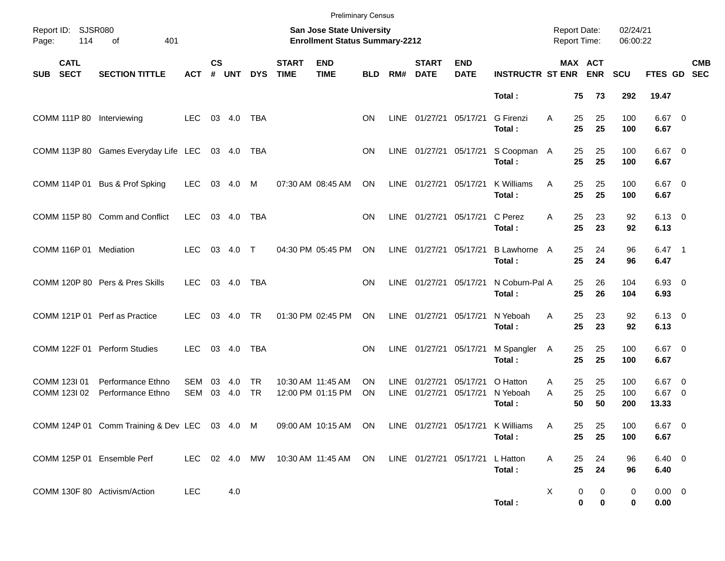|                                          |                                               |                   |                    |            |                  |                             | <b>Preliminary Census</b>                                          |                        |                     |                             |                           |                                |                                            |                                  |                      |                               |                          |
|------------------------------------------|-----------------------------------------------|-------------------|--------------------|------------|------------------|-----------------------------|--------------------------------------------------------------------|------------------------|---------------------|-----------------------------|---------------------------|--------------------------------|--------------------------------------------|----------------------------------|----------------------|-------------------------------|--------------------------|
| 114<br>Page:                             | Report ID: SJSR080<br>401<br>of               |                   |                    |            |                  |                             | San Jose State University<br><b>Enrollment Status Summary-2212</b> |                        |                     |                             |                           |                                | <b>Report Date:</b><br><b>Report Time:</b> |                                  | 02/24/21<br>06:00:22 |                               |                          |
| <b>CATL</b><br><b>SECT</b><br><b>SUB</b> | <b>SECTION TITTLE</b>                         | ACT               | $\mathsf{cs}$<br># | <b>UNT</b> | <b>DYS</b>       | <b>START</b><br><b>TIME</b> | <b>END</b><br><b>TIME</b>                                          | <b>BLD</b>             | RM#                 | <b>START</b><br><b>DATE</b> | <b>END</b><br><b>DATE</b> | <b>INSTRUCTR ST ENR</b>        |                                            | MAX ACT<br><b>ENR</b>            | <b>SCU</b>           | FTES GD                       | <b>CMB</b><br><b>SEC</b> |
|                                          |                                               |                   |                    |            |                  |                             |                                                                    |                        |                     |                             |                           | Total:                         |                                            | 75<br>73                         | 292                  | 19.47                         |                          |
| <b>COMM 111P 80</b>                      | Interviewing                                  | <b>LEC</b>        |                    | 03 4.0     | TBA              |                             |                                                                    | <b>ON</b>              |                     | LINE 01/27/21 05/17/21      |                           | <b>G</b> Firenzi<br>Total:     | A                                          | 25<br>25<br>25<br>25             | 100<br>100           | $6.67$ 0<br>6.67              |                          |
|                                          | COMM 113P 80 Games Everyday Life LEC          |                   |                    | 03 4.0     | TBA              |                             |                                                                    | <b>ON</b>              |                     | LINE 01/27/21 05/17/21      |                           | S Coopman A<br>Total:          |                                            | 25<br>25<br>25<br>25             | 100<br>100           | $6.67$ 0<br>6.67              |                          |
|                                          | COMM 114P 01 Bus & Prof Spking                | <b>LEC</b>        | 03                 | 4.0        | M                |                             | 07:30 AM 08:45 AM                                                  | ON                     | <b>LINE</b>         | 01/27/21                    | 05/17/21                  | K Williams<br>Total:           | A                                          | 25<br>25<br>25<br>25             | 100<br>100           | $6.67$ 0<br>6.67              |                          |
|                                          | COMM 115P 80 Comm and Conflict                | <b>LEC</b>        |                    | 03 4.0     | TBA              |                             |                                                                    | <b>ON</b>              |                     | LINE 01/27/21 05/17/21      |                           | C Perez<br>Total:              | A                                          | 25<br>23<br>25<br>23             | 92<br>92             | $6.13 \quad 0$<br>6.13        |                          |
| COMM 116P 01 Mediation                   |                                               | <b>LEC</b>        |                    | 03 4.0 T   |                  |                             | 04:30 PM 05:45 PM                                                  | ON                     |                     | LINE 01/27/21               | 05/17/21                  | B Lawhorne A<br>Total:         |                                            | 25<br>24<br>25<br>24             | 96<br>96             | $6.47$ 1<br>6.47              |                          |
|                                          | COMM 120P 80 Pers & Pres Skills               | <b>LEC</b>        |                    | 03 4.0     | TBA              |                             |                                                                    | <b>ON</b>              | <b>LINE</b>         | 01/27/21 05/17/21           |                           | N Coburn-Pal A<br>Total:       |                                            | 25<br>26<br>25<br>26             | 104<br>104           | $6.93$ 0<br>6.93              |                          |
| COMM 121P 01 Perf as Practice            |                                               | <b>LEC</b>        |                    | 03 4.0     | <b>TR</b>        |                             | 01:30 PM 02:45 PM                                                  | ON                     |                     | LINE 01/27/21               | 05/17/21                  | N Yeboah<br>Total:             | A                                          | 25<br>23<br>25<br>23             | 92<br>92             | $6.13 \quad 0$<br>6.13        |                          |
|                                          | COMM 122F 01 Perform Studies                  | <b>LEC</b>        |                    | 03 4.0     | TBA              |                             |                                                                    | <b>ON</b>              | LINE                | 01/27/21                    | 05/17/21                  | M Spangler<br>Total:           | A                                          | 25<br>25<br>25<br>25             | 100<br>100           | $6.67$ 0<br>6.67              |                          |
| COMM 123I 01<br>COMM 123I 02             | Performance Ethno<br>Performance Ethno        | SEM<br><b>SEM</b> | 03<br>03           | 4.0<br>4.0 | TR.<br><b>TR</b> |                             | 10:30 AM 11:45 AM<br>12:00 PM 01:15 PM                             | <b>ON</b><br><b>ON</b> | <b>LINE</b><br>LINE | 01/27/21<br>01/27/21        | 05/17/21<br>05/17/21      | O Hatton<br>N Yeboah<br>Total: | A<br>A                                     | 25<br>25<br>25<br>25<br>50<br>50 | 100<br>100<br>200    | $6.67$ 0<br>$6.67$ 0<br>13.33 |                          |
|                                          | COMM 124P 01 Comm Training & Dev LEC 03 4.0 M |                   |                    |            |                  |                             | 09:00 AM 10:15 AM ON LINE 01/27/21 05/17/21 K Williams             |                        |                     |                             |                           | Total:                         | Α                                          | 25<br>25<br>25<br>25             | 100<br>100           | 6.67 0<br>6.67                |                          |
| COMM 125P 01 Ensemble Perf               |                                               | LEC 02 4.0 MW     |                    |            |                  |                             | 10:30 AM 11:45 AM ON                                               |                        |                     | LINE 01/27/21 05/17/21      |                           | L Hatton<br>Total:             | A                                          | 24<br>25<br>25<br>24             | 96<br>96             | $6.40 \quad 0$<br>6.40        |                          |
| COMM 130F 80 Activism/Action             |                                               | <b>LEC</b>        |                    | 4.0        |                  |                             |                                                                    |                        |                     |                             |                           | Total:                         | X                                          | 0<br>0<br>0<br>0                 | 0<br>0               | $0.00 \t 0$<br>0.00           |                          |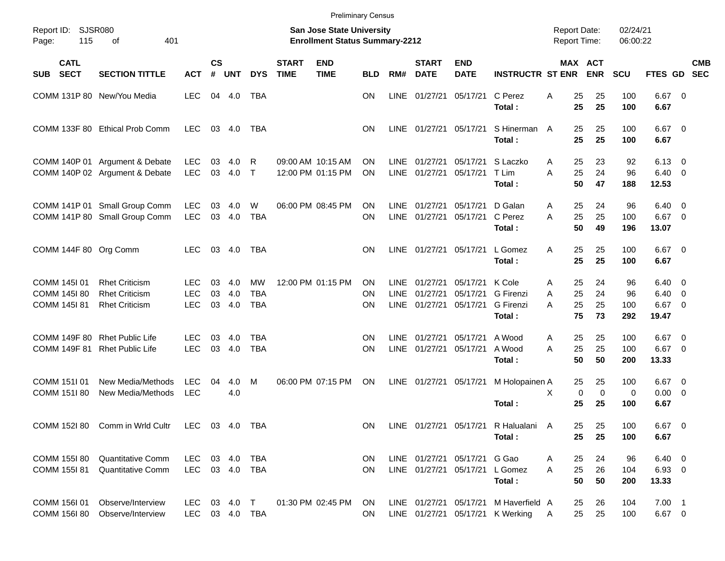|                                              |                                                                         |                                        |                |                   |                                       |                                                                           | <b>Preliminary Census</b>              |                |                                    |                                  |                                  |                                                                           |             |                                              |                        |                                         |                                                      |                          |
|----------------------------------------------|-------------------------------------------------------------------------|----------------------------------------|----------------|-------------------|---------------------------------------|---------------------------------------------------------------------------|----------------------------------------|----------------|------------------------------------|----------------------------------|----------------------------------|---------------------------------------------------------------------------|-------------|----------------------------------------------|------------------------|-----------------------------------------|------------------------------------------------------|--------------------------|
| <b>SJSR080</b><br>Report ID:<br>115<br>Page: |                                                                         |                                        |                |                   |                                       | <b>San Jose State University</b><br><b>Enrollment Status Summary-2212</b> |                                        |                |                                    |                                  |                                  | <b>Report Date:</b><br><b>Report Time:</b>                                |             | 02/24/21<br>06:00:22                         |                        |                                         |                                                      |                          |
| <b>CATL</b><br><b>SECT</b><br><b>SUB</b>     | <b>SECTION TITTLE</b>                                                   | <b>ACT</b>                             | <b>CS</b><br># | <b>UNT</b>        | <b>DYS</b>                            | <b>START</b><br><b>TIME</b>                                               | <b>END</b><br><b>TIME</b>              | <b>BLD</b>     | RM#                                | <b>START</b><br><b>DATE</b>      | <b>END</b><br><b>DATE</b>        | <b>INSTRUCTR ST ENR</b>                                                   |             | MAX ACT<br><b>ENR</b>                        | SCU                    | <b>FTES GD</b>                          |                                                      | <b>CMB</b><br><b>SEC</b> |
|                                              | COMM 131P 80 New/You Media                                              | <b>LEC</b>                             | 04             | 4.0               | TBA                                   |                                                                           |                                        | <b>ON</b>      | LINE                               | 01/27/21                         | 05/17/21                         | C Perez<br>Total:                                                         | A           | 25<br>25<br>25<br>25                         | 100<br>100             | $6.67$ 0<br>6.67                        |                                                      |                          |
|                                              | COMM 133F 80 Ethical Prob Comm                                          | <b>LEC</b>                             | 03             | 4.0               | TBA                                   |                                                                           |                                        | ΟN             | <b>LINE</b>                        |                                  | 01/27/21 05/17/21                | S Hinerman A<br>Total:                                                    |             | 25<br>25<br>25<br>25                         | 100<br>100             | $6.67$ 0<br>6.67                        |                                                      |                          |
|                                              | COMM 140P 01 Argument & Debate<br>COMM 140P 02 Argument & Debate        | <b>LEC</b><br><b>LEC</b>               | 03<br>03       | 4.0<br>4.0        | $\mathsf{R}$<br>$\top$                |                                                                           | 09:00 AM 10:15 AM<br>12:00 PM 01:15 PM | ΟN<br>ΟN       | <b>LINE</b><br><b>LINE</b>         | 01/27/21<br>01/27/21             | 05/17/21<br>05/17/21             | S Laczko<br>T Lim<br>Total:                                               | A<br>A      | 25<br>23<br>25<br>24<br>50<br>47             | 92<br>96<br>188        | 6.13<br>6.40<br>12.53                   | $\overline{\phantom{0}}$<br>$\overline{\phantom{0}}$ |                          |
|                                              | COMM 141P 01 Small Group Comm<br>COMM 141P 80 Small Group Comm          | <b>LEC</b><br><b>LEC</b>               | 03<br>03       | 4.0<br>4.0        | W<br><b>TBA</b>                       |                                                                           | 06:00 PM 08:45 PM                      | ΟN<br>ON       | <b>LINE</b><br><b>LINE</b>         | 01/27/21<br>01/27/21             | 05/17/21<br>05/17/21             | D Galan<br>C Perez<br>Total:                                              | A<br>A      | 25<br>24<br>25<br>25<br>50<br>49             | 96<br>100<br>196       | $6.40 \quad 0$<br>6.67<br>13.07         | $\overline{\phantom{0}}$                             |                          |
| COMM 144F 80 Org Comm                        |                                                                         | <b>LEC</b>                             | 03             | 4.0               | <b>TBA</b>                            |                                                                           |                                        | ΟN             | <b>LINE</b>                        | 01/27/21 05/17/21                |                                  | L Gomez<br>Total:                                                         | A           | 25<br>25<br>25<br>25                         | 100<br>100             | $6.67$ 0<br>6.67                        |                                                      |                          |
| COMM 145I 01<br>COMM 145I 80<br>COMM 145I 81 | <b>Rhet Criticism</b><br><b>Rhet Criticism</b><br><b>Rhet Criticism</b> | <b>LEC</b><br><b>LEC</b><br><b>LEC</b> | 03<br>03<br>03 | 4.0<br>4.0<br>4.0 | <b>MW</b><br><b>TBA</b><br><b>TBA</b> |                                                                           | 12:00 PM 01:15 PM                      | ΟN<br>ON<br>ON | LINE<br><b>LINE</b><br><b>LINE</b> | 01/27/21<br>01/27/21<br>01/27/21 | 05/17/21<br>05/17/21<br>05/17/21 | K Cole<br>G Firenzi<br>G Firenzi<br>Total:                                | A<br>A<br>A | 25<br>24<br>25<br>24<br>25<br>25<br>75<br>73 | 96<br>96<br>100<br>292 | $6.40 \quad 0$<br>6.40<br>6.67<br>19.47 | $\overline{\phantom{0}}$<br>$\overline{\phantom{0}}$ |                          |
| COMM 149F 80 Rhet Public Life                | COMM 149F 81 Rhet Public Life                                           | <b>LEC</b><br><b>LEC</b>               | 03<br>03       | 4.0<br>4.0        | <b>TBA</b><br><b>TBA</b>              |                                                                           |                                        | ΟN<br>ON       | <b>LINE</b><br><b>LINE</b>         | 01/27/21<br>01/27/21             | 05/17/21<br>05/17/21             | A Wood<br>A Wood<br>Total:                                                | A<br>A      | 25<br>25<br>25<br>25<br>50<br>50             | 100<br>100<br>200      | 6.67<br>6.67<br>13.33                   | $\overline{\phantom{0}}$<br>$\overline{\phantom{0}}$ |                          |
| COMM 151101<br>COMM 151I 80                  | New Media/Methods<br>New Media/Methods                                  | <b>LEC</b><br><b>LEC</b>               | 04             | 4.0<br>4.0        | M                                     |                                                                           | 06:00 PM 07:15 PM                      | ON             | <b>LINE</b>                        | 01/27/21                         | 05/17/21                         | M Holopainen A<br>Total:                                                  | X           | 25<br>25<br>0<br>0<br>25<br>25               | 100<br>0<br>100        | 6.67<br>$0.00 \ 0$<br>6.67              | $\overline{\phantom{0}}$                             |                          |
|                                              | COMM 152I 80 Comm in Wrld Cultr                                         | LEC 03 4.0 TBA                         |                |                   |                                       |                                                                           |                                        | ON             |                                    |                                  |                                  | LINE 01/27/21 05/17/21 R Halualani A<br>Total:                            |             | 25<br>25<br>25<br>25                         | 100<br>100             | $6.67$ 0<br>6.67                        |                                                      |                          |
| COMM 155I 80<br><b>COMM 155I 81</b>          | <b>Quantitative Comm</b><br><b>Quantitative Comm</b>                    | LEC<br>LEC 03 4.0 TBA                  |                | 03 4.0            | TBA                                   |                                                                           |                                        | ON.<br>ON.     |                                    |                                  | LINE 01/27/21 05/17/21 G Gao     | LINE 01/27/21 05/17/21 L Gomez<br>Total:                                  | A<br>A      | 25<br>24<br>25<br>26<br>50<br>50             | 96<br>104<br>200       | $6.40\ 0$<br>$6.93$ 0<br>13.33          |                                                      |                          |
| COMM 156I 01<br><b>COMM 156I 80</b>          | Observe/Interview<br>Observe/Interview                                  | LEC<br>LEC 03 4.0 TBA                  |                | 03 4.0 T          |                                       |                                                                           | 01:30 PM 02:45 PM                      | ON.<br>ON.     |                                    |                                  |                                  | LINE 01/27/21 05/17/21 M Haverfield A<br>LINE 01/27/21 05/17/21 K Werking | - A         | 25<br>26<br>25<br>25                         | 104<br>100             | $7.00$ 1<br>6.67 0                      |                                                      |                          |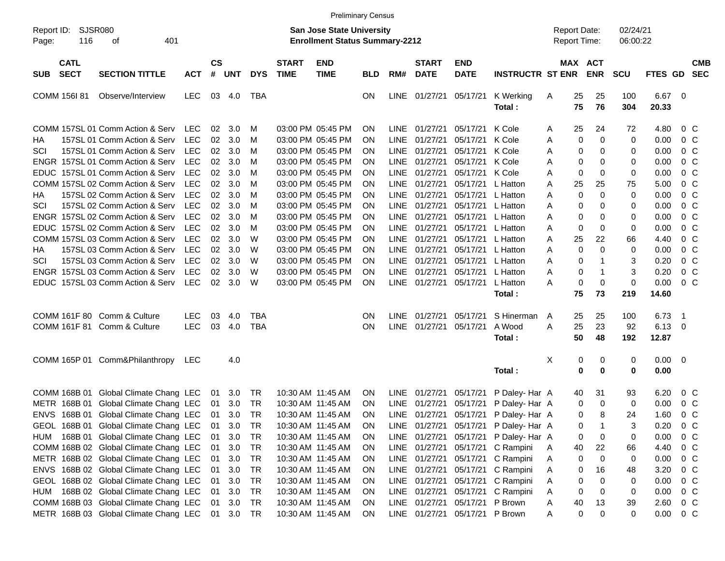|                                          |                                       |            |                    |            |            |                             | <b>Preliminary Census</b>                                                 |            |             |                             |                                |                                       |                                     |          |                       |                      |                |                         |                          |
|------------------------------------------|---------------------------------------|------------|--------------------|------------|------------|-----------------------------|---------------------------------------------------------------------------|------------|-------------|-----------------------------|--------------------------------|---------------------------------------|-------------------------------------|----------|-----------------------|----------------------|----------------|-------------------------|--------------------------|
| Report ID:<br>Page:                      | SJSR080<br>401<br>116<br>οf           |            |                    |            |            |                             | <b>San Jose State University</b><br><b>Enrollment Status Summary-2212</b> |            |             |                             |                                |                                       | <b>Report Date:</b><br>Report Time: |          |                       | 02/24/21<br>06:00:22 |                |                         |                          |
| <b>CATL</b><br><b>SECT</b><br><b>SUB</b> | <b>SECTION TITTLE</b>                 | <b>ACT</b> | $\mathsf{cs}$<br># | <b>UNT</b> | <b>DYS</b> | <b>START</b><br><b>TIME</b> | <b>END</b><br><b>TIME</b>                                                 | <b>BLD</b> | RM#         | <b>START</b><br><b>DATE</b> | <b>END</b><br><b>DATE</b>      | <b>INSTRUCTR ST ENR</b>               |                                     |          | MAX ACT<br><b>ENR</b> | <b>SCU</b>           | <b>FTES GD</b> |                         | <b>CMB</b><br><b>SEC</b> |
| <b>COMM 156I 81</b>                      | Observe/Interview                     | <b>LEC</b> |                    | 03 4.0     | TBA        |                             |                                                                           | ON.        |             | LINE 01/27/21               | 05/17/21                       | K Werking<br>Total:                   | A                                   | 25<br>75 | 25<br>76              | 100<br>304           | 6.67<br>20.33  | - 0                     |                          |
|                                          | COMM 157SL 01 Comm Action & Serv      | <b>LEC</b> | 02                 | 3.0        | M          |                             | 03:00 PM 05:45 PM                                                         | ON.        | LINE        | 01/27/21                    | 05/17/21                       | K Cole                                | A                                   | 25       | 24                    | 72                   | 4.80           | $0\,$ C                 |                          |
| HA                                       | 157SL 01 Comm Action & Serv           | <b>LEC</b> | 02                 | 3.0        | M          |                             | 03:00 PM 05:45 PM                                                         | ΟN         | <b>LINE</b> | 01/27/21                    | 05/17/21                       | K Cole                                | A                                   | 0        | $\mathbf 0$           | 0                    | 0.00           | 0 <sup>C</sup>          |                          |
| SCI                                      | 157SL 01 Comm Action & Serv           | <b>LEC</b> | 02                 | 3.0        | M          |                             | 03:00 PM 05:45 PM                                                         | 0N         | <b>LINE</b> | 01/27/21                    | 05/17/21                       | K Cole                                | A                                   | 0        | 0                     | 0                    | 0.00           | 0 <sup>C</sup>          |                          |
|                                          | ENGR 157SL 01 Comm Action & Serv      | <b>LEC</b> | 02                 | 3.0        | M          |                             | 03:00 PM 05:45 PM                                                         | 0N         | <b>LINE</b> | 01/27/21                    | 05/17/21                       | K Cole                                | A                                   | 0        | 0                     | 0                    | 0.00           | 0 <sup>o</sup>          |                          |
|                                          | EDUC 157SL 01 Comm Action & Serv      | <b>LEC</b> | 02                 | 3.0        | M          |                             | 03:00 PM 05:45 PM                                                         | ON         | <b>LINE</b> | 01/27/21                    | 05/17/21                       | K Cole                                | A                                   | 0        | 0                     | 0                    | 0.00           | 0 <sup>o</sup>          |                          |
|                                          | COMM 157SL 02 Comm Action & Serv      | <b>LEC</b> | 02                 | 3.0        | M          |                             | 03:00 PM 05:45 PM                                                         | ON         | <b>LINE</b> | 01/27/21                    | 05/17/21                       | L Hatton                              | A                                   | 25       | 25                    | 75                   | 5.00           | 0 <sup>o</sup>          |                          |
| НA                                       | 157SL 02 Comm Action & Serv           | <b>LEC</b> | 02                 | 3.0        | M          |                             | 03:00 PM 05:45 PM                                                         | ON         | <b>LINE</b> | 01/27/21                    | 05/17/21                       | L Hatton                              | A                                   | 0        | $\mathbf 0$           | 0                    | 0.00           | 0 <sup>o</sup>          |                          |
| SCI                                      | 157SL 02 Comm Action & Serv           | <b>LEC</b> | 02                 | 3.0        | M          |                             | 03:00 PM 05:45 PM                                                         | ON         | <b>LINE</b> | 01/27/21                    | 05/17/21                       | L Hatton                              | A                                   | 0        | 0                     | 0                    | 0.00           | 0 <sup>o</sup>          |                          |
|                                          | ENGR 157SL 02 Comm Action & Serv      | <b>LEC</b> | 02                 | 3.0        | M          |                             | 03:00 PM 05:45 PM                                                         | ON         | <b>LINE</b> | 01/27/21                    | 05/17/21                       | L Hatton                              | A                                   | 0        | 0                     | 0                    | 0.00           | 0 <sup>o</sup>          |                          |
|                                          | EDUC 157SL 02 Comm Action & Serv      | <b>LEC</b> | 02                 | 3.0        | M          |                             | 03:00 PM 05:45 PM                                                         | ON         | <b>LINE</b> | 01/27/21                    | 05/17/21                       | L Hatton                              | A                                   | 0        | 0                     | 0                    | 0.00           | 0 <sup>o</sup>          |                          |
|                                          | COMM 157SL 03 Comm Action & Serv      | <b>LEC</b> | 02                 | 3.0        | W          |                             | 03:00 PM 05:45 PM                                                         | ON         | <b>LINE</b> | 01/27/21                    | 05/17/21                       | L Hatton                              | A                                   | 25       | 22                    | 66                   | 4.40           | 0 <sup>o</sup>          |                          |
| HA                                       | 157SL 03 Comm Action & Serv           | <b>LEC</b> | 02                 | 3.0        | W          |                             | 03:00 PM 05:45 PM                                                         | ΟN         | <b>LINE</b> | 01/27/21                    | 05/17/21                       | L Hatton                              | A                                   | 0        | $\mathbf 0$           | 0                    | 0.00           | 0 <sup>o</sup>          |                          |
| SCI                                      | 157SL 03 Comm Action & Serv           | <b>LEC</b> | 02                 | 3.0        | W          |                             | 03:00 PM 05:45 PM                                                         | ON         | <b>LINE</b> | 01/27/21                    | 05/17/21                       | L Hatton                              | A                                   | 0        | 1                     | 3                    | 0.20           | 0 <sup>o</sup>          |                          |
|                                          | ENGR 157SL 03 Comm Action & Serv      | <b>LEC</b> | 02                 | 3.0        | W          |                             | 03:00 PM 05:45 PM                                                         | 0N         | LINE        | 01/27/21                    | 05/17/21                       | L Hatton                              | A                                   | 0        | $\mathbf{1}$          | 3                    | 0.20           | 0 <sup>o</sup>          |                          |
|                                          | EDUC 157SL 03 Comm Action & Serv      | <b>LEC</b> | 02                 | 3.0        | W          |                             | 03:00 PM 05:45 PM                                                         | <b>ON</b>  |             | LINE 01/27/21               | 05/17/21                       | L Hatton                              | Α                                   | 0        | $\mathbf 0$           | 0                    | 0.00           | 0 <sup>o</sup>          |                          |
|                                          |                                       |            |                    |            |            |                             |                                                                           |            |             |                             |                                | Total :                               |                                     | 75       | 73                    | 219                  | 14.60          |                         |                          |
| <b>COMM 161F 80</b>                      | Comm & Culture                        | <b>LEC</b> | 03                 | 4.0        | <b>TBA</b> |                             |                                                                           | ΟN         | LINE        | 01/27/21                    | 05/17/21                       | S Hinerman                            | A                                   | 25       | 25                    | 100                  | 6.73           | $\overline{1}$          |                          |
| <b>COMM 161F 81</b>                      | Comm & Culture                        | <b>LEC</b> | 03                 | 4.0        | <b>TBA</b> |                             |                                                                           | ON         |             | LINE 01/27/21               | 05/17/21                       | A Wood                                | A                                   | 25       | 23                    | 92                   | 6.13           | 0                       |                          |
|                                          |                                       |            |                    |            |            |                             |                                                                           |            |             |                             |                                | Total :                               |                                     | 50       | 48                    | 192                  | 12.87          |                         |                          |
|                                          | COMM 165P 01 Comm&Philanthropy        | LEC        |                    | 4.0        |            |                             |                                                                           |            |             |                             |                                |                                       | Χ                                   | 0        | 0                     | 0                    | 0.00           | $\overline{\mathbf{0}}$ |                          |
|                                          |                                       |            |                    |            |            |                             |                                                                           |            |             |                             |                                | Total:                                |                                     | 0        | $\mathbf 0$           | 0                    | 0.00           |                         |                          |
| COMM 168B 01                             | Global Climate Chang LEC              |            | 01                 | 3.0        | TR         |                             | 10:30 AM 11:45 AM                                                         | ON.        |             | LINE 01/27/21               | 05/17/21                       | P Daley- Har A                        |                                     | 40       | 31                    | 93                   | 6.20           | $0\,$ C                 |                          |
| METR 168B 01                             | Global Climate Chang LEC              |            | 01                 | 3.0        | TR         |                             | 10:30 AM 11:45 AM                                                         | <b>ON</b>  |             | LINE 01/27/21               | 05/17/21                       | P Daley- Har A                        |                                     | 0        | 0                     | 0                    | 0.00           | 0 <sup>C</sup>          |                          |
|                                          | ENVS 168B 01 Global Climate Chang LEC |            | 01                 | 3.0        | <b>TR</b>  |                             | 10:30 AM 11:45 AM                                                         | ON         |             |                             |                                | LINE 01/27/21 05/17/21 P Daley- Har A |                                     | 0        | 8                     | 24                   | 1.60           | 0 <sup>o</sup>          |                          |
|                                          | GEOL 168B 01 Global Climate Chang LEC |            | 01                 | 3.0        | TR         |                             | 10:30 AM 11:45 AM                                                         | ON         |             |                             |                                | LINE 01/27/21 05/17/21 P Daley- Har A |                                     | 0        |                       | 3                    | 0.20           | 0 <sup>o</sup>          |                          |
|                                          | HUM 168B 01 Global Climate Chang LEC  |            | 01                 | 3.0        | TR         |                             | 10:30 AM 11:45 AM                                                         | <b>ON</b>  |             |                             |                                | LINE 01/27/21 05/17/21 P Daley- Har A |                                     | 0        | $\boldsymbol{0}$      | 0                    | 0.00           | 0 <sup>o</sup>          |                          |
|                                          | COMM 168B 02 Global Climate Chang LEC |            | 01                 | 3.0        | TR         |                             | 10:30 AM 11:45 AM                                                         | <b>ON</b>  |             |                             | LINE 01/27/21 05/17/21         | C Rampini                             | A                                   | 40       | 22                    | 66                   | 4.40           | $0\,C$                  |                          |
|                                          | METR 168B 02 Global Climate Chang LEC |            | 01                 | 3.0        | TR         |                             | 10:30 AM 11:45 AM                                                         | <b>ON</b>  |             |                             | LINE 01/27/21 05/17/21         | C Rampini                             | Α                                   | 0        | 0                     | 0                    | 0.00           | $0\,C$                  |                          |
|                                          | ENVS 168B 02 Global Climate Chang LEC |            | 01                 | 3.0        | TR         |                             | 10:30 AM 11:45 AM                                                         | <b>ON</b>  |             |                             | LINE 01/27/21 05/17/21         | C Rampini                             | Α                                   | 0        | 16                    | 48                   | 3.20           | 0 <sup>o</sup>          |                          |
|                                          | GEOL 168B 02 Global Climate Chang LEC |            | 01                 | 3.0        | TR         |                             | 10:30 AM 11:45 AM                                                         | <b>ON</b>  |             |                             | LINE 01/27/21 05/17/21         | C Rampini                             | Α                                   | 0        | 0                     | 0                    | 0.00           | $0\,C$                  |                          |
| HUM                                      | 168B 02 Global Climate Chang LEC      |            | 01                 | 3.0        | TR         |                             | 10:30 AM 11:45 AM                                                         | <b>ON</b>  |             |                             | LINE 01/27/21 05/17/21         | C Rampini                             | A                                   | 0        | 0                     | 0                    | 0.00           | $0\,C$                  |                          |
|                                          | COMM 168B 03 Global Climate Chang LEC |            | 01                 | 3.0        | TR         |                             | 10:30 AM 11:45 AM                                                         | <b>ON</b>  |             |                             | LINE 01/27/21 05/17/21 P Brown |                                       | Α                                   | 40       | 13                    | 39                   | 2.60           | $0\,C$                  |                          |
|                                          | METR 168B 03 Global Climate Chang LEC |            |                    | 01 3.0     | TR         |                             | 10:30 AM 11:45 AM                                                         | <b>ON</b>  |             |                             | LINE 01/27/21 05/17/21 P Brown |                                       | Α                                   | 0        | 0                     | 0                    | 0.00           | $0\,C$                  |                          |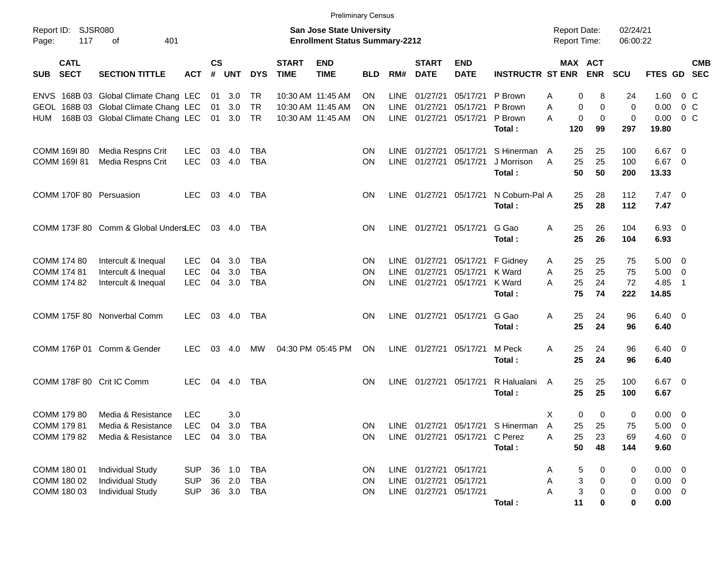|                                          |                                       |                |                |            |            |                             |                                                                           | <b>Preliminary Census</b> |             |                             |                           |                                      |                                     |                              |                      |                |                          |            |
|------------------------------------------|---------------------------------------|----------------|----------------|------------|------------|-----------------------------|---------------------------------------------------------------------------|---------------------------|-------------|-----------------------------|---------------------------|--------------------------------------|-------------------------------------|------------------------------|----------------------|----------------|--------------------------|------------|
| Report ID:<br>Page:                      | SJSR080<br>117<br>401<br>of           |                |                |            |            |                             | <b>San Jose State University</b><br><b>Enrollment Status Summary-2212</b> |                           |             |                             |                           |                                      | <b>Report Date:</b><br>Report Time: |                              | 02/24/21<br>06:00:22 |                |                          |            |
| <b>CATL</b><br><b>SECT</b><br><b>SUB</b> | <b>SECTION TITTLE</b>                 | <b>ACT</b>     | <b>CS</b><br># | <b>UNT</b> | <b>DYS</b> | <b>START</b><br><b>TIME</b> | <b>END</b><br><b>TIME</b>                                                 | <b>BLD</b>                | RM#         | <b>START</b><br><b>DATE</b> | <b>END</b><br><b>DATE</b> | <b>INSTRUCTR ST ENR</b>              |                                     | <b>MAX ACT</b><br><b>ENR</b> | <b>SCU</b>           | FTES GD SEC    |                          | <b>CMB</b> |
|                                          | ENVS 168B 03 Global Climate Chang LEC |                | 01             | 3.0        | TR         |                             | 10:30 AM 11:45 AM                                                         | ON                        | <b>LINE</b> | 01/27/21                    | 05/17/21                  | P Brown                              | 0<br>Α                              | 8                            | 24                   | 1.60           | $0\,$ C                  |            |
| <b>GEOL</b>                              | 168B 03 Global Climate Chang LEC      |                | 01             | 3.0        | <b>TR</b>  |                             | 10:30 AM 11:45 AM                                                         | ON.                       | LINE        | 01/27/21                    | 05/17/21                  | P Brown                              | Α<br>0                              | 0                            | 0                    | 0.00           | $0\,C$                   |            |
| HUM                                      | 168B 03 Global Climate Chang LEC      |                | 01             | 3.0        | TR         |                             | 10:30 AM 11:45 AM                                                         | ON                        |             | LINE 01/27/21               | 05/17/21                  | P Brown                              | A<br>0                              | $\mathbf 0$                  | 0                    | 0.00           | 0 <sup>o</sup>           |            |
|                                          |                                       |                |                |            |            |                             |                                                                           |                           |             |                             |                           | Total:                               | 120                                 | 99                           | 297                  | 19.80          |                          |            |
| COMM 169I 80                             | Media Respns Crit                     | <b>LEC</b>     | 03             | 4.0        | <b>TBA</b> |                             |                                                                           | ΟN                        | <b>LINE</b> | 01/27/21                    | 05/17/21                  | S Hinerman                           | 25<br>A                             | 25                           | 100                  | 6.67           | - 0                      |            |
| COMM 169I 81                             | Media Respns Crit                     | <b>LEC</b>     | 03             | 4.0        | <b>TBA</b> |                             |                                                                           | ΟN                        | LINE        | 01/27/21                    | 05/17/21                  | J Morrison                           | A<br>25                             | 25                           | 100                  | $6.67$ 0       |                          |            |
|                                          |                                       |                |                |            |            |                             |                                                                           |                           |             |                             |                           | Total:                               | 50                                  | 50                           | 200                  | 13.33          |                          |            |
|                                          | COMM 170F 80 Persuasion               | <b>LEC</b>     | 03             | 4.0        | TBA        |                             |                                                                           | ΟN                        |             | LINE 01/27/21               | 05/17/21                  | N Coburn-Pal A                       | 25                                  | 28                           | 112                  | $7.47\ 0$      |                          |            |
|                                          |                                       |                |                |            |            |                             |                                                                           |                           |             |                             |                           | Total:                               | 25                                  | 28                           | 112                  | 7.47           |                          |            |
|                                          | COMM 173F 80 Comm & Global UndersLEC  |                |                | 03 4.0     | TBA        |                             |                                                                           | ON                        |             | LINE 01/27/21               | 05/17/21                  | G Gao                                | Α<br>25                             | 26                           | 104                  | 6.93           | $\overline{\phantom{0}}$ |            |
|                                          |                                       |                |                |            |            |                             |                                                                           |                           |             |                             |                           | Total:                               | 25                                  | 26                           | 104                  | 6.93           |                          |            |
| COMM 174 80                              | Intercult & Inequal                   | <b>LEC</b>     | 04             | 3.0        | TBA        |                             |                                                                           | ON                        | <b>LINE</b> | 01/27/21                    | 05/17/21                  | F Gidney                             | 25<br>A                             | 25                           | 75                   | 5.00           | $\overline{\mathbf{0}}$  |            |
| COMM 174 81                              | Intercult & Inequal                   | <b>LEC</b>     | 04             | 3.0        | <b>TBA</b> |                             |                                                                           | ΟN                        | <b>LINE</b> | 01/27/21                    | 05/17/21                  | K Ward                               | A<br>25                             | 25                           | 75                   | 5.00           | 0                        |            |
| COMM 174 82                              | Intercult & Inequal                   | <b>LEC</b>     | 04             | 3.0        | <b>TBA</b> |                             |                                                                           | ON                        |             | LINE 01/27/21               | 05/17/21                  | K Ward                               | 25<br>A                             | 24                           | 72                   | 4.85           | $\overline{1}$           |            |
|                                          |                                       |                |                |            |            |                             |                                                                           |                           |             |                             |                           | Total:                               | 75                                  | 74                           | 222                  | 14.85          |                          |            |
|                                          | COMM 175F 80 Nonverbal Comm           | <b>LEC</b>     | 03             | 4.0        | TBA        |                             |                                                                           | ΟN                        |             | LINE 01/27/21               | 05/17/21                  | G Gao                                | Α<br>25                             | 24                           | 96                   | 6.40           | $\overline{\phantom{0}}$ |            |
|                                          |                                       |                |                |            |            |                             |                                                                           |                           |             |                             |                           | Total:                               | 25                                  | 24                           | 96                   | 6.40           |                          |            |
|                                          | COMM 176P 01 Comm & Gender            | <b>LEC</b>     | 03             | 4.0        | МW         |                             | 04:30 PM 05:45 PM                                                         | ON                        |             | LINE 01/27/21               | 05/17/21                  | M Peck                               | Α<br>25                             | 24                           | 96                   | 6.40           | $\overline{\phantom{0}}$ |            |
|                                          |                                       |                |                |            |            |                             |                                                                           |                           |             |                             |                           | Total:                               | 25                                  | 24                           | 96                   | 6.40           |                          |            |
|                                          | COMM 178F 80 Crit IC Comm             | <b>LEC</b>     |                | 04 4.0     | TBA        |                             |                                                                           | ON.                       |             | LINE 01/27/21               | 05/17/21                  | R Halualani                          | 25<br>A                             | 25                           | 100                  | $6.67$ 0       |                          |            |
|                                          |                                       |                |                |            |            |                             |                                                                           |                           |             |                             |                           | Total:                               | 25                                  | 25                           | 100                  | 6.67           |                          |            |
| COMM 179 80                              | Media & Resistance                    | <b>LEC</b>     |                | 3.0        |            |                             |                                                                           |                           |             |                             |                           |                                      | X<br>0                              | 0                            | 0                    | 0.00           | $\overline{\mathbf{0}}$  |            |
| COMM 179 81                              | Media & Resistance                    | LEC 04 3.0 TBA |                |            |            |                             |                                                                           |                           |             |                             |                           | ON LINE 01/27/21 05/17/21 S Hinerman | $\overline{\mathsf{A}}$<br>25       | 25                           | 75                   | 5.00           | $\overline{\mathbf{0}}$  |            |
| COMM 179 82                              | Media & Resistance                    | <b>LEC</b>     |                | 04 3.0     | TBA        |                             |                                                                           | ON                        |             | LINE 01/27/21 05/17/21      |                           | C Perez                              | Α<br>25                             | 23                           | 69                   | $4.60$ 0       |                          |            |
|                                          |                                       |                |                |            |            |                             |                                                                           |                           |             |                             |                           | Total:                               | 50                                  | 48                           | 144                  | 9.60           |                          |            |
| COMM 180 01                              | <b>Individual Study</b>               | <b>SUP</b>     | 36             | 1.0        | <b>TBA</b> |                             |                                                                           | <b>ON</b>                 |             | LINE 01/27/21 05/17/21      |                           |                                      | 5<br>A                              | 0                            | 0                    | $0.00 \t 0$    |                          |            |
| COMM 180 02                              | <b>Individual Study</b>               | <b>SUP</b>     | 36             | 2.0        | <b>TBA</b> |                             |                                                                           | <b>ON</b>                 |             | LINE 01/27/21               | 05/17/21                  |                                      | $\ensuremath{\mathsf{3}}$<br>Α      | 0                            | 0                    | $0.00 \t 0$    |                          |            |
| COMM 180 03                              | <b>Individual Study</b>               | <b>SUP</b>     |                | 36 3.0     | TBA        |                             |                                                                           | ON                        |             | LINE 01/27/21 05/17/21      |                           |                                      | 3<br>Α                              | 0                            | $\mathbf 0$          | $0.00 \quad 0$ |                          |            |
|                                          |                                       |                |                |            |            |                             |                                                                           |                           |             |                             |                           | Total:                               | 11                                  | 0                            | 0                    | 0.00           |                          |            |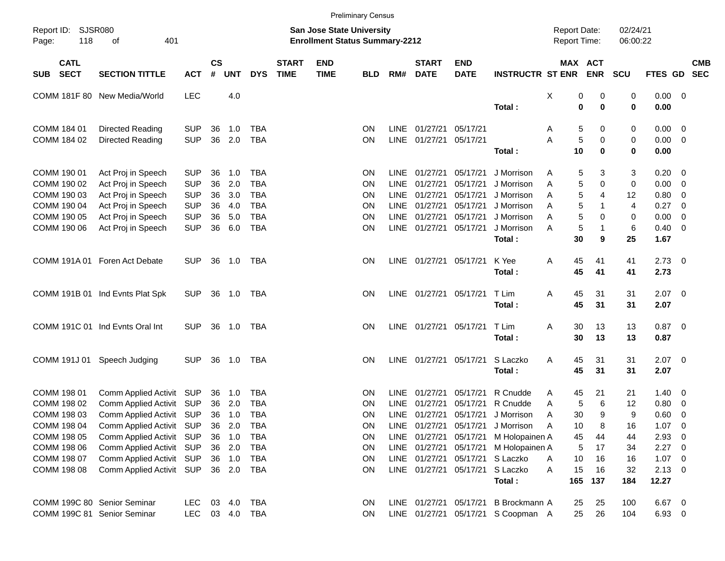|                                          |                                 |            |                    |            |              |                             |                                                                           | <b>Preliminary Census</b> |             |                             |                           |                                    |                                     |     |                       |                      |                |                          |            |
|------------------------------------------|---------------------------------|------------|--------------------|------------|--------------|-----------------------------|---------------------------------------------------------------------------|---------------------------|-------------|-----------------------------|---------------------------|------------------------------------|-------------------------------------|-----|-----------------------|----------------------|----------------|--------------------------|------------|
| Report ID:<br>118<br>Page:               | SJSR080<br>401<br>οf            |            |                    |            |              |                             | <b>San Jose State University</b><br><b>Enrollment Status Summary-2212</b> |                           |             |                             |                           |                                    | <b>Report Date:</b><br>Report Time: |     |                       | 02/24/21<br>06:00:22 |                |                          |            |
| <b>CATL</b><br><b>SECT</b><br><b>SUB</b> | <b>SECTION TITTLE</b>           | <b>ACT</b> | $\mathsf{cs}$<br># | <b>UNT</b> | <b>DYS</b>   | <b>START</b><br><b>TIME</b> | <b>END</b><br><b>TIME</b>                                                 | <b>BLD</b>                | RM#         | <b>START</b><br><b>DATE</b> | <b>END</b><br><b>DATE</b> | <b>INSTRUCTR ST ENR</b>            |                                     |     | MAX ACT<br><b>ENR</b> | <b>SCU</b>           | FTES GD SEC    |                          | <b>CMB</b> |
| <b>COMM 181F 80</b>                      | New Media/World                 | <b>LEC</b> |                    | 4.0        |              |                             |                                                                           |                           |             |                             |                           |                                    | X                                   | 0   | 0                     | 0                    | $0.00 \t 0$    |                          |            |
|                                          |                                 |            |                    |            |              |                             |                                                                           |                           |             |                             |                           | Total:                             |                                     | 0   | $\bf{0}$              | $\bf{0}$             | 0.00           |                          |            |
| COMM 184 01                              | Directed Reading                | <b>SUP</b> | 36                 | 1.0        | <b>TBA</b>   |                             |                                                                           | <b>ON</b>                 | <b>LINE</b> | 01/27/21                    | 05/17/21                  |                                    | Α                                   | 5   | 0                     | 0                    | $0.00 \t 0$    |                          |            |
| COMM 184 02                              | Directed Reading                | <b>SUP</b> | 36                 | 2.0        | <b>TBA</b>   |                             |                                                                           | <b>ON</b>                 |             | LINE 01/27/21               | 05/17/21                  |                                    | А                                   | 5   | 0                     | $\pmb{0}$            | $0.00 \t 0$    |                          |            |
|                                          |                                 |            |                    |            |              |                             |                                                                           |                           |             |                             |                           | Total:                             |                                     | 10  | $\bf{0}$              | $\bf{0}$             | 0.00           |                          |            |
| COMM 190 01                              | Act Proj in Speech              | <b>SUP</b> | 36                 | 1.0        | <b>TBA</b>   |                             |                                                                           | <b>ON</b>                 | <b>LINE</b> | 01/27/21                    | 05/17/21                  | J Morrison                         | Α                                   | 5   | 3                     | 3                    | $0.20 \ 0$     |                          |            |
| COMM 190 02                              | Act Proj in Speech              | <b>SUP</b> | 36                 | 2.0        | <b>TBA</b>   |                             |                                                                           | <b>ON</b>                 | <b>LINE</b> | 01/27/21                    | 05/17/21                  | J Morrison                         | A                                   | 5   | 0                     | 0                    | 0.00           | $\overline{\phantom{0}}$ |            |
| COMM 190 03                              | Act Proj in Speech              | <b>SUP</b> | 36                 | 3.0        | <b>TBA</b>   |                             |                                                                           | <b>ON</b>                 | LINE.       | 01/27/21                    | 05/17/21                  | J Morrison                         | A                                   | 5   | 4                     | 12                   | 0.80           | 0                        |            |
| COMM 190 04                              | Act Proj in Speech              | <b>SUP</b> | 36                 | 4.0        | <b>TBA</b>   |                             |                                                                           | <b>ON</b>                 | LINE.       | 01/27/21                    | 05/17/21                  | J Morrison                         | A                                   | 5   | -1                    | $\overline{4}$       | 0.27           | 0                        |            |
| COMM 190 05                              | Act Proj in Speech              | <b>SUP</b> | 36                 | 5.0        | <b>TBA</b>   |                             |                                                                           | <b>ON</b>                 | <b>LINE</b> | 01/27/21                    | 05/17/21                  | J Morrison                         | A                                   | 5   | $\Omega$              | 0                    | 0.00           | - 0                      |            |
| COMM 190 06                              | Act Proj in Speech              | <b>SUP</b> | 36                 | 6.0        | <b>TBA</b>   |                             |                                                                           | ON                        |             | LINE 01/27/21               | 05/17/21                  | J Morrison                         | A                                   | 5   | 1                     | $\,6$                | 0.40           | $\overline{\phantom{0}}$ |            |
|                                          |                                 |            |                    |            |              |                             |                                                                           |                           |             |                             |                           | Total:                             |                                     | 30  | 9                     | 25                   | 1.67           |                          |            |
|                                          | COMM 191A 01 Foren Act Debate   | SUP.       | 36                 | 1.0        | TBA          |                             |                                                                           | <b>ON</b>                 |             | LINE 01/27/21               | 05/17/21                  | K Yee                              | Α                                   | 45  | 41                    | 41                   | $2.73$ 0       |                          |            |
|                                          |                                 |            |                    |            |              |                             |                                                                           |                           |             |                             |                           | Total:                             |                                     | 45  | 41                    | 41                   | 2.73           |                          |            |
|                                          | COMM 191B 01 Ind Evnts Plat Spk | <b>SUP</b> | 36                 | 1.0        | TBA          |                             |                                                                           | <b>ON</b>                 |             | LINE 01/27/21               | 05/17/21                  | T Lim                              | Α                                   | 45  | 31                    | 31                   | $2.07$ 0       |                          |            |
|                                          |                                 |            |                    |            |              |                             |                                                                           |                           |             |                             |                           | Total:                             |                                     | 45  | 31                    | 31                   | 2.07           |                          |            |
|                                          | COMM 191C 01 Ind Evnts Oral Int | <b>SUP</b> | 36                 | 1.0        | TBA          |                             |                                                                           | <b>ON</b>                 |             | LINE 01/27/21               | 05/17/21                  | T Lim                              | Α                                   | 30  | 13                    | 13                   | $0.87$ 0       |                          |            |
|                                          |                                 |            |                    |            |              |                             |                                                                           |                           |             |                             |                           | Total:                             |                                     | 30  | 13                    | 13                   | 0.87           |                          |            |
| COMM 191J 01                             | Speech Judging                  | <b>SUP</b> | 36                 | 1.0        | TBA          |                             |                                                                           | <b>ON</b>                 |             | LINE 01/27/21               | 05/17/21                  | S Laczko                           | Α                                   | 45  | 31                    | 31                   | $2.07$ 0       |                          |            |
|                                          |                                 |            |                    |            |              |                             |                                                                           |                           |             |                             |                           | Total:                             |                                     | 45  | 31                    | 31                   | 2.07           |                          |            |
| COMM 198 01                              | Comm Applied Activit SUP        |            | 36                 | 1.0        | <b>TBA</b>   |                             |                                                                           | ON                        | <b>LINE</b> | 01/27/21                    | 05/17/21                  | R Cnudde                           | A                                   | 45  | 21                    | 21                   | $1.40 \ 0$     |                          |            |
| COMM 198 02                              | Comm Applied Activit            | <b>SUP</b> | 36                 | 2.0        | <b>TBA</b>   |                             |                                                                           | <b>ON</b>                 | <b>LINE</b> | 01/27/21                    | 05/17/21                  | R Cnudde                           | A                                   | 5   | 6                     | 12                   | 0.80           | $\overline{\mathbf{0}}$  |            |
| COMM 198 03                              | Comm Applied Activit SUP        |            | 36                 | 1.0        | <b>TBA</b>   |                             |                                                                           | ON                        |             | LINE 01/27/21               | 05/17/21                  | J Morrison                         | A                                   | 30  | 9                     | 9                    | 0.60           | - 0                      |            |
| COMM 198 04                              | Comm Applied Activit SUP        |            |                    | 36 2.0     | TBA          |                             |                                                                           | ON                        |             | LINE 01/27/21 05/17/21      |                           | J Morrison                         | A                                   | 10  | 8                     | 16                   | 1.07           | $\overline{\mathbf{0}}$  |            |
| COMM 198 05                              | Comm Applied Activit SUP        |            |                    | 36 1.0     | TBA          |                             |                                                                           | ON                        |             | LINE 01/27/21               | 05/17/21                  | M Holopainen A                     |                                     | 45  | 44                    | 44                   | 2.93           | - 0                      |            |
| COMM 198 06                              | Comm Applied Activit SUP        |            |                    | 36 2.0     | <b>TBA</b>   |                             |                                                                           | ON                        |             | LINE 01/27/21               |                           | 05/17/21 M Holopainen A            |                                     | 5   | 17                    | 34                   | $2.27$ 0       |                          |            |
| COMM 198 07                              | Comm Applied Activit SUP        |            |                    | 36 1.0     | <b>TBA</b>   |                             |                                                                           | ON                        |             | LINE 01/27/21               |                           | 05/17/21 S Laczko                  | Α                                   | 10  | 16                    | 16                   | 1.07 0         |                          |            |
| COMM 198 08                              | Comm Applied Activit SUP        |            |                    | 36 2.0     | TBA          |                             |                                                                           | ON                        |             | LINE 01/27/21               | 05/17/21                  | S Laczko                           | A                                   | 15  | 16                    | 32                   | $2.13 \quad 0$ |                          |            |
|                                          |                                 |            |                    |            |              |                             |                                                                           |                           |             |                             |                           | Total:                             |                                     | 165 | 137                   | 184                  | 12.27          |                          |            |
| COMM 199C 80 Senior Seminar              |                                 | <b>LEC</b> |                    | 03 4.0     | TBA          |                             |                                                                           | ON                        |             | LINE 01/27/21 05/17/21      |                           | B Brockmann A                      |                                     | 25  | 25                    | 100                  | 6.67 0         |                          |            |
| COMM 199C 81 Senior Seminar              |                                 | LEC        |                    |            | 03  4.0  TBA |                             |                                                                           | <b>ON</b>                 |             |                             |                           | LINE 01/27/21 05/17/21 S Coopman A |                                     | 25  | 26                    | 104                  | 6.93 0         |                          |            |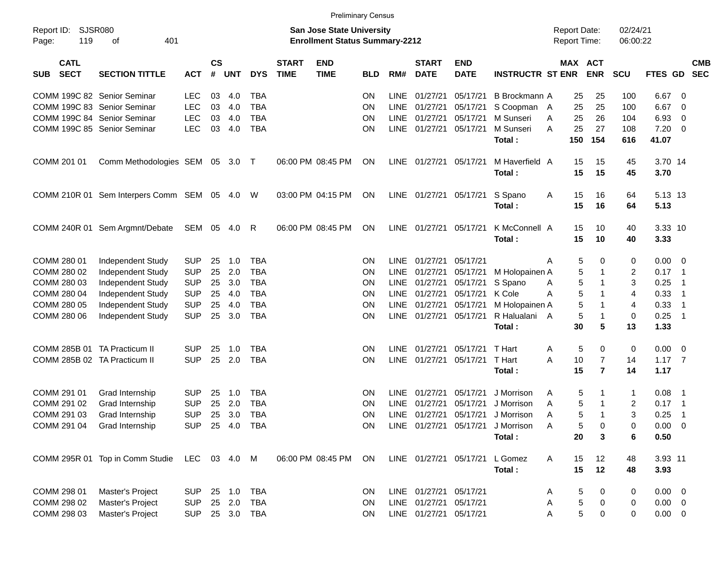|                                              |                                              |              |                |            |            |                             |                                                                           | <b>Preliminary Census</b> |             |                             |                                |                                   |                                            |                       |                      |                 |                            |                          |
|----------------------------------------------|----------------------------------------------|--------------|----------------|------------|------------|-----------------------------|---------------------------------------------------------------------------|---------------------------|-------------|-----------------------------|--------------------------------|-----------------------------------|--------------------------------------------|-----------------------|----------------------|-----------------|----------------------------|--------------------------|
| <b>SJSR080</b><br>Report ID:<br>119<br>Page: | 401<br>оf                                    |              |                |            |            |                             | <b>San Jose State University</b><br><b>Enrollment Status Summary-2212</b> |                           |             |                             |                                |                                   | <b>Report Date:</b><br><b>Report Time:</b> |                       | 02/24/21<br>06:00:22 |                 |                            |                          |
| <b>CATL</b><br><b>SECT</b><br><b>SUB</b>     | <b>SECTION TITTLE</b>                        | <b>ACT</b>   | <b>CS</b><br># | <b>UNT</b> | <b>DYS</b> | <b>START</b><br><b>TIME</b> | <b>END</b><br><b>TIME</b>                                                 | <b>BLD</b>                | RM#         | <b>START</b><br><b>DATE</b> | <b>END</b><br><b>DATE</b>      | <b>INSTRUCTR ST ENR</b>           |                                            | MAX ACT<br><b>ENR</b> | SCU                  | FTES GD         |                            | <b>CMB</b><br><b>SEC</b> |
| COMM 199C 82 Senior Seminar                  |                                              | <b>LEC</b>   | 03             | 4.0        | <b>TBA</b> |                             |                                                                           | ON                        | LINE        | 01/27/21                    | 05/17/21                       | B Brockmann A                     | 25                                         | 25                    | 100                  | 6.67            | - 0                        |                          |
| COMM 199C 83 Senior Seminar                  |                                              | <b>LEC</b>   | 03             | 4.0        | <b>TBA</b> |                             |                                                                           | ON                        | LINE        | 01/27/21                    | 05/17/21                       | S Coopman A                       | 25                                         | 25                    | 100                  | 6.67            | $\overline{0}$             |                          |
| COMM 199C 84 Senior Seminar                  |                                              | <b>LEC</b>   | 03             | 4.0        | <b>TBA</b> |                             |                                                                           | ON                        | LINE        | 01/27/21                    | 05/17/21                       | M Sunseri                         | 25<br>A                                    | 26                    | 104                  | 6.93            | 0                          |                          |
| COMM 199C 85 Senior Seminar                  |                                              | <b>LEC</b>   | 03             | 4.0        | <b>TBA</b> |                             |                                                                           | ON                        | <b>LINE</b> | 01/27/21                    | 05/17/21                       | M Sunseri                         | 25<br>A                                    | 27                    | 108                  | 7.20            | $\overline{\mathbf{0}}$    |                          |
|                                              |                                              |              |                |            |            |                             |                                                                           |                           |             |                             |                                | Total:                            | 150                                        | 154                   | 616                  | 41.07           |                            |                          |
| COMM 201 01                                  | Comm Methodologies SEM 05 3.0 T              |              |                |            |            |                             | 06:00 PM 08:45 PM                                                         | ON                        | <b>LINE</b> | 01/27/21 05/17/21           |                                | M Haverfield A<br>Total:          | 15<br>15                                   | 15<br>15              | 45<br>45             | 3.70 14<br>3.70 |                            |                          |
|                                              | COMM 210R 01 Sem Interpers Comm SEM 05 4.0 W |              |                |            |            |                             | 03:00 PM 04:15 PM                                                         | <b>ON</b>                 | LINE        | 01/27/21 05/17/21           |                                | S Spano<br>Total:                 | Α<br>15<br>15                              | 16<br>16              | 64<br>64             | 5.13 13<br>5.13 |                            |                          |
|                                              | COMM 240R 01 Sem Argmnt/Debate               | SEM 05       |                | 4.0        | R          |                             | 06:00 PM 08:45 PM                                                         | ΟN                        | <b>LINE</b> | 01/27/21                    | 05/17/21                       | K McConnell A<br>Total:           | 15<br>15                                   | 10<br>10              | 40<br>40             | 3.33 10<br>3.33 |                            |                          |
| COMM 280 01                                  | Independent Study                            | <b>SUP</b>   | 25             | 1.0        | <b>TBA</b> |                             |                                                                           | ON                        | <b>LINE</b> | 01/27/21                    | 05/17/21                       |                                   | Α                                          | 5<br>0                | 0                    | $0.00 \t 0$     |                            |                          |
| COMM 280 02                                  | Independent Study                            | <b>SUP</b>   | 25             | 2.0        | <b>TBA</b> |                             |                                                                           | ON                        | <b>LINE</b> | 01/27/21                    | 05/17/21                       | M Holopainen A                    |                                            | 5<br>1                | 2                    | 0.17            | $\overline{\phantom{0}}$   |                          |
| COMM 280 03                                  | Independent Study                            | <b>SUP</b>   | 25             | 3.0        | <b>TBA</b> |                             |                                                                           | ON                        | <b>LINE</b> | 01/27/21                    | 05/17/21                       | S Spano                           | Α                                          | 5<br>1                | 3                    | 0.25            | $\overline{1}$             |                          |
| COMM 280 04                                  | Independent Study                            | <b>SUP</b>   | 25             | 4.0        | <b>TBA</b> |                             |                                                                           | ON                        | <b>LINE</b> | 01/27/21                    | 05/17/21                       | K Cole                            | A                                          | 5<br>1                | 4                    | 0.33            | $\overline{1}$             |                          |
| COMM 280 05                                  | Independent Study                            | <b>SUP</b>   | 25             | 4.0        | <b>TBA</b> |                             |                                                                           | ON                        | <b>LINE</b> | 01/27/21                    | 05/17/21                       | M Holopainen A                    |                                            | 5<br>1                | 4                    | 0.33            | $\overline{1}$             |                          |
| COMM 280 06                                  | Independent Study                            | <b>SUP</b>   | 25             | 3.0        | <b>TBA</b> |                             |                                                                           | ON                        | <b>LINE</b> | 01/27/21                    | 05/17/21                       | R Halualani A                     |                                            | 5<br>$\mathbf 1$      | 0                    | 0.25            | $\overline{\phantom{0}}$ 1 |                          |
|                                              |                                              |              |                |            |            |                             |                                                                           |                           |             |                             |                                | Total:                            | 30                                         | 5                     | 13                   | 1.33            |                            |                          |
| COMM 285B 01 TA Practicum II                 |                                              | <b>SUP</b>   | 25             | 1.0        | <b>TBA</b> |                             |                                                                           | ΟN                        | <b>LINE</b> | 01/27/21                    | 05/17/21                       | T Hart                            | Α                                          | 5<br>0                | 0                    | 0.00            | $\overline{\mathbf{0}}$    |                          |
| COMM 285B 02 TA Practicum II                 |                                              | <b>SUP</b>   | 25             | 2.0        | <b>TBA</b> |                             |                                                                           | ON                        | <b>LINE</b> | 01/27/21                    | 05/17/21                       | T Hart                            | A<br>10                                    | $\overline{7}$        | 14                   | $1.17 - 7$      |                            |                          |
|                                              |                                              |              |                |            |            |                             |                                                                           |                           |             |                             |                                | Total:                            | 15                                         | $\overline{7}$        | 14                   | 1.17            |                            |                          |
| COMM 291 01                                  | Grad Internship                              | <b>SUP</b>   | 25             | 1.0        | <b>TBA</b> |                             |                                                                           | ΟN                        | <b>LINE</b> | 01/27/21                    | 05/17/21                       | J Morrison                        | Α                                          | 5<br>1                | 1                    | 0.08            | $\overline{\phantom{1}}$   |                          |
| COMM 291 02                                  | Grad Internship                              | <b>SUP</b>   | 25             | 2.0        | <b>TBA</b> |                             |                                                                           | ΟN                        | LINE        | 01/27/21                    | 05/17/21                       | J Morrison                        | A                                          | 5<br>-1               | $\overline{c}$       | 0.17            | $\overline{\phantom{0}}$ 1 |                          |
| COMM 291 03                                  | Grad Internship                              | <b>SUP</b>   | 25             | 3.0        | <b>TBA</b> |                             |                                                                           | ON                        | <b>LINE</b> | 01/27/21                    | 05/17/21                       | J Morrison                        | A                                          | 5<br>$\mathbf 1$      | 3                    | 0.25            | $\overline{1}$             |                          |
| COMM 291 04                                  | Grad Internship                              | <b>SUP</b>   |                |            | 25 4.0 TBA |                             |                                                                           | ON                        |             |                             |                                | LINE 01/27/21 05/17/21 J Morrison | Α                                          | 5<br>0                | 0                    | $0.00 \t 0$     |                            |                          |
|                                              |                                              |              |                |            |            |                             |                                                                           |                           |             |                             |                                | Total:                            | 20                                         | 3                     | 6                    | 0.50            |                            |                          |
|                                              | COMM 295R 01 Top in Comm Studie              | LEC 03 4.0 M |                |            |            |                             | 06:00 PM 08:45 PM                                                         | ON                        |             |                             | LINE 01/27/21 05/17/21 L Gomez |                                   | 15<br>Α                                    | 12                    | 48                   | 3.93 11         |                            |                          |
|                                              |                                              |              |                |            |            |                             |                                                                           |                           |             |                             |                                | Total:                            | 15                                         | 12                    | 48                   | 3.93            |                            |                          |
| COMM 298 01                                  | Master's Project                             | <b>SUP</b>   |                | 25 1.0     | <b>TBA</b> |                             |                                                                           | ON                        |             | LINE 01/27/21 05/17/21      |                                |                                   | Α                                          | 5<br>0                | 0                    | $0.00 \t 0$     |                            |                          |
| COMM 298 02                                  | Master's Project                             | <b>SUP</b>   |                | 25 2.0     | <b>TBA</b> |                             |                                                                           | ON                        |             | LINE 01/27/21               | 05/17/21                       |                                   | Α                                          | 5<br>0                | 0                    | $0.00 \t 0$     |                            |                          |
| COMM 298 03                                  | Master's Project                             | <b>SUP</b>   |                |            | 25 3.0 TBA |                             |                                                                           | <b>ON</b>                 |             | LINE 01/27/21 05/17/21      |                                |                                   | A                                          | 5<br>0                | 0                    | $0.00 \t 0$     |                            |                          |
|                                              |                                              |              |                |            |            |                             |                                                                           |                           |             |                             |                                |                                   |                                            |                       |                      |                 |                            |                          |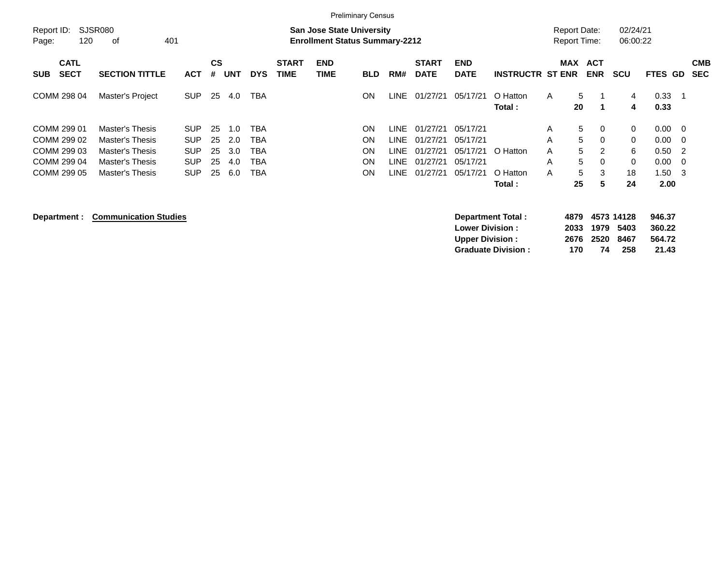|                                                                         |                                                                                                                  |                                                                                                                                                          |                                                          | <b>Preliminary Census</b>                                            |                                                                                                                      |                                               |                                                                     |                                                                                                                                                            |  |
|-------------------------------------------------------------------------|------------------------------------------------------------------------------------------------------------------|----------------------------------------------------------------------------------------------------------------------------------------------------------|----------------------------------------------------------|----------------------------------------------------------------------|----------------------------------------------------------------------------------------------------------------------|-----------------------------------------------|---------------------------------------------------------------------|------------------------------------------------------------------------------------------------------------------------------------------------------------|--|
| Report ID:<br>Page:                                                     | <b>SJSR080</b><br>120<br>οf                                                                                      | 401                                                                                                                                                      | <b>San Jose State University</b>                         | <b>Enrollment Status Summary-2212</b>                                |                                                                                                                      |                                               | <b>Report Date:</b><br><b>Report Time:</b>                          | 02/24/21<br>06:00:22                                                                                                                                       |  |
| <b>SECT</b><br><b>SUB</b>                                               | <b>CATL</b><br><b>SECTION TITTLE</b>                                                                             | <b>CS</b><br><b>ACT</b><br><b>UNT</b><br><b>DYS</b><br>#                                                                                                 | <b>START</b><br><b>END</b><br><b>TIME</b><br><b>TIME</b> | RM#<br><b>BLD</b>                                                    | <b>START</b><br><b>END</b><br><b>DATE</b><br><b>DATE</b>                                                             | <b>INSTRUCTR ST ENR</b>                       | MAX<br><b>ACT</b><br><b>ENR</b>                                     | <b>CMB</b><br><b>SCU</b><br>FTES GD<br><b>SEC</b>                                                                                                          |  |
| COMM 298 04                                                             | Master's Project                                                                                                 | <b>SUP</b><br>25<br>4.0                                                                                                                                  | TBA                                                      | ON<br>LINE                                                           | 01/27/21<br>05/17/21                                                                                                 | O Hatton<br>A<br>Total:                       | 5<br>20                                                             | 0.33<br>4<br>4<br>0.33                                                                                                                                     |  |
| COMM 299 01<br>COMM 299 02<br>COMM 299 03<br>COMM 299 04<br>COMM 299 05 | <b>Master's Thesis</b><br><b>Master's Thesis</b><br>Master's Thesis<br>Master's Thesis<br><b>Master's Thesis</b> | TBA<br><b>SUP</b><br>25<br>1.0<br><b>SUP</b><br>25<br>2.0<br>TBA<br><b>SUP</b><br>25<br>3.0<br>TBA<br>25<br><b>SUP</b><br>4.0<br>TBA<br>SUP<br>25<br>6.0 | TBA                                                      | ΟN<br>LINE.<br>ON<br>LINE<br>ΟN<br>LINE.<br>ON<br>LINE<br>LINE<br>ΟN | 01/27/21<br>05/17/21<br>01/27/21<br>05/17/21<br>01/27/21<br>05/17/21<br>01/27/21<br>05/17/21<br>01/27/21<br>05/17/21 | A<br>A<br>O Hatton<br>A<br>A<br>O Hatton<br>A | 5<br>$\Omega$<br>5<br>$\Omega$<br>5<br>2<br>5<br>$\Omega$<br>5<br>3 | $0.00 \quad 0$<br>$\Omega$<br>0.00<br>$\Omega$<br>$\overline{0}$<br>6<br>$0.50 \quad 2$<br>$\Omega$<br>0.00<br>$\overline{0}$<br>1.50<br>18<br>- 3<br>2.00 |  |
|                                                                         |                                                                                                                  |                                                                                                                                                          |                                                          |                                                                      |                                                                                                                      | Total:                                        | 5<br>25                                                             | 24                                                                                                                                                         |  |

## **Department : Communication Studies**

| Department Total:         |     | 4879 4573 14128 |     | 946.37 |
|---------------------------|-----|-----------------|-----|--------|
| <b>Lower Division:</b>    |     | 2033 1979 5403  |     | 360.22 |
| <b>Upper Division:</b>    |     | 2676 2520 8467  |     | 564.72 |
| <b>Graduate Division:</b> | 170 | 74              | 258 | 21.43  |
|                           |     |                 |     |        |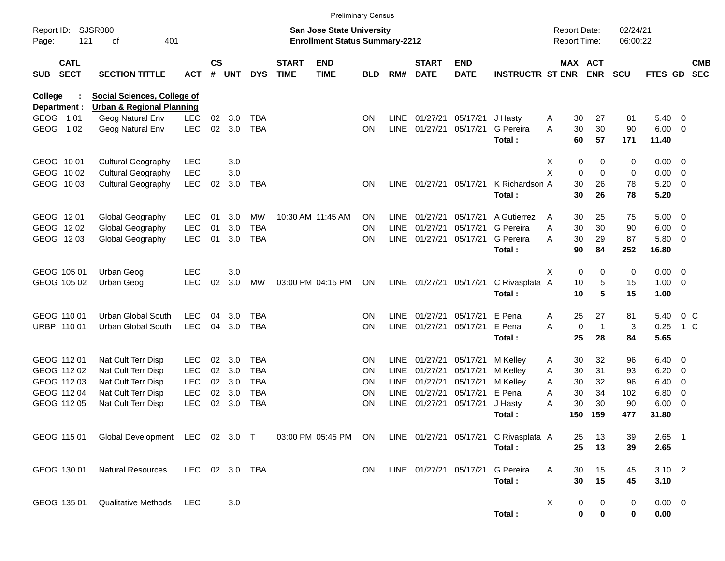|                     |                            |                                                                     |            |                |            |            |                             |                                                                           | <b>Preliminary Census</b> |             |                             |                           |                                       |                                     |          |              |                      |               |                          |                          |
|---------------------|----------------------------|---------------------------------------------------------------------|------------|----------------|------------|------------|-----------------------------|---------------------------------------------------------------------------|---------------------------|-------------|-----------------------------|---------------------------|---------------------------------------|-------------------------------------|----------|--------------|----------------------|---------------|--------------------------|--------------------------|
| Report ID:<br>Page: | 121                        | <b>SJSR080</b><br>401<br>оf                                         |            |                |            |            |                             | <b>San Jose State University</b><br><b>Enrollment Status Summary-2212</b> |                           |             |                             |                           |                                       | <b>Report Date:</b><br>Report Time: |          |              | 02/24/21<br>06:00:22 |               |                          |                          |
| SUB                 | <b>CATL</b><br><b>SECT</b> | <b>SECTION TITTLE</b>                                               | <b>ACT</b> | <b>CS</b><br># | <b>UNT</b> | <b>DYS</b> | <b>START</b><br><b>TIME</b> | <b>END</b><br><b>TIME</b>                                                 | <b>BLD</b>                | RM#         | <b>START</b><br><b>DATE</b> | <b>END</b><br><b>DATE</b> | <b>INSTRUCTR ST ENR</b>               | MAX ACT                             |          | <b>ENR</b>   | <b>SCU</b>           | FTES GD       |                          | <b>CMB</b><br><b>SEC</b> |
| <b>College</b>      | Department :               | Social Sciences, College of<br><b>Urban &amp; Regional Planning</b> |            |                |            |            |                             |                                                                           |                           |             |                             |                           |                                       |                                     |          |              |                      |               |                          |                          |
|                     | GEOG 101                   | Geog Natural Env                                                    | <b>LEC</b> | 02             | 3.0        | <b>TBA</b> |                             |                                                                           | ΟN                        | <b>LINE</b> | 01/27/21                    | 05/17/21                  | J Hasty                               | Α                                   | 30       | 27           | 81                   | $5.40 \ 0$    |                          |                          |
| GEOG                | 1 0 2                      | Geog Natural Env                                                    | <b>LEC</b> | 02             | 3.0        | <b>TBA</b> |                             |                                                                           | ON                        | <b>LINE</b> | 01/27/21                    | 05/17/21                  | G Pereira<br>Total:                   | A                                   | 30<br>60 | 30<br>57     | 90<br>171            | 6.00<br>11.40 | $\overline{\phantom{0}}$ |                          |
|                     | GEOG 1001                  | <b>Cultural Geography</b>                                           | <b>LEC</b> |                | 3.0        |            |                             |                                                                           |                           |             |                             |                           |                                       | Χ                                   | 0        | 0            | 0                    | $0.00 \t 0$   |                          |                          |
|                     | GEOG 1002                  | <b>Cultural Geography</b>                                           | <b>LEC</b> |                | 3.0        |            |                             |                                                                           |                           |             |                             |                           |                                       | X                                   | 0        | $\mathbf 0$  | $\mathbf 0$          | 0.00          | $\overline{0}$           |                          |
|                     | GEOG 1003                  | <b>Cultural Geography</b>                                           | <b>LEC</b> | 02             | 3.0        | <b>TBA</b> |                             |                                                                           | ΟN                        | <b>LINE</b> |                             | 01/27/21 05/17/21         | K Richardson A<br>Total:              |                                     | 30<br>30 | 26<br>26     | 78<br>78             | 5.20<br>5.20  | $\overline{\mathbf{0}}$  |                          |
|                     | GEOG 1201                  | Global Geography                                                    | <b>LEC</b> | 01             | 3.0        | MW         |                             | 10:30 AM 11:45 AM                                                         | ΟN                        | LINE        | 01/27/21                    | 05/17/21                  | A Gutierrez                           | A                                   | 30       | 25           | 75                   | 5.00          | $\overline{\phantom{0}}$ |                          |
|                     | GEOG 1202                  | Global Geography                                                    | <b>LEC</b> | 01             | 3.0        | <b>TBA</b> |                             |                                                                           | ON                        | <b>LINE</b> | 01/27/21                    | 05/17/21                  | <b>G</b> Pereira                      | Α                                   | 30       | 30           | 90                   | 6.00          | $\overline{\mathbf{0}}$  |                          |
|                     | GEOG 1203                  | Global Geography                                                    | <b>LEC</b> | 01             | 3.0        | <b>TBA</b> |                             |                                                                           | ON                        | <b>LINE</b> | 01/27/21                    | 05/17/21                  | G Pereira                             | Α                                   | 30       | 29           | 87                   | 5.80 0        |                          |                          |
|                     |                            |                                                                     |            |                |            |            |                             |                                                                           |                           |             |                             |                           | Total:                                |                                     | 90       | 84           | 252                  | 16.80         |                          |                          |
|                     | GEOG 105 01                | Urban Geog                                                          | <b>LEC</b> |                | 3.0        |            |                             |                                                                           |                           |             |                             |                           |                                       | X                                   | 0        | 0            | 0                    | $0.00 \t 0$   |                          |                          |
|                     | GEOG 105 02                | Urban Geog                                                          | <b>LEC</b> | 02             | 3.0        | <b>MW</b>  |                             | 03:00 PM 04:15 PM                                                         | ON                        |             | LINE 01/27/21 05/17/21      |                           | C Rivasplata A                        |                                     | 10       | 5            | 15                   | 1.00          | $\overline{\phantom{0}}$ |                          |
|                     |                            |                                                                     |            |                |            |            |                             |                                                                           |                           |             |                             |                           | Total:                                |                                     | 10       | 5            | 15                   | 1.00          |                          |                          |
|                     | GEOG 110 01                | <b>Urban Global South</b>                                           | <b>LEC</b> | 04             | 3.0        | <b>TBA</b> |                             |                                                                           | ΟN                        | <b>LINE</b> | 01/27/21                    | 05/17/21                  | E Pena                                | A                                   | 25       | 27           | 81                   | 5.40          | 0 <sup>o</sup>           |                          |
|                     | URBP 110 01                | Urban Global South                                                  | <b>LEC</b> | 04             | 3.0        | <b>TBA</b> |                             |                                                                           | ON                        | <b>LINE</b> | 01/27/21                    | 05/17/21                  | E Pena                                | A                                   | 0        | $\mathbf{1}$ | 3                    | 0.25          | $1\,C$                   |                          |
|                     |                            |                                                                     |            |                |            |            |                             |                                                                           |                           |             |                             |                           | Total:                                |                                     | 25       | 28           | 84                   | 5.65          |                          |                          |
|                     | GEOG 112 01                | Nat Cult Terr Disp                                                  | <b>LEC</b> | 02             | 3.0        | <b>TBA</b> |                             |                                                                           | ΟN                        | <b>LINE</b> | 01/27/21                    | 05/17/21                  | M Kelley                              | Α                                   | 30       | 32           | 96                   | 6.40          | $\overline{\phantom{0}}$ |                          |
|                     | GEOG 112 02                | Nat Cult Terr Disp                                                  | <b>LEC</b> | 02             | 3.0        | <b>TBA</b> |                             |                                                                           | ΟN                        | <b>LINE</b> | 01/27/21                    | 05/17/21                  | M Kelley                              | Α                                   | 30       | 31           | 93                   | 6.20          | $\overline{\mathbf{0}}$  |                          |
|                     | GEOG 112 03                | Nat Cult Terr Disp                                                  | <b>LEC</b> | 02             | 3.0        | <b>TBA</b> |                             |                                                                           | ΟN                        | <b>LINE</b> | 01/27/21                    | 05/17/21                  | M Kelley                              | Α                                   | 30       | 32           | 96                   | 6.40          | $\overline{\mathbf{0}}$  |                          |
|                     | GEOG 112 04                | Nat Cult Terr Disp                                                  | <b>LEC</b> | 02             | 3.0        | <b>TBA</b> |                             |                                                                           | ΟN                        | <b>LINE</b> | 01/27/21                    | 05/17/21                  | E Pena                                | Α                                   | 30       | 34           | 102                  | 6.80          | $\overline{\mathbf{0}}$  |                          |
|                     | GEOG 112 05                | Nat Cult Terr Disp                                                  | <b>LEC</b> | 02             | 3.0        | <b>TBA</b> |                             |                                                                           | ΟN                        | <b>LINE</b> | 01/27/21                    | 05/17/21                  | J Hasty                               | Α                                   | 30       | 30           | 90                   | 6.00          | - 0                      |                          |
|                     |                            |                                                                     |            |                |            |            |                             |                                                                           |                           |             |                             |                           | Total:                                |                                     | 150      | 159          | 477                  | 31.80         |                          |                          |
|                     | GEOG 115 01                | Global Development LEC 02 3.0 T                                     |            |                |            |            |                             | 03:00 PM 05:45 PM                                                         | ON                        |             |                             |                           | LINE 01/27/21 05/17/21 C Rivasplata A |                                     | 25       | 13           | 39                   | $2.65$ 1      |                          |                          |
|                     |                            |                                                                     |            |                |            |            |                             |                                                                           |                           |             |                             |                           | Total:                                |                                     | 25       | 13           | 39                   | 2.65          |                          |                          |
|                     | GEOG 130 01                | <b>Natural Resources</b>                                            | LEC        |                |            | 02 3.0 TBA |                             |                                                                           | ON                        |             | LINE 01/27/21 05/17/21      |                           | G Pereira                             | A                                   | 30       | 15           | 45                   | $3.10$ 2      |                          |                          |
|                     |                            |                                                                     |            |                |            |            |                             |                                                                           |                           |             |                             |                           | Total:                                |                                     | 30       | 15           | 45                   | 3.10          |                          |                          |
|                     | GEOG 135 01                | <b>Qualitative Methods</b>                                          | <b>LEC</b> |                | 3.0        |            |                             |                                                                           |                           |             |                             |                           |                                       | X                                   | 0        | 0            | 0                    | $0.00 \t 0$   |                          |                          |
|                     |                            |                                                                     |            |                |            |            |                             |                                                                           |                           |             |                             |                           | Total:                                |                                     | 0        | $\bf{0}$     | 0                    | $0.00\,$      |                          |                          |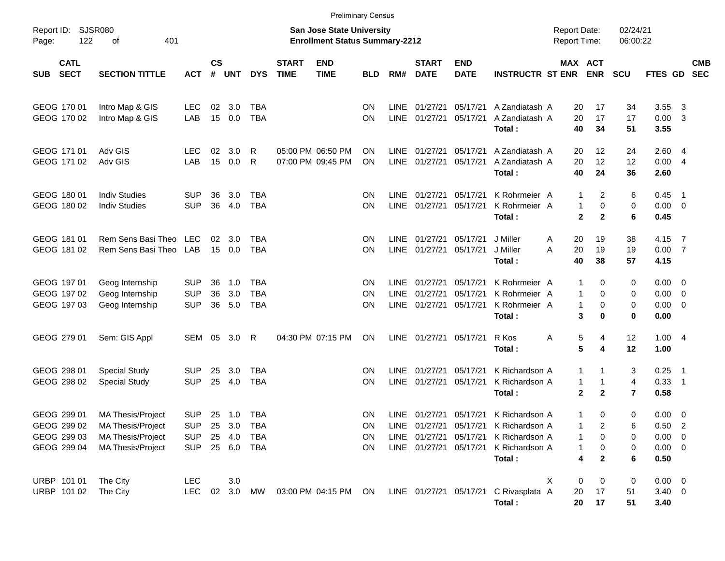|                     |                                                          |                                                                                                |                                                      |                    |                                   |                                        |                                                                           | <b>Preliminary Census</b>              |                             |                                    |                                                                  |                                              |                                                                                |                                     |                                              |                                             |                               |                                                 |                                                     |                          |
|---------------------|----------------------------------------------------------|------------------------------------------------------------------------------------------------|------------------------------------------------------|--------------------|-----------------------------------|----------------------------------------|---------------------------------------------------------------------------|----------------------------------------|-----------------------------|------------------------------------|------------------------------------------------------------------|----------------------------------------------|--------------------------------------------------------------------------------|-------------------------------------|----------------------------------------------|---------------------------------------------|-------------------------------|-------------------------------------------------|-----------------------------------------------------|--------------------------|
| Report ID:<br>Page: | SJSR080<br>122                                           |                                                                                                |                                                      |                    |                                   |                                        | <b>San Jose State University</b><br><b>Enrollment Status Summary-2212</b> |                                        |                             |                                    |                                                                  |                                              |                                                                                | <b>Report Date:</b><br>Report Time: |                                              | 02/24/21<br>06:00:22                        |                               |                                                 |                                                     |                          |
| <b>SUB</b>          | <b>CATL</b><br><b>SECT</b>                               | <b>SECTION TITTLE</b>                                                                          | <b>ACT</b>                                           | $\mathsf{cs}$<br># | <b>UNT</b>                        | <b>DYS</b>                             | <b>START</b><br><b>TIME</b>                                               | <b>END</b><br><b>TIME</b>              | <b>BLD</b>                  | RM#                                | <b>START</b><br><b>DATE</b>                                      | <b>END</b><br><b>DATE</b>                    | <b>INSTRUCTR ST ENR</b>                                                        |                                     | MAX ACT                                      | <b>ENR</b>                                  | <b>SCU</b>                    | FTES GD                                         |                                                     | <b>CMB</b><br><b>SEC</b> |
|                     | GEOG 170 01<br>GEOG 170 02                               | Intro Map & GIS<br>Intro Map & GIS                                                             | LEC<br>LAB                                           | 02<br>15           | 3.0<br>0.0                        | <b>TBA</b><br><b>TBA</b>               |                                                                           |                                        | <b>ON</b><br><b>ON</b>      | <b>LINE</b><br><b>LINE</b>         | 01/27/21<br>01/27/21                                             | 05/17/21<br>05/17/21                         | A Zandiatash A<br>A Zandiatash A<br>Total:                                     |                                     | 20<br>20<br>40                               | 17<br>17<br>34                              | 34<br>17<br>51                | 3.55<br>0.00<br>3.55                            | -3<br>3                                             |                          |
|                     | GEOG 171 01<br>GEOG 171 02                               | Adv GIS<br>Adv GIS                                                                             | <b>LEC</b><br>LAB                                    | 02<br>15           | 3.0<br>0.0                        | R<br>R                                 |                                                                           | 05:00 PM 06:50 PM<br>07:00 PM 09:45 PM | <b>ON</b><br><b>ON</b>      | <b>LINE</b><br><b>LINE</b>         | 01/27/21<br>01/27/21                                             | 05/17/21<br>05/17/21                         | A Zandiatash A<br>A Zandiatash A<br>Total:                                     |                                     | 20<br>20<br>40                               | 12<br>12<br>24                              | 24<br>12<br>36                | 2.60<br>0.00<br>2.60                            | 4<br>$\overline{4}$                                 |                          |
|                     | GEOG 180 01<br>GEOG 180 02                               | <b>Indiv Studies</b><br><b>Indiv Studies</b>                                                   | <b>SUP</b><br><b>SUP</b>                             | 36<br>36           | 3.0<br>4.0                        | <b>TBA</b><br><b>TBA</b>               |                                                                           |                                        | <b>ON</b><br><b>ON</b>      | <b>LINE</b><br><b>LINE</b>         | 01/27/21<br>01/27/21                                             | 05/17/21<br>05/17/21                         | K Rohrmeier A<br>K Rohrmeier A<br>Total:                                       |                                     | 1<br>$\mathbf{1}$<br>$\mathbf{2}$            | 2<br>0<br>$\mathbf{2}$                      | 6<br>0<br>6                   | 0.45<br>0.00<br>0.45                            | $\overline{\phantom{1}}$<br>$\overline{\mathbf{0}}$ |                          |
|                     | GEOG 181 01<br>GEOG 181 02                               | Rem Sens Basi Theo<br>Rem Sens Basi Theo                                                       | LEC<br>LAB                                           | 02<br>15           | 3.0<br>0.0                        | <b>TBA</b><br><b>TBA</b>               |                                                                           |                                        | <b>ON</b><br><b>ON</b>      | <b>LINE</b><br><b>LINE</b>         | 01/27/21<br>01/27/21                                             | 05/17/21<br>05/17/21                         | J Miller<br>J Miller<br>Total:                                                 | A<br>A                              | 20<br>20<br>40                               | 19<br>19<br>38                              | 38<br>19<br>57                | 4.15<br>0.00<br>4.15                            | $\overline{7}$<br>$\overline{7}$                    |                          |
|                     | GEOG 197 01<br>GEOG 197 02<br>GEOG 197 03                | Geog Internship<br>Geog Internship<br>Geog Internship                                          | <b>SUP</b><br><b>SUP</b><br><b>SUP</b>               | 36<br>36<br>36     | 1.0<br>3.0<br>5.0                 | <b>TBA</b><br><b>TBA</b><br><b>TBA</b> |                                                                           |                                        | <b>ON</b><br>ON<br>ON       | LINE<br><b>LINE</b><br><b>LINE</b> | 01/27/21<br>01/27/21<br>01/27/21                                 | 05/17/21<br>05/17/21<br>05/17/21             | K Rohrmeier A<br>K Rohrmeier A<br>K Rohrmeier A<br>Total:                      |                                     | 1<br>$\mathbf{1}$<br>$\mathbf{1}$<br>3       | 0<br>0<br>0<br>0                            | 0<br>0<br>0<br>0              | 0.00<br>0.00<br>0.00<br>0.00                    | - 0<br>0<br>- 0                                     |                          |
|                     | GEOG 279 01                                              | Sem: GIS Appl                                                                                  | <b>SEM</b>                                           | 05                 | 3.0                               | R                                      |                                                                           | 04:30 PM 07:15 PM                      | ON                          | <b>LINE</b>                        | 01/27/21                                                         | 05/17/21                                     | R Kos<br>Total:                                                                | Α                                   | 5<br>5                                       | 4<br>4                                      | 12<br>12                      | 1.00<br>1.00                                    | - 4                                                 |                          |
|                     | GEOG 298 01<br>GEOG 298 02                               | <b>Special Study</b><br><b>Special Study</b>                                                   | <b>SUP</b><br><b>SUP</b>                             | 25<br>25           | 3.0<br>4.0                        | <b>TBA</b><br><b>TBA</b>               |                                                                           |                                        | <b>ON</b><br>ON             | <b>LINE</b><br><b>LINE</b>         | 01/27/21<br>01/27/21                                             | 05/17/21<br>05/17/21                         | K Richardson A<br>K Richardson A<br>Total:                                     |                                     | $\mathbf{1}$<br>$\mathbf{1}$<br>$\mathbf{2}$ | $\mathbf 1$<br>$\mathbf{1}$<br>$\mathbf{2}$ | 3<br>4<br>$\overline{7}$      | 0.25<br>0.33<br>0.58                            | - 1<br>$\overline{\phantom{0}}$ 1                   |                          |
|                     | GEOG 299 01<br>GEOG 299 02<br>GEOG 299 03<br>GEOG 299 04 | <b>MA Thesis/Project</b><br>MA Thesis/Project<br><b>MA Thesis/Project</b><br>MA Thesis/Project | <b>SUP</b><br><b>SUP</b><br><b>SUP</b><br><b>SUP</b> | 25                 | 1.0<br>25 3.0<br>25 4.0<br>25 6.0 | <b>TBA</b><br>TBA<br><b>TBA</b><br>TBA |                                                                           |                                        | ON<br><b>ON</b><br>ON<br>ON |                                    | LINE 01/27/21<br>LINE 01/27/21<br>LINE 01/27/21<br>LINE 01/27/21 | 05/17/21<br>05/17/21<br>05/17/21<br>05/17/21 | K Richardson A<br>K Richardson A<br>K Richardson A<br>K Richardson A<br>Total: |                                     | $\mathbf{1}$<br>1<br>4                       | 0<br>2<br>0<br>0<br>$\mathbf{2}$            | 0<br>6<br>0<br>$\pmb{0}$<br>6 | 0.00<br>$0.50$ 2<br>0.00<br>$0.00 \t 0$<br>0.50 | $\overline{\mathbf{0}}$<br>$\overline{\phantom{0}}$ |                          |
|                     | URBP 101 01<br>URBP 101 02                               | The City<br>The City                                                                           | <b>LEC</b><br><b>LEC</b>                             |                    | 3.0<br>02 3.0                     | MW                                     |                                                                           | 03:00 PM 04:15 PM                      | ON                          |                                    | LINE 01/27/21 05/17/21                                           |                                              | C Rivasplata A<br>Total:                                                       | X                                   | 0<br>20<br>20                                | 0<br>17<br>17                               | 0<br>51<br>51                 | $0.00 \t 0$<br>$3.40 \ 0$<br>3.40               |                                                     |                          |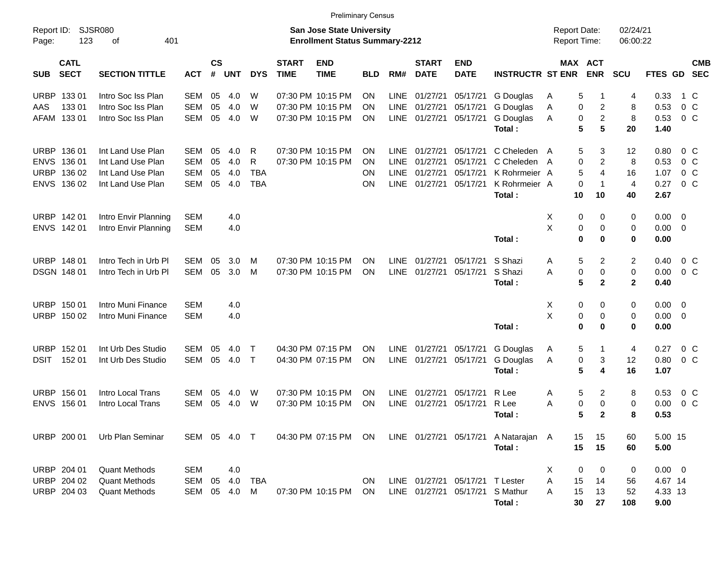|                                                                              |                                                                                  |                                                      |                         |                          |                                    |                             | <b>Preliminary Census</b>                                                 |                      |                                            |                                              |                                                                    |                                                                        |                                            |                                                                    |                                     |                                           |                                            |                          |
|------------------------------------------------------------------------------|----------------------------------------------------------------------------------|------------------------------------------------------|-------------------------|--------------------------|------------------------------------|-----------------------------|---------------------------------------------------------------------------|----------------------|--------------------------------------------|----------------------------------------------|--------------------------------------------------------------------|------------------------------------------------------------------------|--------------------------------------------|--------------------------------------------------------------------|-------------------------------------|-------------------------------------------|--------------------------------------------|--------------------------|
| Report ID:<br>Page:                                                          | SJSR080<br>123<br>401<br>оf                                                      |                                                      |                         |                          |                                    |                             | <b>San Jose State University</b><br><b>Enrollment Status Summary-2212</b> |                      |                                            |                                              |                                                                    |                                                                        | <b>Report Date:</b><br><b>Report Time:</b> |                                                                    | 02/24/21<br>06:00:22                |                                           |                                            |                          |
| <b>CATL</b><br><b>SECT</b><br><b>SUB</b>                                     | <b>SECTION TITTLE</b>                                                            | <b>ACT</b>                                           | <b>CS</b><br>$\pmb{\#}$ | <b>UNT</b>               | <b>DYS</b>                         | <b>START</b><br><b>TIME</b> | <b>END</b><br><b>TIME</b>                                                 | <b>BLD</b>           | RM#                                        | <b>START</b><br><b>DATE</b>                  | <b>END</b><br><b>DATE</b>                                          | <b>INSTRUCTR ST ENR</b>                                                |                                            | MAX ACT<br><b>ENR</b>                                              | SCU                                 | FTES GD                                   |                                            | <b>CMB</b><br><b>SEC</b> |
| <b>URBP</b><br>13301<br>13301<br>AAS<br>13301<br>AFAM                        | Intro Soc Iss Plan<br>Intro Soc Iss Plan<br>Intro Soc Iss Plan                   | SEM<br><b>SEM</b><br><b>SEM</b>                      | 05<br>05<br>05          | 4.0<br>4.0<br>4.0        | W<br>W<br>W                        |                             | 07:30 PM 10:15 PM<br>07:30 PM 10:15 PM<br>07:30 PM 10:15 PM               | ΟN<br>ΟN<br>ΟN       | <b>LINE</b><br><b>LINE</b><br><b>LINE</b>  | 01/27/21<br>01/27/21<br>01/27/21             | 05/17/21<br>05/17/21<br>05/17/21                                   | G Douglas<br>G Douglas<br>G Douglas<br>Total:                          | A<br>Α<br>A                                | 5<br>0<br>$\overline{\mathbf{c}}$<br>$\overline{c}$<br>0<br>5<br>5 | 4<br>8<br>8<br>20                   | 0.33<br>0.53<br>0.53<br>1.40              | 1 C<br>0 <sup>o</sup><br>0 <sup>o</sup>    |                          |
| URBP 136 01<br><b>ENVS</b><br>136 01<br><b>URBP</b><br>136 02<br>ENVS 136 02 | Int Land Use Plan<br>Int Land Use Plan<br>Int Land Use Plan<br>Int Land Use Plan | <b>SEM</b><br><b>SEM</b><br><b>SEM</b><br><b>SEM</b> | 05<br>05<br>05<br>05    | 4.0<br>4.0<br>4.0<br>4.0 | R<br>R<br><b>TBA</b><br><b>TBA</b> |                             | 07:30 PM 10:15 PM<br>07:30 PM 10:15 PM                                    | ΟN<br>ΟN<br>ON<br>ON | <b>LINE</b><br>LINE<br>LINE<br><b>LINE</b> | 01/27/21<br>01/27/21<br>01/27/21<br>01/27/21 | 05/17/21<br>05/17/21<br>05/17/21<br>05/17/21                       | C Cheleden A<br>C Cheleden<br>K Rohrmeier A<br>K Rohrmeier A<br>Total: | A<br>10                                    | 5<br>3<br>0<br>$\overline{c}$<br>5<br>4<br>0<br>$\mathbf 1$<br>10  | 12<br>8<br>16<br>4<br>40            | 0.80<br>0.53<br>1.07<br>0.27<br>2.67      | 0 C<br>$0\,C$<br>0 <sup>o</sup><br>$0\,C$  |                          |
| URBP 142 01<br>ENVS 142 01                                                   | Intro Envir Planning<br>Intro Envir Planning                                     | <b>SEM</b><br><b>SEM</b>                             |                         | 4.0<br>4.0               |                                    |                             |                                                                           |                      |                                            |                                              |                                                                    | Total:                                                                 | Х<br>Χ                                     | 0<br>0<br>0<br>0<br>0<br>0                                         | 0<br>0<br>0                         | 0.00<br>0.00<br>0.00                      | $\overline{\mathbf{0}}$<br>$\overline{0}$  |                          |
| URBP 148 01<br><b>DSGN 148 01</b>                                            | Intro Tech in Urb PI<br>Intro Tech in Urb PI                                     | SEM<br><b>SEM</b>                                    | 05<br>05                | 3.0<br>3.0               | M<br>M                             |                             | 07:30 PM 10:15 PM<br>07:30 PM 10:15 PM                                    | ΟN<br>ON             | <b>LINE</b><br><b>LINE</b>                 | 01/27/21<br>01/27/21                         | 05/17/21<br>05/17/21                                               | S Shazi<br>S Shazi<br>Total:                                           | Α<br>A                                     | 5<br>$\overline{2}$<br>0<br>0<br>5<br>$\mathbf{2}$                 | $\overline{c}$<br>0<br>$\mathbf{2}$ | 0.40<br>0.00<br>0.40                      | $0\,$ C<br>0 <sup>o</sup>                  |                          |
| URBP 150 01<br>URBP 150 02                                                   | Intro Muni Finance<br>Intro Muni Finance                                         | <b>SEM</b><br><b>SEM</b>                             |                         | 4.0<br>4.0               |                                    |                             |                                                                           |                      |                                            |                                              |                                                                    | Total:                                                                 | Х<br>Χ                                     | 0<br>0<br>0<br>0<br>0<br>0                                         | 0<br>0<br>0                         | 0.00<br>0.00<br>0.00                      | $\overline{\phantom{0}}$<br>$\overline{0}$ |                          |
| URBP 152 01<br><b>DSIT</b><br>152 01                                         | Int Urb Des Studio<br>Int Urb Des Studio                                         | SEM<br>SEM                                           | 05<br>05                | 4.0<br>4.0               | $\top$<br>$\top$                   |                             | 04:30 PM 07:15 PM<br>04:30 PM 07:15 PM                                    | ΟN<br>ΟN             | <b>LINE</b><br>LINE                        | 01/27/21<br>01/27/21                         | 05/17/21<br>05/17/21                                               | G Douglas<br>G Douglas<br>Total:                                       | Α<br>Α                                     | 5<br>1<br>0<br>3<br>5<br>4                                         | 4<br>12<br>16                       | 0.27<br>0.80<br>1.07                      | $0\,$ C<br>0 <sup>o</sup>                  |                          |
| URBP 156 01<br><b>ENVS</b><br>156 01                                         | Intro Local Trans<br>Intro Local Trans                                           | SEM<br><b>SEM</b>                                    | 05<br>05                | 4.0<br>4.0               | W<br>W                             |                             | 07:30 PM 10:15 PM<br>07:30 PM 10:15 PM                                    | ΟN<br>ON             | LINE<br><b>LINE</b>                        | 01/27/21<br>01/27/21                         | 05/17/21<br>05/17/21                                               | R Lee<br>R Lee<br>Total:                                               | Α<br>Α                                     | 5<br>$\overline{2}$<br>0<br>0<br>5<br>$\mathbf{2}$                 | 8<br>$\mathbf 0$<br>8               | 0.53<br>0.00<br>0.53                      | $0\,$ C<br>0 <sup>o</sup>                  |                          |
|                                                                              | URBP 200 01 Urb Plan Seminar                                                     | SEM 05 4.0 T                                         |                         |                          |                                    |                             |                                                                           |                      |                                            |                                              |                                                                    | 04:30 PM 07:15 PM ON LINE 01/27/21 05/17/21 A Natarajan A<br>Total:    | 15<br>15                                   | 15<br>15                                                           | 60<br>60                            | 5.00 15<br>5.00                           |                                            |                          |
| URBP 204 01<br>URBP 204 02<br>URBP 204 03                                    | <b>Quant Methods</b><br><b>Quant Methods</b><br><b>Quant Methods</b>             | <b>SEM</b><br>SEM<br>SEM 05 4.0 M                    | 05                      | 4.0<br>4.0               | <b>TBA</b>                         |                             | 07:30 PM 10:15 PM                                                         | ON<br>ON.            |                                            |                                              | LINE 01/27/21 05/17/21 T Lester<br>LINE 01/27/21 05/17/21 S Mathur | Total:                                                                 | Х<br>15<br>Α<br>15<br>A<br>30              | 0<br>0<br>14<br>13<br>27                                           | 0<br>56<br>52<br>108                | $0.00 \t 0$<br>4.67 14<br>4.33 13<br>9.00 |                                            |                          |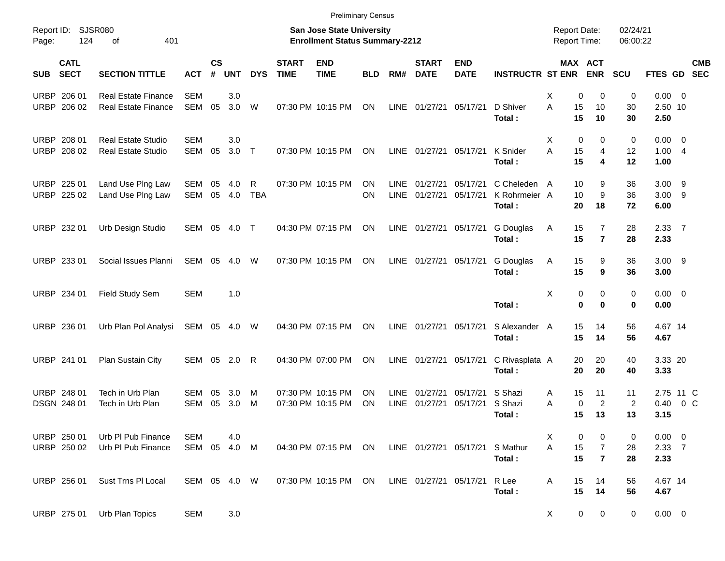|             |                            |                                                          |                            |                    |                |                 |                             | <b>Preliminary Census</b>                                          |                 |                     |                             |                           |                                         |                                     |                                                     |                            |                                       |                           |
|-------------|----------------------------|----------------------------------------------------------|----------------------------|--------------------|----------------|-----------------|-----------------------------|--------------------------------------------------------------------|-----------------|---------------------|-----------------------------|---------------------------|-----------------------------------------|-------------------------------------|-----------------------------------------------------|----------------------------|---------------------------------------|---------------------------|
| Page:       | Report ID: SJSR080<br>124  | 401<br>of                                                |                            |                    |                |                 |                             | San Jose State University<br><b>Enrollment Status Summary-2212</b> |                 |                     |                             |                           |                                         | <b>Report Date:</b><br>Report Time: |                                                     | 02/24/21<br>06:00:22       |                                       |                           |
| SUB         | <b>CATL</b><br><b>SECT</b> | <b>SECTION TITTLE</b>                                    | <b>ACT</b>                 | $\mathsf{cs}$<br># | <b>UNT</b>     | <b>DYS</b>      | <b>START</b><br><b>TIME</b> | <b>END</b><br><b>TIME</b>                                          | <b>BLD</b>      | RM#                 | <b>START</b><br><b>DATE</b> | <b>END</b><br><b>DATE</b> | <b>INSTRUCTR ST ENR</b>                 |                                     | MAX ACT<br><b>ENR</b>                               | <b>SCU</b>                 |                                       | <b>CMB</b><br>FTES GD SEC |
|             | URBP 206 01<br>URBP 206 02 | <b>Real Estate Finance</b><br><b>Real Estate Finance</b> | <b>SEM</b><br>SEM          | 05                 | 3.0<br>3.0     | W               |                             | 07:30 PM 10:15 PM                                                  | ON              |                     | LINE 01/27/21               | 05/17/21                  | D Shiver<br>Total:                      | Х<br>A<br>15<br>15                  | 0<br>0<br>10<br>10                                  | 0<br>30<br>30              | $0.00 \t 0$<br>2.50 10<br>2.50        |                           |
| <b>URBP</b> | 208 01<br>URBP 208 02      | <b>Real Estate Studio</b><br><b>Real Estate Studio</b>   | <b>SEM</b><br>SEM          | 05                 | 3.0<br>$3.0$ T |                 |                             | 07:30 PM 10:15 PM                                                  | ON              |                     | LINE 01/27/21               | 05/17/21                  | K Snider<br>Total:                      | Х<br>A<br>15<br>15                  | $\mathbf 0$<br>0<br>4<br>4                          | 0<br>12<br>12              | $0.00 \t 0$<br>1.004<br>1.00          |                           |
|             | URBP 225 01<br>URBP 225 02 | Land Use PIng Law<br>Land Use Plng Law                   | SEM<br><b>SEM</b>          | 05<br>05           | 4.0<br>4.0     | R<br><b>TBA</b> |                             | 07:30 PM 10:15 PM                                                  | <b>ON</b><br>ON | <b>LINE</b><br>LINE | 01/27/21<br>01/27/21        | 05/17/21<br>05/17/21      | C Cheleden A<br>K Rohrmeier A<br>Total: | 10<br>10<br>20                      | 9<br>9<br>18                                        | 36<br>36<br>72             | $3.00$ 9<br>$3.00$ 9<br>6.00          |                           |
|             | URBP 232 01                | Urb Design Studio                                        | SEM 05                     |                    | 4.0            | $\top$          |                             | 04:30 PM 07:15 PM                                                  | ON              |                     | LINE 01/27/21               | 05/17/21                  | G Douglas<br>Total:                     | 15<br>Α<br>15                       | $\overline{7}$<br>$\overline{7}$                    | 28<br>28                   | 2.3377<br>2.33                        |                           |
|             | URBP 233 01                | Social Issues Planni                                     | SEM                        | 05                 | 4.0            | W               |                             | 07:30 PM 10:15 PM                                                  | ON              | LINE                | 01/27/21                    | 05/17/21                  | G Douglas<br>Total:                     | 15<br>Α<br>15                       | 9<br>9                                              | 36<br>36                   | $3.00$ 9<br>3.00                      |                           |
|             | URBP 234 01                | Field Study Sem                                          | <b>SEM</b>                 |                    | 1.0            |                 |                             |                                                                    |                 |                     |                             |                           | Total:                                  | Х                                   | 0<br>0<br>$\mathbf 0$<br>0                          | 0<br>0                     | $0.00 \t 0$<br>0.00                   |                           |
|             | URBP 236 01                | Urb Plan Pol Analysi                                     | SEM 05 4.0                 |                    |                | W               |                             | 04:30 PM 07:15 PM                                                  | ON              | LINE                | 01/27/21                    | 05/17/21                  | S Alexander A<br>Total:                 | 15<br>15                            | 14<br>14                                            | 56<br>56                   | 4.67 14<br>4.67                       |                           |
|             | URBP 241 01                | Plan Sustain City                                        | SEM 05 2.0                 |                    |                | R               |                             | 04:30 PM 07:00 PM                                                  | ON              | LINE                | 01/27/21                    | 05/17/21                  | C Rivasplata A<br>Total:                | 20<br>20                            | 20<br>20                                            | 40<br>40                   | 3.33 20<br>3.33                       |                           |
|             | URBP 248 01<br>DSGN 248 01 | Tech in Urb Plan<br>Tech in Urb Plan                     | <b>SEM</b><br><b>SEM</b>   | 05<br>05           | 3.0<br>3.0     | M<br>М          |                             | 07:30 PM 10:15 PM<br>07:30 PM 10:15 PM                             | ΟN<br>ON        | LINE<br>LINE        | 01/27/21<br>01/27/21        | 05/17/21<br>05/17/21      | S Shazi<br>S Shazi<br>Total:            | 15<br>A<br>A<br>15                  | 11<br>$\mathbf 0$<br>2<br>13                        | 11<br>$\overline{2}$<br>13 | 2.75 11 C<br>0.40<br>3.15             | $0\,$ C                   |
|             | URBP 250 01<br>URBP 250 02 | Urb PI Pub Finance<br>Urb PI Pub Finance                 | <b>SEM</b><br>SEM 05 4.0 M |                    | 4.0            |                 |                             | 04:30 PM 07:15 PM ON                                               |                 |                     |                             | LINE 01/27/21 05/17/21    | S Mathur<br>Total:                      | Х<br>15<br>A<br>15                  | 0<br>0<br>$\overline{7}$<br>$\overline{\mathbf{r}}$ | 0<br>28<br>28              | $0.00 \t 0$<br>$2.33 \quad 7$<br>2.33 |                           |
|             | URBP 256 01                | Sust Trns PI Local                                       | SEM 05 4.0 W               |                    |                |                 |                             | 07:30 PM 10:15 PM                                                  | ON              |                     | LINE 01/27/21 05/17/21      |                           | R Lee<br>Total:                         | 15<br>Α<br>15                       | 14<br>14                                            | 56<br>56                   | 4.67 14<br>4.67                       |                           |
|             | URBP 275 01                | Urb Plan Topics                                          | <b>SEM</b>                 |                    | 3.0            |                 |                             |                                                                    |                 |                     |                             |                           |                                         | X                                   | 0<br>0                                              | $\mathbf 0$                | $0.00 \t 0$                           |                           |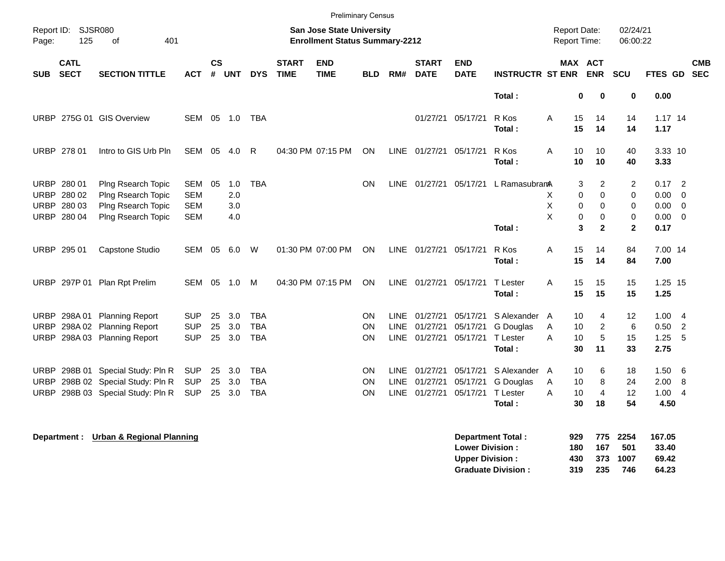| Report ID:<br>Page: | 125                        | SJSR080<br>401<br>of                 |            |                |            |            |                             | San Jose State University<br><b>Enrollment Status Summary-2212</b> | <b>Preliminary Census</b> |             |                             |                           |                          | Report Date:<br>Report Time: |                                         | 02/24/21<br>06:00:22 |                 |                         |                          |
|---------------------|----------------------------|--------------------------------------|------------|----------------|------------|------------|-----------------------------|--------------------------------------------------------------------|---------------------------|-------------|-----------------------------|---------------------------|--------------------------|------------------------------|-----------------------------------------|----------------------|-----------------|-------------------------|--------------------------|
| <b>SUB</b>          | <b>CATL</b><br><b>SECT</b> | <b>SECTION TITTLE</b>                | <b>ACT</b> | <b>CS</b><br># | <b>UNT</b> | <b>DYS</b> | <b>START</b><br><b>TIME</b> | <b>END</b><br><b>TIME</b>                                          | <b>BLD</b>                | RM#         | <b>START</b><br><b>DATE</b> | <b>END</b><br><b>DATE</b> | <b>INSTRUCTR ST ENR</b>  |                              | <b>MAX ACT</b><br><b>ENR</b>            | SCU                  | FTES GD         |                         | <b>CMB</b><br><b>SEC</b> |
|                     |                            |                                      |            |                |            |            |                             |                                                                    |                           |             |                             |                           | Total:                   |                              | $\mathbf 0$<br>0                        | $\mathbf 0$          | 0.00            |                         |                          |
| <b>URBP</b>         |                            | 275G 01 GIS Overview                 | <b>SEM</b> | 05             | 1.0        | TBA        |                             |                                                                    |                           |             | 01/27/21                    | 05/17/21                  | R Kos                    | Α                            | 15<br>14                                | 14                   | $1.17$ 14       |                         |                          |
|                     |                            |                                      |            |                |            |            |                             |                                                                    |                           |             |                             |                           | Total:                   |                              | 15<br>14                                | 14                   | 1.17            |                         |                          |
|                     | URBP 278 01                | Intro to GIS Urb Pln                 | SEM 05     |                | 4.0        | R          |                             | 04:30 PM 07:15 PM                                                  | ON                        |             | LINE 01/27/21               | 05/17/21                  | R Kos<br>Total:          | A                            | 10<br>10<br>10<br>10                    | 40<br>40             | 3.33 10<br>3.33 |                         |                          |
|                     | URBP 280 01                | Plng Rsearch Topic                   | SEM        | 05             | 1.0        | <b>TBA</b> |                             |                                                                    | <b>ON</b>                 |             |                             | LINE 01/27/21 05/17/21    | L RamasubramA            |                              | 2<br>3                                  | 2                    | $0.17$ 2        |                         |                          |
|                     | URBP 280 02                | Plng Rsearch Topic                   | <b>SEM</b> |                | 2.0        |            |                             |                                                                    |                           |             |                             |                           |                          | X                            | $\mathbf 0$<br>0                        | 0                    | 0.00            | $\mathbf 0$             |                          |
|                     | URBP 280 03                | Plng Rsearch Topic                   | <b>SEM</b> |                | 3.0        |            |                             |                                                                    |                           |             |                             |                           |                          | $\mathsf X$                  | $\mathbf 0$<br>$\mathbf 0$              | 0                    | 0.00            | $\overline{0}$          |                          |
|                     | URBP 280 04                | Plng Rsearch Topic                   | <b>SEM</b> |                | 4.0        |            |                             |                                                                    |                           |             |                             |                           | Total:                   | X                            | 0<br>$\mathbf 0$<br>3<br>$\overline{2}$ | 0<br>$\overline{2}$  | 0.00<br>0.17    | $\overline{\mathbf{0}}$ |                          |
|                     | URBP 295 01                | Capstone Studio                      | SEM        | 05             | 6.0        | W          |                             | 01:30 PM 07:00 PM                                                  | ON                        |             | LINE 01/27/21               | 05/17/21                  | R Kos                    | Α                            | 15<br>14                                | 84                   | 7.00 14         |                         |                          |
|                     |                            |                                      |            |                |            |            |                             |                                                                    |                           |             |                             |                           | Total:                   |                              | 15<br>14                                | 84                   | 7.00            |                         |                          |
| URBP                | 297P 01                    | Plan Rpt Prelim                      | <b>SEM</b> | 05             | 1.0        | M          |                             | 04:30 PM 07:15 PM                                                  | <b>ON</b>                 |             | LINE 01/27/21               | 05/17/21                  | T Lester                 | A                            | 15<br>15                                | 15                   | 1.25 15         |                         |                          |
|                     |                            |                                      |            |                |            |            |                             |                                                                    |                           |             |                             |                           | Total:                   |                              | 15<br>15                                | 15                   | 1.25            |                         |                          |
| URBP                | 298A01                     | <b>Planning Report</b>               | <b>SUP</b> | 25             | 3.0        | <b>TBA</b> |                             |                                                                    | <b>ON</b>                 | LINE        | 01/27/21                    | 05/17/21                  | S Alexander              | A                            | 10<br>4                                 | $12 \overline{ }$    | 1.00            | $\overline{4}$          |                          |
| URBP                | 298A02                     | <b>Planning Report</b>               | <b>SUP</b> | 25             | 3.0        | <b>TBA</b> |                             |                                                                    | <b>ON</b>                 | <b>LINE</b> | 01/27/21                    | 05/17/21                  | G Douglas                | Α                            | 2<br>10                                 | 6                    | 0.50            | $\overline{2}$          |                          |
| URBP                | 298A03                     | <b>Planning Report</b>               | <b>SUP</b> | 25             | 3.0        | <b>TBA</b> |                             |                                                                    | <b>ON</b>                 |             | LINE 01/27/21               | 05/17/21                  | T Lester                 | A                            | 10<br>5                                 | 15                   | 1.25            | 5                       |                          |
|                     |                            |                                      |            |                |            |            |                             |                                                                    |                           |             |                             |                           | Total:                   |                              | 30<br>11                                | 33                   | 2.75            |                         |                          |
| <b>URBP</b>         | 298B 01                    | Special Study: Pln R                 | <b>SUP</b> | 25             | 3.0        | <b>TBA</b> |                             |                                                                    | <b>ON</b>                 | <b>LINE</b> | 01/27/21                    | 05/17/21                  | S Alexander              | A                            | 10<br>6                                 | 18                   | 1.50            | 6                       |                          |
| URBP                |                            | 298B 02 Special Study: Pln R         | <b>SUP</b> | 25             | 3.0        | <b>TBA</b> |                             |                                                                    | ON.                       | LINE        | 01/27/21                    | 05/17/21                  | G Douglas                | Α                            | 8<br>10                                 | 24                   | 2.00            | 8                       |                          |
| URBP                |                            | 298B 03 Special Study: Pln R         | <b>SUP</b> |                | 25 3.0     | <b>TBA</b> |                             |                                                                    | ON.                       | <b>LINE</b> | 01/27/21                    | 05/17/21                  | T Lester                 | A                            | 10<br>4                                 | $12 \overline{ }$    | 1.00            | $\overline{4}$          |                          |
|                     |                            |                                      |            |                |            |            |                             |                                                                    |                           |             |                             |                           | Total:                   |                              | 30<br>18                                | 54                   | 4.50            |                         |                          |
|                     | Department :               | <b>Urban &amp; Regional Planning</b> |            |                |            |            |                             |                                                                    |                           |             |                             | <b>Lower Division:</b>    | <b>Department Total:</b> | 929<br>180                   | 775<br>167                              | 2254<br>501          | 167.05<br>33.40 |                         |                          |

**Upper Division : 430 373 1007 69.42<br>
Graduate Division : 431 235 746 64.23 Graduate Division : 319 235 746 64.23**